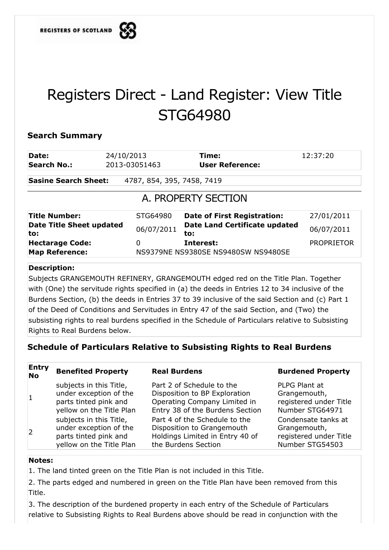

# Registers Direct - Land Register: View Title STG64980

# **Search Summary**

| 24/10/2013                                                                                                        | Time:                              | 12:37:20                            |  |  |
|-------------------------------------------------------------------------------------------------------------------|------------------------------------|-------------------------------------|--|--|
| 2013-03051463                                                                                                     | <b>User Reference:</b>             |                                     |  |  |
| <b>Sasine Search Sheet:</b><br>4787, 854, 395, 7458, 7419                                                         |                                    |                                     |  |  |
| A. PROPERTY SECTION                                                                                               |                                    |                                     |  |  |
| STG64980                                                                                                          | <b>Date of First Registration:</b> | 27/01/2011                          |  |  |
| <b>Date Land Certificate updated</b><br><b>Date Title Sheet updated</b><br>06/07/2011<br>06/07/2011<br>to:<br>to: |                                    |                                     |  |  |
| 0                                                                                                                 | Interest:                          | <b>PROPRIETOR</b>                   |  |  |
|                                                                                                                   |                                    | NS9379NE NS9380SE NS9480SW NS9480SE |  |  |

# **Description:**

Subjects GRANGEMOUTH REFINERY, GRANGEMOUTH edged red on the Title Plan. Together with (One) the servitude rights specified in (a) the deeds in Entries 12 to 34 inclusive of the Burdens Section, (b) the deeds in Entries 37 to 39 inclusive of the said Section and (c) Part 1 of the Deed of Conditions and Servitudes in Entry 47 of the said Section, and (Two) the subsisting rights to real burdens specified in the Schedule of Particulars relative to Subsisting Rights to Real Burdens below.

# **Schedule of Particulars Relative to Subsisting Rights to Real Burdens**

**Entry No Benefited Property Real Burdens Read Burdens Burdened Property** 1 subjects in this Title, under exception of the parts tinted pink and yellow on the Title Plan Part 2 of Schedule to the Disposition to BP Exploration Operating Company Limited in Entry 38 of the Burdens Section PLPG Plant at Grangemouth, registered under Title Number STG64971 2 subjects in this Title, under exception of the parts tinted pink and yellow on the Title Plan Part 4 of the Schedule to the Disposition to Grangemouth Holdings Limited in Entry 40 of the Burdens Section Condensate tanks at Grangemouth, registered under Title Number STG54503

## **Notes:**

1. The land tinted green on the Title Plan is not included in this Title.

2. The parts edged and numbered in green on the Title Plan have been removed from this Title.

3. The description of the burdened property in each entry of the Schedule of Particulars relative to Subsisting Rights to Real Burdens above should be read in conjunction with the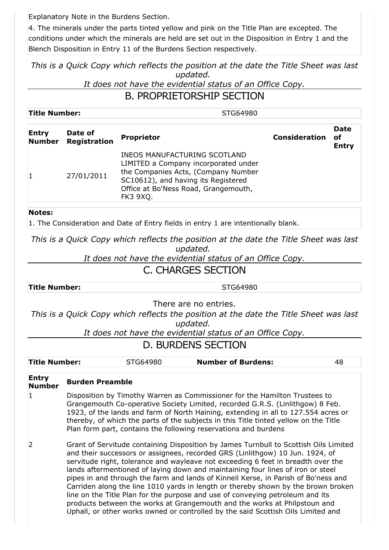Explanatory Note in the Burdens Section.

4. The minerals under the parts tinted yellow and pink on the Title Plan are excepted. The conditions under which the minerals are held are set out in the Disposition in Entry 1 and the Blench Disposition in Entry 11 of the Burdens Section respectively.

*This is a Quick Copy which reflects the position at the date the Title Sheet was last updated.* 

*It does not have the evidential status of an Office Copy.*

# B. PROPRIETORSHIP SECTION

| <b>Title Number:</b><br>STG64980 |  |
|----------------------------------|--|
|----------------------------------|--|

| <b>Entry</b><br><b>Number</b> | Date of<br><b>Registration</b> | <b>Proprietor</b>                                                                                                                                                                                             | <b>Consideration</b> | <b>Date</b><br>οf<br><b>Entry</b> |
|-------------------------------|--------------------------------|---------------------------------------------------------------------------------------------------------------------------------------------------------------------------------------------------------------|----------------------|-----------------------------------|
|                               | 27/01/2011                     | INEOS MANUFACTURING SCOTLAND<br>LIMITED a Company incorporated under<br>the Companies Acts, (Company Number<br>SC10612), and having its Registered<br>Office at Bo'Ness Road, Grangemouth,<br><b>FK3 9XQ.</b> |                      |                                   |

# **Notes:**

1. The Consideration and Date of Entry fields in entry 1 are intentionally blank.

*This is a Quick Copy which reflects the position at the date the Title Sheet was last updated.* 

*It does not have the evidential status of an Office Copy.*

# C. CHARGES SECTION

**Title Number:** STG64980

There are no entries.

*This is a Quick Copy which reflects the position at the date the Title Sheet was last updated.* 

*It does not have the evidential status of an Office Copy.*

# D. BURDENS SECTION

| <b>Title Number:</b> | STG64980 | <b>Number of Burdens:</b> |  |
|----------------------|----------|---------------------------|--|
|                      |          |                           |  |

### **Entry Number Burden Preamble**

[1](https://www.eservices.ros.gov.uk/ros-rd2-presentation-ui/ros/rd2/presentation/ui/registersdirect/landregister/titlerecord/details/pageflows/goViewBurdenDetail.do?selectedIndex=0) Disposition by Timothy Warren as Commissioner for the Hamilton Trustees to Grangemouth Co-operative Society Limited, recorded G.R.S. (Linlithgow) 8 Feb. 1923, of the lands and farm of North Haining, extending in all to 127.554 acres or thereby, of which the parts of the subjects in this Title tinted yellow on the Title Plan form part, contains the following reservations and burdens

[2](https://www.eservices.ros.gov.uk/ros-rd2-presentation-ui/ros/rd2/presentation/ui/registersdirect/landregister/titlerecord/details/pageflows/goViewBurdenDetail.do?selectedIndex=1) Grant of Servitude containing Disposition by James Turnbull to Scottish Oils Limited and their successors or assignees, recorded GRS (Linlithgow) 10 Jun. 1924, of servitude right, tolerance and wayleave not exceeding 6 feet in breadth over the lands aftermentioned of laying down and maintaining four lines of iron or steel pipes in and through the farm and lands of Kinneil Kerse, in Parish of Bo'ness and Carriden along the line 1010 yards in length or thereby shown by the brown broken line on the Title Plan for the purpose and use of conveying petroleum and its products between the works at Grangemouth and the works at Philpstoun and Uphall, or other works owned or controlled by the said Scottish Oils Limited and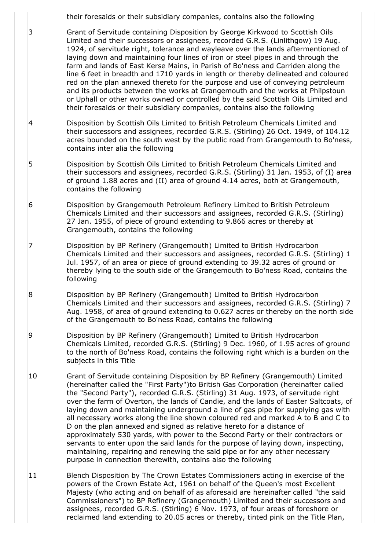their foresaids or their subsidiary companies, contains also the following

[3](https://www.eservices.ros.gov.uk/ros-rd2-presentation-ui/ros/rd2/presentation/ui/registersdirect/landregister/titlerecord/details/pageflows/goViewBurdenDetail.do?selectedIndex=2) Grant of Servitude containing Disposition by George Kirkwood to Scottish Oils Limited and their successors or assignees, recorded G.R.S. (Linlithgow) 19 Aug. 1924, of servitude right, tolerance and wayleave over the lands aftermentioned of laying down and maintaining four lines of iron or steel pipes in and through the farm and lands of East Kerse Mains, in Parish of Bo'ness and Carriden along the line 6 feet in breadth and 1710 yards in length or thereby delineated and coloured red on the plan annexed thereto for the purpose and use of conveying petroleum and its products between the works at Grangemouth and the works at Philpstoun or Uphall or other works owned or controlled by the said Scottish Oils Limited and their foresaids or their subsidiary companies, contains also the following

- [4](https://www.eservices.ros.gov.uk/ros-rd2-presentation-ui/ros/rd2/presentation/ui/registersdirect/landregister/titlerecord/details/pageflows/goViewBurdenDetail.do?selectedIndex=3) Disposition by Scottish Oils Limited to British Petroleum Chemicals Limited and their successors and assignees, recorded G.R.S. (Stirling) 26 Oct. 1949, of 104.12 acres bounded on the south west by the public road from Grangemouth to Bo'ness, contains inter alia the following
- [5](https://www.eservices.ros.gov.uk/ros-rd2-presentation-ui/ros/rd2/presentation/ui/registersdirect/landregister/titlerecord/details/pageflows/goViewBurdenDetail.do?selectedIndex=4) Disposition by Scottish Oils Limited to British Petroleum Chemicals Limited and their successors and assignees, recorded G.R.S. (Stirling) 31 Jan. 1953, of (I) area of ground 1.88 acres and (II) area of ground 4.14 acres, both at Grangemouth, contains the following
- [6](https://www.eservices.ros.gov.uk/ros-rd2-presentation-ui/ros/rd2/presentation/ui/registersdirect/landregister/titlerecord/details/pageflows/goViewBurdenDetail.do?selectedIndex=5) Disposition by Grangemouth Petroleum Refinery Limited to British Petroleum Chemicals Limited and their successors and assignees, recorded G.R.S. (Stirling) 27 Jan. 1955, of piece of ground extending to 9.866 acres or thereby at Grangemouth, contains the following
- [7](https://www.eservices.ros.gov.uk/ros-rd2-presentation-ui/ros/rd2/presentation/ui/registersdirect/landregister/titlerecord/details/pageflows/goViewBurdenDetail.do?selectedIndex=6) Disposition by BP Refinery (Grangemouth) Limited to British Hydrocarbon Chemicals Limited and their successors and assignees, recorded G.R.S. (Stirling) 1 Jul. 1957, of an area or piece of ground extending to 39.32 acres of ground or thereby lying to the south side of the Grangemouth to Bo'ness Road, contains the following
- [8](https://www.eservices.ros.gov.uk/ros-rd2-presentation-ui/ros/rd2/presentation/ui/registersdirect/landregister/titlerecord/details/pageflows/goViewBurdenDetail.do?selectedIndex=7) Disposition by BP Refinery (Grangemouth) Limited to British Hydrocarbon Chemicals Limited and their successors and assignees, recorded G.R.S. (Stirling) 7 Aug. 1958, of area of ground extending to 0.627 acres or thereby on the north side of the Grangemouth to Bo'ness Road, contains the following
- [9](https://www.eservices.ros.gov.uk/ros-rd2-presentation-ui/ros/rd2/presentation/ui/registersdirect/landregister/titlerecord/details/pageflows/goViewBurdenDetail.do?selectedIndex=8) Disposition by BP Refinery (Grangemouth) Limited to British Hydrocarbon Chemicals Limited, recorded G.R.S. (Stirling) 9 Dec. 1960, of 1.95 acres of ground to the north of Bo'ness Road, contains the following right which is a burden on the subjects in this Title
- [10](https://www.eservices.ros.gov.uk/ros-rd2-presentation-ui/ros/rd2/presentation/ui/registersdirect/landregister/titlerecord/details/pageflows/goViewBurdenDetail.do?selectedIndex=9) Grant of Servitude containing Disposition by BP Refinery (Grangemouth) Limited (hereinafter called the "First Party")to British Gas Corporation (hereinafter called the "Second Party"), recorded G.R.S. (Stirling) 31 Aug. 1973, of servitude right over the farm of Overton, the lands of Candie, and the lands of Easter Saltcoats, of laying down and maintaining underground a line of gas pipe for supplying gas with all necessary works along the line shown coloured red and marked A to B and C to D on the plan annexed and signed as relative hereto for a distance of approximately 530 yards, with power to the Second Party or their contractors or servants to enter upon the said lands for the purpose of laying down, inspecting, maintaining, repairing and renewing the said pipe or for any other necessary purpose in connection therewith, contains also the following
- [11](https://www.eservices.ros.gov.uk/ros-rd2-presentation-ui/ros/rd2/presentation/ui/registersdirect/landregister/titlerecord/details/pageflows/goViewBurdenDetail.do?selectedIndex=10) Blench Disposition by The Crown Estates Commissioners acting in exercise of the powers of the Crown Estate Act, 1961 on behalf of the Queen's most Excellent Majesty (who acting and on behalf of as aforesaid are hereinafter called "the said Commissioners") to BP Refinery (Grangemouth) Limited and their successors and assignees, recorded G.R.S. (Stirling) 6 Nov. 1973, of four areas of foreshore or reclaimed land extending to 20.05 acres or thereby, tinted pink on the Title Plan,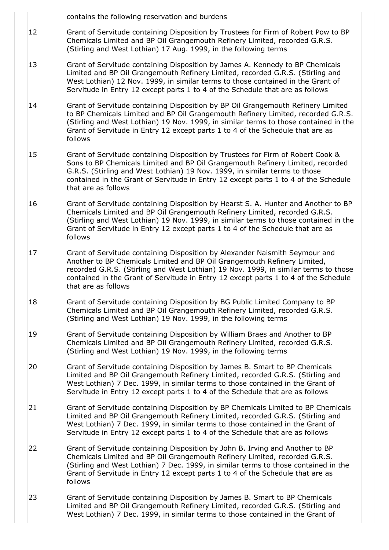contains the following reservation and burdens

- [12](https://www.eservices.ros.gov.uk/ros-rd2-presentation-ui/ros/rd2/presentation/ui/registersdirect/landregister/titlerecord/details/pageflows/goViewBurdenDetail.do?selectedIndex=11) Grant of Servitude containing Disposition by Trustees for Firm of Robert Pow to BP Chemicals Limited and BP Oil Grangemouth Refinery Limited, recorded G.R.S. (Stirling and West Lothian) 17 Aug. 1999, in the following terms
- [13](https://www.eservices.ros.gov.uk/ros-rd2-presentation-ui/ros/rd2/presentation/ui/registersdirect/landregister/titlerecord/details/pageflows/goViewBurdenDetail.do?selectedIndex=12) Grant of Servitude containing Disposition by James A. Kennedy to BP Chemicals Limited and BP Oil Grangemouth Refinery Limited, recorded G.R.S. (Stirling and West Lothian) 12 Nov. 1999, in similar terms to those contained in the Grant of Servitude in Entry 12 except parts 1 to 4 of the Schedule that are as follows
- [14](https://www.eservices.ros.gov.uk/ros-rd2-presentation-ui/ros/rd2/presentation/ui/registersdirect/landregister/titlerecord/details/pageflows/goViewBurdenDetail.do?selectedIndex=13) Grant of Servitude containing Disposition by BP Oil Grangemouth Refinery Limited to BP Chemicals Limited and BP Oil Grangemouth Refinery Limited, recorded G.R.S. (Stirling and West Lothian) 19 Nov. 1999, in similar terms to those contained in the Grant of Servitude in Entry 12 except parts 1 to 4 of the Schedule that are as follows
- [15](https://www.eservices.ros.gov.uk/ros-rd2-presentation-ui/ros/rd2/presentation/ui/registersdirect/landregister/titlerecord/details/pageflows/goViewBurdenDetail.do?selectedIndex=14) Grant of Servitude containing Disposition by Trustees for Firm of Robert Cook & Sons to BP Chemicals Limited and BP Oil Grangemouth Refinery Limited, recorded G.R.S. (Stirling and West Lothian) 19 Nov. 1999, in similar terms to those contained in the Grant of Servitude in Entry 12 except parts 1 to 4 of the Schedule that are as follows
- [16](https://www.eservices.ros.gov.uk/ros-rd2-presentation-ui/ros/rd2/presentation/ui/registersdirect/landregister/titlerecord/details/pageflows/goViewBurdenDetail.do?selectedIndex=15) Grant of Servitude containing Disposition by Hearst S. A. Hunter and Another to BP Chemicals Limited and BP Oil Grangemouth Refinery Limited, recorded G.R.S. (Stirling and West Lothian) 19 Nov. 1999, in similar terms to those contained in the Grant of Servitude in Entry 12 except parts 1 to 4 of the Schedule that are as follows
- [17](https://www.eservices.ros.gov.uk/ros-rd2-presentation-ui/ros/rd2/presentation/ui/registersdirect/landregister/titlerecord/details/pageflows/goViewBurdenDetail.do?selectedIndex=16) Grant of Servitude containing Disposition by Alexander Naismith Seymour and Another to BP Chemicals Limited and BP Oil Grangemouth Refinery Limited, recorded G.R.S. (Stirling and West Lothian) 19 Nov. 1999, in similar terms to those contained in the Grant of Servitude in Entry 12 except parts 1 to 4 of the Schedule that are as follows
- [18](https://www.eservices.ros.gov.uk/ros-rd2-presentation-ui/ros/rd2/presentation/ui/registersdirect/landregister/titlerecord/details/pageflows/goViewBurdenDetail.do?selectedIndex=17) Grant of Servitude containing Disposition by BG Public Limited Company to BP Chemicals Limited and BP Oil Grangemouth Refinery Limited, recorded G.R.S. (Stirling and West Lothian) 19 Nov. 1999, in the following terms
- [19](https://www.eservices.ros.gov.uk/ros-rd2-presentation-ui/ros/rd2/presentation/ui/registersdirect/landregister/titlerecord/details/pageflows/goViewBurdenDetail.do?selectedIndex=18) Grant of Servitude containing Disposition by William Braes and Another to BP Chemicals Limited and BP Oil Grangemouth Refinery Limited, recorded G.R.S. (Stirling and West Lothian) 19 Nov. 1999, in the following terms
- [20](https://www.eservices.ros.gov.uk/ros-rd2-presentation-ui/ros/rd2/presentation/ui/registersdirect/landregister/titlerecord/details/pageflows/goViewBurdenDetail.do?selectedIndex=19) Grant of Servitude containing Disposition by James B. Smart to BP Chemicals Limited and BP Oil Grangemouth Refinery Limited, recorded G.R.S. (Stirling and West Lothian) 7 Dec. 1999, in similar terms to those contained in the Grant of Servitude in Entry 12 except parts 1 to 4 of the Schedule that are as follows
- [21](https://www.eservices.ros.gov.uk/ros-rd2-presentation-ui/ros/rd2/presentation/ui/registersdirect/landregister/titlerecord/details/pageflows/goViewBurdenDetail.do?selectedIndex=20) Grant of Servitude containing Disposition by BP Chemicals Limited to BP Chemicals Limited and BP Oil Grangemouth Refinery Limited, recorded G.R.S. (Stirling and West Lothian) 7 Dec. 1999, in similar terms to those contained in the Grant of Servitude in Entry 12 except parts 1 to 4 of the Schedule that are as follows
- [22](https://www.eservices.ros.gov.uk/ros-rd2-presentation-ui/ros/rd2/presentation/ui/registersdirect/landregister/titlerecord/details/pageflows/goViewBurdenDetail.do?selectedIndex=21) Grant of Servitude containing Disposition by John B. Irving and Another to BP Chemicals Limited and BP Oil Grangemouth Refinery Limited, recorded G.R.S. (Stirling and West Lothian) 7 Dec. 1999, in similar terms to those contained in the Grant of Servitude in Entry 12 except parts 1 to 4 of the Schedule that are as follows
- [23](https://www.eservices.ros.gov.uk/ros-rd2-presentation-ui/ros/rd2/presentation/ui/registersdirect/landregister/titlerecord/details/pageflows/goViewBurdenDetail.do?selectedIndex=22) Grant of Servitude containing Disposition by James B. Smart to BP Chemicals Limited and BP Oil Grangemouth Refinery Limited, recorded G.R.S. (Stirling and West Lothian) 7 Dec. 1999, in similar terms to those contained in the Grant of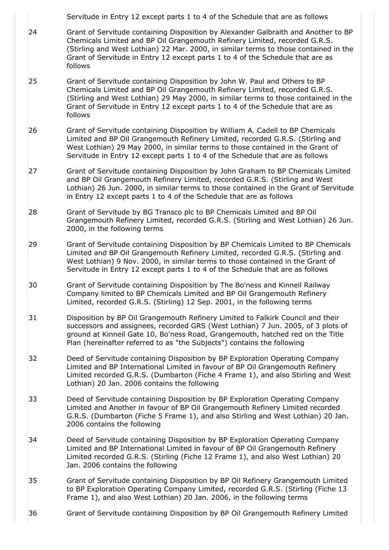Servitude in Entry 12 except parts 1 to 4 of the Schedule that are as follows [24](https://www.eservices.ros.gov.uk/ros-rd2-presentation-ui/ros/rd2/presentation/ui/registersdirect/landregister/titlerecord/details/pageflows/goViewBurdenDetail.do?selectedIndex=23) Grant of Servitude containing Disposition by Alexander Galbraith and Another to BP Chemicals Limited and BP Oil Grangemouth Refinery Limited, recorded G.R.S. (Stirling and West Lothian) 22 Mar. 2000, in similar terms to those contained in the Grant of Servitude in Entry 12 except parts 1 to 4 of the Schedule that are as follows [25](https://www.eservices.ros.gov.uk/ros-rd2-presentation-ui/ros/rd2/presentation/ui/registersdirect/landregister/titlerecord/details/pageflows/goViewBurdenDetail.do?selectedIndex=24) Grant of Servitude containing Disposition by John W. Paul and Others to BP Chemicals Limited and BP Oil Grangemouth Refinery Limited, recorded G.R.S. (Stirling and West Lothian) 29 May 2000, in similar terms to those contained in the Grant of Servitude in Entry 12 except parts 1 to 4 of the Schedule that are as follows [26](https://www.eservices.ros.gov.uk/ros-rd2-presentation-ui/ros/rd2/presentation/ui/registersdirect/landregister/titlerecord/details/pageflows/goViewBurdenDetail.do?selectedIndex=25) Grant of Servitude containing Disposition by William A. Cadell to BP Chemicals Limited and BP Oil Grangemouth Refinery Limited, recorded G.R.S. (Stirling and West Lothian) 29 May 2000, in similar terms to those contained in the Grant of Servitude in Entry 12 except parts 1 to 4 of the Schedule that are as follows [27](https://www.eservices.ros.gov.uk/ros-rd2-presentation-ui/ros/rd2/presentation/ui/registersdirect/landregister/titlerecord/details/pageflows/goViewBurdenDetail.do?selectedIndex=26) Grant of Servitude containing Disposition by John Graham to BP Chemicals Limited and BP Oil Grangemouth Refinery Limited, recorded G.R.S. (Stirling and West Lothian) 26 Jun. 2000, in similar terms to those contained in the Grant of Servitude in Entry 12 except parts 1 to 4 of the Schedule that are as follows [28](https://www.eservices.ros.gov.uk/ros-rd2-presentation-ui/ros/rd2/presentation/ui/registersdirect/landregister/titlerecord/details/pageflows/goViewBurdenDetail.do?selectedIndex=27) Grant of Servitude by BG Transco plc to BP Chemicals Limited and BP Oil Grangemouth Refinery Limited, recorded G.R.S. (Stirling and West Lothian) 26 Jun. 2000, in the following terms [29](https://www.eservices.ros.gov.uk/ros-rd2-presentation-ui/ros/rd2/presentation/ui/registersdirect/landregister/titlerecord/details/pageflows/goViewBurdenDetail.do?selectedIndex=28) Grant of Servitude containing Disposition by BP Chemicals Limited to BP Chemicals Limited and BP Oil Grangemouth Refinery Limited, recorded G.R.S. (Stirling and West Lothian) 9 Nov. 2000, in similar terms to those contained in the Grant of Servitude in Entry 12 except parts 1 to 4 of the Schedule that are as follows [30](https://www.eservices.ros.gov.uk/ros-rd2-presentation-ui/ros/rd2/presentation/ui/registersdirect/landregister/titlerecord/details/pageflows/goViewBurdenDetail.do?selectedIndex=29) Grant of Servitude containing Disposition by The Bo'ness and Kinneil Railway Company limited to BP Chemicals Limited and BP Oil Grangemouth Refinery Limited, recorded G.R.S. (Stirling) 12 Sep. 2001, in the following terms [31](https://www.eservices.ros.gov.uk/ros-rd2-presentation-ui/ros/rd2/presentation/ui/registersdirect/landregister/titlerecord/details/pageflows/goViewBurdenDetail.do?selectedIndex=30) Disposition by BP Oil Grangemouth Refinery Limited to Falkirk Council and their successors and assignees, recorded GRS (West Lothian) 7 Jun. 2005, of 3 plots of ground at Kinneil Gate 10, Bo'ness Road, Grangemouth, hatched red on the Title Plan (hereinafter referred to as "the Subjects") contains the following [32](https://www.eservices.ros.gov.uk/ros-rd2-presentation-ui/ros/rd2/presentation/ui/registersdirect/landregister/titlerecord/details/pageflows/goViewBurdenDetail.do?selectedIndex=31) Deed of Servitude containing Disposition by BP Exploration Operating Company Limited and BP International Limited in favour of BP Oil Grangemouth Refinery Limited recorded G.R.S. (Dumbarton (Fiche 4 Frame 1), and also Stirling and West Lothian) 20 Jan. 2006 contains the following [33](https://www.eservices.ros.gov.uk/ros-rd2-presentation-ui/ros/rd2/presentation/ui/registersdirect/landregister/titlerecord/details/pageflows/goViewBurdenDetail.do?selectedIndex=32) Deed of Servitude containing Disposition by BP Exploration Operating Company Limited and Another in favour of BP Oil Grangemouth Refinery Limited recorded G.R.S. (Dumbarton (Fiche 5 Frame 1), and also Stirling and West Lothian) 20 Jan. 2006 contains the following [34](https://www.eservices.ros.gov.uk/ros-rd2-presentation-ui/ros/rd2/presentation/ui/registersdirect/landregister/titlerecord/details/pageflows/goViewBurdenDetail.do?selectedIndex=33) Deed of Servitude containing Disposition by BP Exploration Operating Company Limited and BP International Limited in favour of BP Oil Grangemouth Refinery Limited recorded G.R.S. (Stirling (Fiche 12 Frame 1), and also West Lothian) 20 Jan. 2006 contains the following [35](https://www.eservices.ros.gov.uk/ros-rd2-presentation-ui/ros/rd2/presentation/ui/registersdirect/landregister/titlerecord/details/pageflows/goViewBurdenDetail.do?selectedIndex=34) Grant of Servitude containing Disposition by BP Oil Refinery Grangemouth Limited to BP Exploration Operating Company Limited, recorded G.R.S. (Stirling (Fiche 13 Frame 1), and also West Lothian) 20 Jan. 2006, in the following terms [36](https://www.eservices.ros.gov.uk/ros-rd2-presentation-ui/ros/rd2/presentation/ui/registersdirect/landregister/titlerecord/details/pageflows/goViewBurdenDetail.do?selectedIndex=35) Grant of Servitude containing Disposition by BP Oil Grangemouth Refinery Limited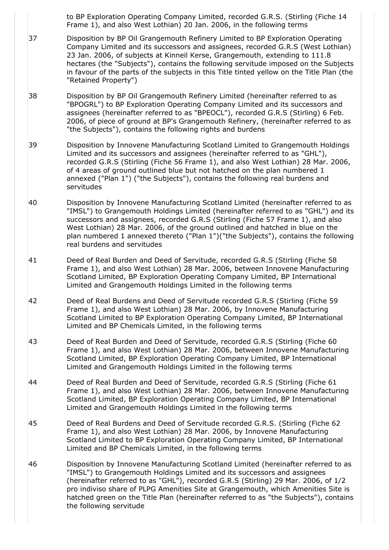to BP Exploration Operating Company Limited, recorded G.R.S. (Stirling (Fiche 14 Frame 1), and also West Lothian) 20 Jan. 2006, in the following terms

- [37](https://www.eservices.ros.gov.uk/ros-rd2-presentation-ui/ros/rd2/presentation/ui/registersdirect/landregister/titlerecord/details/pageflows/goViewBurdenDetail.do?selectedIndex=36) Disposition by BP Oil Grangemouth Refinery Limited to BP Exploration Operating Company Limited and its successors and assignees, recorded G.R.S (West Lothian) 23 Jan. 2006, of subjects at Kinneil Kerse, Grangemouth, extending to 111.8 hectares (the "Subjects"), contains the following servitude imposed on the Subjects in favour of the parts of the subjects in this Title tinted yellow on the Title Plan (the "Retained Property")
- [38](https://www.eservices.ros.gov.uk/ros-rd2-presentation-ui/ros/rd2/presentation/ui/registersdirect/landregister/titlerecord/details/pageflows/goViewBurdenDetail.do?selectedIndex=37) Disposition by BP Oil Grangemouth Refinery Limited (hereinafter referred to as "BPOGRL") to BP Exploration Operating Company Limited and its successors and assignees (hereinafter referred to as "BPEOCL"), recorded G.R.S (Stirling) 6 Feb. 2006, of piece of ground at BP's Grangemouth Refinery, (hereinafter referred to as "the Subjects"), contains the following rights and burdens
- [39](https://www.eservices.ros.gov.uk/ros-rd2-presentation-ui/ros/rd2/presentation/ui/registersdirect/landregister/titlerecord/details/pageflows/goViewBurdenDetail.do?selectedIndex=38) Disposition by Innovene Manufacturing Scotland Limited to Grangemouth Holdings Limited and its successors and assignees (hereinafter referred to as "GHL"), recorded G.R.S (Stirling (Fiche 56 Frame 1), and also West Lothian) 28 Mar. 2006, of 4 areas of ground outlined blue but not hatched on the plan numbered 1 annexed ("Plan 1") ("the Subjects"), contains the following real burdens and servitudes
- [40](https://www.eservices.ros.gov.uk/ros-rd2-presentation-ui/ros/rd2/presentation/ui/registersdirect/landregister/titlerecord/details/pageflows/goViewBurdenDetail.do?selectedIndex=39) Disposition by Innovene Manufacturing Scotland Limited (hereinafter referred to as "IMSL") to Grangemouth Holdings Limited (hereinafter referred to as "GHL") and its successors and assignees, recorded G.R.S (Stirling (Fiche 57 Frame 1), and also West Lothian) 28 Mar. 2006, of the ground outlined and hatched in blue on the plan numbered 1 annexed thereto ("Plan 1")("the Subjects"), contains the following real burdens and servitudes
- [41](https://www.eservices.ros.gov.uk/ros-rd2-presentation-ui/ros/rd2/presentation/ui/registersdirect/landregister/titlerecord/details/pageflows/goViewBurdenDetail.do?selectedIndex=40) Deed of Real Burden and Deed of Servitude, recorded G.R.S (Stirling (Fiche 58 Frame 1), and also West Lothian) 28 Mar. 2006, between Innovene Manufacturing Scotland Limited, BP Exploration Operating Company Limited, BP International Limited and Grangemouth Holdings Limited in the following terms
- [42](https://www.eservices.ros.gov.uk/ros-rd2-presentation-ui/ros/rd2/presentation/ui/registersdirect/landregister/titlerecord/details/pageflows/goViewBurdenDetail.do?selectedIndex=41) Deed of Real Burdens and Deed of Servitude recorded G.R.S (Stirling (Fiche 59 Frame 1), and also West Lothian) 28 Mar. 2006, by Innovene Manufacturing Scotland Limited to BP Exploration Operating Company Limited, BP International Limited and BP Chemicals Limited, in the following terms
- [43](https://www.eservices.ros.gov.uk/ros-rd2-presentation-ui/ros/rd2/presentation/ui/registersdirect/landregister/titlerecord/details/pageflows/goViewBurdenDetail.do?selectedIndex=42) Deed of Real Burden and Deed of Servitude, recorded G.R.S (Stirling (Fiche 60 Frame 1), and also West Lothian) 28 Mar. 2006, between Innovene Manufacturing Scotland Limited, BP Exploration Operating Company Limited, BP International Limited and Grangemouth Holdings Limited in the following terms
- [44](https://www.eservices.ros.gov.uk/ros-rd2-presentation-ui/ros/rd2/presentation/ui/registersdirect/landregister/titlerecord/details/pageflows/goViewBurdenDetail.do?selectedIndex=43) Deed of Real Burden and Deed of Servitude, recorded G.R.S (Stirling (Fiche 61 Frame 1), and also West Lothian) 28 Mar. 2006, between Innovene Manufacturing Scotland Limited, BP Exploration Operating Company Limited, BP International Limited and Grangemouth Holdings Limited in the following terms
- [45](https://www.eservices.ros.gov.uk/ros-rd2-presentation-ui/ros/rd2/presentation/ui/registersdirect/landregister/titlerecord/details/pageflows/goViewBurdenDetail.do?selectedIndex=44) Deed of Real Burdens and Deed of Servitude recorded G.R.S. (Stirling (Fiche 62 Frame 1), and also West Lothian) 28 Mar. 2006, by Innovene Manufacturing Scotland Limited to BP Exploration Operating Company Limited, BP International Limited and BP Chemicals Limited, in the following terms
- [46](https://www.eservices.ros.gov.uk/ros-rd2-presentation-ui/ros/rd2/presentation/ui/registersdirect/landregister/titlerecord/details/pageflows/goViewBurdenDetail.do?selectedIndex=45) Disposition by Innovene Manufacturing Scotland Limited (hereinafter referred to as "IMSL") to Grangemouth Holdings Limited and its successors and assignees (hereinafter referred to as "GHL"), recorded G.R.S (Stirling) 29 Mar. 2006, of 1/2 pro indiviso share of PLPG Amenities Site at Grangemouth, which Amenities Site is hatched green on the Title Plan (hereinafter referred to as "the Subjects"), contains the following servitude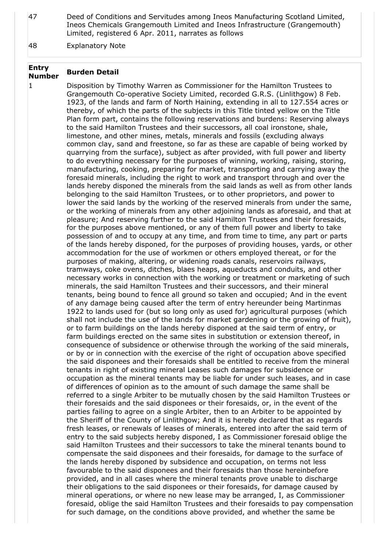[47](https://www.eservices.ros.gov.uk/ros-rd2-presentation-ui/ros/rd2/presentation/ui/registersdirect/landregister/titlerecord/details/pageflows/goViewBurdenDetail.do?selectedIndex=46) Deed of Conditions and Servitudes among Ineos Manufacturing Scotland Limited, Ineos Chemicals Grangemouth Limited and Ineos Infrastructure (Grangemouth) Limited, registered 6 Apr. 2011, narrates as follows

[48](https://www.eservices.ros.gov.uk/ros-rd2-presentation-ui/ros/rd2/presentation/ui/registersdirect/landregister/titlerecord/details/pageflows/goViewBurdenDetail.do?selectedIndex=47) Explanatory Note

### **Entry Number Burden Detail**

1 Disposition by Timothy Warren as Commissioner for the Hamilton Trustees to Grangemouth Co-operative Society Limited, recorded G.R.S. (Linlithgow) 8 Feb. 1923, of the lands and farm of North Haining, extending in all to 127.554 acres or thereby, of which the parts of the subjects in this Title tinted yellow on the Title Plan form part, contains the following reservations and burdens: Reserving always to the said Hamilton Trustees and their successors, all coal ironstone, shale, limestone, and other mines, metals, minerals and fossils (excluding always common clay, sand and freestone, so far as these are capable of being worked by quarrying from the surface), subject as after provided, with full power and liberty to do everything necessary for the purposes of winning, working, raising, storing, manufacturing, cooking, preparing for market, transporting and carrying away the foresaid minerals, including the right to work and transport through and over the lands hereby disponed the minerals from the said lands as well as from other lands belonging to the said Hamilton Trustees, or to other proprietors, and power to lower the said lands by the working of the reserved minerals from under the same, or the working of minerals from any other adjoining lands as aforesaid, and that at pleasure; And reserving further to the said Hamilton Trustees and their foresaids, for the purposes above mentioned, or any of them full power and liberty to take possession of and to occupy at any time, and from time to time, any part or parts of the lands hereby disponed, for the purposes of providing houses, yards, or other accommodation for the use of workmen or others employed thereat, or for the purposes of making, altering, or widening roads canals, reservoirs railways, tramways, coke ovens, ditches, blaes heaps, aqueducts and conduits, and other necessary works in connection with the working or treatment or marketing of such minerals, the said Hamilton Trustees and their successors, and their mineral tenants, being bound to fence all ground so taken and occupied; And in the event of any damage being caused after the term of entry hereunder being Martinmas 1922 to lands used for (but so long only as used for) agricultural purposes (which shall not include the use of the lands for market gardening or the growing of fruit), or to farm buildings on the lands hereby disponed at the said term of entry, or farm buildings erected on the same sites in substitution or extension thereof, in consequence of subsidence or otherwise through the working of the said minerals, or by or in connection with the exercise of the right of occupation above specified the said disponees and their foresaids shall be entitled to receive from the mineral tenants in right of existing mineral Leases such damages for subsidence or occupation as the mineral tenants may be liable for under such leases, and in case of differences of opinion as to the amount of such damage the same shall be referred to a single Arbiter to be mutually chosen by the said Hamilton Trustees or their foresaids and the said disponees or their foresaids, or, in the event of the parties failing to agree on a single Arbiter, then to an Arbiter to be appointed by the Sheriff of the County of Linlithgow; And it is hereby declared that as regards fresh leases, or renewals of leases of minerals, entered into after the said term of entry to the said subjects hereby disponed, I as Commissioner foresaid oblige the said Hamilton Trustees and their successors to take the mineral tenants bound to compensate the said disponees and their foresaids, for damage to the surface of the lands hereby disponed by subsidence and occupation, on terms not less favourable to the said disponees and their foresaids than those hereinbefore provided, and in all cases where the mineral tenants prove unable to discharge their obligations to the said disponees or their foresaids, for damage caused by mineral operations, or where no new lease may be arranged, I, as Commissioner foresaid, oblige the said Hamilton Trustees and their foresaids to pay compensation for such damage, on the conditions above provided, and whether the same be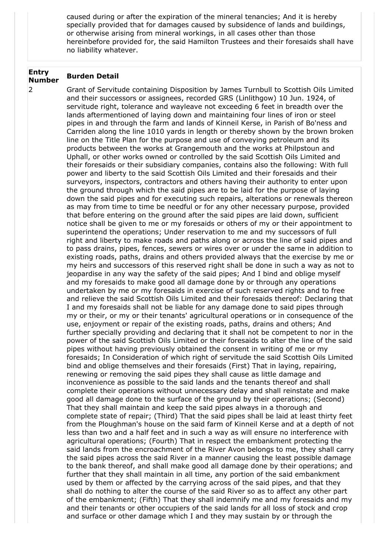caused during or after the expiration of the mineral tenancies; And it is hereby specially provided that for damages caused by subsidence of lands and buildings, or otherwise arising from mineral workings, in all cases other than those hereinbefore provided for, the said Hamilton Trustees and their foresaids shall have no liability whatever.

### **Entry Number Burden Detail**

2 Grant of Servitude containing Disposition by James Turnbull to Scottish Oils Limited and their successors or assignees, recorded GRS (Linlithgow) 10 Jun. 1924, of servitude right, tolerance and wayleave not exceeding 6 feet in breadth over the lands aftermentioned of laying down and maintaining four lines of iron or steel pipes in and through the farm and lands of Kinneil Kerse, in Parish of Bo'ness and Carriden along the line 1010 yards in length or thereby shown by the brown broken line on the Title Plan for the purpose and use of conveying petroleum and its products between the works at Grangemouth and the works at Philpstoun and Uphall, or other works owned or controlled by the said Scottish Oils Limited and their foresaids or their subsidiary companies, contains also the following: With full power and liberty to the said Scottish Oils Limited and their foresaids and their surveyors, inspectors, contractors and others having their authority to enter upon the ground through which the said pipes are to be laid for the purpose of laying down the said pipes and for executing such repairs, alterations or renewals thereon as may from time to time be needful or for any other necessary purpose, provided that before entering on the ground after the said pipes are laid down, sufficient notice shall be given to me or my foresaids or others of my or their appointment to superintend the operations; Under reservation to me and my successors of full right and liberty to make roads and paths along or across the line of said pipes and to pass drains, pipes, fences, sewers or wires over or under the same in addition to existing roads, paths, drains and others provided always that the exercise by me or my heirs and successors of this reserved right shall be done in such a way as not to jeopardise in any way the safety of the said pipes; And I bind and oblige myself and my foresaids to make good all damage done by or through any operations undertaken by me or my foresaids in exercise of such reserved rights and to free and relieve the said Scottish Oils Limited and their foresaids thereof: Declaring that I and my foresaids shall not be liable for any damage done to said pipes through my or their, or my or their tenants' agricultural operations or in consequence of the use, enjoyment or repair of the existing roads, paths, drains and others; And further specially providing and declaring that it shall not be competent to nor in the power of the said Scottish Oils Limited or their foresaids to alter the line of the said pipes without having previously obtained the consent in writing of me or my foresaids; In Consideration of which right of servitude the said Scottish Oils Limited bind and oblige themselves and their foresaids (First) That in laying, repairing, renewing or removing the said pipes they shall cause as little damage and inconvenience as possible to the said lands and the tenants thereof and shall complete their operations without unnecessary delay and shall reinstate and make good all damage done to the surface of the ground by their operations; (Second) That they shall maintain and keep the said pipes always in a thorough and complete state of repair; (Third) That the said pipes shall be laid at least thirty feet from the Ploughman's house on the said farm of Kinneil Kerse and at a depth of not less than two and a half feet and in such a way as will ensure no interference with agricultural operations; (Fourth) That in respect the embankment protecting the said lands from the encroachment of the River Avon belongs to me, they shall carry the said pipes across the said River in a manner causing the least possible damage to the bank thereof, and shall make good all damage done by their operations; and further that they shall maintain in all time, any portion of the said embankment used by them or affected by the carrying across of the said pipes, and that they shall do nothing to alter the course of the said River so as to affect any other part of the embankment; (Fifth) That they shall indemnify me and my foresaids and my and their tenants or other occupiers of the said lands for all loss of stock and crop and surface or other damage which I and they may sustain by or through the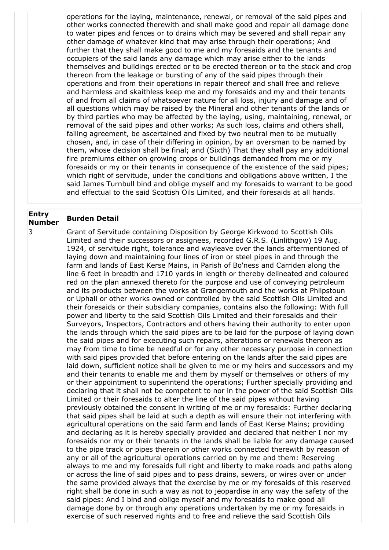operations for the laying, maintenance, renewal, or removal of the said pipes and other works connected therewith and shall make good and repair all damage done to water pipes and fences or to drains which may be severed and shall repair any other damage of whatever kind that may arise through their operations; And further that they shall make good to me and my foresaids and the tenants and occupiers of the said lands any damage which may arise either to the lands themselves and buildings erected or to be erected thereon or to the stock and crop thereon from the leakage or bursting of any of the said pipes through their operations and from their operations in repair thereof and shall free and relieve and harmless and skaithless keep me and my foresaids and my and their tenants of and from all claims of whatsoever nature for all loss, injury and damage and of all questions which may be raised by the Mineral and other tenants of the lands or by third parties who may be affected by the laying, using, maintaining, renewal, or removal of the said pipes and other works; As such loss, claims and others shall, failing agreement, be ascertained and fixed by two neutral men to be mutually chosen, and, in case of their differing in opinion, by an oversman to be named by them, whose decision shall be final; and (Sixth) That they shall pay any additional fire premiums either on growing crops or buildings demanded from me or my foresaids or my or their tenants in consequence of the existence of the said pipes; which right of servitude, under the conditions and obligations above written, I the said James Turnbull bind and oblige myself and my foresaids to warrant to be good and effectual to the said Scottish Oils Limited, and their foresaids at all hands.

#### **Entry Number Burden Detail**

3 Grant of Servitude containing Disposition by George Kirkwood to Scottish Oils Limited and their successors or assignees, recorded G.R.S. (Linlithgow) 19 Aug. 1924, of servitude right, tolerance and wayleave over the lands aftermentioned of laying down and maintaining four lines of iron or steel pipes in and through the farm and lands of East Kerse Mains, in Parish of Bo'ness and Carriden along the line 6 feet in breadth and 1710 yards in length or thereby delineated and coloured red on the plan annexed thereto for the purpose and use of conveying petroleum and its products between the works at Grangemouth and the works at Philpstoun or Uphall or other works owned or controlled by the said Scottish Oils Limited and their foresaids or their subsidiary companies, contains also the following: With full power and liberty to the said Scottish Oils Limited and their foresaids and their Surveyors, Inspectors, Contractors and others having their authority to enter upon the lands through which the said pipes are to be laid for the purpose of laying down the said pipes and for executing such repairs, alterations or renewals thereon as may from time to time be needful or for any other necessary purpose in connection with said pipes provided that before entering on the lands after the said pipes are laid down, sufficient notice shall be given to me or my heirs and successors and my and their tenants to enable me and them by myself or themselves or others of my or their appointment to superintend the operations; Further specially providing and declaring that it shall not be competent to nor in the power of the said Scottish Oils Limited or their foresaids to alter the line of the said pipes without having previously obtained the consent in writing of me or my foresaids: Further declaring that said pipes shall be laid at such a depth as will ensure their not interfering with agricultural operations on the said farm and lands of East Kerse Mains; providing and declaring as it is hereby specially provided and declared that neither I nor my foresaids nor my or their tenants in the lands shall be liable for any damage caused to the pipe track or pipes therein or other works connected therewith by reason of any or all of the agricultural operations carried on by me and them: Reserving always to me and my foresaids full right and liberty to make roads and paths along or across the line of said pipes and to pass drains, sewers, or wires over or under the same provided always that the exercise by me or my foresaids of this reserved right shall be done in such a way as not to jeopardise in any way the safety of the said pipes: And I bind and oblige myself and my foresaids to make good all damage done by or through any operations undertaken by me or my foresaids in exercise of such reserved rights and to free and relieve the said Scottish Oils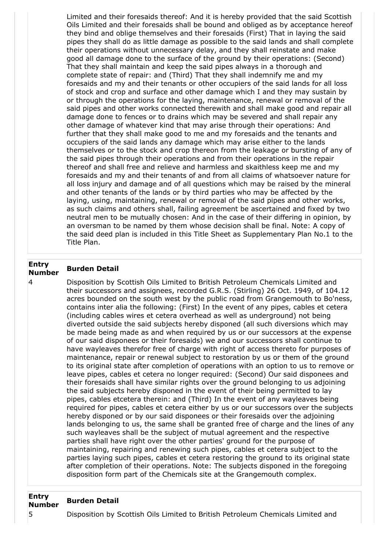Limited and their foresaids thereof: And it is hereby provided that the said Scottish Oils Limited and their foresaids shall be bound and obliged as by acceptance hereof they bind and oblige themselves and their foresaids (First) That in laying the said pipes they shall do as little damage as possible to the said lands and shall complete their operations without unnecessary delay, and they shall reinstate and make good all damage done to the surface of the ground by their operations: (Second) That they shall maintain and keep the said pipes always in a thorough and complete state of repair: and (Third) That they shall indemnify me and my foresaids and my and their tenants or other occupiers of the said lands for all loss of stock and crop and surface and other damage which I and they may sustain by or through the operations for the laying, maintenance, renewal or removal of the said pipes and other works connected therewith and shall make good and repair all damage done to fences or to drains which may be severed and shall repair any other damage of whatever kind that may arise through their operations: And further that they shall make good to me and my foresaids and the tenants and occupiers of the said lands any damage which may arise either to the lands themselves or to the stock and crop thereon from the leakage or bursting of any of the said pipes through their operations and from their operations in the repair thereof and shall free and relieve and harmless and skaithless keep me and my foresaids and my and their tenants of and from all claims of whatsoever nature for all loss injury and damage and of all questions which may be raised by the mineral and other tenants of the lands or by third parties who may be affected by the laying, using, maintaining, renewal or removal of the said pipes and other works, as such claims and others shall, failing agreement be ascertained and fixed by two neutral men to be mutually chosen: And in the case of their differing in opinion, by an oversman to be named by them whose decision shall be final. Note: A copy of the said deed plan is included in this Title Sheet as Supplementary Plan No.1 to the Title Plan.

#### **Entry Number Burden Detail**

4 Disposition by Scottish Oils Limited to British Petroleum Chemicals Limited and their successors and assignees, recorded G.R.S. (Stirling) 26 Oct. 1949, of 104.12 acres bounded on the south west by the public road from Grangemouth to Bo'ness, contains inter alia the following: (First) In the event of any pipes, cables et cetera (including cables wires et cetera overhead as well as underground) not being diverted outside the said subjects hereby disponed (all such diversions which may be made being made as and when required by us or our successors at the expense of our said disponees or their foresaids) we and our successors shall continue to have wayleaves therefor free of charge with right of access thereto for purposes of maintenance, repair or renewal subject to restoration by us or them of the ground to its original state after completion of operations with an option to us to remove or leave pipes, cables et cetera no longer required: (Second) Our said disponees and their foresaids shall have similar rights over the ground belonging to us adjoining the said subjects hereby disponed in the event of their being permitted to lay pipes, cables etcetera therein: and (Third) In the event of any wayleaves being required for pipes, cables et cetera either by us or our successors over the subjects hereby disponed or by our said disponees or their foresaids over the adjoining lands belonging to us, the same shall be granted free of charge and the lines of any such wayleaves shall be the subject of mutual agreement and the respective parties shall have right over the other parties' ground for the purpose of maintaining, repairing and renewing such pipes, cables et cetera subject to the parties laying such pipes, cables et cetera restoring the ground to its original state after completion of their operations. Note: The subjects disponed in the foregoing disposition form part of the Chemicals site at the Grangemouth complex.

#### **Entry Number Burden Detail**

5 Disposition by Scottish Oils Limited to British Petroleum Chemicals Limited and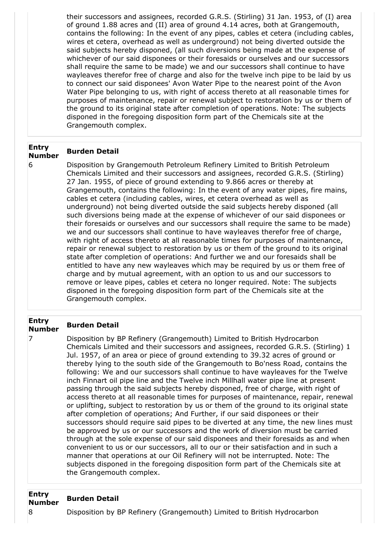their successors and assignees, recorded G.R.S. (Stirling) 31 Jan. 1953, of (I) area of ground 1.88 acres and (II) area of ground 4.14 acres, both at Grangemouth, contains the following: In the event of any pipes, cables et cetera (including cables, wires et cetera, overhead as well as underground) not being diverted outside the said subjects hereby disponed, (all such diversions being made at the expense of whichever of our said disponees or their foresaids or ourselves and our successors shall require the same to be made) we and our successors shall continue to have wayleaves therefor free of charge and also for the twelve inch pipe to be laid by us to connect our said disponees' Avon Water Pipe to the nearest point of the Avon Water Pipe belonging to us, with right of access thereto at all reasonable times for purposes of maintenance, repair or renewal subject to restoration by us or them of the ground to its original state after completion of operations. Note: The subjects disponed in the foregoing disposition form part of the Chemicals site at the Grangemouth complex.

#### **Entry Number Burden Detail**

6 Disposition by Grangemouth Petroleum Refinery Limited to British Petroleum Chemicals Limited and their successors and assignees, recorded G.R.S. (Stirling) 27 Jan. 1955, of piece of ground extending to 9.866 acres or thereby at Grangemouth, contains the following: In the event of any water pipes, fire mains, cables et cetera (including cables, wires, et cetera overhead as well as underground) not being diverted outside the said subjects hereby disponed (all such diversions being made at the expense of whichever of our said disponees or their foresaids or ourselves and our successors shall require the same to be made) we and our successors shall continue to have wayleaves therefor free of charge, with right of access thereto at all reasonable times for purposes of maintenance, repair or renewal subject to restoration by us or them of the ground to its original state after completion of operations: And further we and our foresaids shall be entitled to have any new wayleaves which may be required by us or them free of charge and by mutual agreement, with an option to us and our successors to remove or leave pipes, cables et cetera no longer required. Note: The subjects disponed in the foregoing disposition form part of the Chemicals site at the Grangemouth complex.

#### **Entry Number Burden Detail**

7 Disposition by BP Refinery (Grangemouth) Limited to British Hydrocarbon Chemicals Limited and their successors and assignees, recorded G.R.S. (Stirling) 1 Jul. 1957, of an area or piece of ground extending to 39.32 acres of ground or thereby lying to the south side of the Grangemouth to Bo'ness Road, contains the following: We and our successors shall continue to have wayleaves for the Twelve inch Finnart oil pipe line and the Twelve inch Millhall water pipe line at present passing through the said subjects hereby disponed, free of charge, with right of access thereto at all reasonable times for purposes of maintenance, repair, renewal or uplifting, subject to restoration by us or them of the ground to its original state after completion of operations; And Further, if our said disponees or their successors should require said pipes to be diverted at any time, the new lines must be approved by us or our successors and the work of diversion must be carried through at the sole expense of our said disponees and their foresaids as and when convenient to us or our successors, all to our or their satisfaction and in such a manner that operations at our Oil Refinery will not be interrupted. Note: The subjects disponed in the foregoing disposition form part of the Chemicals site at the Grangemouth complex.

#### **Entry Number Burden Detail**

8 Disposition by BP Refinery (Grangemouth) Limited to British Hydrocarbon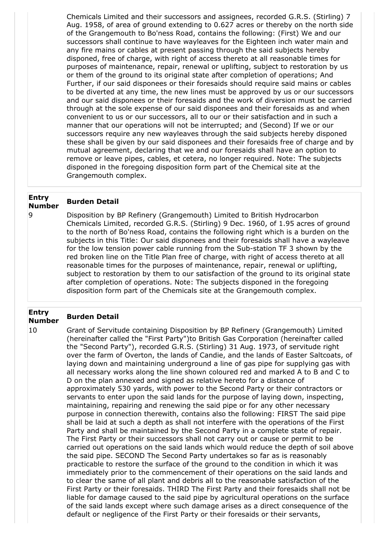Chemicals Limited and their successors and assignees, recorded G.R.S. (Stirling) 7 Aug. 1958, of area of ground extending to 0.627 acres or thereby on the north side of the Grangemouth to Bo'ness Road, contains the following: (First) We and our successors shall continue to have wayleaves for the Eighteen inch water main and any fire mains or cables at present passing through the said subjects hereby disponed, free of charge, with right of access thereto at all reasonable times for purposes of maintenance, repair, renewal or uplifting, subject to restoration by us or them of the ground to its original state after completion of operations; And Further, if our said disponees or their foresaids should require said mains or cables to be diverted at any time, the new lines must be approved by us or our successors and our said disponees or their foresaids and the work of diversion must be carried through at the sole expense of our said disponees and their foresaids as and when convenient to us or our successors, all to our or their satisfaction and in such a manner that our operations will not be interrupted; and (Second) If we or our successors require any new wayleaves through the said subjects hereby disponed these shall be given by our said disponees and their foresaids free of charge and by mutual agreement, declaring that we and our foresaids shall have an option to remove or leave pipes, cables, et cetera, no longer required. Note: The subjects disponed in the foregoing disposition form part of the Chemical site at the Grangemouth complex.

#### **Entry Number Burden Detail**

9 Disposition by BP Refinery (Grangemouth) Limited to British Hydrocarbon Chemicals Limited, recorded G.R.S. (Stirling) 9 Dec. 1960, of 1.95 acres of ground to the north of Bo'ness Road, contains the following right which is a burden on the subjects in this Title: Our said disponees and their foresaids shall have a wayleave for the low tension power cable running from the Sub-station TF 3 shown by the red broken line on the Title Plan free of charge, with right of access thereto at all reasonable times for the purposes of maintenance, repair, renewal or uplifting, subject to restoration by them to our satisfaction of the ground to its original state after completion of operations. Note: The subjects disponed in the foregoing disposition form part of the Chemicals site at the Grangemouth complex.

#### **Entry Number Burden Detail**

10 Grant of Servitude containing Disposition by BP Refinery (Grangemouth) Limited (hereinafter called the "First Party")to British Gas Corporation (hereinafter called the "Second Party"), recorded G.R.S. (Stirling) 31 Aug. 1973, of servitude right over the farm of Overton, the lands of Candie, and the lands of Easter Saltcoats, of laying down and maintaining underground a line of gas pipe for supplying gas with all necessary works along the line shown coloured red and marked A to B and C to D on the plan annexed and signed as relative hereto for a distance of approximately 530 yards, with power to the Second Party or their contractors or servants to enter upon the said lands for the purpose of laying down, inspecting, maintaining, repairing and renewing the said pipe or for any other necessary purpose in connection therewith, contains also the following: FIRST The said pipe shall be laid at such a depth as shall not interfere with the operations of the First Party and shall be maintained by the Second Party in a complete state of repair. The First Party or their successors shall not carry out or cause or permit to be carried out operations on the said lands which would reduce the depth of soil above the said pipe. SECOND The Second Party undertakes so far as is reasonably practicable to restore the surface of the ground to the condition in which it was immediately prior to the commencement of their operations on the said lands and to clear the same of all plant and debris all to the reasonable satisfaction of the First Party or their foresaids. THIRD The First Party and their foresaids shall not be liable for damage caused to the said pipe by agricultural operations on the surface of the said lands except where such damage arises as a direct consequence of the default or negligence of the First Party or their foresaids or their servants,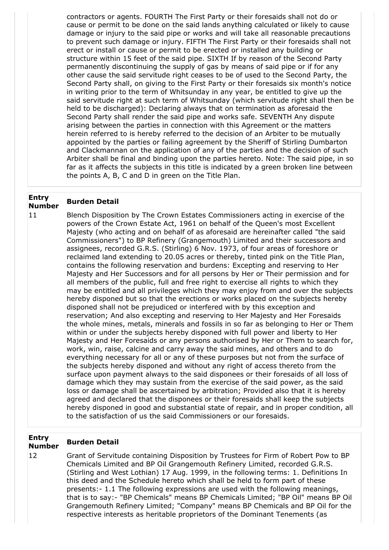contractors or agents. FOURTH The First Party or their foresaids shall not do or cause or permit to be done on the said lands anything calculated or likely to cause damage or injury to the said pipe or works and will take all reasonable precautions to prevent such damage or injury. FIFTH The First Party or their foresaids shall not erect or install or cause or permit to be erected or installed any building or structure within 15 feet of the said pipe. SIXTH If by reason of the Second Party permanently discontinuing the supply of gas by means of said pipe or if for any other cause the said servitude right ceases to be of used to the Second Party, the Second Party shall, on giving to the First Party or their foresaids six month's notice in writing prior to the term of Whitsunday in any year, be entitled to give up the said servitude right at such term of Whitsunday (which servitude right shall then be held to be discharged): Declaring always that on termination as aforesaid the Second Party shall render the said pipe and works safe. SEVENTH Any dispute arising between the parties in connection with this Agreement or the matters herein referred to is hereby referred to the decision of an Arbiter to be mutually appointed by the parties or failing agreement by the Sheriff of Stirling Dumbarton and Clackmannan on the application of any of the parties and the decision of such Arbiter shall be final and binding upon the parties hereto. Note: The said pipe, in so far as it affects the subjects in this title is indicated by a green broken line between the points A, B, C and D in green on the Title Plan.

#### **Entry Number Burden Detail**

11 Blench Disposition by The Crown Estates Commissioners acting in exercise of the powers of the Crown Estate Act, 1961 on behalf of the Queen's most Excellent Majesty (who acting and on behalf of as aforesaid are hereinafter called "the said Commissioners") to BP Refinery (Grangemouth) Limited and their successors and assignees, recorded G.R.S. (Stirling) 6 Nov. 1973, of four areas of foreshore or reclaimed land extending to 20.05 acres or thereby, tinted pink on the Title Plan, contains the following reservation and burdens: Excepting and reserving to Her Majesty and Her Successors and for all persons by Her or Their permission and for all members of the public, full and free right to exercise all rights to which they may be entitled and all privileges which they may enjoy from and over the subjects hereby disponed but so that the erections or works placed on the subjects hereby disponed shall not be prejudiced or interfered with by this exception and reservation; And also excepting and reserving to Her Majesty and Her Foresaids the whole mines, metals, minerals and fossils in so far as belonging to Her or Them within or under the subjects hereby disponed with full power and liberty to Her Majesty and Her Foresaids or any persons authorised by Her or Them to search for, work, win, raise, calcine and carry away the said mines, and others and to do everything necessary for all or any of these purposes but not from the surface of the subjects hereby disponed and without any right of access thereto from the surface upon payment always to the said disponees or their foresaids of all loss of damage which they may sustain from the exercise of the said power, as the said loss or damage shall be ascertained by arbitration; Provided also that it is hereby agreed and declared that the disponees or their foresaids shall keep the subjects hereby disponed in good and substantial state of repair, and in proper condition, all to the satisfaction of us the said Commissioners or our foresaids.

#### **Entry Number Burden Detail**

12 Grant of Servitude containing Disposition by Trustees for Firm of Robert Pow to BP Chemicals Limited and BP Oil Grangemouth Refinery Limited, recorded G.R.S. (Stirling and West Lothian) 17 Aug. 1999, in the following terms: 1. Definitions In this deed and the Schedule hereto which shall be held to form part of these presents:- 1.1 The following expressions are used with the following meanings, that is to say:- "BP Chemicals" means BP Chemicals Limited; "BP Oil" means BP Oil Grangemouth Refinery Limited; "Company" means BP Chemicals and BP Oil for the respective interests as heritable proprietors of the Dominant Tenements (as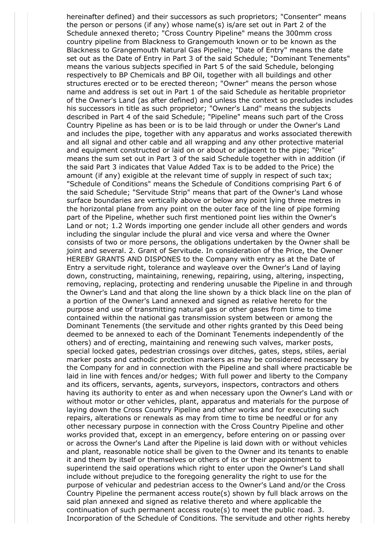hereinafter defined) and their successors as such proprietors; "Consenter" means the person or persons (if any) whose name(s) is/are set out in Part 2 of the Schedule annexed thereto; "Cross Country Pipeline" means the 300mm cross country pipeline from Blackness to Grangemouth known or to be known as the Blackness to Grangemouth Natural Gas Pipeline; "Date of Entry" means the date set out as the Date of Entry in Part 3 of the said Schedule; "Dominant Tenements" means the various subjects specified in Part 5 of the said Schedule, belonging respectively to BP Chemicals and BP Oil, together with all buildings and other structures erected or to be erected thereon; "Owner" means the person whose name and address is set out in Part 1 of the said Schedule as heritable proprietor of the Owner's Land (as after defined) and unless the context so precludes includes his successors in title as such proprietor; "Owner's Land" means the subjects described in Part 4 of the said Schedule; "Pipeline" means such part of the Cross Country Pipeline as has been or is to be laid through or under the Owner's Land and includes the pipe, together with any apparatus and works associated therewith and all signal and other cable and all wrapping and any other protective material and equipment constructed or laid on or about or adjacent to the pipe; "Price" means the sum set out in Part 3 of the said Schedule together with in addition (if the said Part 3 indicates that Value Added Tax is to be added to the Price) the amount (if any) exigible at the relevant time of supply in respect of such tax; "Schedule of Conditions" means the Schedule of Conditions comprising Part 6 of the said Schedule; "Servitude Strip" means that part of the Owner's Land whose surface boundaries are vertically above or below any point lying three metres in the horizontal plane from any point on the outer face of the line of pipe forming part of the Pipeline, whether such first mentioned point lies within the Owner's Land or not; 1.2 Words importing one gender include all other genders and words including the singular include the plural and vice versa and where the Owner consists of two or more persons, the obligations undertaken by the Owner shall be joint and several. 2. Grant of Servitude. In consideration of the Price, the Owner HEREBY GRANTS AND DISPONES to the Company with entry as at the Date of Entry a servitude right, tolerance and wayleave over the Owner's Land of laying down, constructing, maintaining, renewing, repairing, using, altering, inspecting, removing, replacing, protecting and rendering unusable the Pipeline in and through the Owner's Land and that along the line shown by a thick black line on the plan of a portion of the Owner's Land annexed and signed as relative hereto for the purpose and use of transmitting natural gas or other gases from time to time contained within the national gas transmission system between or among the Dominant Tenements (the servitude and other rights granted by this Deed being deemed to be annexed to each of the Dominant Tenements independently of the others) and of erecting, maintaining and renewing such valves, marker posts, special locked gates, pedestrian crossings over ditches, gates, steps, stiles, aerial marker posts and cathodic protection markers as may be considered necessary by the Company for and in connection with the Pipeline and shall where practicable be laid in line with fences and/or hedges; With full power and liberty to the Company and its officers, servants, agents, surveyors, inspectors, contractors and others having its authority to enter as and when necessary upon the Owner's Land with or without motor or other vehicles, plant, apparatus and materials for the purpose of laying down the Cross Country Pipeline and other works and for executing such repairs, alterations or renewals as may from time to time be needful or for any other necessary purpose in connection with the Cross Country Pipeline and other works provided that, except in an emergency, before entering on or passing over or across the Owner's Land after the Pipeline is laid down with or without vehicles and plant, reasonable notice shall be given to the Owner and its tenants to enable it and them by itself or themselves or others of its or their appointment to superintend the said operations which right to enter upon the Owner's Land shall include without prejudice to the foregoing generality the right to use for the purpose of vehicular and pedestrian access to the Owner's Land and/or the Cross Country Pipeline the permanent access route(s) shown by full black arrows on the said plan annexed and signed as relative thereto and where applicable the continuation of such permanent access route(s) to meet the public road. 3. Incorporation of the Schedule of Conditions. The servitude and other rights hereby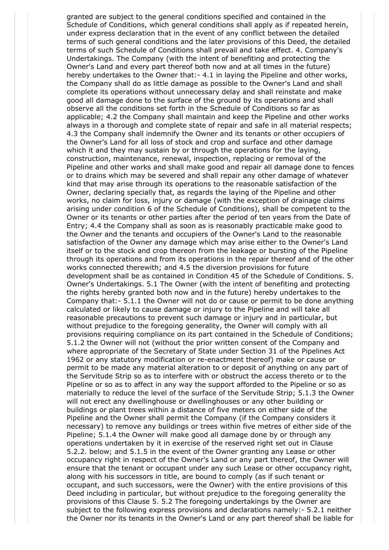granted are subject to the general conditions specified and contained in the Schedule of Conditions, which general conditions shall apply as if repeated herein, under express declaration that in the event of any conflict between the detailed terms of such general conditions and the later provisions of this Deed, the detailed terms of such Schedule of Conditions shall prevail and take effect. 4. Company's Undertakings. The Company (with the intent of benefiting and protecting the Owner's Land and every part thereof both now and at all times in the future) hereby undertakes to the Owner that:- 4.1 in laying the Pipeline and other works, the Company shall do as little damage as possible to the Owner's Land and shall complete its operations without unnecessary delay and shall reinstate and make good all damage done to the surface of the ground by its operations and shall observe all the conditions set forth in the Schedule of Conditions so far as applicable; 4.2 the Company shall maintain and keep the Pipeline and other works always in a thorough and complete state of repair and safe in all material respects; 4.3 the Company shall indemnify the Owner and its tenants or other occupiers of the Owner's Land for all loss of stock and crop and surface and other damage which it and they may sustain by or through the operations for the laying, construction, maintenance, renewal, inspection, replacing or removal of the Pipeline and other works and shall make good and repair all damage done to fences or to drains which may be severed and shall repair any other damage of whatever kind that may arise through its operations to the reasonable satisfaction of the Owner, declaring specially that, as regards the laying of the Pipeline and other works, no claim for loss, injury or damage (with the exception of drainage claims arising under condition 6 of the Schedule of Conditions), shall be competent to the Owner or its tenants or other parties after the period of ten years from the Date of Entry; 4.4 the Company shall as soon as is reasonably practicable make good to the Owner and the tenants and occupiers of the Owner's Land to the reasonable satisfaction of the Owner any damage which may arise either to the Owner's Land itself or to the stock and crop thereon from the leakage or bursting of the Pipeline through its operations and from its operations in the repair thereof and of the other works connected therewith; and 4.5 the diversion provisions for future development shall be as contained in Condition 45 of the Schedule of Conditions. 5. Owner's Undertakings. 5.1 The Owner (with the intent of benefiting and protecting the rights hereby granted both now and in the future) hereby undertakes to the Company that:- 5.1.1 the Owner will not do or cause or permit to be done anything calculated or likely to cause damage or injury to the Pipeline and will take all reasonable precautions to prevent such damage or injury and in particular, but without prejudice to the foregoing generality, the Owner will comply with all provisions requiring compliance on its part contained in the Schedule of Conditions; 5.1.2 the Owner will not (without the prior written consent of the Company and where appropriate of the Secretary of State under Section 31 of the Pipelines Act 1962 or any statutory modification or re-enactment thereof) make or cause or permit to be made any material alteration to or deposit of anything on any part of the Servitude Strip so as to interfere with or obstruct the access thereto or to the Pipeline or so as to affect in any way the support afforded to the Pipeline or so as materially to reduce the level of the surface of the Servitude Strip; 5.1.3 the Owner will not erect any dwellinghouse or dwellinghouses or any other building or buildings or plant trees within a distance of five meters on either side of the Pipeline and the Owner shall permit the Company (if the Company considers it necessary) to remove any buildings or trees within five metres of either side of the Pipeline; 5.1.4 the Owner will make good all damage done by or through any operations undertaken by it in exercise of the reserved right set out in Clause 5.2.2. below; and 5.1.5 in the event of the Owner granting any Lease or other occupancy right in respect of the Owner's Land or any part thereof, the Owner will ensure that the tenant or occupant under any such Lease or other occupancy right, along with his successors in title, are bound to comply (as if such tenant or occupant, and such successors, were the Owner) with the entire provisions of this Deed including in particular, but without prejudice to the foregoing generality the provisions of this Clause 5. 5.2 The foregoing undertakings by the Owner are subject to the following express provisions and declarations namely:- 5.2.1 neither the Owner nor its tenants in the Owner's Land or any part thereof shall be liable for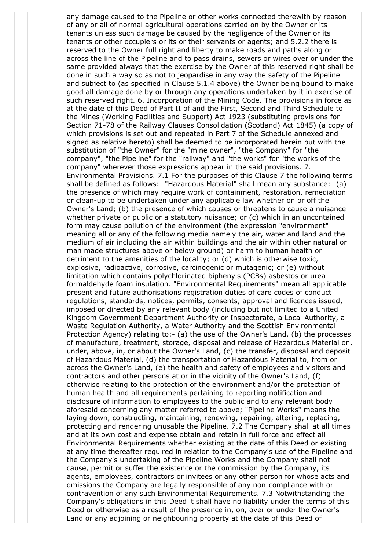any damage caused to the Pipeline or other works connected therewith by reason of any or all of normal agricultural operations carried on by the Owner or its tenants unless such damage be caused by the negligence of the Owner or its tenants or other occupiers or its or their servants or agents; and 5.2.2 there is reserved to the Owner full right and liberty to make roads and paths along or across the line of the Pipeline and to pass drains, sewers or wires over or under the same provided always that the exercise by the Owner of this reserved right shall be done in such a way so as not to jeopardise in any way the safety of the Pipeline and subject to (as specified in Clause 5.1.4 above) the Owner being bound to make good all damage done by or through any operations undertaken by it in exercise of such reserved right. 6. Incorporation of the Mining Code. The provisions in force as at the date of this Deed of Part II of and the First, Second and Third Schedule to the Mines (Working Facilities and Support) Act 1923 (substituting provisions for Section 71-78 of the Railway Clauses Consolidation (Scotland) Act 1845) (a copy of which provisions is set out and repeated in Part 7 of the Schedule annexed and signed as relative hereto) shall be deemed to be incorporated herein but with the substitution of "the Owner" for the "mine owner", "the Company" for "the company", "the Pipeline" for the "railway" and "the works" for "the works of the company" wherever those expressions appear in the said provisions. 7. Environmental Provisions. 7.1 For the purposes of this Clause 7 the following terms shall be defined as follows:- "Hazardous Material" shall mean any substance:- (a) the presence of which may require work of containment, restoration, remediation or clean-up to be undertaken under any applicable law whether on or off the Owner's Land; (b) the presence of which causes or threatens to cause a nuisance whether private or public or a statutory nuisance; or (c) which in an uncontained form may cause pollution of the environment (the expression "environment" meaning all or any of the following media namely the air, water and land and the medium of air including the air within buildings and the air within other natural or man made structures above or below ground) or harm to human health or detriment to the amenities of the locality; or (d) which is otherwise toxic, explosive, radioactive, corrosive, carcinogenic or mutagenic; or (e) without limitation which contains polychlorinated biphenyls (PCBs) asbestos or urea formaldehyde foam insulation. "Environmental Requirements" mean all applicable present and future authorisations registration duties of care codes of conduct regulations, standards, notices, permits, consents, approval and licences issued, imposed or directed by any relevant body (including but not limited to a United Kingdom Government Department Authority or Inspectorate, a Local Authority, a Waste Regulation Authority, a Water Authority and the Scottish Environmental Protection Agency) relating to:- (a) the use of the Owner's Land, (b) the processes of manufacture, treatment, storage, disposal and release of Hazardous Material on, under, above, in, or about the Owner's Land, (c) the transfer, disposal and deposit of Hazardous Material, (d) the transportation of Hazardous Material to, from or across the Owner's Land, (e) the health and safety of employees and visitors and contractors and other persons at or in the vicinity of the Owner's Land, (f) otherwise relating to the protection of the environment and/or the protection of human health and all requirements pertaining to reporting notification and disclosure of information to employees to the public and to any relevant body aforesaid concerning any matter referred to above; "Pipeline Works" means the laying down, constructing, maintaining, renewing, repairing, altering, replacing, protecting and rendering unusable the Pipeline. 7.2 The Company shall at all times and at its own cost and expense obtain and retain in full force and effect all Environmental Requirements whether existing at the date of this Deed or existing at any time thereafter required in relation to the Company's use of the Pipeline and the Company's undertaking of the Pipeline Works and the Company shall not cause, permit or suffer the existence or the commission by the Company, its agents, employees, contractors or invitees or any other person for whose acts and omissions the Company are legally responsible of any non-compliance with or contravention of any such Environmental Requirements. 7.3 Notwithstanding the Company's obligations in this Deed it shall have no liability under the terms of this Deed or otherwise as a result of the presence in, on, over or under the Owner's Land or any adjoining or neighbouring property at the date of this Deed of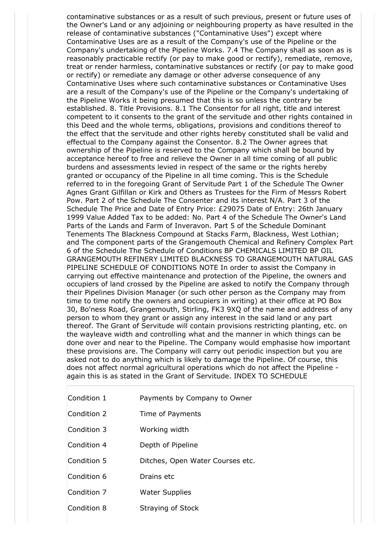contaminative substances or as a result of such previous, present or future uses of the Owner's Land or any adjoining or neighbouring property as have resulted in the release of contaminative substances ("Contaminative Uses") except where Contaminative Uses are as a result of the Company's use of the Pipeline or the Company's undertaking of the Pipeline Works. 7.4 The Company shall as soon as is reasonably practicable rectify (or pay to make good or rectify), remediate, remove, treat or render harmless, contaminative substances or rectify (or pay to make good or rectify) or remediate any damage or other adverse consequence of any Contaminative Uses where such contaminative substances or Contaminative Uses are a result of the Company's use of the Pipeline or the Company's undertaking of the Pipeline Works it being presumed that this is so unless the contrary be established. 8. Title Provisions. 8.1 The Consentor for all right, title and interest competent to it consents to the grant of the servitude and other rights contained in this Deed and the whole terms, obligations, provisions and conditions thereof to the effect that the servitude and other rights hereby constituted shall be valid and effectual to the Company against the Consentor. 8.2 The Owner agrees that ownership of the Pipeline is reserved to the Company which shall be bound by acceptance hereof to free and relieve the Owner in all time coming of all public burdens and assessments levied in respect of the same or the rights hereby granted or occupancy of the Pipeline in all time coming. This is the Schedule referred to in the foregoing Grant of Servitude Part 1 of the Schedule The Owner Agnes Grant Gilfillan or Kirk and Others as Trustees for the Firm of Messrs Robert Pow. Part 2 of the Schedule The Consenter and its interest N/A. Part 3 of the Schedule The Price and Date of Entry Price: £29075 Date of Entry: 26th January 1999 Value Added Tax to be added: No. Part 4 of the Schedule The Owner's Land Parts of the Lands and Farm of Inveravon. Part 5 of the Schedule Dominant Tenements The Blackness Compound at Stacks Farm, Blackness, West Lothian; and The component parts of the Grangemouth Chemical and Refinery Complex Part 6 of the Schedule The Schedule of Conditions BP CHEMICALS LIMITED BP OIL GRANGEMOUTH REFINERY LIMITED BLACKNESS TO GRANGEMOUTH NATURAL GAS PIPELINE SCHEDULE OF CONDITIONS NOTE In order to assist the Company in carrying out effective maintenance and protection of the Pipeline, the owners and occupiers of land crossed by the Pipeline are asked to notify the Company through their Pipelines Division Manager (or such other person as the Company may from time to time notify the owners and occupiers in writing) at their office at PO Box 30, Bo'ness Road, Grangemouth, Stirling, FK3 9XQ of the name and address of any person to whom they grant or assign any interest in the said land or any part thereof. The Grant of Servitude will contain provisions restricting planting, etc. on the wayleave width and controlling what and the manner in which things can be done over and near to the Pipeline. The Company would emphasise how important these provisions are. The Company will carry out periodic inspection but you are asked not to do anything which is likely to damage the Pipeline. Of course, this does not affect normal agricultural operations which do not affect the Pipeline again this is as stated in the Grant of Servitude. INDEX TO SCHEDULE

Condition 2 Time of Payments Condition 3 Working width

Condition 1 **Payments by Company to Owner** 

- Condition 4 Depth of Pipeline
- Condition 5 Ditches, Open Water Courses etc.
- Condition 6 Drains etc
- Condition 7 Water Supplies
- Condition 8 Straying of Stock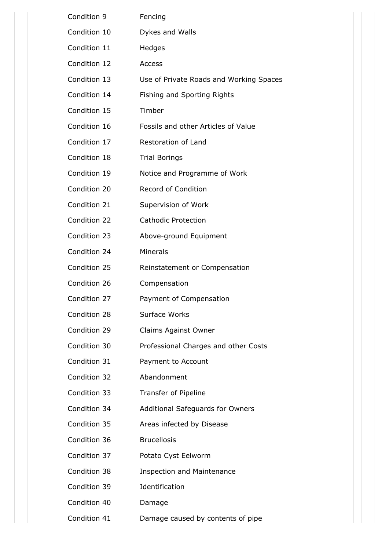| Condition 9  | Fencing                                 |
|--------------|-----------------------------------------|
| Condition 10 | Dykes and Walls                         |
| Condition 11 | Hedges                                  |
| Condition 12 | <b>Access</b>                           |
| Condition 13 | Use of Private Roads and Working Spaces |
| Condition 14 | Fishing and Sporting Rights             |
| Condition 15 | Timber                                  |
| Condition 16 | Fossils and other Articles of Value     |
| Condition 17 | Restoration of Land                     |
| Condition 18 | <b>Trial Borings</b>                    |
| Condition 19 | Notice and Programme of Work            |
| Condition 20 | Record of Condition                     |
| Condition 21 | Supervision of Work                     |
| Condition 22 | <b>Cathodic Protection</b>              |
| Condition 23 | Above-ground Equipment                  |
| Condition 24 | <b>Minerals</b>                         |
| Condition 25 | Reinstatement or Compensation           |
| Condition 26 | Compensation                            |
| Condition 27 | Payment of Compensation                 |
| Condition 28 | Surface Works                           |
| Condition 29 | Claims Against Owner                    |
| Condition 30 | Professional Charges and other Costs    |
| Condition 31 | Payment to Account                      |
| Condition 32 | Abandonment                             |
| Condition 33 | Transfer of Pipeline                    |
| Condition 34 | Additional Safeguards for Owners        |
| Condition 35 | Areas infected by Disease               |
| Condition 36 | <b>Brucellosis</b>                      |
| Condition 37 | Potato Cyst Eelworm                     |
| Condition 38 | <b>Inspection and Maintenance</b>       |
| Condition 39 | Identification                          |
| Condition 40 | Damage                                  |
| Condition 41 | Damage caused by contents of pipe       |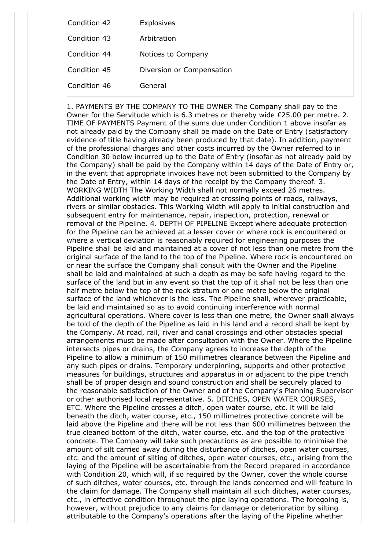| Condition 42 | Explosives                |
|--------------|---------------------------|
| Condition 43 | Arbitration               |
| Condition 44 | Notices to Company        |
| Condition 45 | Diversion or Compensation |
| Condition 46 | General                   |

1. PAYMENTS BY THE COMPANY TO THE OWNER The Company shall pay to the Owner for the Servitude which is 6.3 metres or thereby wide £25.00 per metre. 2. TIME OF PAYMENTS Payment of the sums due under Condition 1 above insofar as not already paid by the Company shall be made on the Date of Entry (satisfactory evidence of title having already been produced by that date). In addition, payment of the professional charges and other costs incurred by the Owner referred to in Condition 30 below incurred up to the Date of Entry (insofar as not already paid by the Company) shall be paid by the Company within 14 days of the Date of Entry or, in the event that appropriate invoices have not been submitted to the Company by the Date of Entry, within 14 days of the receipt by the Company thereof. 3. WORKING WIDTH The Working Width shall not normally exceed 26 metres. Additional working width may be required at crossing points of roads, railways, rivers or similar obstacles. This Working Width will apply to initial construction and subsequent entry for maintenance, repair, inspection, protection, renewal or removal of the Pipeline. 4. DEPTH OF PIPELINE Except where adequate protection for the Pipeline can be achieved at a lesser cover or where rock is encountered or where a vertical deviation is reasonably required for engineering purposes the Pipeline shall be laid and maintained at a cover of not less than one metre from the original surface of the land to the top of the Pipeline. Where rock is encountered on or near the surface the Company shall consult with the Owner and the Pipeline shall be laid and maintained at such a depth as may be safe having regard to the surface of the land but in any event so that the top of it shall not be less than one half metre below the top of the rock stratum or one metre below the original surface of the land whichever is the less. The Pipeline shall, wherever practicable, be laid and maintained so as to avoid continuing interference with normal agricultural operations. Where cover is less than one metre, the Owner shall always be told of the depth of the Pipeline as laid in his land and a record shall be kept by the Company. At road, rail, river and canal crossings and other obstacles special arrangements must be made after consultation with the Owner. Where the Pipeline intersects pipes or drains, the Company agrees to increase the depth of the Pipeline to allow a minimum of 150 millimetres clearance between the Pipeline and any such pipes or drains. Temporary underpinning, supports and other protective measures for buildings, structures and apparatus in or adjacent to the pipe trench shall be of proper design and sound construction and shall be securely placed to the reasonable satisfaction of the Owner and of the Company's Planning Supervisor or other authorised local representative. 5. DITCHES, OPEN WATER COURSES, ETC. Where the Pipeline crosses a ditch, open water course, etc. it will be laid beneath the ditch, water course, etc., 150 millimetres protective concrete will be laid above the Pipeline and there will be not less than 600 millimetres between the true cleaned bottom of the ditch, water course, etc. and the top of the protective concrete. The Company will take such precautions as are possible to minimise the amount of silt carried away during the disturbance of ditches, open water courses, etc. and the amount of silting of ditches, open water courses, etc., arising from the laying of the Pipeline will be ascertainable from the Record prepared in accordance with Condition 20, which will, if so required by the Owner, cover the whole course of such ditches, water courses, etc. through the lands concerned and will feature in the claim for damage. The Company shall maintain all such ditches, water courses, etc., in effective condition throughout the pipe laying operations. The foregoing is, however, without prejudice to any claims for damage or deterioration by silting attributable to the Company's operations after the laying of the Pipeline whether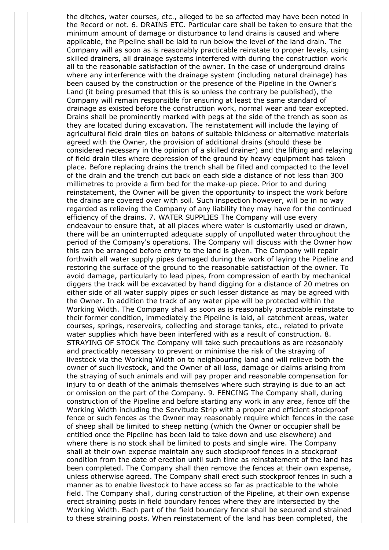the ditches, water courses, etc., alleged to be so affected may have been noted in the Record or not. 6. DRAINS ETC. Particular care shall be taken to ensure that the minimum amount of damage or disturbance to land drains is caused and where applicable, the Pipeline shall be laid to run below the level of the land drain. The Company will as soon as is reasonably practicable reinstate to proper levels, using skilled drainers, all drainage systems interfered with during the construction work all to the reasonable satisfaction of the owner. In the case of underground drains where any interference with the drainage system (including natural drainage) has been caused by the construction or the presence of the Pipeline in the Owner's Land (it being presumed that this is so unless the contrary be published), the Company will remain responsible for ensuring at least the same standard of drainage as existed before the construction work, normal wear and tear excepted. Drains shall be prominently marked with pegs at the side of the trench as soon as they are located during excavation. The reinstatement will include the laying of agricultural field drain tiles on batons of suitable thickness or alternative materials agreed with the Owner, the provision of additional drains (should these be considered necessary in the opinion of a skilled drainer) and the lifting and relaying of field drain tiles where depression of the ground by heavy equipment has taken place. Before replacing drains the trench shall be filled and compacted to the level of the drain and the trench cut back on each side a distance of not less than 300 millimetres to provide a firm bed for the make-up piece. Prior to and during reinstatement, the Owner will be given the opportunity to inspect the work before the drains are covered over with soil. Such inspection however, will be in no way regarded as relieving the Company of any liability they may have for the continued efficiency of the drains. 7. WATER SUPPLIES The Company will use every endeavour to ensure that, at all places where water is customarily used or drawn, there will be an uninterrupted adequate supply of unpolluted water throughout the period of the Company's operations. The Company will discuss with the Owner how this can be arranged before entry to the land is given. The Company will repair forthwith all water supply pipes damaged during the work of laying the Pipeline and restoring the surface of the ground to the reasonable satisfaction of the owner. To avoid damage, particularly to lead pipes, from compression of earth by mechanical diggers the track will be excavated by hand digging for a distance of 20 metres on either side of all water supply pipes or such lesser distance as may be agreed with the Owner. In addition the track of any water pipe will be protected within the Working Width. The Company shall as soon as is reasonably practicable reinstate to their former condition, immediately the Pipeline is laid, all catchment areas, water courses, springs, reservoirs, collecting and storage tanks, etc., related to private water supplies which have been interfered with as a result of construction. 8. STRAYING OF STOCK The Company will take such precautions as are reasonably and practicably necessary to prevent or minimise the risk of the straying of livestock via the Working Width on to neighbouring land and will relieve both the owner of such livestock, and the Owner of all loss, damage or claims arising from the straying of such animals and will pay proper and reasonable compensation for injury to or death of the animals themselves where such straying is due to an act or omission on the part of the Company. 9. FENCING The Company shall, during construction of the Pipeline and before starting any work in any area, fence off the Working Width including the Servitude Strip with a proper and efficient stockproof fence or such fences as the Owner may reasonably require which fences in the case of sheep shall be limited to sheep netting (which the Owner or occupier shall be entitled once the Pipeline has been laid to take down and use elsewhere) and where there is no stock shall be limited to posts and single wire. The Company shall at their own expense maintain any such stockproof fences in a stockproof condition from the date of erection until such time as reinstatement of the land has been completed. The Company shall then remove the fences at their own expense, unless otherwise agreed. The Company shall erect such stockproof fences in such a manner as to enable livestock to have access so far as practicable to the whole field. The Company shall, during construction of the Pipeline, at their own expense erect straining posts in field boundary fences where they are intersected by the Working Width. Each part of the field boundary fence shall be secured and strained to these straining posts. When reinstatement of the land has been completed, the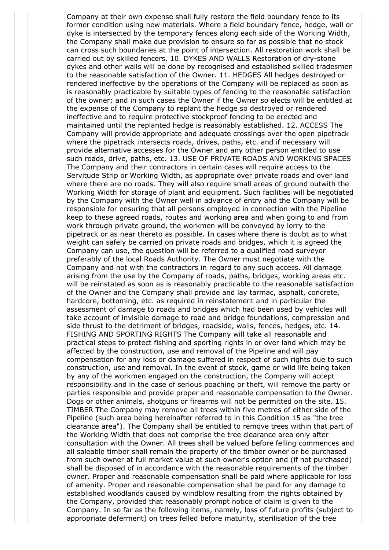Company at their own expense shall fully restore the field boundary fence to its former condition using new materials. Where a field boundary fence, hedge, wall or dyke is intersected by the temporary fences along each side of the Working Width, the Company shall make due provision to ensure so far as possible that no stock can cross such boundaries at the point of intersection. All restoration work shall be carried out by skilled fencers. 10. DYKES AND WALLS Restoration of dry-stone dykes and other walls will be done by recognised and established skilled tradesmen to the reasonable satisfaction of the Owner. 11. HEDGES All hedges destroyed or rendered ineffective by the operations of the Company will be replaced as soon as is reasonably practicable by suitable types of fencing to the reasonable satisfaction of the owner; and in such cases the Owner if the Owner so elects will be entitled at the expense of the Company to replant the hedge so destroyed or rendered ineffective and to require protective stockproof fencing to be erected and maintained until the replanted hedge is reasonably established. 12. ACCESS The Company will provide appropriate and adequate crossings over the open pipetrack where the pipetrack intersects roads, drives, paths, etc. and if necessary will provide alternative accesses for the Owner and any other person entitled to use such roads, drive, paths, etc. 13. USE OF PRIVATE ROADS AND WORKING SPACES The Company and their contractors in certain cases will require access to the Servitude Strip or Working Width, as appropriate over private roads and over land where there are no roads. They will also require small areas of ground outwith the Working Width for storage of plant and equipment. Such facilities will be negotiated by the Company with the Owner well in advance of entry and the Company will be responsible for ensuring that all persons employed in connection with the Pipeline keep to these agreed roads, routes and working area and when going to and from work through private ground, the workmen will be conveyed by lorry to the pipetrack or as near thereto as possible. In cases where there is doubt as to what weight can safely be carried on private roads and bridges, which it is agreed the Company can use, the question will be referred to a qualified road surveyor preferably of the local Roads Authority. The Owner must negotiate with the Company and not with the contractors in regard to any such access. All damage arising from the use by the Company of roads, paths, bridges, working areas etc. will be reinstated as soon as is reasonably practicable to the reasonable satisfaction of the Owner and the Company shall provide and lay tarmac, asphalt, concrete, hardcore, bottoming, etc. as required in reinstatement and in particular the assessment of damage to roads and bridges which had been used by vehicles will take account of invisible damage to road and bridge foundations, compression and side thrust to the detriment of bridges, roadside, walls, fences, hedges, etc. 14. FISHING AND SPORTING RIGHTS The Company will take all reasonable and practical steps to protect fishing and sporting rights in or over land which may be affected by the construction, use and removal of the Pipeline and will pay compensation for any loss or damage suffered in respect of such rights due to such construction, use and removal. In the event of stock, game or wild life being taken by any of the workmen engaged on the construction, the Company will accept responsibility and in the case of serious poaching or theft, will remove the party or parties responsible and provide proper and reasonable compensation to the Owner. Dogs or other animals, shotguns or firearms will not be permitted on the site. 15. TIMBER The Company may remove all trees within five metres of either side of the Pipeline (such area being hereinafter referred to in this Condition 15 as "the tree clearance area"). The Company shall be entitled to remove trees within that part of the Working Width that does not comprise the tree clearance area only after consultation with the Owner. All trees shall be valued before felling commences and all saleable timber shall remain the property of the timber owner or be purchased from such owner at full market value at such owner's option and (if not purchased) shall be disposed of in accordance with the reasonable requirements of the timber owner. Proper and reasonable compensation shall be paid where applicable for loss of amenity. Proper and reasonable compensation shall be paid for any damage to established woodlands caused by windblow resulting from the rights obtained by the Company, provided that reasonably prompt notice of claim is given to the Company. In so far as the following items, namely, loss of future profits (subject to appropriate deferment) on trees felled before maturity, sterilisation of the tree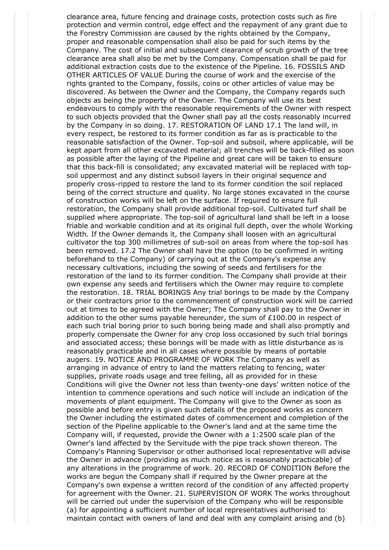clearance area, future fencing and drainage costs, protection costs such as fire protection and vermin control, edge effect and the repayment of any grant due to the Forestry Commission are caused by the rights obtained by the Company, proper and reasonable compensation shall also be paid for such items by the Company. The cost of initial and subsequent clearance of scrub growth of the tree clearance area shall also be met by the Company. Compensation shall be paid for additional extraction costs due to the existence of the Pipeline. 16. FOSSILS AND OTHER ARTICLES OF VALUE During the course of work and the exercise of the rights granted to the Company, fossils, coins or other articles of value may be discovered. As between the Owner and the Company, the Company regards such objects as being the property of the Owner. The Company will use its best endeavours to comply with the reasonable requirements of the Owner with respect to such objects provided that the Owner shall pay all the costs reasonably incurred by the Company in so doing. 17. RESTORATION OF LAND 17.1 The land will, in every respect, be restored to its former condition as far as is practicable to the reasonable satisfaction of the Owner. Top-soil and subsoil, where applicable, will be kept apart from all other excavated material; all trenches will be back-filled as soon as possible after the laying of the Pipeline and great care will be taken to ensure that this back-fill is consolidated; any excavated material will be replaced with topsoil uppermost and any distinct subsoil layers in their original sequence and properly cross-ripped to restore the land to its former condition the soil replaced being of the correct structure and quality. No large stones excavated in the course of construction works will be left on the surface. If required to ensure full restoration, the Company shall provide additional top-soil. Cultivated turf shall be supplied where appropriate. The top-soil of agricultural land shall be left in a loose friable and workable condition and at its original full depth, over the whole Working Width. If the Owner demands it, the Company shall loosen with an agricultural cultivator the top 300 millimetres of sub-soil on areas from where the top-soil has been removed. 17.2 The Owner shall have the option (to be confirmed in writing beforehand to the Company) of carrying out at the Company's expense any necessary cultivations, including the sowing of seeds and fertilisers for the restoration of the land to its former condition. The Company shall provide at their own expense any seeds and fertilisers which the Owner may require to complete the restoration. 18. TRIAL BORINGS Any trial borings to be made by the Company or their contractors prior to the commencement of construction work will be carried out at times to be agreed with the Owner; The Company shall pay to the Owner in addition to the other sums payable hereunder, the sum of £100.00 in respect of each such trial boring prior to such boring being made and shall also promptly and properly compensate the Owner for any crop loss occasioned by such trial borings and associated access; these borings will be made with as little disturbance as is reasonably practicable and in all cases where possible by means of portable augers. 19. NOTICE AND PROGRAMME OF WORK The Company as well as arranging in advance of entry to land the matters relating to fencing, water supplies, private roads usage and tree felling, all as provided for in these Conditions will give the Owner not less than twenty-one days' written notice of the intention to commence operations and such notice will include an indication of the movements of plant equipment. The Company will give to the Owner as soon as possible and before entry is given such details of the proposed works as concern the Owner including the estimated dates of commencement and completion of the section of the Pipeline applicable to the Owner's land and at the same time the Company will, if requested, provide the Owner with a 1:2500 scale plan of the Owner's land affected by the Servitude with the pipe track shown thereon. The Company's Planning Supervisor or other authorised local representative will advise the Owner in advance (providing as much notice as is reasonably practicable) of any alterations in the programme of work. 20. RECORD OF CONDITION Before the works are begun the Company shall if required by the Owner prepare at the Company's own expense a written record of the condition of any affected property for agreement with the Owner. 21. SUPERVISION OF WORK The works throughout will be carried out under the supervision of the Company who will be responsible (a) for appointing a sufficient number of local representatives authorised to maintain contact with owners of land and deal with any complaint arising and (b)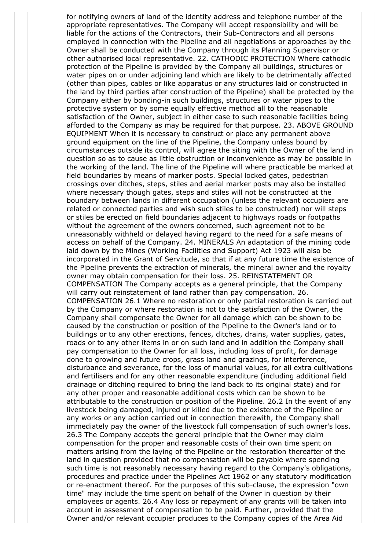for notifying owners of land of the identity address and telephone number of the appropriate representatives. The Company will accept responsibility and will be liable for the actions of the Contractors, their Sub-Contractors and all persons employed in connection with the Pipeline and all negotiations or approaches by the Owner shall be conducted with the Company through its Planning Supervisor or other authorised local representative. 22. CATHODIC PROTECTION Where cathodic protection of the Pipeline is provided by the Company all buildings, structures or water pipes on or under adjoining land which are likely to be detrimentally affected (other than pipes, cables or like apparatus or any structures laid or constructed in the land by third parties after construction of the Pipeline) shall be protected by the Company either by bonding-in such buildings, structures or water pipes to the protective system or by some equally effective method all to the reasonable satisfaction of the Owner, subject in either case to such reasonable facilities being afforded to the Company as may be required for that purpose. 23. ABOVE GROUND EQUIPMENT When it is necessary to construct or place any permanent above ground equipment on the line of the Pipeline, the Company unless bound by circumstances outside its control, will agree the siting with the Owner of the land in question so as to cause as little obstruction or inconvenience as may be possible in the working of the land. The line of the Pipeline will where practicable be marked at field boundaries by means of marker posts. Special locked gates, pedestrian crossings over ditches, steps, stiles and aerial marker posts may also be installed where necessary though gates, steps and stiles will not be constructed at the boundary between lands in different occupation (unless the relevant occupiers are related or connected parties and wish such stiles to be constructed) nor will steps or stiles be erected on field boundaries adjacent to highways roads or footpaths without the agreement of the owners concerned, such agreement not to be unreasonably withheld or delayed having regard to the need for a safe means of access on behalf of the Company. 24. MINERALS An adaptation of the mining code laid down by the Mines (Working Facilities and Support) Act 1923 will also be incorporated in the Grant of Servitude, so that if at any future time the existence of the Pipeline prevents the extraction of minerals, the mineral owner and the royalty owner may obtain compensation for their loss. 25. REINSTATEMENT OR COMPENSATION The Company accepts as a general principle, that the Company will carry out reinstatement of land rather than pay compensation. 26. COMPENSATION 26.1 Where no restoration or only partial restoration is carried out by the Company or where restoration is not to the satisfaction of the Owner, the Company shall compensate the Owner for all damage which can be shown to be caused by the construction or position of the Pipeline to the Owner's land or to buildings or to any other erections, fences, ditches, drains, water supplies, gates, roads or to any other items in or on such land and in addition the Company shall pay compensation to the Owner for all loss, including loss of profit, for damage done to growing and future crops, grass land and grazings, for interference, disturbance and severance, for the loss of manurial values, for all extra cultivations and fertilisers and for any other reasonable expenditure (including additional field drainage or ditching required to bring the land back to its original state) and for any other proper and reasonable additional costs which can be shown to be attributable to the construction or position of the Pipeline. 26.2 In the event of any livestock being damaged, injured or killed due to the existence of the Pipeline or any works or any action carried out in connection therewith, the Company shall immediately pay the owner of the livestock full compensation of such owner's loss. 26.3 The Company accepts the general principle that the Owner may claim compensation for the proper and reasonable costs of their own time spent on matters arising from the laying of the Pipeline or the restoration thereafter of the land in question provided that no compensation will be payable where spending such time is not reasonably necessary having regard to the Company's obligations, procedures and practice under the Pipelines Act 1962 or any statutory modification or re-enactment thereof. For the purposes of this sub-clause, the expression "own time" may include the time spent on behalf of the Owner in question by their employees or agents. 26.4 Any loss or repayment of any grants will be taken into account in assessment of compensation to be paid. Further, provided that the Owner and/or relevant occupier produces to the Company copies of the Area Aid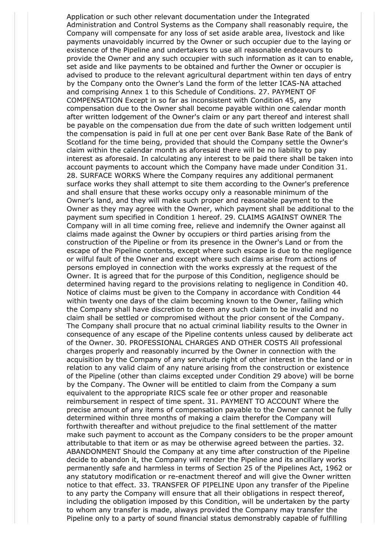Application or such other relevant documentation under the Integrated Administration and Control Systems as the Company shall reasonably require, the Company will compensate for any loss of set aside arable area, livestock and like payments unavoidably incurred by the Owner or such occupier due to the laying or existence of the Pipeline and undertakers to use all reasonable endeavours to provide the Owner and any such occupier with such information as it can to enable, set aside and like payments to be obtained and further the Owner or occupier is advised to produce to the relevant agricultural department within ten days of entry by the Company onto the Owner's Land the form of the letter ICAS-NA attached and comprising Annex 1 to this Schedule of Conditions. 27. PAYMENT OF COMPENSATION Except in so far as inconsistent with Condition 45, any compensation due to the Owner shall become payable within one calendar month after written lodgement of the Owner's claim or any part thereof and interest shall be payable on the compensation due from the date of such written lodgement until the compensation is paid in full at one per cent over Bank Base Rate of the Bank of Scotland for the time being, provided that should the Company settle the Owner's claim within the calendar month as aforesaid there will be no liability to pay interest as aforesaid. In calculating any interest to be paid there shall be taken into account payments to account which the Company have made under Condition 31. 28. SURFACE WORKS Where the Company requires any additional permanent surface works they shall attempt to site them according to the Owner's preference and shall ensure that these works occupy only a reasonable minimum of the Owner's land, and they will make such proper and reasonable payment to the Owner as they may agree with the Owner, which payment shall be additional to the payment sum specified in Condition 1 hereof. 29. CLAIMS AGAINST OWNER The Company will in all time coming free, relieve and indemnify the Owner against all claims made against the Owner by occupiers or third parties arising from the construction of the Pipeline or from its presence in the Owner's Land or from the escape of the Pipeline contents, except where such escape is due to the negligence or wilful fault of the Owner and except where such claims arise from actions of persons employed in connection with the works expressly at the request of the Owner. It is agreed that for the purpose of this Condition, negligence should be determined having regard to the provisions relating to negligence in Condition 40. Notice of claims must be given to the Company in accordance with Condition 44 within twenty one days of the claim becoming known to the Owner, failing which the Company shall have discretion to deem any such claim to be invalid and no claim shall be settled or compromised without the prior consent of the Company. The Company shall procure that no actual criminal liability results to the Owner in consequence of any escape of the Pipeline contents unless caused by deliberate act of the Owner. 30. PROFESSIONAL CHARGES AND OTHER COSTS All professional charges properly and reasonably incurred by the Owner in connection with the acquisition by the Company of any servitude right of other interest in the land or in relation to any valid claim of any nature arising from the construction or existence of the Pipeline (other than claims excepted under Condition 29 above) will be borne by the Company. The Owner will be entitled to claim from the Company a sum equivalent to the appropriate RICS scale fee or other proper and reasonable reimbursement in respect of time spent. 31. PAYMENT TO ACCOUNT Where the precise amount of any items of compensation payable to the Owner cannot be fully determined within three months of making a claim therefor the Company will forthwith thereafter and without prejudice to the final settlement of the matter make such payment to account as the Company considers to be the proper amount attributable to that item or as may be otherwise agreed between the parties. 32. ABANDONMENT Should the Company at any time after construction of the Pipeline decide to abandon it, the Company will render the Pipeline and its ancillary works permanently safe and harmless in terms of Section 25 of the Pipelines Act, 1962 or any statutory modification or re-enactment thereof and will give the Owner written notice to that effect. 33. TRANSFER OF PIPELINE Upon any transfer of the Pipeline to any party the Company will ensure that all their obligations in respect thereof, including the obligation imposed by this Condition, will be undertaken by the party to whom any transfer is made, always provided the Company may transfer the Pipeline only to a party of sound financial status demonstrably capable of fulfilling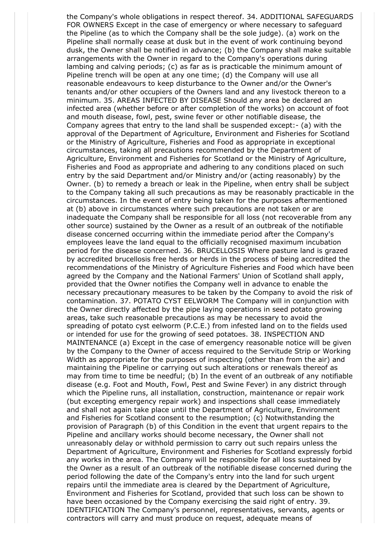the Company's whole obligations in respect thereof. 34. ADDITIONAL SAFEGUARDS FOR OWNERS Except in the case of emergency or where necessary to safeguard the Pipeline (as to which the Company shall be the sole judge). (a) work on the Pipeline shall normally cease at dusk but in the event of work continuing beyond dusk, the Owner shall be notified in advance; (b) the Company shall make suitable arrangements with the Owner in regard to the Company's operations during lambing and calving periods; (c) as far as is practicable the minimum amount of Pipeline trench will be open at any one time; (d) the Company will use all reasonable endeavours to keep disturbance to the Owner and/or the Owner's tenants and/or other occupiers of the Owners land and any livestock thereon to a minimum. 35. AREAS INFECTED BY DISEASE Should any area be declared an infected area (whether before or after completion of the works) on account of foot and mouth disease, fowl, pest, swine fever or other notifiable disease, the Company agrees that entry to the land shall be suspended except:- (a) with the approval of the Department of Agriculture, Environment and Fisheries for Scotland or the Ministry of Agriculture, Fisheries and Food as appropriate in exceptional circumstances, taking all precautions recommended by the Department of Agriculture, Environment and Fisheries for Scotland or the Ministry of Agriculture, Fisheries and Food as appropriate and adhering to any conditions placed on such entry by the said Department and/or Ministry and/or (acting reasonably) by the Owner. (b) to remedy a breach or leak in the Pipeline, when entry shall be subject to the Company taking all such precautions as may be reasonably practicable in the circumstances. In the event of entry being taken for the purposes aftermentioned at (b) above in circumstances where such precautions are not taken or are inadequate the Company shall be responsible for all loss (not recoverable from any other source) sustained by the Owner as a result of an outbreak of the notifiable disease concerned occurring within the immediate period after the Company's employees leave the land equal to the officially recognised maximum incubation period for the disease concerned. 36. BRUCELLOSIS Where pasture land is grazed by accredited brucellosis free herds or herds in the process of being accredited the recommendations of the Ministry of Agriculture Fisheries and Food which have been agreed by the Company and the National Farmers' Union of Scotland shall apply, provided that the Owner notifies the Company well in advance to enable the necessary precautionary measures to be taken by the Company to avoid the risk of contamination. 37. POTATO CYST EELWORM The Company will in conjunction with the Owner directly affected by the pipe laying operations in seed potato growing areas, take such reasonable precautions as may be necessary to avoid the spreading of potato cyst eelworm (P.C.E.) from infested land on to the fields used or intended for use for the growing of seed potatoes. 38. INSPECTION AND MAINTENANCE (a) Except in the case of emergency reasonable notice will be given by the Company to the Owner of access required to the Servitude Strip or Working Width as appropriate for the purposes of inspecting (other than from the air) and maintaining the Pipeline or carrying out such alterations or renewals thereof as may from time to time be needful; (b) In the event of an outbreak of any notifiable disease (e.g. Foot and Mouth, Fowl, Pest and Swine Fever) in any district through which the Pipeline runs, all installation, construction, maintenance or repair work (but excepting emergency repair work) and inspections shall cease immediately and shall not again take place until the Department of Agriculture, Environment and Fisheries for Scotland consent to the resumption; (c) Notwithstanding the provision of Paragraph (b) of this Condition in the event that urgent repairs to the Pipeline and ancillary works should become necessary, the Owner shall not unreasonably delay or withhold permission to carry out such repairs unless the Department of Agriculture, Environment and Fisheries for Scotland expressly forbid any works in the area. The Company will be responsible for all loss sustained by the Owner as a result of an outbreak of the notifiable disease concerned during the period following the date of the Company's entry into the land for such urgent repairs until the immediate area is cleared by the Department of Agriculture, Environment and Fisheries for Scotland, provided that such loss can be shown to have been occasioned by the Company exercising the said right of entry. 39. IDENTIFICATION The Company's personnel, representatives, servants, agents or contractors will carry and must produce on request, adequate means of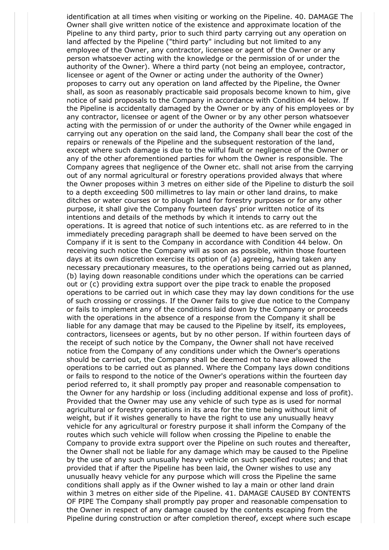identification at all times when visiting or working on the Pipeline. 40. DAMAGE The Owner shall give written notice of the existence and approximate location of the Pipeline to any third party, prior to such third party carrying out any operation on land affected by the Pipeline ("third party" including but not limited to any employee of the Owner, any contractor, licensee or agent of the Owner or any person whatsoever acting with the knowledge or the permission of or under the authority of the Owner). Where a third party (not being an employee, contractor, licensee or agent of the Owner or acting under the authority of the Owner) proposes to carry out any operation on land affected by the Pipeline, the Owner shall, as soon as reasonably practicable said proposals become known to him, give notice of said proposals to the Company in accordance with Condition 44 below. If the Pipeline is accidentally damaged by the Owner or by any of his employees or by any contractor, licensee or agent of the Owner or by any other person whatsoever acting with the permission of or under the authority of the Owner while engaged in carrying out any operation on the said land, the Company shall bear the cost of the repairs or renewals of the Pipeline and the subsequent restoration of the land, except where such damage is due to the wilful fault or negligence of the Owner or any of the other aforementioned parties for whom the Owner is responsible. The Company agrees that negligence of the Owner etc. shall not arise from the carrying out of any normal agricultural or forestry operations provided always that where the Owner proposes within 3 metres on either side of the Pipeline to disturb the soil to a depth exceeding 500 millimetres to lay main or other land drains, to make ditches or water courses or to plough land for forestry purposes or for any other purpose, it shall give the Company fourteen days' prior written notice of its intentions and details of the methods by which it intends to carry out the operations. It is agreed that notice of such intentions etc. as are referred to in the immediately preceding paragraph shall be deemed to have been served on the Company if it is sent to the Company in accordance with Condition 44 below. On receiving such notice the Company will as soon as possible, within those fourteen days at its own discretion exercise its option of (a) agreeing, having taken any necessary precautionary measures, to the operations being carried out as planned, (b) laying down reasonable conditions under which the operations can be carried out or (c) providing extra support over the pipe track to enable the proposed operations to be carried out in which case they may lay down conditions for the use of such crossing or crossings. If the Owner fails to give due notice to the Company or fails to implement any of the conditions laid down by the Company or proceeds with the operations in the absence of a response from the Company it shall be liable for any damage that may be caused to the Pipeline by itself, its employees, contractors, licensees or agents, but by no other person. If within fourteen days of the receipt of such notice by the Company, the Owner shall not have received notice from the Company of any conditions under which the Owner's operations should be carried out, the Company shall be deemed not to have allowed the operations to be carried out as planned. Where the Company lays down conditions or fails to respond to the notice of the Owner's operations within the fourteen day period referred to, it shall promptly pay proper and reasonable compensation to the Owner for any hardship or loss (including additional expense and loss of profit). Provided that the Owner may use any vehicle of such type as is used for normal agricultural or forestry operations in its area for the time being without limit of weight, but if it wishes generally to have the right to use any unusually heavy vehicle for any agricultural or forestry purpose it shall inform the Company of the routes which such vehicle will follow when crossing the Pipeline to enable the Company to provide extra support over the Pipeline on such routes and thereafter, the Owner shall not be liable for any damage which may be caused to the Pipeline by the use of any such unusually heavy vehicle on such specified routes; and that provided that if after the Pipeline has been laid, the Owner wishes to use any unusually heavy vehicle for any purpose which will cross the Pipeline the same conditions shall apply as if the Owner wished to lay a main or other land drain within 3 metres on either side of the Pipeline. 41. DAMAGE CAUSED BY CONTENTS OF PIPE The Company shall promptly pay proper and reasonable compensation to the Owner in respect of any damage caused by the contents escaping from the Pipeline during construction or after completion thereof, except where such escape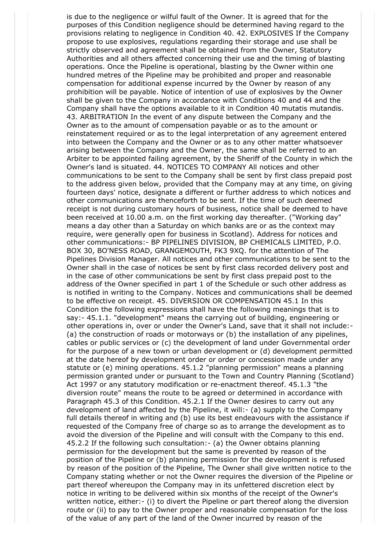is due to the negligence or wilful fault of the Owner. It is agreed that for the purposes of this Condition negligence should be determined having regard to the provisions relating to negligence in Condition 40. 42. EXPLOSIVES If the Company propose to use explosives, regulations regarding their storage and use shall be strictly observed and agreement shall be obtained from the Owner, Statutory Authorities and all others affected concerning their use and the timing of blasting operations. Once the Pipeline is operational, blasting by the Owner within one hundred metres of the Pipeline may be prohibited and proper and reasonable compensation for additional expense incurred by the Owner by reason of any prohibition will be payable. Notice of intention of use of explosives by the Owner shall be given to the Company in accordance with Conditions 40 and 44 and the Company shall have the options available to it in Condition 40 mutatis mutandis. 43. ARBITRATION In the event of any dispute between the Company and the Owner as to the amount of compensation payable or as to the amount or reinstatement required or as to the legal interpretation of any agreement entered into between the Company and the Owner or as to any other matter whatsoever arising between the Company and the Owner, the same shall be referred to an Arbiter to be appointed failing agreement, by the Sheriff of the County in which the Owner's land is situated. 44. NOTICES TO COMPANY All notices and other communications to be sent to the Company shall be sent by first class prepaid post to the address given below, provided that the Company may at any time, on giving fourteen days' notice, designate a different or further address to which notices and other communications are thenceforth to be sent. If the time of such deemed receipt is not during customary hours of business, notice shall be deemed to have been received at 10.00 a.m. on the first working day thereafter. ("Working day" means a day other than a Saturday on which banks are or as the context may require, were generally open for business in Scotland). Address for notices and other communications:- BP PIPELINES DIVISION, BP CHEMICALS LIMITED, P.O. BOX 30, BO'NESS ROAD, GRANGEMOUTH, FK3 9XQ. for the attention of The Pipelines Division Manager. All notices and other communications to be sent to the Owner shall in the case of notices be sent by first class recorded delivery post and in the case of other communications be sent by first class prepaid post to the address of the Owner specified in part 1 of the Schedule or such other address as is notified in writing to the Company. Notices and communications shall be deemed to be effective on receipt. 45. DIVERSION OR COMPENSATION 45.1 In this Condition the following expressions shall have the following meanings that is to say:- 45.1.1. "development" means the carrying out of building, engineering or other operations in, over or under the Owner's Land, save that it shall not include:- (a) the construction of roads or motorways or (b) the installation of any pipelines, cables or public services or (c) the development of land under Governmental order for the purpose of a new town or urban development or (d) development permitted at the date hereof by development order or order or concession made under any statute or (e) mining operations. 45.1.2 "planning permission" means a planning permission granted under or pursuant to the Town and Country Planning (Scotland) Act 1997 or any statutory modification or re-enactment thereof. 45.1.3 "the diversion route" means the route to be agreed or determined in accordance with Paragraph 45.3 of this Condition. 45.2.1 If the Owner desires to carry out any development of land affected by the Pipeline, it will:- (a) supply to the Company full details thereof in writing and (b) use its best endeavours with the assistance if requested of the Company free of charge so as to arrange the development as to avoid the diversion of the Pipeline and will consult with the Company to this end. 45.2.2 If the following such consultation:- (a) the Owner obtains planning permission for the development but the same is prevented by reason of the position of the Pipeline or (b) planning permission for the development is refused by reason of the position of the Pipeline, The Owner shall give written notice to the Company stating whether or not the Owner requires the diversion of the Pipeline or part thereof whereupon the Company may in its unfettered discretion elect by notice in writing to be delivered within six months of the receipt of the Owner's written notice, either:- (i) to divert the Pipeline or part thereof along the diversion route or (ii) to pay to the Owner proper and reasonable compensation for the loss of the value of any part of the land of the Owner incurred by reason of the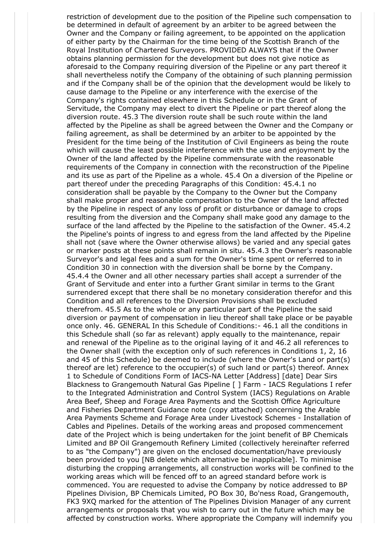restriction of development due to the position of the Pipeline such compensation to be determined in default of agreement by an arbiter to be agreed between the Owner and the Company or failing agreement, to be appointed on the application of either party by the Chairman for the time being of the Scottish Branch of the Royal Institution of Chartered Surveyors. PROVIDED ALWAYS that if the Owner obtains planning permission for the development but does not give notice as aforesaid to the Company requiring diversion of the Pipeline or any part thereof it shall nevertheless notify the Company of the obtaining of such planning permission and if the Company shall be of the opinion that the development would be likely to cause damage to the Pipeline or any interference with the exercise of the Company's rights contained elsewhere in this Schedule or in the Grant of Servitude, the Company may elect to divert the Pipeline or part thereof along the diversion route. 45.3 The diversion route shall be such route within the land affected by the Pipeline as shall be agreed between the Owner and the Company or failing agreement, as shall be determined by an arbiter to be appointed by the President for the time being of the Institution of Civil Engineers as being the route which will cause the least possible interference with the use and enjoyment by the Owner of the land affected by the Pipeline commensurate with the reasonable requirements of the Company in connection with the reconstruction of the Pipeline and its use as part of the Pipeline as a whole. 45.4 On a diversion of the Pipeline or part thereof under the preceding Paragraphs of this Condition: 45.4.1 no consideration shall be payable by the Company to the Owner but the Company shall make proper and reasonable compensation to the Owner of the land affected by the Pipeline in respect of any loss of profit or disturbance or damage to crops resulting from the diversion and the Company shall make good any damage to the surface of the land affected by the Pipeline to the satisfaction of the Owner. 45.4.2 the Pipeline's points of ingress to and egress from the land affected by the Pipeline shall not (save where the Owner otherwise allows) be varied and any special gates or marker posts at these points shall remain in situ. 45.4.3 the Owner's reasonable Surveyor's and legal fees and a sum for the Owner's time spent or referred to in Condition 30 in connection with the diversion shall be borne by the Company. 45.4.4 the Owner and all other necessary parties shall accept a surrender of the Grant of Servitude and enter into a further Grant similar in terms to the Grant surrendered except that there shall be no monetary consideration therefor and this Condition and all references to the Diversion Provisions shall be excluded therefrom. 45.5 As to the whole or any particular part of the Pipeline the said diversion or payment of compensation in lieu thereof shall take place or be payable once only. 46. GENERAL In this Schedule of Conditions:- 46.1 all the conditions in this Schedule shall (so far as relevant) apply equally to the maintenance, repair and renewal of the Pipeline as to the original laying of it and 46.2 all references to the Owner shall (with the exception only of such references in Conditions 1, 2, 16 and 45 of this Schedule) be deemed to include (where the Owner's Land or part(s) thereof are let) reference to the occupier(s) of such land or part(s) thereof. Annex 1 to Schedule of Conditions Form of IACS-NA Letter [Address] [date] Dear Sirs Blackness to Grangemouth Natural Gas Pipeline [ ] Farm - IACS Regulations I refer to the Integrated Administration and Control System (IACS) Regulations on Arable Area Beef, Sheep and Forage Area Payments and the Scottish Office Agriculture and Fisheries Department Guidance note (copy attached) concerning the Arable Area Payments Scheme and Forage Area under Livestock Schemes - Installation of Cables and Pipelines. Details of the working areas and proposed commencement date of the Project which is being undertaken for the joint benefit of BP Chemicals Limited and BP Oil Grangemouth Refinery Limited (collectively hereinafter referred to as "the Company") are given on the enclosed documentation/have previously been provided to you [NB delete which alternative be inapplicable]. To minimise disturbing the cropping arrangements, all construction works will be confined to the working areas which will be fenced off to an agreed standard before work is commenced. You are requested to advise the Company by notice addressed to BP Pipelines Division, BP Chemicals Limited, PO Box 30, Bo'ness Road, Grangemouth, FK3 9XQ marked for the attention of The Pipelines Division Manager of any current arrangements or proposals that you wish to carry out in the future which may be affected by construction works. Where appropriate the Company will indemnify you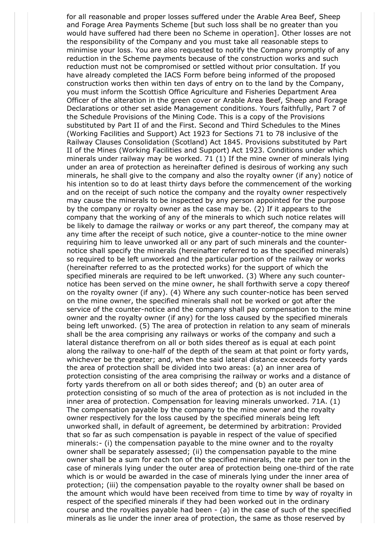for all reasonable and proper losses suffered under the Arable Area Beef, Sheep and Forage Area Payments Scheme [but such loss shall be no greater than you would have suffered had there been no Scheme in operation]. Other losses are not the responsibility of the Company and you must take all reasonable steps to minimise your loss. You are also requested to notify the Company promptly of any reduction in the Scheme payments because of the construction works and such reduction must not be compromised or settled without prior consultation. If you have already completed the IACS Form before being informed of the proposed construction works then within ten days of entry on to the land by the Company, you must inform the Scottish Office Agriculture and Fisheries Department Area Officer of the alteration in the green cover or Arable Area Beef, Sheep and Forage Declarations or other set aside Management conditions. Yours faithfully, Part 7 of the Schedule Provisions of the Mining Code. This is a copy of the Provisions substituted by Part II of and the First. Second and Third Schedules to the Mines (Working Facilities and Support) Act 1923 for Sections 71 to 78 inclusive of the Railway Clauses Consolidation (Scotland) Act 1845. Provisions substituted by Part II of the Mines (Working Facilities and Support) Act 1923. Conditions under which minerals under railway may be worked. 71 (1) If the mine owner of minerals lying under an area of protection as hereinafter defined is desirous of working any such minerals, he shall give to the company and also the royalty owner (if any) notice of his intention so to do at least thirty days before the commencement of the working and on the receipt of such notice the company and the royalty owner respectively may cause the minerals to be inspected by any person appointed for the purpose by the company or royalty owner as the case may be. (2) If it appears to the company that the working of any of the minerals to which such notice relates will be likely to damage the railway or works or any part thereof, the company may at any time after the receipt of such notice, give a counter-notice to the mine owner requiring him to leave unworked all or any part of such minerals and the counternotice shall specify the minerals (hereinafter referred to as the specified minerals) so required to be left unworked and the particular portion of the railway or works (hereinafter referred to as the protected works) for the support of which the specified minerals are required to be left unworked. (3) Where any such counternotice has been served on the mine owner, he shall forthwith serve a copy thereof on the royalty owner (if any). (4) Where any such counter-notice has been served on the mine owner, the specified minerals shall not be worked or got after the service of the counter-notice and the company shall pay compensation to the mine owner and the royalty owner (if any) for the loss caused by the specified minerals being left unworked. (5) The area of protection in relation to any seam of minerals shall be the area comprising any railways or works of the company and such a lateral distance therefrom on all or both sides thereof as is equal at each point along the railway to one-half of the depth of the seam at that point or forty yards, whichever be the greater; and, when the said lateral distance exceeds forty yards the area of protection shall be divided into two areas: (a) an inner area of protection consisting of the area comprising the railway or works and a distance of forty yards therefrom on all or both sides thereof; and (b) an outer area of protection consisting of so much of the area of protection as is not included in the inner area of protection. Compensation for leaving minerals unworked. 71A. (1) The compensation payable by the company to the mine owner and the royalty owner respectively for the loss caused by the specified minerals being left unworked shall, in default of agreement, be determined by arbitration: Provided that so far as such compensation is payable in respect of the value of specified minerals:- (i) the compensation payable to the mine owner and to the royalty owner shall be separately assessed; (ii) the compensation payable to the mine owner shall be a sum for each ton of the specified minerals, the rate per ton in the case of minerals lying under the outer area of protection being one-third of the rate which is or would be awarded in the case of minerals lying under the inner area of protection; (iii) the compensation payable to the royalty owner shall be based on the amount which would have been received from time to time by way of royalty in respect of the specified minerals if they had been worked out in the ordinary course and the royalties payable had been - (a) in the case of such of the specified minerals as lie under the inner area of protection, the same as those reserved by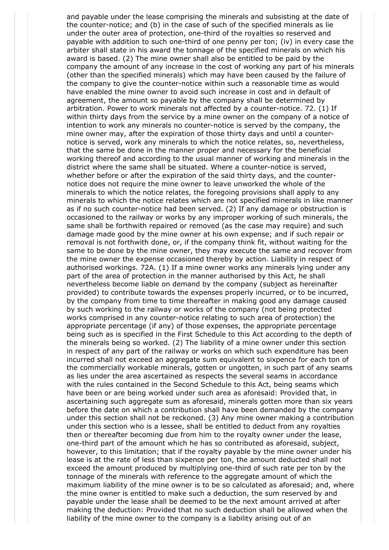and payable under the lease comprising the minerals and subsisting at the date of the counter-notice; and (b) in the case of such of the specified minerals as lie under the outer area of protection, one-third of the royalties so reserved and payable with addition to such one-third of one penny per ton; (iv) in every case the arbiter shall state in his award the tonnage of the specified minerals on which his award is based. (2) The mine owner shall also be entitled to be paid by the company the amount of any increase in the cost of working any part of his minerals (other than the specified minerals) which may have been caused by the failure of the company to give the counter-notice within such a reasonable time as would have enabled the mine owner to avoid such increase in cost and in default of agreement, the amount so payable by the company shall be determined by arbitration. Power to work minerals not affected by a counter-notice. 72. (1) If within thirty days from the service by a mine owner on the company of a notice of intention to work any minerals no counter-notice is served by the company, the mine owner may, after the expiration of those thirty days and until a counternotice is served, work any minerals to which the notice relates, so, nevertheless, that the same be done in the manner proper and necessary for the beneficial working thereof and according to the usual manner of working and minerals in the district where the same shall be situated. Where a counter-notice is served, whether before or after the expiration of the said thirty days, and the counternotice does not require the mine owner to leave unworked the whole of the minerals to which the notice relates, the foregoing provisions shall apply to any minerals to which the notice relates which are not specified minerals in like manner as if no such counter-notice had been served. (2) If any damage or obstruction is occasioned to the railway or works by any improper working of such minerals, the same shall be forthwith repaired or removed (as the case may require) and such damage made good by the mine owner at his own expense; and if such repair or removal is not forthwith done, or, if the company think fit, without waiting for the same to be done by the mine owner, they may execute the same and recover from the mine owner the expense occasioned thereby by action. Liability in respect of authorised workings. 72A. (1) If a mine owner works any minerals lying under any part of the area of protection in the manner authorised by this Act, he shall nevertheless become liable on demand by the company (subject as hereinafter provided) to contribute towards the expenses properly incurred, or to be incurred, by the company from time to time thereafter in making good any damage caused by such working to the railway or works of the company (not being protected works comprised in any counter-notice relating to such area of protection) the appropriate percentage (if any) of those expenses, the appropriate percentage being such as is specified in the First Schedule to this Act according to the depth of the minerals being so worked. (2) The liability of a mine owner under this section in respect of any part of the railway or works on which such expenditure has been incurred shall not exceed an aggregate sum equivalent to sixpence for each ton of the commercially workable minerals, gotten or ungotten, in such part of any seams as lies under the area ascertained as respects the several seams in accordance with the rules contained in the Second Schedule to this Act, being seams which have been or are being worked under such area as aforesaid: Provided that, in ascertaining such aggregate sum as aforesaid, minerals gotten more than six years before the date on which a contribution shall have been demanded by the company under this section shall not be reckoned. (3) Any mine owner making a contribution under this section who is a lessee, shall be entitled to deduct from any royalties then or thereafter becoming due from him to the royalty owner under the lease, one-third part of the amount which he has so contributed as aforesaid, subject, however, to this limitation; that if the royalty payable by the mine owner under his lease is at the rate of less than sixpence per ton, the amount deducted shall not exceed the amount produced by multiplying one-third of such rate per ton by the tonnage of the minerals with reference to the aggregate amount of which the maximum liability of the mine owner is to be so calculated as aforesaid; and, where the mine owner is entitled to make such a deduction, the sum reserved by and payable under the lease shall be deemed to be the next amount arrived at after making the deduction: Provided that no such deduction shall be allowed when the liability of the mine owner to the company is a liability arising out of an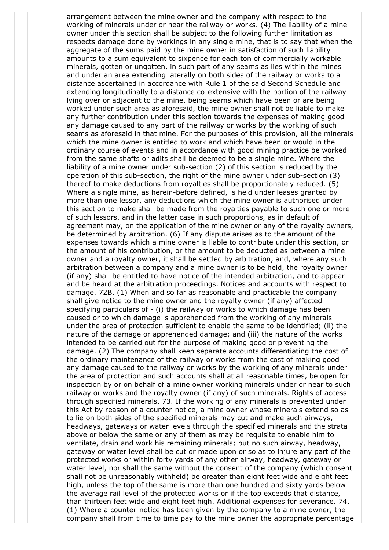arrangement between the mine owner and the company with respect to the working of minerals under or near the railway or works. (4) The liability of a mine owner under this section shall be subject to the following further limitation as respects damage done by workings in any single mine, that is to say that when the aggregate of the sums paid by the mine owner in satisfaction of such liability amounts to a sum equivalent to sixpence for each ton of commercially workable minerals, gotten or ungotten, in such part of any seams as lies within the mines and under an area extending laterally on both sides of the railway or works to a distance ascertained in accordance with Rule 1 of the said Second Schedule and extending longitudinally to a distance co-extensive with the portion of the railway lying over or adjacent to the mine, being seams which have been or are being worked under such area as aforesaid, the mine owner shall not be liable to make any further contribution under this section towards the expenses of making good any damage caused to any part of the railway or works by the working of such seams as aforesaid in that mine. For the purposes of this provision, all the minerals which the mine owner is entitled to work and which have been or would in the ordinary course of events and in accordance with good mining practice be worked from the same shafts or adits shall be deemed to be a single mine. Where the liability of a mine owner under sub-section (2) of this section is reduced by the operation of this sub-section, the right of the mine owner under sub-section (3) thereof to make deductions from royalties shall be proportionately reduced. (5) Where a single mine, as herein-before defined, is held under leases granted by more than one lessor, any deductions which the mine owner is authorised under this section to make shall be made from the royalties payable to such one or more of such lessors, and in the latter case in such proportions, as in default of agreement may, on the application of the mine owner or any of the royalty owners, be determined by arbitration. (6) If any dispute arises as to the amount of the expenses towards which a mine owner is liable to contribute under this section, or the amount of his contribution, or the amount to be deducted as between a mine owner and a royalty owner, it shall be settled by arbitration, and, where any such arbitration between a company and a mine owner is to be held, the royalty owner (if any) shall be entitled to have notice of the intended arbitration, and to appear and be heard at the arbitration proceedings. Notices and accounts with respect to damage. 72B. (1) When and so far as reasonable and practicable the company shall give notice to the mine owner and the royalty owner (if any) affected specifying particulars of - (i) the railway or works to which damage has been caused or to which damage is apprehended from the working of any minerals under the area of protection sufficient to enable the same to be identified; (ii) the nature of the damage or apprehended damage; and (iii) the nature of the works intended to be carried out for the purpose of making good or preventing the damage. (2) The company shall keep separate accounts differentiating the cost of the ordinary maintenance of the railway or works from the cost of making good any damage caused to the railway or works by the working of any minerals under the area of protection and such accounts shall at all reasonable times, be open for inspection by or on behalf of a mine owner working minerals under or near to such railway or works and the royalty owner (if any) of such minerals. Rights of access through specified minerals. 73. If the working of any minerals is prevented under this Act by reason of a counter-notice, a mine owner whose minerals extend so as to lie on both sides of the specified minerals may cut and make such airways, headways, gateways or water levels through the specified minerals and the strata above or below the same or any of them as may be requisite to enable him to ventilate, drain and work his remaining minerals; but no such airway, headway, gateway or water level shall be cut or made upon or so as to injure any part of the protected works or within forty yards of any other airway, headway, gateway or water level, nor shall the same without the consent of the company (which consent shall not be unreasonably withheld) be greater than eight feet wide and eight feet high, unless the top of the same is more than one hundred and sixty yards below the average rail level of the protected works or if the top exceeds that distance, than thirteen feet wide and eight feet high. Additional expenses for severance. 74. (1) Where a counter-notice has been given by the company to a mine owner, the company shall from time to time pay to the mine owner the appropriate percentage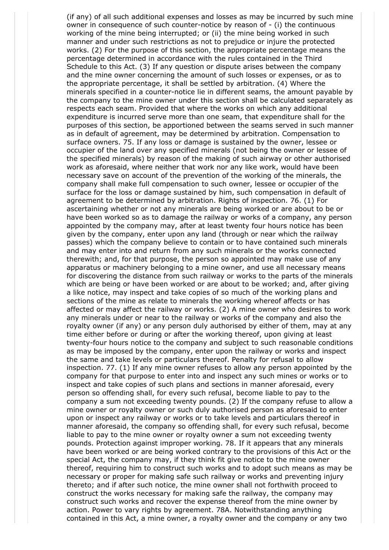(if any) of all such additional expenses and losses as may be incurred by such mine owner in consequence of such counter-notice by reason of - (i) the continuous working of the mine being interrupted; or (ii) the mine being worked in such manner and under such restrictions as not to prejudice or injure the protected works. (2) For the purpose of this section, the appropriate percentage means the percentage determined in accordance with the rules contained in the Third Schedule to this Act. (3) If any question or dispute arises between the company and the mine owner concerning the amount of such losses or expenses, or as to the appropriate percentage, it shall be settled by arbitration. (4) Where the minerals specified in a counter-notice lie in different seams, the amount payable by the company to the mine owner under this section shall be calculated separately as respects each seam. Provided that where the works on which any additional expenditure is incurred serve more than one seam, that expenditure shall for the purposes of this section, be apportioned between the seams served in such manner as in default of agreement, may be determined by arbitration. Compensation to surface owners. 75. If any loss or damage is sustained by the owner, lessee or occupier of the land over any specified minerals (not being the owner or lessee of the specified minerals) by reason of the making of such airway or other authorised work as aforesaid, where neither that work nor any like work, would have been necessary save on account of the prevention of the working of the minerals, the company shall make full compensation to such owner, lessee or occupier of the surface for the loss or damage sustained by him, such compensation in default of agreement to be determined by arbitration. Rights of inspection. 76. (1) For ascertaining whether or not any minerals are being worked or are about to be or have been worked so as to damage the railway or works of a company, any person appointed by the company may, after at least twenty four hours notice has been given by the company, enter upon any land (through or near which the railway passes) which the company believe to contain or to have contained such minerals and may enter into and return from any such minerals or the works connected therewith; and, for that purpose, the person so appointed may make use of any apparatus or machinery belonging to a mine owner, and use all necessary means for discovering the distance from such railway or works to the parts of the minerals which are being or have been worked or are about to be worked; and, after giving a like notice, may inspect and take copies of so much of the working plans and sections of the mine as relate to minerals the working whereof affects or has affected or may affect the railway or works. (2) A mine owner who desires to work any minerals under or near to the railway or works of the company and also the royalty owner (if any) or any person duly authorised by either of them, may at any time either before or during or after the working thereof, upon giving at least twenty-four hours notice to the company and subject to such reasonable conditions as may be imposed by the company, enter upon the railway or works and inspect the same and take levels or particulars thereof. Penalty for refusal to allow inspection. 77. (1) If any mine owner refuses to allow any person appointed by the company for that purpose to enter into and inspect any such mines or works or to inspect and take copies of such plans and sections in manner aforesaid, every person so offending shall, for every such refusal, become liable to pay to the company a sum not exceeding twenty pounds. (2) If the company refuse to allow a mine owner or royalty owner or such duly authorised person as aforesaid to enter upon or inspect any railway or works or to take levels and particulars thereof in manner aforesaid, the company so offending shall, for every such refusal, become liable to pay to the mine owner or royalty owner a sum not exceeding twenty pounds. Protection against improper working. 78. If it appears that any minerals have been worked or are being worked contrary to the provisions of this Act or the special Act, the company may, if they think fit give notice to the mine owner thereof, requiring him to construct such works and to adopt such means as may be necessary or proper for making safe such railway or works and preventing injury thereto; and if after such notice, the mine owner shall not forthwith proceed to construct the works necessary for making safe the railway, the company may construct such works and recover the expense thereof from the mine owner by action. Power to vary rights by agreement. 78A. Notwithstanding anything contained in this Act, a mine owner, a royalty owner and the company or any two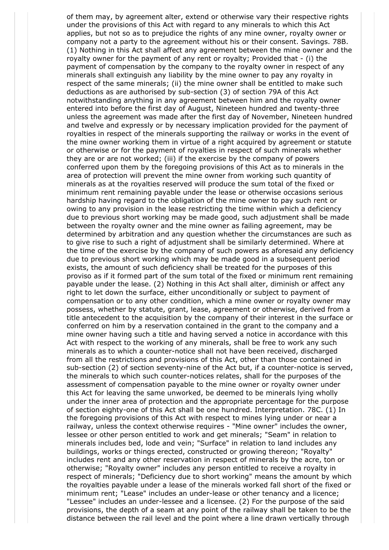of them may, by agreement alter, extend or otherwise vary their respective rights under the provisions of this Act with regard to any minerals to which this Act applies, but not so as to prejudice the rights of any mine owner, royalty owner or company not a party to the agreement without his or their consent. Savings. 78B. (1) Nothing in this Act shall affect any agreement between the mine owner and the royalty owner for the payment of any rent or royalty; Provided that - (i) the payment of compensation by the company to the royalty owner in respect of any minerals shall extinguish any liability by the mine owner to pay any royalty in respect of the same minerals; (ii) the mine owner shall be entitled to make such deductions as are authorised by sub-section (3) of section 79A of this Act notwithstanding anything in any agreement between him and the royalty owner entered into before the first day of August, Nineteen hundred and twenty-three unless the agreement was made after the first day of November, Nineteen hundred and twelve and expressly or by necessary implication provided for the payment of royalties in respect of the minerals supporting the railway or works in the event of the mine owner working them in virtue of a right acquired by agreement or statute or otherwise or for the payment of royalties in respect of such minerals whether they are or are not worked; (iii) if the exercise by the company of powers conferred upon them by the foregoing provisions of this Act as to minerals in the area of protection will prevent the mine owner from working such quantity of minerals as at the royalties reserved will produce the sum total of the fixed or minimum rent remaining payable under the lease or otherwise occasions serious hardship having regard to the obligation of the mine owner to pay such rent or owing to any provision in the lease restricting the time within which a deficiency due to previous short working may be made good, such adjustment shall be made between the royalty owner and the mine owner as failing agreement, may be determined by arbitration and any question whether the circumstances are such as to give rise to such a right of adjustment shall be similarly determined. Where at the time of the exercise by the company of such powers as aforesaid any deficiency due to previous short working which may be made good in a subsequent period exists, the amount of such deficiency shall be treated for the purposes of this proviso as if it formed part of the sum total of the fixed or minimum rent remaining payable under the lease. (2) Nothing in this Act shall alter, diminish or affect any right to let down the surface, either unconditionally or subject to payment of compensation or to any other condition, which a mine owner or royalty owner may possess, whether by statute, grant, lease, agreement or otherwise, derived from a title antecedent to the acquisition by the company of their interest in the surface or conferred on him by a reservation contained in the grant to the company and a mine owner having such a title and having served a notice in accordance with this Act with respect to the working of any minerals, shall be free to work any such minerals as to which a counter-notice shall not have been received, discharged from all the restrictions and provisions of this Act, other than those contained in sub-section (2) of section seventy-nine of the Act but, if a counter-notice is served, the minerals to which such counter-notices relates, shall for the purposes of the assessment of compensation payable to the mine owner or royalty owner under this Act for leaving the same unworked, be deemed to be minerals lying wholly under the inner area of protection and the appropriate percentage for the purpose of section eighty-one of this Act shall be one hundred. Interpretation. 78C. (1) In the foregoing provisions of this Act with respect to mines lying under or near a railway, unless the context otherwise requires - "Mine owner" includes the owner, lessee or other person entitled to work and get minerals; "Seam" in relation to minerals includes bed, lode and vein; "Surface" in relation to land includes any buildings, works or things erected, constructed or growing thereon; "Royalty" includes rent and any other reservation in respect of minerals by the acre, ton or otherwise; "Royalty owner" includes any person entitled to receive a royalty in respect of minerals; "Deficiency due to short working" means the amount by which the royalties payable under a lease of the minerals worked fall short of the fixed or minimum rent; "Lease" includes an under-lease or other tenancy and a licence; "Lessee" includes an under-lessee and a licensee. (2) For the purpose of the said provisions, the depth of a seam at any point of the railway shall be taken to be the distance between the rail level and the point where a line drawn vertically through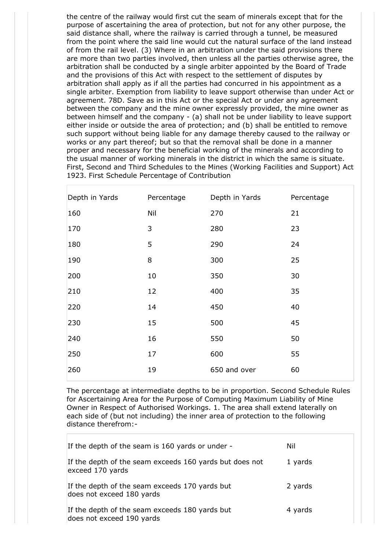the centre of the railway would first cut the seam of minerals except that for the purpose of ascertaining the area of protection, but not for any other purpose, the said distance shall, where the railway is carried through a tunnel, be measured from the point where the said line would cut the natural surface of the land instead of from the rail level. (3) Where in an arbitration under the said provisions there are more than two parties involved, then unless all the parties otherwise agree, the arbitration shall be conducted by a single arbiter appointed by the Board of Trade and the provisions of this Act with respect to the settlement of disputes by arbitration shall apply as if all the parties had concurred in his appointment as a single arbiter. Exemption from liability to leave support otherwise than under Act or agreement. 78D. Save as in this Act or the special Act or under any agreement between the company and the mine owner expressly provided, the mine owner as between himself and the company - (a) shall not be under liability to leave support either inside or outside the area of protection; and (b) shall be entitled to remove such support without being liable for any damage thereby caused to the railway or works or any part thereof; but so that the removal shall be done in a manner proper and necessary for the beneficial working of the minerals and according to the usual manner of working minerals in the district in which the same is situate. First, Second and Third Schedules to the Mines (Working Facilities and Support) Act 1923. First Schedule Percentage of Contribution

| Depth in Yards | Percentage | Depth in Yards | Percentage |
|----------------|------------|----------------|------------|
| 160            | Nil        | 270            | 21         |
| 170            | 3          | 280            | 23         |
| 180            | 5          | 290            | 24         |
| 190            | 8          | 300            | 25         |
| 200            | 10         | 350            | 30         |
| 210            | 12         | 400            | 35         |
| 220            | 14         | 450            | 40         |
| 230            | 15         | 500            | 45         |
| 240            | 16         | 550            | 50         |
| 250            | 17         | 600            | 55         |
| 260            | 19         | 650 and over   | 60         |

The percentage at intermediate depths to be in proportion. Second Schedule Rules for Ascertaining Area for the Purpose of Computing Maximum Liability of Mine Owner in Respect of Authorised Workings. 1. The area shall extend laterally on each side of (but not including) the inner area of protection to the following distance therefrom:-

| If the depth of the seam is 160 yards or under -                            | Nil     |
|-----------------------------------------------------------------------------|---------|
| If the depth of the seam exceeds 160 yards but does not<br>exceed 170 yards | 1 yards |
| If the depth of the seam exceeds 170 yards but<br>does not exceed 180 yards | 2 yards |
| If the depth of the seam exceeds 180 yards but<br>does not exceed 190 yards | 4 yards |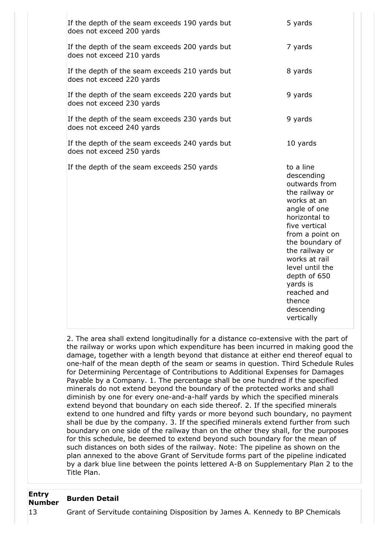| If the depth of the seam exceeds 190 yards but<br>does not exceed 200 yards | 5 yards                                                                                                                                                                                                                                                                                                  |
|-----------------------------------------------------------------------------|----------------------------------------------------------------------------------------------------------------------------------------------------------------------------------------------------------------------------------------------------------------------------------------------------------|
| If the depth of the seam exceeds 200 yards but<br>does not exceed 210 yards | 7 yards                                                                                                                                                                                                                                                                                                  |
| If the depth of the seam exceeds 210 yards but<br>does not exceed 220 yards | 8 yards                                                                                                                                                                                                                                                                                                  |
| If the depth of the seam exceeds 220 yards but<br>does not exceed 230 yards | 9 yards                                                                                                                                                                                                                                                                                                  |
| If the depth of the seam exceeds 230 yards but<br>does not exceed 240 yards | 9 yards                                                                                                                                                                                                                                                                                                  |
| If the depth of the seam exceeds 240 yards but<br>does not exceed 250 yards | 10 yards                                                                                                                                                                                                                                                                                                 |
| If the depth of the seam exceeds 250 yards                                  | to a line<br>descending<br>outwards from<br>the railway or<br>works at an<br>angle of one<br>horizontal to<br>five vertical<br>from a point on<br>the boundary of<br>the railway or<br>works at rail<br>level until the<br>depth of 650<br>yards is<br>reached and<br>thence<br>descending<br>vertically |

2. The area shall extend longitudinally for a distance co-extensive with the part of the railway or works upon which expenditure has been incurred in making good the damage, together with a length beyond that distance at either end thereof equal to one-half of the mean depth of the seam or seams in question. Third Schedule Rules for Determining Percentage of Contributions to Additional Expenses for Damages Payable by a Company. 1. The percentage shall be one hundred if the specified minerals do not extend beyond the boundary of the protected works and shall diminish by one for every one-and-a-half yards by which the specified minerals extend beyond that boundary on each side thereof. 2. If the specified minerals extend to one hundred and fifty yards or more beyond such boundary, no payment shall be due by the company. 3. If the specified minerals extend further from such boundary on one side of the railway than on the other they shall, for the purposes for this schedule, be deemed to extend beyond such boundary for the mean of such distances on both sides of the railway. Note: The pipeline as shown on the plan annexed to the above Grant of Servitude forms part of the pipeline indicated by a dark blue line between the points lettered A-B on Supplementary Plan 2 to the Title Plan.

#### **Entry Number Burden Detail**

13 Grant of Servitude containing Disposition by James A. Kennedy to BP Chemicals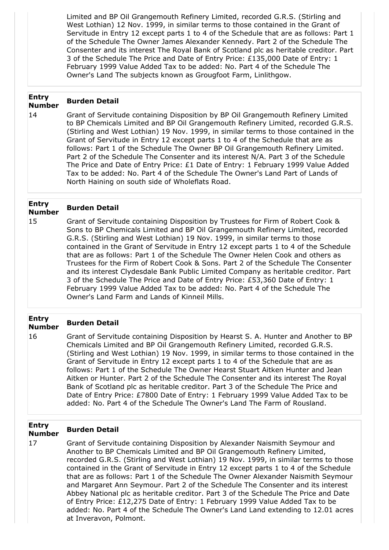Limited and BP Oil Grangemouth Refinery Limited, recorded G.R.S. (Stirling and West Lothian) 12 Nov. 1999, in similar terms to those contained in the Grant of Servitude in Entry 12 except parts 1 to 4 of the Schedule that are as follows: Part 1 of the Schedule The Owner James Alexander Kennedy. Part 2 of the Schedule The Consenter and its interest The Royal Bank of Scotland plc as heritable creditor. Part 3 of the Schedule The Price and Date of Entry Price: £135,000 Date of Entry: 1 February 1999 Value Added Tax to be added: No. Part 4 of the Schedule The Owner's Land The subjects known as Grougfoot Farm, Linlithgow.

#### **Entry Number Burden Detail**

14 Grant of Servitude containing Disposition by BP Oil Grangemouth Refinery Limited to BP Chemicals Limited and BP Oil Grangemouth Refinery Limited, recorded G.R.S. (Stirling and West Lothian) 19 Nov. 1999, in similar terms to those contained in the Grant of Servitude in Entry 12 except parts 1 to 4 of the Schedule that are as follows: Part 1 of the Schedule The Owner BP Oil Grangemouth Refinery Limited. Part 2 of the Schedule The Consenter and its interest N/A. Part 3 of the Schedule The Price and Date of Entry Price: £1 Date of Entry: 1 February 1999 Value Added Tax to be added: No. Part 4 of the Schedule The Owner's Land Part of Lands of North Haining on south side of Wholeflats Road.

### **Entry Number Burden Detail**

15 Grant of Servitude containing Disposition by Trustees for Firm of Robert Cook & Sons to BP Chemicals Limited and BP Oil Grangemouth Refinery Limited, recorded G.R.S. (Stirling and West Lothian) 19 Nov. 1999, in similar terms to those contained in the Grant of Servitude in Entry 12 except parts 1 to 4 of the Schedule that are as follows: Part 1 of the Schedule The Owner Helen Cook and others as Trustees for the Firm of Robert Cook & Sons. Part 2 of the Schedule The Consenter and its interest Clydesdale Bank Public Limited Company as heritable creditor. Part 3 of the Schedule The Price and Date of Entry Price: £53,360 Date of Entry: 1 February 1999 Value Added Tax to be added: No. Part 4 of the Schedule The Owner's Land Farm and Lands of Kinneil Mills.

### **Entry Number Burden Detail**

16 Grant of Servitude containing Disposition by Hearst S. A. Hunter and Another to BP Chemicals Limited and BP Oil Grangemouth Refinery Limited, recorded G.R.S. (Stirling and West Lothian) 19 Nov. 1999, in similar terms to those contained in the Grant of Servitude in Entry 12 except parts 1 to 4 of the Schedule that are as follows: Part 1 of the Schedule The Owner Hearst Stuart Aitken Hunter and Jean Aitken or Hunter. Part 2 of the Schedule The Consenter and its interest The Royal Bank of Scotland plc as heritable creditor. Part 3 of the Schedule The Price and Date of Entry Price: £7800 Date of Entry: 1 February 1999 Value Added Tax to be added: No. Part 4 of the Schedule The Owner's Land The Farm of Rousland.

#### **Entry Number Burden Detail**

17 Grant of Servitude containing Disposition by Alexander Naismith Seymour and Another to BP Chemicals Limited and BP Oil Grangemouth Refinery Limited, recorded G.R.S. (Stirling and West Lothian) 19 Nov. 1999, in similar terms to those contained in the Grant of Servitude in Entry 12 except parts 1 to 4 of the Schedule that are as follows: Part 1 of the Schedule The Owner Alexander Naismith Seymour and Margaret Ann Seymour. Part 2 of the Schedule The Consenter and its interest Abbey National plc as heritable creditor. Part 3 of the Schedule The Price and Date of Entry Price: £12,275 Date of Entry: 1 February 1999 Value Added Tax to be added: No. Part 4 of the Schedule The Owner's Land Land extending to 12.01 acres at Inveravon, Polmont.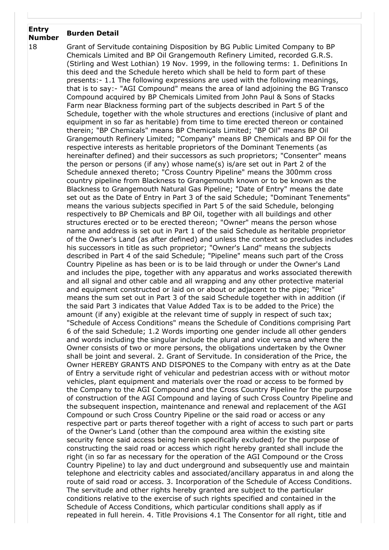### **Entry Number Burden Detail**

18 Grant of Servitude containing Disposition by BG Public Limited Company to BP Chemicals Limited and BP Oil Grangemouth Refinery Limited, recorded G.R.S. (Stirling and West Lothian) 19 Nov. 1999, in the following terms: 1. Definitions In this deed and the Schedule hereto which shall be held to form part of these presents:- 1.1 The following expressions are used with the following meanings, that is to say:- "AGI Compound" means the area of land adjoining the BG Transco Compound acquired by BP Chemicals Limited from John Paul & Sons of Stacks Farm near Blackness forming part of the subjects described in Part 5 of the Schedule, together with the whole structures and erections (inclusive of plant and equipment in so far as heritable) from time to time erected thereon or contained therein; "BP Chemicals" means BP Chemicals Limited; "BP Oil" means BP Oil Grangemouth Refinery Limited; "Company" means BP Chemicals and BP Oil for the respective interests as heritable proprietors of the Dominant Tenements (as hereinafter defined) and their successors as such proprietors; "Consenter" means the person or persons (if any) whose name(s) is/are set out in Part 2 of the Schedule annexed thereto; "Cross Country Pipeline" means the 300mm cross country pipeline from Blackness to Grangemouth known or to be known as the Blackness to Grangemouth Natural Gas Pipeline; "Date of Entry" means the date set out as the Date of Entry in Part 3 of the said Schedule; "Dominant Tenements" means the various subjects specified in Part 5 of the said Schedule, belonging respectively to BP Chemicals and BP Oil, together with all buildings and other structures erected or to be erected thereon; "Owner" means the person whose name and address is set out in Part 1 of the said Schedule as heritable proprietor of the Owner's Land (as after defined) and unless the context so precludes includes his successors in title as such proprietor; "Owner's Land" means the subjects described in Part 4 of the said Schedule; "Pipeline" means such part of the Cross Country Pipeline as has been or is to be laid through or under the Owner's Land and includes the pipe, together with any apparatus and works associated therewith and all signal and other cable and all wrapping and any other protective material and equipment constructed or laid on or about or adjacent to the pipe; "Price" means the sum set out in Part 3 of the said Schedule together with in addition (if the said Part 3 indicates that Value Added Tax is to be added to the Price) the amount (if any) exigible at the relevant time of supply in respect of such tax; "Schedule of Access Conditions" means the Schedule of Conditions comprising Part 6 of the said Schedule; 1.2 Words importing one gender include all other genders and words including the singular include the plural and vice versa and where the Owner consists of two or more persons, the obligations undertaken by the Owner shall be joint and several. 2. Grant of Servitude. In consideration of the Price, the Owner HEREBY GRANTS AND DISPONES to the Company with entry as at the Date of Entry a servitude right of vehicular and pedestrian access with or without motor vehicles, plant equipment and materials over the road or access to be formed by the Company to the AGI Compound and the Cross Country Pipeline for the purpose of construction of the AGI Compound and laying of such Cross Country Pipeline and the subsequent inspection, maintenance and renewal and replacement of the AGI Compound or such Cross Country Pipeline or the said road or access or any respective part or parts thereof together with a right of access to such part or parts of the Owner's Land (other than the compound area within the existing site security fence said access being herein specifically excluded) for the purpose of constructing the said road or access which right hereby granted shall include the right (in so far as necessary for the operation of the AGI Compound or the Cross Country Pipeline) to lay and duct underground and subsequently use and maintain telephone and electricity cables and associated/ancillary apparatus in and along the route of said road or access. 3. Incorporation of the Schedule of Access Conditions. The servitude and other rights hereby granted are subject to the particular conditions relative to the exercise of such rights specified and contained in the Schedule of Access Conditions, which particular conditions shall apply as if repeated in full herein. 4. Title Provisions 4.1 The Consentor for all right, title and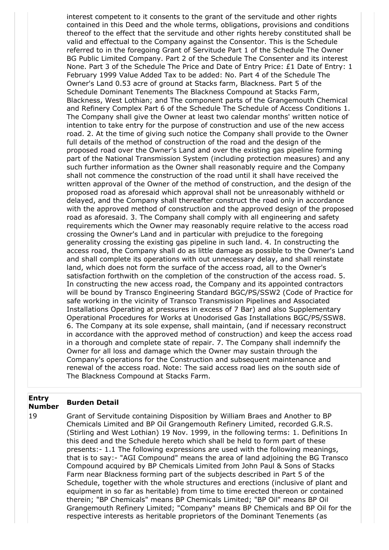interest competent to it consents to the grant of the servitude and other rights contained in this Deed and the whole terms, obligations, provisions and conditions thereof to the effect that the servitude and other rights hereby constituted shall be valid and effectual to the Company against the Consentor. This is the Schedule referred to in the foregoing Grant of Servitude Part 1 of the Schedule The Owner BG Public Limited Company. Part 2 of the Schedule The Consenter and its interest None. Part 3 of the Schedule The Price and Date of Entry Price: £1 Date of Entry: 1 February 1999 Value Added Tax to be added: No. Part 4 of the Schedule The Owner's Land 0.53 acre of ground at Stacks farm, Blackness. Part 5 of the Schedule Dominant Tenements The Blackness Compound at Stacks Farm, Blackness, West Lothian; and The component parts of the Grangemouth Chemical and Refinery Complex Part 6 of the Schedule The Schedule of Access Conditions 1. The Company shall give the Owner at least two calendar months' written notice of intention to take entry for the purpose of construction and use of the new access road. 2. At the time of giving such notice the Company shall provide to the Owner full details of the method of construction of the road and the design of the proposed road over the Owner's Land and over the existing gas pipeline forming part of the National Transmission System (including protection measures) and any such further information as the Owner shall reasonably require and the Company shall not commence the construction of the road until it shall have received the written approval of the Owner of the method of construction, and the design of the proposed road as aforesaid which approval shall not be unreasonably withheld or delayed, and the Company shall thereafter construct the road only in accordance with the approved method of construction and the approved design of the proposed road as aforesaid. 3. The Company shall comply with all engineering and safety requirements which the Owner may reasonably require relative to the access road crossing the Owner's Land and in particular with prejudice to the foregoing generality crossing the existing gas pipeline in such land. 4. In constructing the access road, the Company shall do as little damage as possible to the Owner's Land and shall complete its operations with out unnecessary delay, and shall reinstate land, which does not form the surface of the access road, all to the Owner's satisfaction forthwith on the completion of the construction of the access road. 5. In constructing the new access road, the Company and its appointed contractors will be bound by Transco Engineering Standard BGC/PS/SSW2 (Code of Practice for safe working in the vicinity of Transco Transmission Pipelines and Associated Installations Operating at pressures in excess of 7 Bar) and also Supplementary Operational Procedures for Works at Unodorised Gas Installations BGC/PS/SSW8. 6. The Company at its sole expense, shall maintain, (and if necessary reconstruct in accordance with the approved method of construction) and keep the access road in a thorough and complete state of repair. 7. The Company shall indemnify the Owner for all loss and damage which the Owner may sustain through the Company's operations for the Construction and subsequent maintenance and renewal of the access road. Note: The said access road lies on the south side of The Blackness Compound at Stacks Farm.

### **Entry Number Burden Detail**

19 Grant of Servitude containing Disposition by William Braes and Another to BP Chemicals Limited and BP Oil Grangemouth Refinery Limited, recorded G.R.S. (Stirling and West Lothian) 19 Nov. 1999, in the following terms: 1. Definitions In this deed and the Schedule hereto which shall be held to form part of these presents:- 1.1 The following expressions are used with the following meanings, that is to say:- "AGI Compound" means the area of land adjoining the BG Transco Compound acquired by BP Chemicals Limited from John Paul & Sons of Stacks Farm near Blackness forming part of the subjects described in Part 5 of the Schedule, together with the whole structures and erections (inclusive of plant and equipment in so far as heritable) from time to time erected thereon or contained therein; "BP Chemicals" means BP Chemicals Limited; "BP Oil" means BP Oil Grangemouth Refinery Limited; "Company" means BP Chemicals and BP Oil for the respective interests as heritable proprietors of the Dominant Tenements (as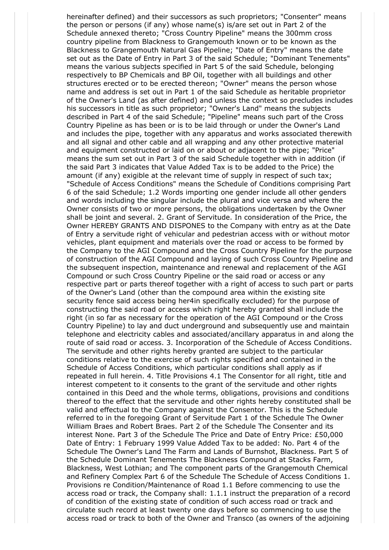hereinafter defined) and their successors as such proprietors; "Consenter" means the person or persons (if any) whose name(s) is/are set out in Part 2 of the Schedule annexed thereto; "Cross Country Pipeline" means the 300mm cross country pipeline from Blackness to Grangemouth known or to be known as the Blackness to Grangemouth Natural Gas Pipeline; "Date of Entry" means the date set out as the Date of Entry in Part 3 of the said Schedule; "Dominant Tenements" means the various subjects specified in Part 5 of the said Schedule, belonging respectively to BP Chemicals and BP Oil, together with all buildings and other structures erected or to be erected thereon; "Owner" means the person whose name and address is set out in Part 1 of the said Schedule as heritable proprietor of the Owner's Land (as after defined) and unless the context so precludes includes his successors in title as such proprietor; "Owner's Land" means the subjects described in Part 4 of the said Schedule; "Pipeline" means such part of the Cross Country Pipeline as has been or is to be laid through or under the Owner's Land and includes the pipe, together with any apparatus and works associated therewith and all signal and other cable and all wrapping and any other protective material and equipment constructed or laid on or about or adjacent to the pipe; "Price" means the sum set out in Part 3 of the said Schedule together with in addition (if the said Part 3 indicates that Value Added Tax is to be added to the Price) the amount (if any) exigible at the relevant time of supply in respect of such tax; "Schedule of Access Conditions" means the Schedule of Conditions comprising Part 6 of the said Schedule; 1.2 Words importing one gender include all other genders and words including the singular include the plural and vice versa and where the Owner consists of two or more persons, the obligations undertaken by the Owner shall be joint and several. 2. Grant of Servitude. In consideration of the Price, the Owner HEREBY GRANTS AND DISPONES to the Company with entry as at the Date of Entry a servitude right of vehicular and pedestrian access with or without motor vehicles, plant equipment and materials over the road or access to be formed by the Company to the AGI Compound and the Cross Country Pipeline for the purpose of construction of the AGI Compound and laying of such Cross Country Pipeline and the subsequent inspection, maintenance and renewal and replacement of the AGI Compound or such Cross Country Pipeline or the said road or access or any respective part or parts thereof together with a right of access to such part or parts of the Owner's Land (other than the compound area within the existing site security fence said access being her4in specifically excluded) for the purpose of constructing the said road or access which right hereby granted shall include the right (in so far as necessary for the operation of the AGI Compound or the Cross Country Pipeline) to lay and duct underground and subsequently use and maintain telephone and electricity cables and associated/ancillary apparatus in and along the route of said road or access. 3. Incorporation of the Schedule of Access Conditions. The servitude and other rights hereby granted are subject to the particular conditions relative to the exercise of such rights specified and contained in the Schedule of Access Conditions, which particular conditions shall apply as if repeated in full herein. 4. Title Provisions 4.1 The Consentor for all right, title and interest competent to it consents to the grant of the servitude and other rights contained in this Deed and the whole terms, obligations, provisions and conditions thereof to the effect that the servitude and other rights hereby constituted shall be valid and effectual to the Company against the Consentor. This is the Schedule referred to in the foregoing Grant of Servitude Part 1 of the Schedule The Owner William Braes and Robert Braes. Part 2 of the Schedule The Consenter and its interest None. Part 3 of the Schedule The Price and Date of Entry Price: £50,000 Date of Entry: 1 February 1999 Value Added Tax to be added: No. Part 4 of the Schedule The Owner's Land The Farm and Lands of Burnshot, Blackness. Part 5 of the Schedule Dominant Tenements The Blackness Compound at Stacks Farm, Blackness, West Lothian; and The component parts of the Grangemouth Chemical and Refinery Complex Part 6 of the Schedule The Schedule of Access Conditions 1. Provisions re Condition/Maintenance of Road 1.1 Before commencing to use the access road or track, the Company shall: 1.1.1 instruct the preparation of a record of condition of the existing state of condition of such access road or track and circulate such record at least twenty one days before so commencing to use the access road or track to both of the Owner and Transco (as owners of the adjoining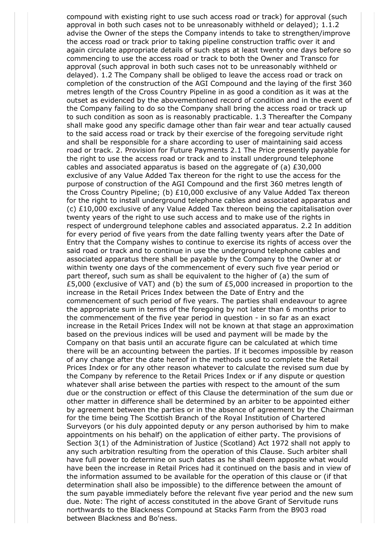compound with existing right to use such access road or track) for approval (such approval in both such cases not to be unreasonably withheld or delayed); 1.1.2 advise the Owner of the steps the Company intends to take to strengthen/improve the access road or track prior to taking pipeline construction traffic over it and again circulate appropriate details of such steps at least twenty one days before so commencing to use the access road or track to both the Owner and Transco for approval (such approval in both such cases not to be unreasonably withheld or delayed). 1.2 The Company shall be obliged to leave the access road or track on completion of the construction of the AGI Compound and the laying of the first 360 metres length of the Cross Country Pipeline in as good a condition as it was at the outset as evidenced by the abovementioned record of condition and in the event of the Company failing to do so the Company shall bring the access road or track up to such condition as soon as is reasonably practicable. 1.3 Thereafter the Company shall make good any specific damage other than fair wear and tear actually caused to the said access road or track by their exercise of the foregoing servitude right and shall be responsible for a share according to user of maintaining said access road or track. 2. Provision for Future Payments 2.1 The Price presently payable for the right to use the access road or track and to install underground telephone cables and associated apparatus is based on the aggregate of (a)  $£30,000$ exclusive of any Value Added Tax thereon for the right to use the access for the purpose of construction of the AGI Compound and the first 360 metres length of the Cross Country Pipeline; (b)  $£10,000$  exclusive of any Value Added Tax thereon for the right to install underground telephone cables and associated apparatus and (c) £10,000 exclusive of any Value Added Tax thereon being the capitalisation over twenty years of the right to use such access and to make use of the rights in respect of underground telephone cables and associated apparatus. 2.2 In addition for every period of five years from the date falling twenty years after the Date of Entry that the Company wishes to continue to exercise its rights of access over the said road or track and to continue in use the underground telephone cables and associated apparatus there shall be payable by the Company to the Owner at or within twenty one days of the commencement of every such five year period or part thereof, such sum as shall be equivalent to the higher of (a) the sum of £5,000 (exclusive of VAT) and (b) the sum of £5,000 increased in proportion to the increase in the Retail Prices Index between the Date of Entry and the commencement of such period of five years. The parties shall endeavour to agree the appropriate sum in terms of the foregoing by not later than 6 months prior to the commencement of the five year period in question - in so far as an exact increase in the Retail Prices Index will not be known at that stage an approximation based on the previous indices will be used and payment will be made by the Company on that basis until an accurate figure can be calculated at which time there will be an accounting between the parties. If it becomes impossible by reason of any change after the date hereof in the methods used to complete the Retail Prices Index or for any other reason whatever to calculate the revised sum due by the Company by reference to the Retail Prices Index or if any dispute or question whatever shall arise between the parties with respect to the amount of the sum due or the construction or effect of this Clause the determination of the sum due or other matter in difference shall be determined by an arbiter to be appointed either by agreement between the parties or in the absence of agreement by the Chairman for the time being The Scottish Branch of the Royal Institution of Chartered Surveyors (or his duly appointed deputy or any person authorised by him to make appointments on his behalf) on the application of either party. The provisions of Section 3(1) of the Administration of Justice (Scotland) Act 1972 shall not apply to any such arbitration resulting from the operation of this Clause. Such arbiter shall have full power to determine on such dates as he shall deem apposite what would have been the increase in Retail Prices had it continued on the basis and in view of the information assumed to be available for the operation of this clause or (if that determination shall also be impossible) to the difference between the amount of the sum payable immediately before the relevant five year period and the new sum due. Note: The right of access constituted in the above Grant of Servitude runs northwards to the Blackness Compound at Stacks Farm from the B903 road between Blackness and Bo'ness.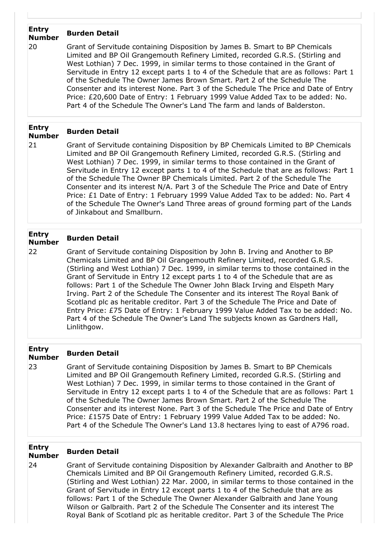### **Entry Number Burden Detail**

20 Grant of Servitude containing Disposition by James B. Smart to BP Chemicals Limited and BP Oil Grangemouth Refinery Limited, recorded G.R.S. (Stirling and West Lothian) 7 Dec. 1999, in similar terms to those contained in the Grant of Servitude in Entry 12 except parts 1 to 4 of the Schedule that are as follows: Part 1 of the Schedule The Owner James Brown Smart. Part 2 of the Schedule The Consenter and its interest None. Part 3 of the Schedule The Price and Date of Entry Price: £20,600 Date of Entry: 1 February 1999 Value Added Tax to be added: No. Part 4 of the Schedule The Owner's Land The farm and lands of Balderston.

### **Entry Number Burden Detail**

21 Grant of Servitude containing Disposition by BP Chemicals Limited to BP Chemicals Limited and BP Oil Grangemouth Refinery Limited, recorded G.R.S. (Stirling and West Lothian) 7 Dec. 1999, in similar terms to those contained in the Grant of Servitude in Entry 12 except parts 1 to 4 of the Schedule that are as follows: Part 1 of the Schedule The Owner BP Chemicals Limited. Part 2 of the Schedule The Consenter and its interest N/A. Part 3 of the Schedule The Price and Date of Entry Price: £1 Date of Entry: 1 February 1999 Value Added Tax to be added: No. Part 4 of the Schedule The Owner's Land Three areas of ground forming part of the Lands of Jinkabout and Smallburn.

#### **Entry Number Burden Detail**

22 Grant of Servitude containing Disposition by John B. Irving and Another to BP Chemicals Limited and BP Oil Grangemouth Refinery Limited, recorded G.R.S. (Stirling and West Lothian) 7 Dec. 1999, in similar terms to those contained in the Grant of Servitude in Entry 12 except parts 1 to 4 of the Schedule that are as follows: Part 1 of the Schedule The Owner John Black Irving and Elspeth Mary Irving. Part 2 of the Schedule The Consenter and its interest The Royal Bank of Scotland plc as heritable creditor. Part 3 of the Schedule The Price and Date of Entry Price: £75 Date of Entry: 1 February 1999 Value Added Tax to be added: No. Part 4 of the Schedule The Owner's Land The subjects known as Gardners Hall, Linlithgow.

#### **Entry Number Burden Detail**

23 Grant of Servitude containing Disposition by James B. Smart to BP Chemicals Limited and BP Oil Grangemouth Refinery Limited, recorded G.R.S. (Stirling and West Lothian) 7 Dec. 1999, in similar terms to those contained in the Grant of Servitude in Entry 12 except parts 1 to 4 of the Schedule that are as follows: Part 1 of the Schedule The Owner James Brown Smart. Part 2 of the Schedule The Consenter and its interest None. Part 3 of the Schedule The Price and Date of Entry Price: £1575 Date of Entry: 1 February 1999 Value Added Tax to be added: No. Part 4 of the Schedule The Owner's Land 13.8 hectares lying to east of A796 road.

### **Entry Number Burden Detail**

# 24 Grant of Servitude containing Disposition by Alexander Galbraith and Another to BP Chemicals Limited and BP Oil Grangemouth Refinery Limited, recorded G.R.S. (Stirling and West Lothian) 22 Mar. 2000, in similar terms to those contained in the

Grant of Servitude in Entry 12 except parts 1 to 4 of the Schedule that are as follows: Part 1 of the Schedule The Owner Alexander Galbraith and Jane Young Wilson or Galbraith. Part 2 of the Schedule The Consenter and its interest The Royal Bank of Scotland plc as heritable creditor. Part 3 of the Schedule The Price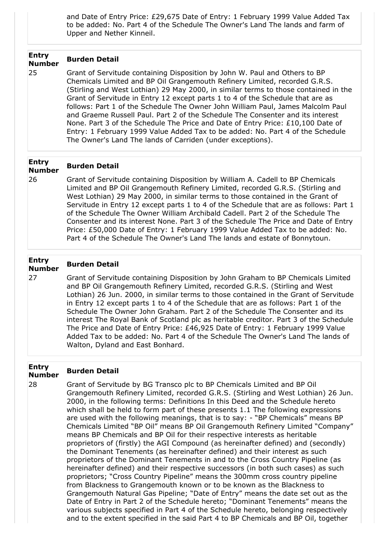and Date of Entry Price: £29,675 Date of Entry: 1 February 1999 Value Added Tax to be added: No. Part 4 of the Schedule The Owner's Land The lands and farm of Upper and Nether Kinneil.

# **Entry Number Burden Detail**

25 Grant of Servitude containing Disposition by John W. Paul and Others to BP Chemicals Limited and BP Oil Grangemouth Refinery Limited, recorded G.R.S. (Stirling and West Lothian) 29 May 2000, in similar terms to those contained in the Grant of Servitude in Entry 12 except parts 1 to 4 of the Schedule that are as follows: Part 1 of the Schedule The Owner John William Paul, James Malcolm Paul and Graeme Russell Paul. Part 2 of the Schedule The Consenter and its interest None. Part 3 of the Schedule The Price and Date of Entry Price: £10,100 Date of Entry: 1 February 1999 Value Added Tax to be added: No. Part 4 of the Schedule The Owner's Land The lands of Carriden (under exceptions).

#### **Entry Number Burden Detail**

26 Grant of Servitude containing Disposition by William A. Cadell to BP Chemicals Limited and BP Oil Grangemouth Refinery Limited, recorded G.R.S. (Stirling and West Lothian) 29 May 2000, in similar terms to those contained in the Grant of Servitude in Entry 12 except parts 1 to 4 of the Schedule that are as follows: Part 1 of the Schedule The Owner William Archibald Cadell. Part 2 of the Schedule The Consenter and its interest None. Part 3 of the Schedule The Price and Date of Entry Price: £50,000 Date of Entry: 1 February 1999 Value Added Tax to be added: No. Part 4 of the Schedule The Owner's Land The lands and estate of Bonnytoun.

# **Entry Number Burden Detail**

27 Grant of Servitude containing Disposition by John Graham to BP Chemicals Limited and BP Oil Grangemouth Refinery Limited, recorded G.R.S. (Stirling and West Lothian) 26 Jun. 2000, in similar terms to those contained in the Grant of Servitude in Entry 12 except parts 1 to 4 of the Schedule that are as follows: Part 1 of the Schedule The Owner John Graham. Part 2 of the Schedule The Consenter and its interest The Royal Bank of Scotland plc as heritable creditor. Part 3 of the Schedule The Price and Date of Entry Price: £46,925 Date of Entry: 1 February 1999 Value Added Tax to be added: No. Part 4 of the Schedule The Owner's Land The lands of Walton, Dyland and East Bonhard.

# **Entry Number Burden Detail**

28 Grant of Servitude by BG Transco plc to BP Chemicals Limited and BP Oil Grangemouth Refinery Limited, recorded G.R.S. (Stirling and West Lothian) 26 Jun. 2000, in the following terms: Definitions In this Deed and the Schedule hereto which shall be held to form part of these presents 1.1 The following expressions are used with the following meanings, that is to say: - "BP Chemicals" means BP Chemicals Limited "BP Oil" means BP Oil Grangemouth Refinery Limited "Company" means BP Chemicals and BP Oil for their respective interests as heritable proprietors of (firstly) the AGI Compound (as hereinafter defined) and (secondly) the Dominant Tenements (as hereinafter defined) and their interest as such proprietors of the Dominant Tenements in and to the Cross Country Pipeline (as hereinafter defined) and their respective successors (in both such cases) as such proprietors; "Cross Country Pipeline" means the 300mm cross country pipeline from Blackness to Grangemouth known or to be known as the Blackness to Grangemouth Natural Gas Pipeline; "Date of Entry" means the date set out as the Date of Entry in Part 2 of the Schedule hereto; "Dominant Tenements" means the various subjects specified in Part 4 of the Schedule hereto, belonging respectively and to the extent specified in the said Part 4 to BP Chemicals and BP Oil, together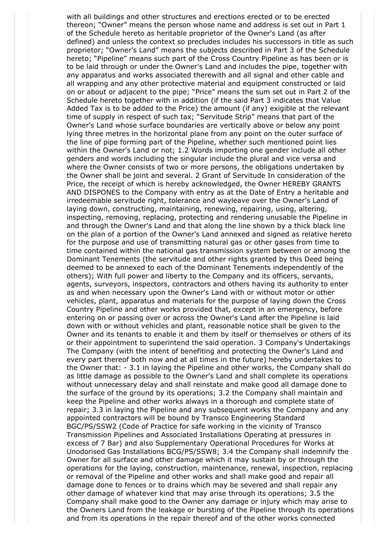with all buildings and other structures and erections erected or to be erected thereon; "Owner" means the person whose name and address is set out in Part 1 of the Schedule hereto as heritable proprietor of the Owner's Land (as after defined) and unless the context so precludes includes his successors in title as such proprietor; "Owner's Land" means the subjects described in Part 3 of the Schedule hereto; "Pipeline" means such part of the Cross Country Pipeline as has been or is to be laid through or under the Owner's Land and includes the pipe, together with any apparatus and works associated therewith and all signal and other cable and all wrapping and any other protective material and equipment constructed or laid on or about or adjacent to the pipe; "Price" means the sum set out in Part 2 of the Schedule hereto together with in addition (if the said Part 3 indicates that Value Added Tax is to be added to the Price) the amount (if any) exigible at the relevant time of supply in respect of such tax; "Servitude Strip" means that part of the Owner's Land whose surface boundaries are vertically above or below any point lying three metres in the horizontal plane from any point on the outer surface of the line of pipe forming part of the Pipeline, whether such mentioned point lies within the Owner's Land or not; 1.2 Words importing one gender include all other genders and words including the singular include the plural and vice versa and where the Owner consists of two or more persons, the obligations undertaken by the Owner shall be joint and several. 2 Grant of Servitude In consideration of the Price, the receipt of which is hereby acknowledged, the Owner HEREBY GRANTS AND DISPONES to the Company with entry as at the Date of Entry a heritable and irredeemable servitude right, tolerance and wayleave over the Owner's Land of laying down, constructing, maintaining, renewing, repairing, using, altering, inspecting, removing, replacing, protecting and rendering unusable the Pipeline in and through the Owner's Land and that along the line shown by a thick black line on the plan of a portion of the Owner's Land annexed and signed as relative hereto for the purpose and use of transmitting natural gas or other gases from time to time contained within the national gas transmission system between or among the Dominant Tenements (the servitude and other rights granted by this Deed being deemed to be annexed to each of the Dominant Tenements independently of the others); With full power and liberty to the Company and its officers, servants, agents, surveyors, inspectors, contractors and others having its authority to enter as and when necessary upon the Owner's Land with or without motor or other vehicles, plant, apparatus and materials for the purpose of laying down the Cross Country Pipeline and other works provided that, except in an emergency, before entering on or passing over or across the Owner's Land after the Pipeline is laid down with or without vehicles and plant, reasonable notice shall be given to the Owner and its tenants to enable it and them by itself or themselves or others of its or their appointment to superintend the said operation. 3 Company's Undertakings The Company (with the intent of benefiting and protecting the Owner's Land and every part thereof both now and at all times in the future) hereby undertakes to the Owner that: - 3.1 in laying the Pipeline and other works, the Company shall do as little damage as possible to the Owner's Land and shall complete its operations without unnecessary delay and shall reinstate and make good all damage done to the surface of the ground by its operations; 3.2 the Company shall maintain and keep the Pipeline and other works always in a thorough and complete state of repair; 3.3 in laying the Pipeline and any subsequent works the Company and any appointed contractors will be bound by Transco Engineering Standard BGC/PS/SSW2 (Code of Practice for safe working in the vicinity of Transco Transmission Pipelines and Associated Installations Operating at pressures in excess of 7 Bar) and also Supplementary Operational Procedures for Works at Unodorised Gas Installations BCG/PS/SSW8; 3.4 the Company shall indemnify the Owner for all surface and other damage which it may sustain by or through the operations for the laying, construction, maintenance, renewal, inspection, replacing or removal of the Pipeline and other works and shall make good and repair all damage done to fences or to drains which may be severed and shall repair any other damage of whatever kind that may arise through its operations; 3.5 the Company shall make good to the Owner any damage or injury which may arise to the Owners Land from the leakage or bursting of the Pipeline through its operations and from its operations in the repair thereof and of the other works connected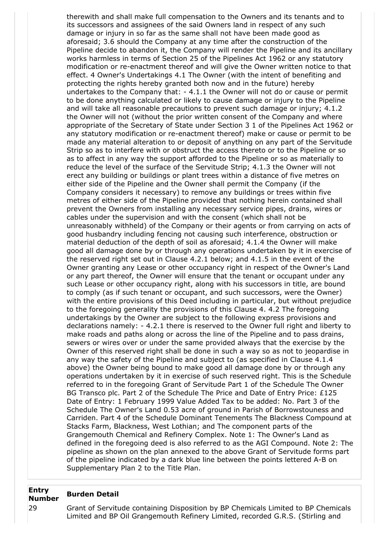therewith and shall make full compensation to the Owners and its tenants and to its successors and assignees of the said Owners land in respect of any such damage or injury in so far as the same shall not have been made good as aforesaid; 3.6 should the Company at any time after the construction of the Pipeline decide to abandon it, the Company will render the Pipeline and its ancillary works harmless in terms of Section 25 of the Pipelines Act 1962 or any statutory modification or re-enactment thereof and will give the Owner written notice to that effect. 4 Owner's Undertakings 4.1 The Owner (with the intent of benefiting and protecting the rights hereby granted both now and in the future) hereby undertakes to the Company that: - 4.1.1 the Owner will not do or cause or permit to be done anything calculated or likely to cause damage or injury to the Pipeline and will take all reasonable precautions to prevent such damage or injury; 4.1.2 the Owner will not (without the prior written consent of the Company and where appropriate of the Secretary of State under Section 3 1 of the Pipelines Act 1962 or any statutory modification or re-enactment thereof) make or cause or permit to be made any material alteration to or deposit of anything on any part of the Servitude Strip so as to interfere with or obstruct the access thereto or to the Pipeline or so as to affect in any way the support afforded to the Pipeline or so as materially to reduce the level of the surface of the Servitude Strip; 4.1.3 the Owner will not erect any building or buildings or plant trees within a distance of five metres on either side of the Pipeline and the Owner shall permit the Company (if the Company considers it necessary) to remove any buildings or trees within five metres of either side of the Pipeline provided that nothing herein contained shall prevent the Owners from installing any necessary service pipes, drains, wires or cables under the supervision and with the consent (which shall not be unreasonably withheld) of the Company or their agents or from carrying on acts of good husbandry including fencing not causing such interference, obstruction or material deduction of the depth of soil as aforesaid; 4.1.4 the Owner will make good all damage done by or through any operations undertaken by it in exercise of the reserved right set out in Clause 4.2.1 below; and 4.1.5 in the event of the Owner granting any Lease or other occupancy right in respect of the Owner's Land or any part thereof, the Owner will ensure that the tenant or occupant under any such Lease or other occupancy right, along with his successors in title, are bound to comply (as if such tenant or occupant, and such successors, were the Owner) with the entire provisions of this Deed including in particular, but without prejudice to the foregoing generality the provisions of this Clause 4. 4.2 The foregoing undertakings by the Owner are subject to the following express provisions and declarations namely: - 4.2.1 there is reserved to the Owner full right and liberty to make roads and paths along or across the line of the Pipeline and to pass drains, sewers or wires over or under the same provided always that the exercise by the Owner of this reserved right shall be done in such a way so as not to jeopardise in any way the safety of the Pipeline and subject to (as specified in Clause 4.1.4 above) the Owner being bound to make good all damage done by or through any operations undertaken by it in exercise of such reserved right. This is the Schedule referred to in the foregoing Grant of Servitude Part 1 of the Schedule The Owner BG Transco plc. Part 2 of the Schedule The Price and Date of Entry Price: £125 Date of Entry: 1 February 1999 Value Added Tax to be added: No. Part 3 of the Schedule The Owner's Land 0.53 acre of ground in Parish of Borrowstouness and Carriden. Part 4 of the Schedule Dominant Tenements The Blackness Compound at Stacks Farm, Blackness, West Lothian; and The component parts of the Grangemouth Chemical and Refinery Complex. Note 1: The Owner's Land as defined in the foregoing deed is also referred to as the AGI Compound. Note 2: The pipeline as shown on the plan annexed to the above Grant of Servitude forms part of the pipeline indicated by a dark blue line between the points lettered A-B on Supplementary Plan 2 to the Title Plan.

#### **Entry Number Burden Detail**

29 Grant of Servitude containing Disposition by BP Chemicals Limited to BP Chemicals Limited and BP Oil Grangemouth Refinery Limited, recorded G.R.S. (Stirling and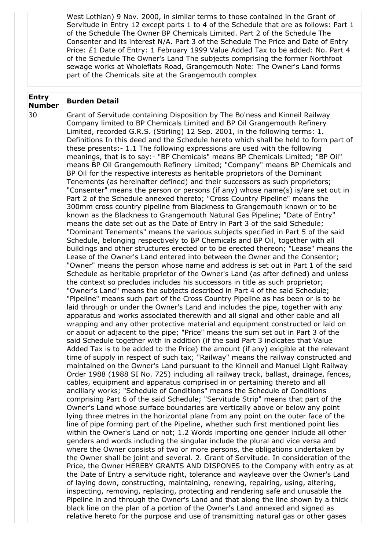West Lothian) 9 Nov. 2000, in similar terms to those contained in the Grant of Servitude in Entry 12 except parts 1 to 4 of the Schedule that are as follows: Part 1 of the Schedule The Owner BP Chemicals Limited. Part 2 of the Schedule The Consenter and its interest N/A. Part 3 of the Schedule The Price and Date of Entry Price: £1 Date of Entry: 1 February 1999 Value Added Tax to be added: No. Part 4 of the Schedule The Owner's Land The subjects comprising the former Northfoot sewage works at Wholeflats Road, Grangemouth Note: The Owner's Land forms part of the Chemicals site at the Grangemouth complex

### **Entry Number Burden Detail**

30 Grant of Servitude containing Disposition by The Bo'ness and Kinneil Railway Company limited to BP Chemicals Limited and BP Oil Grangemouth Refinery Limited, recorded G.R.S. (Stirling) 12 Sep. 2001, in the following terms: 1. Definitions In this deed and the Schedule hereto which shall be held to form part of these presents:- 1.1 The following expressions are used with the following meanings, that is to say:- "BP Chemicals" means BP Chemicals Limited; "BP Oil" means BP Oil Grangemouth Refinery Limited; "Company" means BP Chemicals and BP Oil for the respective interests as heritable proprietors of the Dominant Tenements (as hereinafter defined) and their successors as such proprietors; "Consenter" means the person or persons (if any) whose name(s) is/are set out in Part 2 of the Schedule annexed thereto; "Cross Country Pipeline" means the 300mm cross country pipeline from Blackness to Grangemouth known or to be known as the Blackness to Grangemouth Natural Gas Pipeline; "Date of Entry" means the date set out as the Date of Entry in Part 3 of the said Schedule; "Dominant Tenements" means the various subjects specified in Part 5 of the said Schedule, belonging respectively to BP Chemicals and BP Oil, together with all buildings and other structures erected or to be erected thereon; "Lease" means the Lease of the Owner's Land entered into between the Owner and the Consentor; "Owner" means the person whose name and address is set out in Part 1 of the said Schedule as heritable proprietor of the Owner's Land (as after defined) and unless the context so precludes includes his successors in title as such proprietor; "Owner's Land" means the subjects described in Part 4 of the said Schedule; "Pipeline" means such part of the Cross Country Pipeline as has been or is to be laid through or under the Owner's Land and includes the pipe, together with any apparatus and works associated therewith and all signal and other cable and all wrapping and any other protective material and equipment constructed or laid on or about or adjacent to the pipe; "Price" means the sum set out in Part 3 of the said Schedule together with in addition (if the said Part 3 indicates that Value Added Tax is to be added to the Price) the amount (if any) exigible at the relevant time of supply in respect of such tax; "Railway" means the railway constructed and maintained on the Owner's Land pursuant to the Kinneil and Manuel Light Railway Order 1988 (1988 SI No. 725) including all railway track, ballast, drainage, fences, cables, equipment and apparatus comprised in or pertaining thereto and all ancillary works; "Schedule of Conditions" means the Schedule of Conditions comprising Part 6 of the said Schedule; "Servitude Strip" means that part of the Owner's Land whose surface boundaries are vertically above or below any point lying three metres in the horizontal plane from any point on the outer face of the line of pipe forming part of the Pipeline, whether such first mentioned point lies within the Owner's Land or not; 1.2 Words importing one gender include all other genders and words including the singular include the plural and vice versa and where the Owner consists of two or more persons, the obligations undertaken by the Owner shall be joint and several. 2. Grant of Servitude. In consideration of the Price, the Owner HEREBY GRANTS AND DISPONES to the Company with entry as at the Date of Entry a servitude right, tolerance and wayleave over the Owner's Land of laying down, constructing, maintaining, renewing, repairing, using, altering, inspecting, removing, replacing, protecting and rendering safe and unusable the Pipeline in and through the Owner's Land and that along the line shown by a thick black line on the plan of a portion of the Owner's Land annexed and signed as relative hereto for the purpose and use of transmitting natural gas or other gases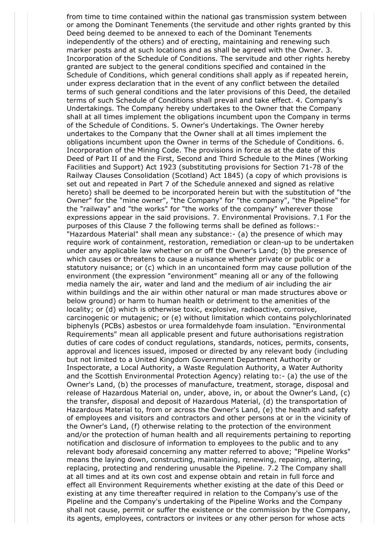from time to time contained within the national gas transmission system between or among the Dominant Tenements (the servitude and other rights granted by this Deed being deemed to be annexed to each of the Dominant Tenements independently of the others) and of erecting, maintaining and renewing such marker posts and at such locations and as shall be agreed with the Owner. 3. Incorporation of the Schedule of Conditions. The servitude and other rights hereby granted are subject to the general conditions specified and contained in the Schedule of Conditions, which general conditions shall apply as if repeated herein, under express declaration that in the event of any conflict between the detailed terms of such general conditions and the later provisions of this Deed, the detailed terms of such Schedule of Conditions shall prevail and take effect. 4. Company's Undertakings. The Company hereby undertakes to the Owner that the Company shall at all times implement the obligations incumbent upon the Company in terms of the Schedule of Conditions. 5. Owner's Undertakings. The Owner hereby undertakes to the Company that the Owner shall at all times implement the obligations incumbent upon the Owner in terms of the Schedule of Conditions. 6. Incorporation of the Mining Code. The provisions in force as at the date of this Deed of Part II of and the First, Second and Third Schedule to the Mines (Working Facilities and Support) Act 1923 (substituting provisions for Section 71-78 of the Railway Clauses Consolidation (Scotland) Act 1845) (a copy of which provisions is set out and repeated in Part 7 of the Schedule annexed and signed as relative hereto) shall be deemed to be incorporated herein but with the substitution of "the Owner" for the "mine owner", "the Company" for "the company", "the Pipeline" for the "railway" and "the works" for "the works of the company" wherever those expressions appear in the said provisions. 7. Environmental Provisions. 7.1 For the purposes of this Clause 7 the following terms shall be defined as follows:- "Hazardous Material" shall mean any substance:- (a) the presence of which may require work of containment, restoration, remediation or clean-up to be undertaken under any applicable law whether on or off the Owner's Land; (b) the presence of which causes or threatens to cause a nuisance whether private or public or a statutory nuisance; or (c) which in an uncontained form may cause pollution of the environment (the expression "environment" meaning all or any of the following media namely the air, water and land and the medium of air including the air within buildings and the air within other natural or man made structures above or below ground) or harm to human health or detriment to the amenities of the locality; or (d) which is otherwise toxic, explosive, radioactive, corrosive, carcinogenic or mutagenic; or (e) without limitation which contains polychlorinated biphenyls (PCBs) asbestos or urea formaldehyde foam insulation. "Environmental Requirements" mean all applicable present and future authorisations registration duties of care codes of conduct regulations, standards, notices, permits, consents, approval and licences issued, imposed or directed by any relevant body (including but not limited to a United Kingdom Government Department Authority or Inspectorate, a Local Authority, a Waste Regulation Authority, a Water Authority and the Scottish Environmental Protection Agency) relating to:- (a) the use of the Owner's Land, (b) the processes of manufacture, treatment, storage, disposal and release of Hazardous Material on, under, above, in, or about the Owner's Land, (c) the transfer, disposal and deposit of Hazardous Material, (d) the transportation of Hazardous Material to, from or across the Owner's Land, (e) the health and safety of employees and visitors and contractors and other persons at or in the vicinity of the Owner's Land, (f) otherwise relating to the protection of the environment and/or the protection of human health and all requirements pertaining to reporting notification and disclosure of information to employees to the public and to any relevant body aforesaid concerning any matter referred to above; "Pipeline Works" means the laying down, constructing, maintaining, renewing, repairing, altering, replacing, protecting and rendering unusable the Pipeline. 7.2 The Company shall at all times and at its own cost and expense obtain and retain in full force and effect all Environment Requirements whether existing at the date of this Deed or existing at any time thereafter required in relation to the Company's use of the Pipeline and the Company's undertaking of the Pipeline Works and the Company shall not cause, permit or suffer the existence or the commission by the Company, its agents, employees, contractors or invitees or any other person for whose acts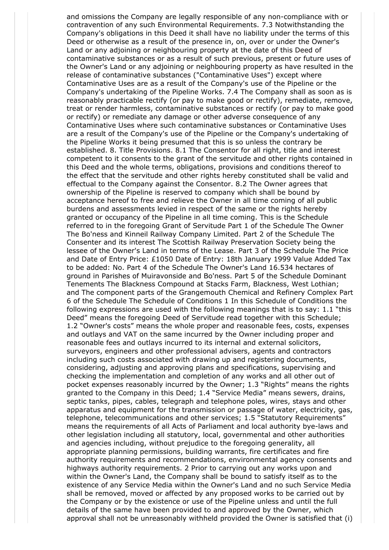and omissions the Company are legally responsible of any non-compliance with or contravention of any such Environmental Requirements. 7.3 Notwithstanding the Company's obligations in this Deed it shall have no liability under the terms of this Deed or otherwise as a result of the presence in, on, over or under the Owner's Land or any adjoining or neighbouring property at the date of this Deed of contaminative substances or as a result of such previous, present or future uses of the Owner's Land or any adjoining or neighbouring property as have resulted in the release of contaminative substances ("Contaminative Uses") except where Contaminative Uses are as a result of the Company's use of the Pipeline or the Company's undertaking of the Pipeline Works. 7.4 The Company shall as soon as is reasonably practicable rectify (or pay to make good or rectify), remediate, remove, treat or render harmless, contaminative substances or rectify (or pay to make good or rectify) or remediate any damage or other adverse consequence of any Contaminative Uses where such contaminative substances or Contaminative Uses are a result of the Company's use of the Pipeline or the Company's undertaking of the Pipeline Works it being presumed that this is so unless the contrary be established. 8. Title Provisions. 8.1 The Consentor for all right, title and interest competent to it consents to the grant of the servitude and other rights contained in this Deed and the whole terms, obligations, provisions and conditions thereof to the effect that the servitude and other rights hereby constituted shall be valid and effectual to the Company against the Consentor. 8.2 The Owner agrees that ownership of the Pipeline is reserved to company which shall be bound by acceptance hereof to free and relieve the Owner in all time coming of all public burdens and assessments levied in respect of the same or the rights hereby granted or occupancy of the Pipeline in all time coming. This is the Schedule referred to in the foregoing Grant of Servitude Part 1 of the Schedule The Owner The Bo'ness and Kinneil Railway Company Limited. Part 2 of the Schedule The Consenter and its interest The Scottish Railway Preservation Society being the lessee of the Owner's Land in terms of the Lease. Part 3 of the Schedule The Price and Date of Entry Price: £1050 Date of Entry: 18th January 1999 Value Added Tax to be added: No. Part 4 of the Schedule The Owner's Land 16.534 hectares of ground in Parishes of Muiravonside and Bo'ness. Part 5 of the Schedule Dominant Tenements The Blackness Compound at Stacks Farm, Blackness, West Lothian; and The component parts of the Grangemouth Chemical and Refinery Complex Part 6 of the Schedule The Schedule of Conditions 1 In this Schedule of Conditions the following expressions are used with the following meanings that is to say: 1.1 "this Deed" means the foregoing Deed of Servitude read together with this Schedule; 1.2 "Owner's costs" means the whole proper and reasonable fees, costs, expenses and outlays and VAT on the same incurred by the Owner including proper and reasonable fees and outlays incurred to its internal and external solicitors, surveyors, engineers and other professional advisers, agents and contractors including such costs associated with drawing up and registering documents, considering, adjusting and approving plans and specifications, supervising and checking the implementation and completion of any works and all other out of pocket expenses reasonably incurred by the Owner; 1.3 "Rights" means the rights granted to the Company in this Deed; 1.4 "Service Media" means sewers, drains, septic tanks, pipes, cables, telegraph and telephone poles, wires, stays and other apparatus and equipment for the transmission or passage of water, electricity, gas, telephone, telecommunications and other services; 1.5 "Statutory Requirements" means the requirements of all Acts of Parliament and local authority bye-laws and other legislation including all statutory, local, governmental and other authorities and agencies including, without prejudice to the foregoing generality, all appropriate planning permissions, building warrants, fire certificates and fire authority requirements and recommendations, environmental agency consents and highways authority requirements. 2 Prior to carrying out any works upon and within the Owner's Land, the Company shall be bound to satisfy itself as to the existence of any Service Media within the Owner's Land and no such Service Media shall be removed, moved or affected by any proposed works to be carried out by the Company or by the existence or use of the Pipeline unless and until the full details of the same have been provided to and approved by the Owner, which approval shall not be unreasonably withheld provided the Owner is satisfied that (i)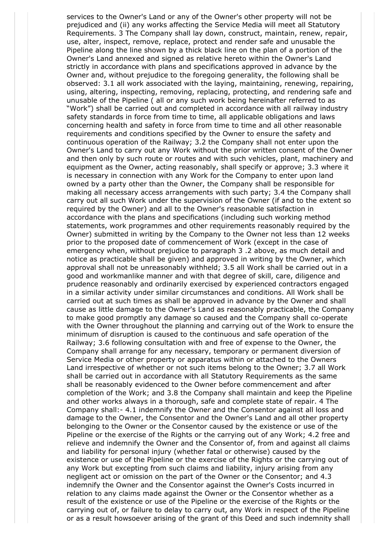services to the Owner's Land or any of the Owner's other property will not be prejudiced and (ii) any works affecting the Service Media will meet all Statutory Requirements. 3 The Company shall lay down, construct, maintain, renew, repair, use, alter, inspect, remove, replace, protect and render safe and unusable the Pipeline along the line shown by a thick black line on the plan of a portion of the Owner's Land annexed and signed as relative hereto within the Owner's Land strictly in accordance with plans and specifications approved in advance by the Owner and, without prejudice to the foregoing generality, the following shall be observed: 3.1 all work associated with the laying, maintaining, renewing, repairing, using, altering, inspecting, removing, replacing, protecting, and rendering safe and unusable of the Pipeline ( all or any such work being hereinafter referred to as "Work") shall be carried out and completed in accordance with all railway industry safety standards in force from time to time, all applicable obligations and laws concerning health and safety in force from time to time and all other reasonable requirements and conditions specified by the Owner to ensure the safety and continuous operation of the Railway; 3.2 the Company shall not enter upon the Owner's Land to carry out any Work without the prior written consent of the Owner and then only by such route or routes and with such vehicles, plant, machinery and equipment as the Owner, acting reasonably, shall specify or approve; 3.3 where it is necessary in connection with any Work for the Company to enter upon land owned by a party other than the Owner, the Company shall be responsible for making all necessary access arrangements with such party; 3.4 the Company shall carry out all such Work under the supervision of the Owner (if and to the extent so required by the Owner) and all to the Owner's reasonable satisfaction in accordance with the plans and specifications (including such working method statements, work programmes and other requirements reasonably required by the Owner) submitted in writing by the Company to the Owner not less than 12 weeks prior to the proposed date of commencement of Work (except in the case of emergency when, without prejudice to paragraph 3 .2 above, as much detail and notice as practicable shall be given) and approved in writing by the Owner, which approval shall not be unreasonably withheld; 3.5 all Work shall be carried out in a good and workmanlike manner and with that degree of skill, care, diligence and prudence reasonably and ordinarily exercised by experienced contractors engaged in a similar activity under similar circumstances and conditions. All Work shall be carried out at such times as shall be approved in advance by the Owner and shall cause as little damage to the Owner's Land as reasonably practicable, the Company to make good promptly any damage so caused and the Company shall co-operate with the Owner throughout the planning and carrying out of the Work to ensure the minimum of disruption is caused to the continuous and safe operation of the Railway; 3.6 following consultation with and free of expense to the Owner, the Company shall arrange for any necessary, temporary or permanent diversion of Service Media or other property or apparatus within or attached to the Owners Land irrespective of whether or not such items belong to the Owner; 3.7 all Work shall be carried out in accordance with all Statutory Requirements as the same shall be reasonably evidenced to the Owner before commencement and after completion of the Work; and 3.8 the Company shall maintain and keep the Pipeline and other works always in a thorough, safe and complete state of repair. 4 The Company shall:- 4.1 indemnify the Owner and the Consentor against all loss and damage to the Owner, the Consentor and the Owner's Land and all other property belonging to the Owner or the Consentor caused by the existence or use of the Pipeline or the exercise of the Rights or the carrying out of any Work; 4.2 free and relieve and indemnify the Owner and the Consentor of, from and against all claims and liability for personal injury (whether fatal or otherwise) caused by the existence or use of the Pipeline or the exercise of the Rights or the carrying out of any Work but excepting from such claims and liability, injury arising from any negligent act or omission on the part of the Owner or the Consentor; and 4.3 indemnify the Owner and the Consentor against the Owner's Costs incurred in relation to any claims made against the Owner or the Consentor whether as a result of the existence or use of the Pipeline or the exercise of the Rights or the carrying out of, or failure to delay to carry out, any Work in respect of the Pipeline or as a result howsoever arising of the grant of this Deed and such indemnity shall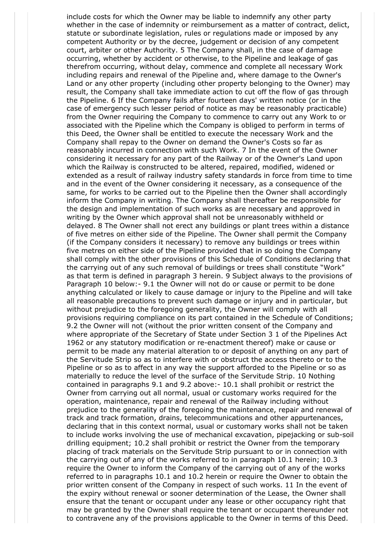include costs for which the Owner may be liable to indemnify any other party whether in the case of indemnity or reimbursement as a matter of contract, delict, statute or subordinate legislation, rules or regulations made or imposed by any competent Authority or by the decree, judgement or decision of any competent court, arbiter or other Authority. 5 The Company shall, in the case of damage occurring, whether by accident or otherwise, to the Pipeline and leakage of gas therefrom occurring, without delay, commence and complete all necessary Work including repairs and renewal of the Pipeline and, where damage to the Owner's Land or any other property (including other property belonging to the Owner) may result, the Company shall take immediate action to cut off the flow of gas through the Pipeline. 6 If the Company fails after fourteen days' written notice (or in the case of emergency such lesser period of notice as may be reasonably practicable) from the Owner requiring the Company to commence to carry out any Work to or associated with the Pipeline which the Company is obliged to perform in terms of this Deed, the Owner shall be entitled to execute the necessary Work and the Company shall repay to the Owner on demand the Owner's Costs so far as reasonably incurred in connection with such Work. 7 In the event of the Owner considering it necessary for any part of the Railway or of the Owner's Land upon which the Railway is constructed to be altered, repaired, modified, widened or extended as a result of railway industry safety standards in force from time to time and in the event of the Owner considering it necessary, as a consequence of the same, for works to be carried out to the Pipeline then the Owner shall accordingly inform the Company in writing. The Company shall thereafter be responsible for the design and implementation of such works as are necessary and approved in writing by the Owner which approval shall not be unreasonably withheld or delayed. 8 The Owner shall not erect any buildings or plant trees within a distance of five metres on either side of the Pipeline. The Owner shall permit the Company (if the Company considers it necessary) to remove any buildings or trees within five metres on either side of the Pipeline provided that in so doing the Company shall comply with the other provisions of this Schedule of Conditions declaring that the carrying out of any such removal of buildings or trees shall constitute "Work" as that term is defined in paragraph 3 herein. 9 Subject always to the provisions of Paragraph 10 below:- 9.1 the Owner will not do or cause or permit to be done anything calculated or likely to cause damage or injury to the Pipeline and will take all reasonable precautions to prevent such damage or injury and in particular, but without prejudice to the foregoing generality, the Owner will comply with all provisions requiring compliance on its part contained in the Schedule of Conditions; 9.2 the Owner will not (without the prior written consent of the Company and where appropriate of the Secretary of State under Section 3 1 of the Pipelines Act 1962 or any statutory modification or re-enactment thereof) make or cause or permit to be made any material alteration to or deposit of anything on any part of the Servitude Strip so as to interfere with or obstruct the access thereto or to the Pipeline or so as to affect in any way the support afforded to the Pipeline or so as materially to reduce the level of the surface of the Servitude Strip. 10 Nothing contained in paragraphs 9.1 and 9.2 above:- 10.1 shall prohibit or restrict the Owner from carrying out all normal, usual or customary works required for the operation, maintenance, repair and renewal of the Railway including without prejudice to the generality of the foregoing the maintenance, repair and renewal of track and track formation, drains, telecommunications and other appurtenances, declaring that in this context normal, usual or customary works shall not be taken to include works involving the use of mechanical excavation, pipejacking or sub-soil drilling equipment; 10.2 shall prohibit or restrict the Owner from the temporary placing of track materials on the Servitude Strip pursuant to or in connection with the carrying out of any of the works referred to in paragraph 10.1 herein; 10.3 require the Owner to inform the Company of the carrying out of any of the works referred to in paragraphs 10.1 and 10.2 herein or require the Owner to obtain the prior written consent of the Company in respect of such works. 11 In the event of the expiry without renewal or sooner determination of the Lease, the Owner shall ensure that the tenant or occupant under any lease or other occupancy right that may be granted by the Owner shall require the tenant or occupant thereunder not to contravene any of the provisions applicable to the Owner in terms of this Deed.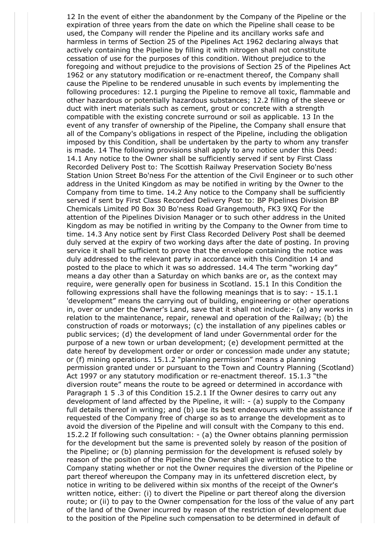12 In the event of either the abandonment by the Company of the Pipeline or the expiration of three years from the date on which the Pipeline shall cease to be used, the Company will render the Pipeline and its ancillary works safe and harmless in terms of Section 25 of the Pipelines Act 1962 declaring always that actively containing the Pipeline by filling it with nitrogen shall not constitute cessation of use for the purposes of this condition. Without prejudice to the foregoing and without prejudice to the provisions of Section 25 of the Pipelines Act 1962 or any statutory modification or re-enactment thereof, the Company shall cause the Pipeline to be rendered unusable in such events by implementing the following procedures: 12.1 purging the Pipeline to remove all toxic, flammable and other hazardous or potentially hazardous substances; 12.2 filling of the sleeve or duct with inert materials such as cement, grout or concrete with a strength compatible with the existing concrete surround or soil as applicable. 13 In the event of any transfer of ownership of the Pipeline, the Company shall ensure that all of the Company's obligations in respect of the Pipeline, including the obligation imposed by this Condition, shall be undertaken by the party to whom any transfer is made. 14 The following provisions shall apply to any notice under this Deed: 14.1 Any notice to the Owner shall be sufficiently served if sent by First Class Recorded Delivery Post to: The Scottish Railway Preservation Society Bo'ness Station Union Street Bo'ness For the attention of the Civil Engineer or to such other address in the United Kingdom as may be notified in writing by the Owner to the Company from time to time. 14.2 Any notice to the Company shall be sufficiently served if sent by First Class Recorded Delivery Post to: BP Pipelines Division BP Chemicals Limited P0 Box 30 Bo'ness Road Grangemouth, FK3 9XQ For the attention of the Pipelines Division Manager or to such other address in the United Kingdom as may be notified in writing by the Company to the Owner from time to time. 14.3 Any notice sent by First Class Recorded Delivery Post shall be deemed duly served at the expiry of two working days after the date of posting. In proving service it shall be sufficient to prove that the envelope containing the notice was duly addressed to the relevant party in accordance with this Condition 14 and posted to the place to which it was so addressed. 14.4 The term "working day" means a day other than a Saturday on which banks are or, as the context may require, were generally open for business in Scotland. 15.1 In this Condition the following expressions shall have the following meanings that is to say: - 15.1.1 'development" means the carrying out of building, engineering or other operations in, over or under the Owner's Land, save that it shall not include:- (a) any works in relation to the maintenance, repair, renewal and operation of the Railway; (b) the construction of roads or motorways; (c) the installation of any pipelines cables or public services; (d) the development of land under Governmental order for the purpose of a new town or urban development; (e) development permitted at the date hereof by development order or order or concession made under any statute; or (f) mining operations. 15.1.2 "planning permission" means a planning permission granted under or pursuant to the Town and Country Planning (Scotland) Act 1997 or any statutory modification or re-enactment thereof. 15.1.3 "the diversion route" means the route to be agreed or determined in accordance with Paragraph 1 5 .3 of this Condition 15.2.1 If the Owner desires to carry out any development of land affected by the Pipeline, it will: - (a) supply to the Company full details thereof in writing; and (b) use its best endeavours with the assistance if requested of the Company free of charge so as to arrange the development as to avoid the diversion of the Pipeline and will consult with the Company to this end. 15.2.2 If following such consultation: - (a) the Owner obtains planning permission for the development but the same is prevented solely by reason of the position of the Pipeline; or (b) planning permission for the development is refused solely by reason of the position of the Pipeline the Owner shall give written notice to the Company stating whether or not the Owner requires the diversion of the Pipeline or part thereof whereupon the Company may in its unfettered discretion elect, by notice in writing to be delivered within six months of the receipt of the Owner's written notice, either: (i) to divert the Pipeline or part thereof along the diversion route; or (ii) to pay to the Owner compensation for the loss of the value of any part of the land of the Owner incurred by reason of the restriction of development due to the position of the Pipeline such compensation to be determined in default of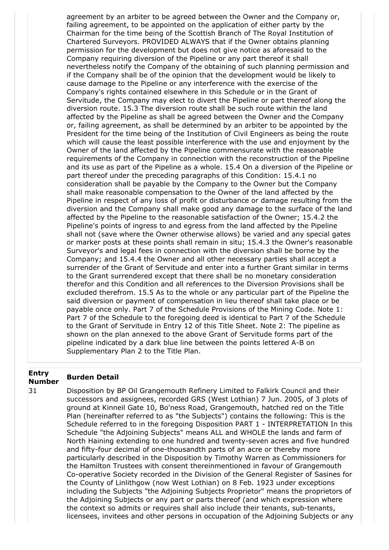agreement by an arbiter to be agreed between the Owner and the Company or, failing agreement, to be appointed on the application of either party by the Chairman for the time being of the Scottish Branch of The Royal Institution of Chartered Surveyors. PROVIDED ALWAYS that if the Owner obtains planning permission for the development but does not give notice as aforesaid to the Company requiring diversion of the Pipeline or any part thereof it shall nevertheless notify the Company of the obtaining of such planning permission and if the Company shall be of the opinion that the development would be likely to cause damage to the Pipeline or any interference with the exercise of the Company's rights contained elsewhere in this Schedule or in the Grant of Servitude, the Company may elect to divert the Pipeline or part thereof along the diversion route. 15.3 The diversion route shall be such route within the land affected by the Pipeline as shall be agreed between the Owner and the Company or, failing agreement, as shall be determined by an arbiter to be appointed by the President for the time being of the Institution of Civil Engineers as being the route which will cause the least possible interference with the use and enjoyment by the Owner of the land affected by the Pipeline commensurate with the reasonable requirements of the Company in connection with the reconstruction of the Pipeline and its use as part of the Pipeline as a whole. 15.4 On a diversion of the Pipeline or part thereof under the preceding paragraphs of this Condition: 15.4.1 no consideration shall be payable by the Company to the Owner but the Company shall make reasonable compensation to the Owner of the land affected by the Pipeline in respect of any loss of profit or disturbance or damage resulting from the diversion and the Company shall make good any damage to the surface of the land affected by the Pipeline to the reasonable satisfaction of the Owner; 15.4.2 the Pipeline's points of ingress to and egress from the land affected by the Pipeline shall not (save where the Owner otherwise allows) be varied and any special gates or marker posts at these points shall remain in situ; 15.4.3 the Owner's reasonable Surveyor's and legal fees in connection with the diversion shall be borne by the Company; and 15.4.4 the Owner and all other necessary parties shall accept a surrender of the Grant of Servitude and enter into a further Grant similar in terms to the Grant surrendered except that there shall be no monetary consideration therefor and this Condition and all references to the Diversion Provisions shall be excluded therefrom. 15.5 As to the whole or any particular part of the Pipeline the said diversion or payment of compensation in lieu thereof shall take place or be payable once only. Part 7 of the Schedule Provisions of the Mining Code. Note 1: Part 7 of the Schedule to the foregoing deed is identical to Part 7 of the Schedule to the Grant of Servitude in Entry 12 of this Title Sheet. Note 2: The pipeline as shown on the plan annexed to the above Grant of Servitude forms part of the pipeline indicated by a dark blue line between the points lettered A-B on Supplementary Plan 2 to the Title Plan.

# **Entry Number Burden Detail**

31 Disposition by BP Oil Grangemouth Refinery Limited to Falkirk Council and their successors and assignees, recorded GRS (West Lothian) 7 Jun. 2005, of 3 plots of ground at Kinneil Gate 10, Bo'ness Road, Grangemouth, hatched red on the Title Plan (hereinafter referred to as "the Subjects") contains the following: This is the Schedule referred to in the foregoing Disposition PART 1 - INTERPRETATION In this Schedule "the Adjoining Subjects" means ALL and WHOLE the lands and farm of North Haining extending to one hundred and twenty-seven acres and five hundred and fifty-four decimal of one-thousandth parts of an acre or thereby more particularly described in the Disposition by Timothy Warren as Commissioners for the Hamilton Trustees with consent thereinmentioned in favour of Grangemouth Co-operative Society recorded in the Division of the General Register of Sasines for the County of Linlithgow (now West Lothian) on 8 Feb. 1923 under exceptions including the Subjects "the Adjoining Subjects Proprietor" means the proprietors of the Adjoining Subjects or any part or parts thereof (and which expression where the context so admits or requires shall also include their tenants, sub-tenants, licensees, invitees and other persons in occupation of the Adjoining Subjects or any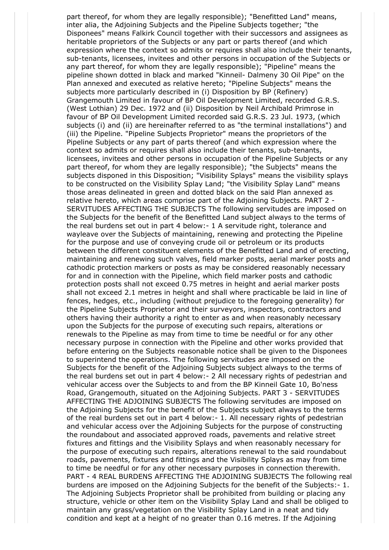part thereof, for whom they are legally responsible); "Benefitted Land" means, inter alia, the Adjoining Subjects and the Pipeline Subjects together; "the Disponees" means Falkirk Council together with their successors and assignees as heritable proprietors of the Subjects or any part or parts thereof (and which expression where the context so admits or requires shall also include their tenants, sub-tenants, licensees, invitees and other persons in occupation of the Subjects or any part thereof, for whom they are legally responsible); "Pipeline" means the pipeline shown dotted in black and marked "Kinneil- Dalmeny 30 Oil Pipe" on the Plan annexed and executed as relative hereto; "Pipeline Subjects" means the subjects more particularly described in (i) Disposition by BP (Refinery) Grangemouth Limited in favour of BP Oil Development Limited, recorded G.R.S. (West Lothian) 29 Dec. 1972 and (ii) Disposition by Neil Archibald Primrose in favour of BP Oil Development Limited recorded said G.R.S. 23 Jul. 1973, (which subjects (i) and (ii) are hereinafter referred to as "the terminal installations") and (iii) the Pipeline. "Pipeline Subjects Proprietor" means the proprietors of the Pipeline Subjects or any part of parts thereof (and which expression where the context so admits or requires shall also include their tenants, sub-tenants, licensees, invitees and other persons in occupation of the Pipeline Subjects or any part thereof, for whom they are legally responsible); "the Subjects" means the subjects disponed in this Disposition; "Visibility Splays" means the visibility splays to be constructed on the Visibility Splay Land; "the Visibility Splay Land" means those areas delineated in green and dotted black on the said Plan annexed as relative hereto, which areas comprise part of the Adjoining Subjects. PART 2 - SERVITUDES AFFECTING THE SUBJECTS The following servitudes are imposed on the Subjects for the benefit of the Benefitted Land subject always to the terms of the real burdens set out in part 4 below:- 1 A servitude right, tolerance and wayleave over the Subjects of maintaining, renewing and protecting the Pipeline for the purpose and use of conveying crude oil or petroleum or its products between the different constituent elements of the Benefitted Land and of erecting, maintaining and renewing such valves, field marker posts, aerial marker posts and cathodic protection markers or posts as may be considered reasonably necessary for and in connection with the Pipeline, which field marker posts and cathodic protection posts shall not exceed 0.75 metres in height and aerial marker posts shall not exceed 2.1 metres in height and shall where practicable be laid in line of fences, hedges, etc., including (without prejudice to the foregoing generality) for the Pipeline Subjects Proprietor and their surveyors, inspectors, contractors and others having their authority a right to enter as and when reasonably necessary upon the Subjects for the purpose of executing such repairs, alterations or renewals to the Pipeline as may from time to time be needful or for any other necessary purpose in connection with the Pipeline and other works provided that before entering on the Subjects reasonable notice shall be given to the Disponees to superintend the operations. The following servitudes are imposed on the Subjects for the benefit of the Adjoining Subjects subject always to the terms of the real burdens set out in part 4 below:- 2 All necessary rights of pedestrian and vehicular access over the Subjects to and from the BP Kinneil Gate 10, Bo'ness Road, Grangemouth, situated on the Adjoining Subjects. PART 3 - SERVITUDES AFFECTING THE ADJOINING SUBJECTS The following servitudes are imposed on the Adjoining Subjects for the benefit of the Subjects subject always to the terms of the real burdens set out in part 4 below:- 1. All necessary rights of pedestrian and vehicular access over the Adjoining Subjects for the purpose of constructing the roundabout and associated approved roads, pavements and relative street fixtures and fittings and the Visibility Splays and when reasonably necessary for the purpose of executing such repairs, alterations renewal to the said roundabout roads, pavements, fixtures and fittings and the Visibility Splays as may from time to time be needful or for any other necessary purposes in connection therewith. PART - 4 REAL BURDENS AFFECTING THE ADJOINING SUBJECTS The following real burdens are imposed on the Adjoining Subjects for the benefit of the Subjects:- 1. The Adjoining Subjects Proprietor shall be prohibited from building or placing any structure, vehicle or other item on the Visibility Splay Land and shall be obliged to maintain any grass/vegetation on the Visibility Splay Land in a neat and tidy condition and kept at a height of no greater than 0.16 metres. If the Adjoining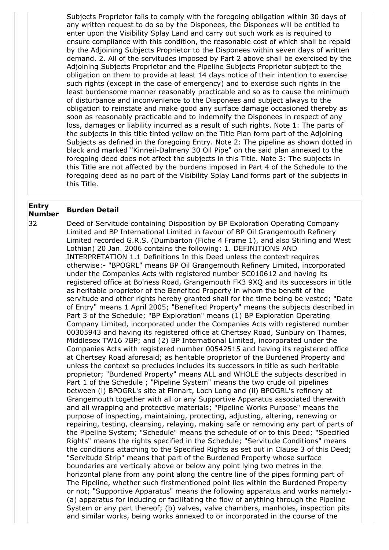Subjects Proprietor fails to comply with the foregoing obligation within 30 days of any written request to do so by the Disponees, the Disponees will be entitled to enter upon the Visibility Splay Land and carry out such work as is required to ensure compliance with this condition, the reasonable cost of which shall be repaid by the Adjoining Subjects Proprietor to the Disponees within seven days of written demand. 2. All of the servitudes imposed by Part 2 above shall be exercised by the Adjoining Subjects Proprietor and the Pipeline Subjects Proprietor subject to the obligation on them to provide at least 14 days notice of their intention to exercise such rights (except in the case of emergency) and to exercise such rights in the least burdensome manner reasonably practicable and so as to cause the minimum of disturbance and inconvenience to the Disponees and subject always to the obligation to reinstate and make good any surface damage occasioned thereby as soon as reasonably practicable and to indemnify the Disponees in respect of any loss, damages or liability incurred as a result of such rights. Note 1: The parts of the subjects in this title tinted yellow on the Title Plan form part of the Adjoining Subjects as defined in the foregoing Entry. Note 2: The pipeline as shown dotted in black and marked "Kinneil-Dalmeny 30 Oil Pipe" on the said plan annexed to the foregoing deed does not affect the subjects in this Title. Note 3: The subjects in this Title are not affected by the burdens imposed in Part 4 of the Schedule to the foregoing deed as no part of the Visibility Splay Land forms part of the subjects in this Title.

# **Entry Number Burden Detail**

32 Deed of Servitude containing Disposition by BP Exploration Operating Company Limited and BP International Limited in favour of BP Oil Grangemouth Refinery Limited recorded G.R.S. (Dumbarton (Fiche 4 Frame 1), and also Stirling and West Lothian) 20 Jan. 2006 contains the following: 1. DEFINITIONS AND INTERPRETATION 1.1 Definitions In this Deed unless the context requires otherwise:- "BPOGRL" means BP Oil Grangemouth Refinery Limited, incorporated under the Companies Acts with registered number SC010612 and having its registered office at Bo'ness Road, Grangemouth FK3 9XQ and its successors in title as heritable proprietor of the Benefited Property in whom the benefit of the servitude and other rights hereby granted shall for the time being be vested; "Date of Entry" means 1 April 2005; "Benefited Property" means the subjects described in Part 3 of the Schedule; "BP Exploration" means (1) BP Exploration Operating Company Limited, incorporated under the Companies Acts with registered number 00305943 and having its registered office at Chertsey Road, Sunbury on Thames, Middlesex TW16 7BP; and (2) BP International Limited, incorporated under the Companies Acts with registered number 00542515 and having its registered office at Chertsey Road aforesaid; as heritable proprietor of the Burdened Property and unless the context so precludes includes its successors in title as such heritable proprietor; "Burdened Property" means ALL and WHOLE the subjects described in Part 1 of the Schedule ; "Pipeline System" means the two crude oil pipelines between (i) BPOGRL's site at Finnart, Loch Long and (ii) BPOGRL's refinery at Grangemouth together with all or any Supportive Apparatus associated therewith and all wrapping and protective materials; "Pipeline Works Purpose" means the purpose of inspecting, maintaining, protecting, adjusting, altering, renewing or repairing, testing, cleansing, relaying, making safe or removing any part of parts of the Pipeline System; "Schedule" means the schedule of or to this Deed; "Specified Rights" means the rights specified in the Schedule; "Servitude Conditions" means the conditions attaching to the Specified Rights as set out in Clause 3 of this Deed; "Servitude Strip" means that part of the Burdened Property whose surface boundaries are vertically above or below any point lying two metres in the horizontal plane from any point along the centre line of the pipes forming part of The Pipeline, whether such firstmentioned point lies within the Burdened Property or not; "Supportive Apparatus" means the following apparatus and works namely:- (a) apparatus for inducing or facilitating the flow of anything through the Pipeline System or any part thereof; (b) valves, valve chambers, manholes, inspection pits and similar works, being works annexed to or incorporated in the course of the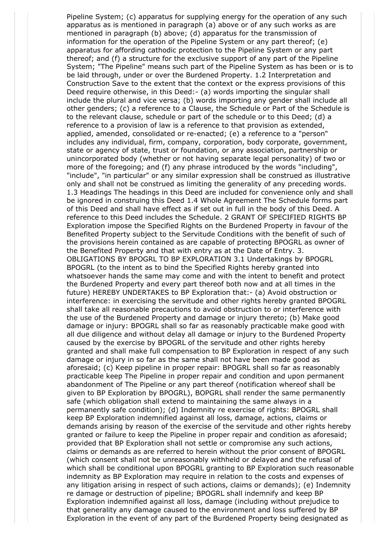Pipeline System; (c) apparatus for supplying energy for the operation of any such apparatus as is mentioned in paragraph (a) above or of any such works as are mentioned in paragraph (b) above; (d) apparatus for the transmission of information for the operation of the Pipeline System or any part thereof; (e) apparatus for affording cathodic protection to the Pipeline System or any part thereof; and (f) a structure for the exclusive support of any part of the Pipeline System; "The Pipeline" means such part of the Pipeline System as has been or is to be laid through, under or over the Burdened Property. 1.2 Interpretation and Construction Save to the extent that the context or the express provisions of this Deed require otherwise, in this Deed:- (a) words importing the singular shall include the plural and vice versa; (b) words importing any gender shall include all other genders; (c) a reference to a Clause, the Schedule or Part of the Schedule is to the relevant clause, schedule or part of the schedule or to this Deed; (d) a reference to a provision of law is a reference to that provision as extended, applied, amended, consolidated or re-enacted; (e) a reference to a "person" includes any individual, firm, company, corporation, body corporate, government, state or agency of state, trust or foundation, or any association, partnership or unincorporated body (whether or not having separate legal personality) of two or more of the foregoing; and (f) any phrase introduced by the words "including", "include", "in particular" or any similar expression shall be construed as illustrative only and shall not be construed as limiting the generality of any preceding words. 1.3 Headings The headings in this Deed are included for convenience only and shall be ignored in construing this Deed 1.4 Whole Agreement The Schedule forms part of this Deed and shall have effect as if set out in full in the body of this Deed. A reference to this Deed includes the Schedule. 2 GRANT OF SPECIFIED RIGHTS BP Exploration impose the Specified Rights on the Burdened Property in favour of the Benefited Property subject to the Servitude Conditions with the benefit of such of the provisions herein contained as are capable of protecting BPOGRL as owner of the Benefited Property and that with entry as at the Date of Entry. 3. OBLIGATIONS BY BPOGRL TO BP EXPLORATION 3.1 Undertakings by BPOGRL BPOGRL (to the intent as to bind the Specified Rights hereby granted into whatsoever hands the same may come and with the intent to benefit and protect the Burdened Property and every part thereof both now and at all times in the future) HEREBY UNDERTAKES to BP Exploration that:- (a) Avoid obstruction or interference: in exercising the servitude and other rights hereby granted BPOGRL shall take all reasonable precautions to avoid obstruction to or interference with the use of the Burdened Property and damage or injury thereto; (b) Make good damage or injury: BPOGRL shall so far as reasonably practicable make good with all due diligence and without delay all damage or injury to the Burdened Property caused by the exercise by BPOGRL of the servitude and other rights hereby granted and shall make full compensation to BP Exploration in respect of any such damage or injury in so far as the same shall not have been made good as aforesaid; (c) Keep pipeline in proper repair: BPOGRL shall so far as reasonably practicable keep The Pipeline in proper repair and condition and upon permanent abandonment of The Pipeline or any part thereof (notification whereof shall be given to BP Exploration by BPOGRL), BOPGRL shall render the same permanently safe (which obligation shall extend to maintaining the same always in a permanently safe condition); (d) Indemnity re exercise of rights: BPOGRL shall keep BP Exploration indemnified against all loss, damage, actions, claims or demands arising by reason of the exercise of the servitude and other rights hereby granted or failure to keep the Pipeline in proper repair and condition as aforesaid; provided that BP Exploration shall not settle or compromise any such actions, claims or demands as are referred to herein without the prior consent of BPOGRL (which consent shall not be unreasonably withheld or delayed and the refusal of which shall be conditional upon BPOGRL granting to BP Exploration such reasonable indemnity as BP Exploration may require in relation to the costs and expenses of any litigation arising in respect of such actions, claims or demands); (e) Indemnity re damage or destruction of pipeline; BPOGRL shall indemnify and keep BP Exploration indemnified against all loss, damage (including without prejudice to that generality any damage caused to the environment and loss suffered by BP Exploration in the event of any part of the Burdened Property being designated as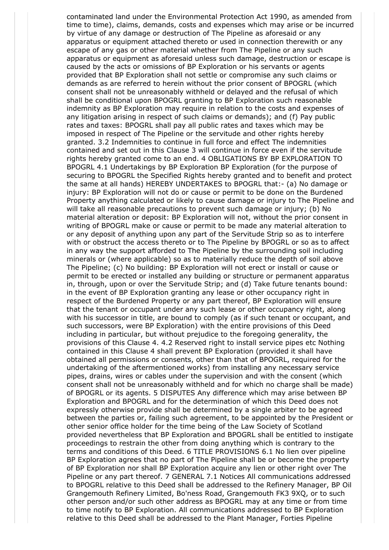contaminated land under the Environmental Protection Act 1990, as amended from time to time), claims, demands, costs and expenses which may arise or be incurred by virtue of any damage or destruction of The Pipeline as aforesaid or any apparatus or equipment attached thereto or used in connection therewith or any escape of any gas or other material whether from The Pipeline or any such apparatus or equipment as aforesaid unless such damage, destruction or escape is caused by the acts or omissions of BP Exploration or his servants or agents provided that BP Exploration shall not settle or compromise any such claims or demands as are referred to herein without the prior consent of BPOGRL (which consent shall not be unreasonably withheld or delayed and the refusal of which shall be conditional upon BPOGRL granting to BP Exploration such reasonable indemnity as BP Exploration may require in relation to the costs and expenses of any litigation arising in respect of such claims or demands); and (f) Pay public rates and taxes: BPOGRL shall pay all public rates and taxes which may be imposed in respect of The Pipeline or the servitude and other rights hereby granted. 3.2 Indemnities to continue in full force and effect The indemnities contained and set out in this Clause 3 will continue in force even if the servitude rights hereby granted come to an end. 4 OBLIGATIONS BY BP EXPLORATION TO BPOGRL 4.1 Undertakings by BP Exploration BP Exploration (for the purpose of securing to BPOGRL the Specified Rights hereby granted and to benefit and protect the same at all hands) HEREBY UNDERTAKES to BPOGRL that:- (a) No damage or injury: BP Exploration will not do or cause or permit to be done on the Burdened Property anything calculated or likely to cause damage or injury to The Pipeline and will take all reasonable precautions to prevent such damage or injury; (b) No material alteration or deposit: BP Exploration will not, without the prior consent in writing of BPOGRL make or cause or permit to be made any material alteration to or any deposit of anything upon any part of the Servitude Strip so as to interfere with or obstruct the access thereto or to The Pipeline by BPOGRL or so as to affect in any way the support afforded to The Pipeline by the surrounding soil including minerals or (where applicable) so as to materially reduce the depth of soil above The Pipeline; (c) No building: BP Exploration will not erect or install or cause or permit to be erected or installed any building or structure or permanent apparatus in, through, upon or over the Servitude Strip; and (d) Take future tenants bound: in the event of BP Exploration granting any lease or other occupancy right in respect of the Burdened Property or any part thereof, BP Exploration will ensure that the tenant or occupant under any such lease or other occupancy right, along with his successor in title, are bound to comply (as if such tenant or occupant, and such successors, were BP Exploration) with the entire provisions of this Deed including in particular, but without prejudice to the foregoing generality, the provisions of this Clause 4. 4.2 Reserved right to install service pipes etc Nothing contained in this Clause 4 shall prevent BP Exploration (provided it shall have obtained all permissions or consents, other than that of BPOGRL, required for the undertaking of the aftermentioned works) from installing any necessary service pipes, drains, wires or cables under the supervision and with the consent (which consent shall not be unreasonably withheld and for which no charge shall be made) of BPOGRL or its agents. 5 DISPUTES Any difference which may arise between BP Exploration and BPOGRL and for the determination of which this Deed does not expressly otherwise provide shall be determined by a single arbiter to be agreed between the parties or, failing such agreement, to be appointed by the President or other senior office holder for the time being of the Law Society of Scotland provided nevertheless that BP Exploration and BPOGRL shall be entitled to instigate proceedings to restrain the other from doing anything which is contrary to the terms and conditions of this Deed. 6 TITLE PROVISIONS 6.1 No lien over pipeline BP Exploration agrees that no part of The Pipeline shall be or become the property of BP Exploration nor shall BP Exploration acquire any lien or other right over The Pipeline or any part thereof. 7 GENERAL 7.1 Notices All communications addressed to BPOGRL relative to this Deed shall be addressed to the Refinery Manager, BP Oil Grangemouth Refinery Limited, Bo'ness Road, Grangemouth FK3 9XQ, or to such other person and/or such other address as BPOGRL may at any time or from time to time notify to BP Exploration. All communications addressed to BP Exploration relative to this Deed shall be addressed to the Plant Manager, Forties Pipeline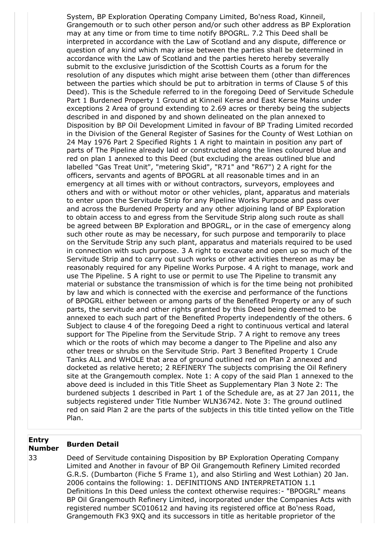System, BP Exploration Operating Company Limited, Bo'ness Road, Kinneil, Grangemouth or to such other person and/or such other address as BP Exploration may at any time or from time to time notify BPOGRL. 7.2 This Deed shall be interpreted in accordance with the Law of Scotland and any dispute, difference or question of any kind which may arise between the parties shall be determined in accordance with the Law of Scotland and the parties hereto hereby severally submit to the exclusive jurisdiction of the Scottish Courts as a forum for the resolution of any disputes which might arise between them (other than differences between the parties which should be put to arbitration in terms of Clause 5 of this Deed). This is the Schedule referred to in the foregoing Deed of Servitude Schedule Part 1 Burdened Property 1 Ground at Kinneil Kerse and East Kerse Mains under exceptions 2 Area of ground extending to 2.69 acres or thereby being the subjects described in and disponed by and shown delineated on the plan annexed to Disposition by BP Oil Development Limited in favour of BP Trading Limited recorded in the Division of the General Register of Sasines for the County of West Lothian on 24 May 1976 Part 2 Specified Rights 1 A right to maintain in position any part of parts of The Pipeline already laid or constructed along the lines coloured blue and red on plan 1 annexed to this Deed (but excluding the areas outlined blue and labelled "Gas Treat Unit", "metering Skid", "R71" and "R67") 2 A right for the officers, servants and agents of BPOGRL at all reasonable times and in an emergency at all times with or without contractors, surveyors, employees and others and with or without motor or other vehicles, plant, apparatus and materials to enter upon the Servitude Strip for any Pipeline Works Purpose and pass over and across the Burdened Property and any other adjoining land of BP Exploration to obtain access to and egress from the Servitude Strip along such route as shall be agreed between BP Exploration and BPOGRL, or in the case of emergency along such other route as may be necessary, for such purpose and temporarily to place on the Servitude Strip any such plant, apparatus and materials required to be used in connection with such purpose. 3 A right to excavate and open up so much of the Servitude Strip and to carry out such works or other activities thereon as may be reasonably required for any Pipeline Works Purpose. 4 A right to manage, work and use The Pipeline. 5 A right to use or permit to use The Pipeline to transmit any material or substance the transmission of which is for the time being not prohibited by law and which is connected with the exercise and performance of the functions of BPOGRL either between or among parts of the Benefited Property or any of such parts, the servitude and other rights granted by this Deed being deemed to be annexed to each such part of the Benefited Property independently of the others. 6 Subject to clause 4 of the foregoing Deed a right to continuous vertical and lateral support for The Pipeline from the Servitude Strip. 7 A right to remove any trees which or the roots of which may become a danger to The Pipeline and also any other trees or shrubs on the Servitude Strip. Part 3 Benefited Property 1 Crude Tanks ALL and WHOLE that area of ground outlined red on Plan 2 annexed and docketed as relative hereto; 2 REFINERY The subjects comprising the Oil Refinery site at the Grangemouth complex. Note 1: A copy of the said Plan 1 annexed to the above deed is included in this Title Sheet as Supplementary Plan 3 Note 2: The burdened subjects 1 described in Part 1 of the Schedule are, as at 27 Jan 2011, the subjects registered under Title Number WLN36742. Note 3: The ground outlined red on said Plan 2 are the parts of the subjects in this title tinted yellow on the Title Plan.

# **Entry Number Burden Detail**

33 Deed of Servitude containing Disposition by BP Exploration Operating Company Limited and Another in favour of BP Oil Grangemouth Refinery Limited recorded G.R.S. (Dumbarton (Fiche 5 Frame 1), and also Stirling and West Lothian) 20 Jan. 2006 contains the following: 1. DEFINITIONS AND INTERPRETATION 1.1 Definitions In this Deed unless the context otherwise requires:- "BPOGRL" means BP Oil Grangemouth Refinery Limited, incorporated under the Companies Acts with registered number SC010612 and having its registered office at Bo'ness Road, Grangemouth FK3 9XQ and its successors in title as heritable proprietor of the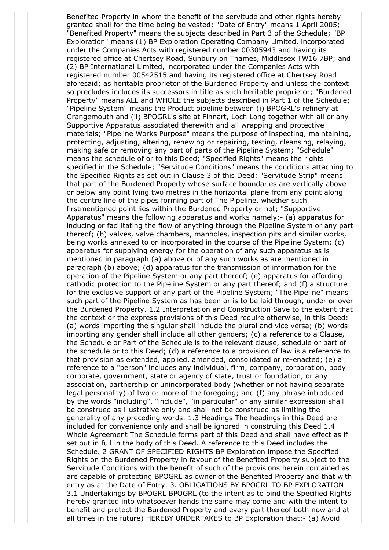Benefited Property in whom the benefit of the servitude and other rights hereby granted shall for the time being be vested; "Date of Entry" means 1 April 2005; "Benefited Property" means the subjects described in Part 3 of the Schedule; "BP Exploration" means (1) BP Exploration Operating Company Limited, incorporated under the Companies Acts with registered number 00305943 and having its registered office at Chertsey Road, Sunbury on Thames, Middlesex TW16 7BP; and (2) BP International Limited, incorporated under the Companies Acts with registered number 00542515 and having its registered office at Chertsey Road aforesaid; as heritable proprietor of the Burdened Property and unless the context so precludes includes its successors in title as such heritable proprietor; "Burdened Property" means ALL and WHOLE the subjects described in Part 1 of the Schedule; "Pipeline System" means the Product pipeline between (i) BPOGRL's refinery at Grangemouth and (ii) BPOGRL's site at Finnart, Loch Long together with all or any Supportive Apparatus associated therewith and all wrapping and protective materials; "Pipeline Works Purpose" means the purpose of inspecting, maintaining, protecting, adjusting, altering, renewing or repairing, testing, cleansing, relaying, making safe or removing any part of parts of the Pipeline System; "Schedule" means the schedule of or to this Deed; "Specified Rights" means the rights specified in the Schedule; "Servitude Conditions" means the conditions attaching to the Specified Rights as set out in Clause 3 of this Deed; "Servitude Strip" means that part of the Burdened Property whose surface boundaries are vertically above or below any point lying two metres in the horizontal plane from any point along the centre line of the pipes forming part of The Pipeline, whether such firstmentioned point lies within the Burdened Property or not; "Supportive Apparatus" means the following apparatus and works namely:- (a) apparatus for inducing or facilitating the flow of anything through the Pipeline System or any part thereof; (b) valves, valve chambers, manholes, inspection pits and similar works, being works annexed to or incorporated in the course of the Pipeline System; (c) apparatus for supplying energy for the operation of any such apparatus as is mentioned in paragraph (a) above or of any such works as are mentioned in paragraph (b) above; (d) apparatus for the transmission of information for the operation of the Pipeline System or any part thereof; (e) apparatus for affording cathodic protection to the Pipeline System or any part thereof; and (f) a structure for the exclusive support of any part of the Pipeline System; "The Pipeline" means such part of the Pipeline System as has been or is to be laid through, under or over the Burdened Property. 1.2 Interpretation and Construction Save to the extent that the context or the express provisions of this Deed require otherwise, in this Deed:- (a) words importing the singular shall include the plural and vice versa; (b) words importing any gender shall include all other genders; (c) a reference to a Clause, the Schedule or Part of the Schedule is to the relevant clause, schedule or part of the schedule or to this Deed; (d) a reference to a provision of law is a reference to that provision as extended, applied, amended, consolidated or re-enacted; (e) a reference to a "person" includes any individual, firm, company, corporation, body corporate, government, state or agency of state, trust or foundation, or any association, partnership or unincorporated body (whether or not having separate legal personality) of two or more of the foregoing; and (f) any phrase introduced by the words "including", "include", "in particular" or any similar expression shall be construed as illustrative only and shall not be construed as limiting the generality of any preceding words. 1.3 Headings The headings in this Deed are included for convenience only and shall be ignored in construing this Deed 1.4 Whole Agreement The Schedule forms part of this Deed and shall have effect as if set out in full in the body of this Deed. A reference to this Deed includes the Schedule. 2 GRANT OF SPECIFIED RIGHTS BP Exploration impose the Specified Rights on the Burdened Property in favour of the Benefited Property subject to the Servitude Conditions with the benefit of such of the provisions herein contained as are capable of protecting BPOGRL as owner of the Benefited Property and that with entry as at the Date of Entry. 3. OBLIGATIONS BY BPOGRL TO BP EXPLORATION 3.1 Undertakings by BPOGRL BPOGRL (to the intent as to bind the Specified Rights hereby granted into whatsoever hands the same may come and with the intent to benefit and protect the Burdened Property and every part thereof both now and at all times in the future) HEREBY UNDERTAKES to BP Exploration that:- (a) Avoid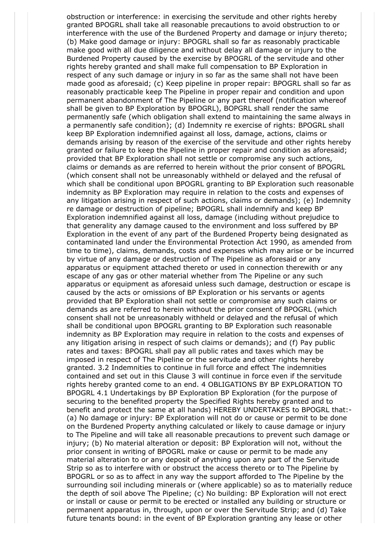obstruction or interference: in exercising the servitude and other rights hereby granted BPOGRL shall take all reasonable precautions to avoid obstruction to or interference with the use of the Burdened Property and damage or injury thereto; (b) Make good damage or injury: BPOGRL shall so far as reasonably practicable make good with all due diligence and without delay all damage or injury to the Burdened Property caused by the exercise by BPOGRL of the servitude and other rights hereby granted and shall make full compensation to BP Exploration in respect of any such damage or injury in so far as the same shall not have been made good as aforesaid; (c) Keep pipeline in proper repair: BPOGRL shall so far as reasonably practicable keep The Pipeline in proper repair and condition and upon permanent abandonment of The Pipeline or any part thereof (notification whereof shall be given to BP Exploration by BPOGRL), BOPGRL shall render the same permanently safe (which obligation shall extend to maintaining the same always in a permanently safe condition); (d) Indemnity re exercise of rights: BPOGRL shall keep BP Exploration indemnified against all loss, damage, actions, claims or demands arising by reason of the exercise of the servitude and other rights hereby granted or failure to keep the Pipeline in proper repair and condition as aforesaid; provided that BP Exploration shall not settle or compromise any such actions, claims or demands as are referred to herein without the prior consent of BPOGRL (which consent shall not be unreasonably withheld or delayed and the refusal of which shall be conditional upon BPOGRL granting to BP Exploration such reasonable indemnity as BP Exploration may require in relation to the costs and expenses of any litigation arising in respect of such actions, claims or demands); (e) Indemnity re damage or destruction of pipeline; BPOGRL shall indemnify and keep BP Exploration indemnified against all loss, damage (including without prejudice to that generality any damage caused to the environment and loss suffered by BP Exploration in the event of any part of the Burdened Property being designated as contaminated land under the Environmental Protection Act 1990, as amended from time to time), claims, demands, costs and expenses which may arise or be incurred by virtue of any damage or destruction of The Pipeline as aforesaid or any apparatus or equipment attached thereto or used in connection therewith or any escape of any gas or other material whether from The Pipeline or any such apparatus or equipment as aforesaid unless such damage, destruction or escape is caused by the acts or omissions of BP Exploration or his servants or agents provided that BP Exploration shall not settle or compromise any such claims or demands as are referred to herein without the prior consent of BPOGRL (which consent shall not be unreasonably withheld or delayed and the refusal of which shall be conditional upon BPOGRL granting to BP Exploration such reasonable indemnity as BP Exploration may require in relation to the costs and expenses of any litigation arising in respect of such claims or demands); and (f) Pay public rates and taxes: BPOGRL shall pay all public rates and taxes which may be imposed in respect of The Pipeline or the servitude and other rights hereby granted. 3.2 Indemnities to continue in full force and effect The indemnities contained and set out in this Clause 3 will continue in force even if the servitude rights hereby granted come to an end. 4 OBLIGATIONS BY BP EXPLORATION TO BPOGRL 4.1 Undertakings by BP Exploration BP Exploration (for the purpose of securing to the benefited property the Specified Rights hereby granted and to benefit and protect the same at all hands) HEREBY UNDERTAKES to BPOGRL that:- (a) No damage or injury: BP Exploration will not do or cause or permit to be done on the Burdened Property anything calculated or likely to cause damage or injury to The Pipeline and will take all reasonable precautions to prevent such damage or injury; (b) No material alteration or deposit: BP Exploration will not, without the prior consent in writing of BPOGRL make or cause or permit to be made any material alteration to or any deposit of anything upon any part of the Servitude Strip so as to interfere with or obstruct the access thereto or to The Pipeline by BPOGRL or so as to affect in any way the support afforded to The Pipeline by the surrounding soil including minerals or (where applicable) so as to materially reduce the depth of soil above The Pipeline; (c) No building: BP Exploration will not erect or install or cause or permit to be erected or installed any building or structure or permanent apparatus in, through, upon or over the Servitude Strip; and (d) Take future tenants bound: in the event of BP Exploration granting any lease or other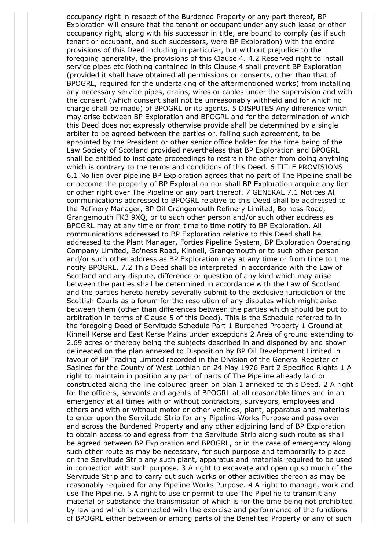occupancy right in respect of the Burdened Property or any part thereof, BP Exploration will ensure that the tenant or occupant under any such lease or other occupancy right, along with his successor in title, are bound to comply (as if such tenant or occupant, and such successors, were BP Exploration) with the entire provisions of this Deed including in particular, but without prejudice to the foregoing generality, the provisions of this Clause 4. 4.2 Reserved right to install service pipes etc Nothing contained in this Clause 4 shall prevent BP Exploration (provided it shall have obtained all permissions or consents, other than that of BPOGRL, required for the undertaking of the aftermentioned works) from installing any necessary service pipes, drains, wires or cables under the supervision and with the consent (which consent shall not be unreasonably withheld and for which no charge shall be made) of BPOGRL or its agents. 5 DISPUTES Any difference which may arise between BP Exploration and BPOGRL and for the determination of which this Deed does not expressly otherwise provide shall be determined by a single arbiter to be agreed between the parties or, failing such agreement, to be appointed by the President or other senior office holder for the time being of the Law Society of Scotland provided nevertheless that BP Exploration and BPOGRL shall be entitled to instigate proceedings to restrain the other from doing anything which is contrary to the terms and conditions of this Deed. 6 TITLE PROVISIONS 6.1 No lien over pipeline BP Exploration agrees that no part of The Pipeline shall be or become the property of BP Exploration nor shall BP Exploration acquire any lien or other right over The Pipeline or any part thereof. 7 GENERAL 7.1 Notices All communications addressed to BPOGRL relative to this Deed shall be addressed to the Refinery Manager, BP Oil Grangemouth Refinery Limited, Bo'ness Road, Grangemouth FK3 9XQ, or to such other person and/or such other address as BPOGRL may at any time or from time to time notify to BP Exploration. All communications addressed to BP Exploration relative to this Deed shall be addressed to the Plant Manager, Forties Pipeline System, BP Exploration Operating Company Limited, Bo'ness Road, Kinneil, Grangemouth or to such other person and/or such other address as BP Exploration may at any time or from time to time notify BPOGRL. 7.2 This Deed shall be interpreted in accordance with the Law of Scotland and any dispute, difference or question of any kind which may arise between the parties shall be determined in accordance with the Law of Scotland and the parties hereto hereby severally submit to the exclusive jurisdiction of the Scottish Courts as a forum for the resolution of any disputes which might arise between them (other than differences between the parties which should be put to arbitration in terms of Clause 5 of this Deed). This is the Schedule referred to in the foregoing Deed of Servitude Schedule Part 1 Burdened Property 1 Ground at Kinneil Kerse and East Kerse Mains under exceptions 2 Area of ground extending to 2.69 acres or thereby being the subjects described in and disponed by and shown delineated on the plan annexed to Disposition by BP Oil Development Limited in favour of BP Trading Limited recorded in the Division of the General Register of Sasines for the County of West Lothian on 24 May 1976 Part 2 Specified Rights 1 A right to maintain in position any part of parts of The Pipeline already laid or constructed along the line coloured green on plan 1 annexed to this Deed. 2 A right for the officers, servants and agents of BPOGRL at all reasonable times and in an emergency at all times with or without contractors, surveyors, employees and others and with or without motor or other vehicles, plant, apparatus and materials to enter upon the Servitude Strip for any Pipeline Works Purpose and pass over and across the Burdened Property and any other adjoining land of BP Exploration to obtain access to and egress from the Servitude Strip along such route as shall be agreed between BP Exploration and BPOGRL, or in the case of emergency along such other route as may be necessary, for such purpose and temporarily to place on the Servitude Strip any such plant, apparatus and materials required to be used in connection with such purpose. 3 A right to excavate and open up so much of the Servitude Strip and to carry out such works or other activities thereon as may be reasonably required for any Pipeline Works Purpose. 4 A right to manage, work and use The Pipeline. 5 A right to use or permit to use The Pipeline to transmit any material or substance the transmission of which is for the time being not prohibited by law and which is connected with the exercise and performance of the functions of BPOGRL either between or among parts of the Benefited Property or any of such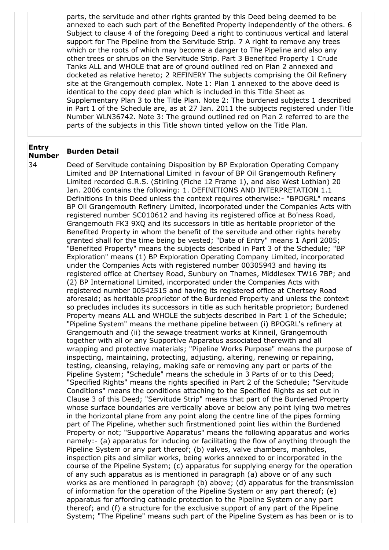parts, the servitude and other rights granted by this Deed being deemed to be annexed to each such part of the Benefited Property independently of the others. 6 Subject to clause 4 of the foregoing Deed a right to continuous vertical and lateral support for The Pipeline from the Servitude Strip. 7 A right to remove any trees which or the roots of which may become a danger to The Pipeline and also any other trees or shrubs on the Servitude Strip. Part 3 Benefited Property 1 Crude Tanks ALL and WHOLE that are of ground outlined red on Plan 2 annexed and docketed as relative hereto; 2 REFINERY The subjects comprising the Oil Refinery site at the Grangemouth complex. Note 1: Plan 1 annexed to the above deed is identical to the copy deed plan which is included in this Title Sheet as Supplementary Plan 3 to the Title Plan. Note 2: The burdened subjects 1 described in Part 1 of the Schedule are, as at 27 Jan. 2011 the subjects registered under Title Number WLN36742. Note 3: The ground outlined red on Plan 2 referred to are the parts of the subjects in this Title shown tinted yellow on the Title Plan.

#### **Entry Number Burden Detail**

34 Deed of Servitude containing Disposition by BP Exploration Operating Company Limited and BP International Limited in favour of BP Oil Grangemouth Refinery Limited recorded G.R.S. (Stirling (Fiche 12 Frame 1), and also West Lothian) 20 Jan. 2006 contains the following: 1. DEFINITIONS AND INTERPRETATION 1.1 Definitions In this Deed unless the context requires otherwise:- "BPOGRL" means BP Oil Grangemouth Refinery Limited, incorporated under the Companies Acts with registered number SC010612 and having its registered office at Bo'ness Road, Grangemouth FK3 9XQ and its successors in title as heritable proprietor of the Benefited Property in whom the benefit of the servitude and other rights hereby granted shall for the time being be vested; "Date of Entry" means 1 April 2005; "Benefited Property" means the subjects described in Part 3 of the Schedule; "BP Exploration" means (1) BP Exploration Operating Company Limited, incorporated under the Companies Acts with registered number 00305943 and having its registered office at Chertsey Road, Sunbury on Thames, Middlesex TW16 7BP; and (2) BP International Limited, incorporated under the Companies Acts with registered number 00542515 and having its registered office at Chertsey Road aforesaid; as heritable proprietor of the Burdened Property and unless the context so precludes includes its successors in title as such heritable proprietor; Burdened Property means ALL and WHOLE the subjects described in Part 1 of the Schedule; "Pipeline System" means the methane pipeline between (i) BPOGRL's refinery at Grangemouth and (ii) the sewage treatment works at Kinneil, Grangemouth together with all or any Supportive Apparatus associated therewith and all wrapping and protective materials; "Pipeline Works Purpose" means the purpose of inspecting, maintaining, protecting, adjusting, altering, renewing or repairing, testing, cleansing, relaying, making safe or removing any part or parts of the Pipeline System; "Schedule" means the schedule in 3 Parts of or to this Deed; "Specified Rights" means the rights specified in Part 2 of the Schedule; "Servitude Conditions" means the conditions attaching to the Specified Rights as set out in Clause 3 of this Deed; "Servitude Strip" means that part of the Burdened Property whose surface boundaries are vertically above or below any point lying two metres in the horizontal plane from any point along the centre line of the pipes forming part of The Pipeline, whether such firstmentioned point lies within the Burdened Property or not; "Supportive Apparatus" means the following apparatus and works namely:- (a) apparatus for inducing or facilitating the flow of anything through the Pipeline System or any part thereof; (b) valves, valve chambers, manholes, inspection pits and similar works, being works annexed to or incorporated in the course of the Pipeline System; (c) apparatus for supplying energy for the operation of any such apparatus as is mentioned in paragraph (a) above or of any such works as are mentioned in paragraph (b) above; (d) apparatus for the transmission of information for the operation of the Pipeline System or any part thereof; (e) apparatus for affording cathodic protection to the Pipeline System or any part thereof; and (f) a structure for the exclusive support of any part of the Pipeline System; "The Pipeline" means such part of the Pipeline System as has been or is to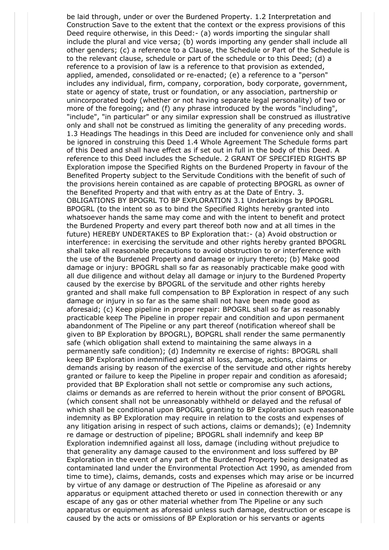be laid through, under or over the Burdened Property. 1.2 Interpretation and Construction Save to the extent that the context or the express provisions of this Deed require otherwise, in this Deed:- (a) words importing the singular shall include the plural and vice versa; (b) words importing any gender shall include all other genders; (c) a reference to a Clause, the Schedule or Part of the Schedule is to the relevant clause, schedule or part of the schedule or to this Deed; (d) a reference to a provision of law is a reference to that provision as extended, applied, amended, consolidated or re-enacted; (e) a reference to a "person" includes any individual, firm, company, corporation, body corporate, government, state or agency of state, trust or foundation, or any association, partnership or unincorporated body (whether or not having separate legal personality) of two or more of the foregoing; and (f) any phrase introduced by the words "including", "include", "in particular" or any similar expression shall be construed as illustrative only and shall not be construed as limiting the generality of any preceding words. 1.3 Headings The headings in this Deed are included for convenience only and shall be ignored in construing this Deed 1.4 Whole Agreement The Schedule forms part of this Deed and shall have effect as if set out in full in the body of this Deed. A reference to this Deed includes the Schedule. 2 GRANT OF SPECIFIED RIGHTS BP Exploration impose the Specified Rights on the Burdened Property in favour of the Benefited Property subject to the Servitude Conditions with the benefit of such of the provisions herein contained as are capable of protecting BPOGRL as owner of the Benefited Property and that with entry as at the Date of Entry. 3. OBLIGATIONS BY BPOGRL TO BP EXPLORATION 3.1 Undertakings by BPOGRL BPOGRL (to the intent so as to bind the Specified Rights hereby granted into whatsoever hands the same may come and with the intent to benefit and protect the Burdened Property and every part thereof both now and at all times in the future) HEREBY UNDERTAKES to BP Exploration that:- (a) Avoid obstruction or interference: in exercising the servitude and other rights hereby granted BPOGRL shall take all reasonable precautions to avoid obstruction to or interference with the use of the Burdened Property and damage or injury thereto; (b) Make good damage or injury: BPOGRL shall so far as reasonably practicable make good with all due diligence and without delay all damage or injury to the Burdened Property caused by the exercise by BPOGRL of the servitude and other rights hereby granted and shall make full compensation to BP Exploration in respect of any such damage or injury in so far as the same shall not have been made good as aforesaid; (c) Keep pipeline in proper repair: BPOGRL shall so far as reasonably practicable keep The Pipeline in proper repair and condition and upon permanent abandonment of The Pipeline or any part thereof (notification whereof shall be given to BP Exploration by BPOGRL), BOPGRL shall render the same permanently safe (which obligation shall extend to maintaining the same always in a permanently safe condition); (d) Indemnity re exercise of rights: BPOGRL shall keep BP Exploration indemnified against all loss, damage, actions, claims or demands arising by reason of the exercise of the servitude and other rights hereby granted or failure to keep the Pipeline in proper repair and condition as aforesaid; provided that BP Exploration shall not settle or compromise any such actions, claims or demands as are referred to herein without the prior consent of BPOGRL (which consent shall not be unreasonably withheld or delayed and the refusal of which shall be conditional upon BPOGRL granting to BP Exploration such reasonable indemnity as BP Exploration may require in relation to the costs and expenses of any litigation arising in respect of such actions, claims or demands); (e) Indemnity re damage or destruction of pipeline; BPOGRL shall indemnify and keep BP Exploration indemnified against all loss, damage (including without prejudice to that generality any damage caused to the environment and loss suffered by BP Exploration in the event of any part of the Burdened Property being designated as contaminated land under the Environmental Protection Act 1990, as amended from time to time), claims, demands, costs and expenses which may arise or be incurred by virtue of any damage or destruction of The Pipeline as aforesaid or any apparatus or equipment attached thereto or used in connection therewith or any escape of any gas or other material whether from The Pipeline or any such apparatus or equipment as aforesaid unless such damage, destruction or escape is caused by the acts or omissions of BP Exploration or his servants or agents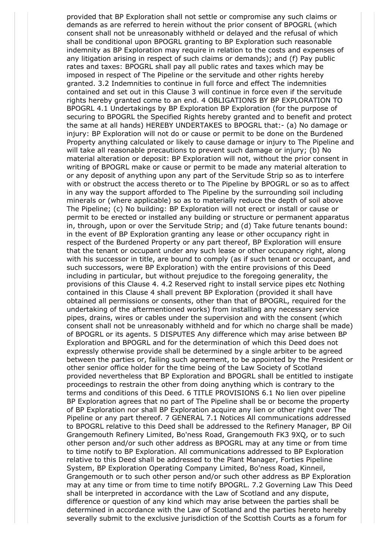provided that BP Exploration shall not settle or compromise any such claims or demands as are referred to herein without the prior consent of BPOGRL (which consent shall not be unreasonably withheld or delayed and the refusal of which shall be conditional upon BPOGRL granting to BP Exploration such reasonable indemnity as BP Exploration may require in relation to the costs and expenses of any litigation arising in respect of such claims or demands); and (f) Pay public rates and taxes: BPOGRL shall pay all public rates and taxes which may be imposed in respect of The Pipeline or the servitude and other rights hereby granted. 3.2 Indemnities to continue in full force and effect The indemnities contained and set out in this Clause 3 will continue in force even if the servitude rights hereby granted come to an end. 4 OBLIGATIONS BY BP EXPLORATION TO BPOGRL 4.1 Undertakings by BP Exploration BP Exploration (for the purpose of securing to BPOGRL the Specified Rights hereby granted and to benefit and protect the same at all hands) HEREBY UNDERTAKES to BPOGRL that:- (a) No damage or injury: BP Exploration will not do or cause or permit to be done on the Burdened Property anything calculated or likely to cause damage or injury to The Pipeline and will take all reasonable precautions to prevent such damage or injury; (b) No material alteration or deposit: BP Exploration will not, without the prior consent in writing of BPOGRL make or cause or permit to be made any material alteration to or any deposit of anything upon any part of the Servitude Strip so as to interfere with or obstruct the access thereto or to The Pipeline by BPOGRL or so as to affect in any way the support afforded to The Pipeline by the surrounding soil including minerals or (where applicable) so as to materially reduce the depth of soil above The Pipeline; (c) No building: BP Exploration will not erect or install or cause or permit to be erected or installed any building or structure or permanent apparatus in, through, upon or over the Servitude Strip; and (d) Take future tenants bound: in the event of BP Exploration granting any lease or other occupancy right in respect of the Burdened Property or any part thereof, BP Exploration will ensure that the tenant or occupant under any such lease or other occupancy right, along with his successor in title, are bound to comply (as if such tenant or occupant, and such successors, were BP Exploration) with the entire provisions of this Deed including in particular, but without prejudice to the foregoing generality, the provisions of this Clause 4. 4.2 Reserved right to install service pipes etc Nothing contained in this Clause 4 shall prevent BP Exploration (provided it shall have obtained all permissions or consents, other than that of BPOGRL, required for the undertaking of the aftermentioned works) from installing any necessary service pipes, drains, wires or cables under the supervision and with the consent (which consent shall not be unreasonably withheld and for which no charge shall be made) of BPOGRL or its agents. 5 DISPUTES Any difference which may arise between BP Exploration and BPOGRL and for the determination of which this Deed does not expressly otherwise provide shall be determined by a single arbiter to be agreed between the parties or, failing such agreement, to be appointed by the President or other senior office holder for the time being of the Law Society of Scotland provided nevertheless that BP Exploration and BPOGRL shall be entitled to instigate proceedings to restrain the other from doing anything which is contrary to the terms and conditions of this Deed. 6 TITLE PROVISIONS 6.1 No lien over pipeline BP Exploration agrees that no part of The Pipeline shall be or become the property of BP Exploration nor shall BP Exploration acquire any lien or other right over The Pipeline or any part thereof. 7 GENERAL 7.1 Notices All communications addressed to BPOGRL relative to this Deed shall be addressed to the Refinery Manager, BP Oil Grangemouth Refinery Limited, Bo'ness Road, Grangemouth FK3 9XQ, or to such other person and/or such other address as BPOGRL may at any time or from time to time notify to BP Exploration. All communications addressed to BP Exploration relative to this Deed shall be addressed to the Plant Manager, Forties Pipeline System, BP Exploration Operating Company Limited, Bo'ness Road, Kinneil, Grangemouth or to such other person and/or such other address as BP Exploration may at any time or from time to time notify BPOGRL. 7.2 Governing Law This Deed shall be interpreted in accordance with the Law of Scotland and any dispute, difference or question of any kind which may arise between the parties shall be determined in accordance with the Law of Scotland and the parties hereto hereby severally submit to the exclusive jurisdiction of the Scottish Courts as a forum for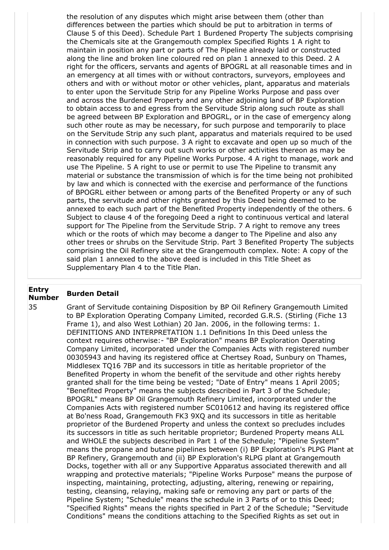the resolution of any disputes which might arise between them (other than differences between the parties which should be put to arbitration in terms of Clause 5 of this Deed). Schedule Part 1 Burdened Property The subjects comprising the Chemicals site at the Grangemouth complex Specified Rights 1 A right to maintain in position any part or parts of The Pipeline already laid or constructed along the line and broken line coloured red on plan 1 annexed to this Deed. 2 A right for the officers, servants and agents of BPOGRL at all reasonable times and in an emergency at all times with or without contractors, surveyors, employees and others and with or without motor or other vehicles, plant, apparatus and materials to enter upon the Servitude Strip for any Pipeline Works Purpose and pass over and across the Burdened Property and any other adjoining land of BP Exploration to obtain access to and egress from the Servitude Strip along such route as shall be agreed between BP Exploration and BPOGRL, or in the case of emergency along such other route as may be necessary, for such purpose and temporarily to place on the Servitude Strip any such plant, apparatus and materials required to be used in connection with such purpose. 3 A right to excavate and open up so much of the Servitude Strip and to carry out such works or other activities thereon as may be reasonably required for any Pipeline Works Purpose. 4 A right to manage, work and use The Pipeline. 5 A right to use or permit to use The Pipeline to transmit any material or substance the transmission of which is for the time being not prohibited by law and which is connected with the exercise and performance of the functions of BPOGRL either between or among parts of the Benefited Property or any of such parts, the servitude and other rights granted by this Deed being deemed to be annexed to each such part of the Benefited Property independently of the others. 6 Subject to clause 4 of the foregoing Deed a right to continuous vertical and lateral support for The Pipeline from the Servitude Strip. 7 A right to remove any trees which or the roots of which may become a danger to The Pipeline and also any other trees or shrubs on the Servitude Strip. Part 3 Benefited Property The subjects comprising the Oil Refinery site at the Grangemouth complex. Note: A copy of the said plan 1 annexed to the above deed is included in this Title Sheet as Supplementary Plan 4 to the Title Plan.

# **Entry Number Burden Detail**

35 Grant of Servitude containing Disposition by BP Oil Refinery Grangemouth Limited to BP Exploration Operating Company Limited, recorded G.R.S. (Stirling (Fiche 13 Frame 1), and also West Lothian) 20 Jan. 2006, in the following terms: 1. DEFINITIONS AND INTERPRETATION 1.1 Definitions In this Deed unless the context requires otherwise:- "BP Exploration" means BP Exploration Operating Company Limited, incorporated under the Companies Acts with registered number 00305943 and having its registered office at Chertsey Road, Sunbury on Thames, Middlesex TQ16 7BP and its successors in title as heritable proprietor of the Benefited Property in whom the benefit of the servitude and other rights hereby granted shall for the time being be vested; "Date of Entry" means 1 April 2005; "Benefited Property" means the subjects described in Part 3 of the Schedule; BPOGRL" means BP Oil Grangemouth Refinery Limited, incorporated under the Companies Acts with registered number SC010612 and having its registered office at Bo'ness Road, Grangemouth FK3 9XQ and its successors in title as heritable proprietor of the Burdened Property and unless the context so precludes includes its successors in title as such heritable proprietor; Burdened Property means ALL and WHOLE the subjects described in Part 1 of the Schedule; "Pipeline System" means the propane and butane pipelines between (i) BP Exploration's PLPG Plant at BP Refinery, Grangemouth and (ii) BP Exploration's RLPG plant at Grangemouth Docks, together with all or any Supportive Apparatus associated therewith and all wrapping and protective materials; "Pipeline Works Purpose" means the purpose of inspecting, maintaining, protecting, adjusting, altering, renewing or repairing, testing, cleansing, relaying, making safe or removing any part or parts of the Pipeline System; "Schedule" means the schedule in 3 Parts of or to this Deed; "Specified Rights" means the rights specified in Part 2 of the Schedule; "Servitude Conditions" means the conditions attaching to the Specified Rights as set out in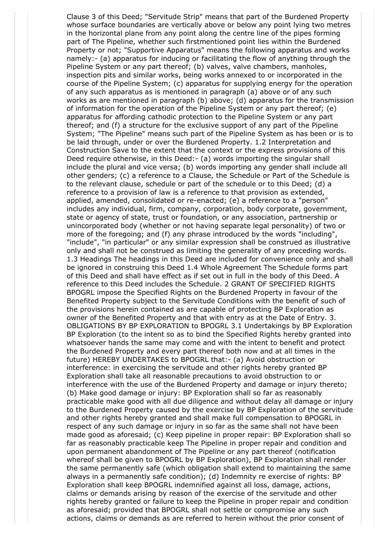Clause 3 of this Deed; "Servitude Strip" means that part of the Burdened Property whose surface boundaries are vertically above or below any point lying two metres in the horizontal plane from any point along the centre line of the pipes forming part of The Pipeline, whether such firstmentioned point lies within the Burdened Property or not; "Supportive Apparatus" means the following apparatus and works namely:- (a) apparatus for inducing or facilitating the flow of anything through the Pipeline System or any part thereof; (b) valves, valve chambers, manholes, inspection pits and similar works, being works annexed to or incorporated in the course of the Pipeline System; (c) apparatus for supplying energy for the operation of any such apparatus as is mentioned in paragraph (a) above or of any such works as are mentioned in paragraph (b) above; (d) apparatus for the transmission of information for the operation of the Pipeline System or any part thereof; (e) apparatus for affording cathodic protection to the Pipeline System or any part thereof; and (f) a structure for the exclusive support of any part of the Pipeline System; "The Pipeline" means such part of the Pipeline System as has been or is to be laid through, under or over the Burdened Property. 1.2 Interpretation and Construction Save to the extent that the context or the express provisions of this Deed require otherwise, in this Deed:- (a) words importing the singular shall include the plural and vice versa; (b) words importing any gender shall include all other genders; (c) a reference to a Clause, the Schedule or Part of the Schedule is to the relevant clause, schedule or part of the schedule or to this Deed; (d) a reference to a provision of law is a reference to that provision as extended, applied, amended, consolidated or re-enacted; (e) a reference to a "person" includes any individual, firm, company, corporation, body corporate, government, state or agency of state, trust or foundation, or any association, partnership or unincorporated body (whether or not having separate legal personality) of two or more of the foregoing; and (f) any phrase introduced by the words "including", "include", "in particular" or any similar expression shall be construed as illustrative only and shall not be construed as limiting the generality of any preceding words. 1.3 Headings The headings in this Deed are included for convenience only and shall be ignored in construing this Deed 1.4 Whole Agreement The Schedule forms part of this Deed and shall have effect as if set out in full in the body of this Deed. A reference to this Deed includes the Schedule. 2 GRANT OF SPECIFIED RIGHTS BPOGRL impose the Specified Rights on the Burdened Property in favour of the Benefited Property subject to the Servitude Conditions with the benefit of such of the provisions herein contained as are capable of protecting BP Exploration as owner of the Benefited Property and that with entry as at the Date of Entry. 3. OBLIGATIONS BY BP EXPLORATION to BPOGRL 3.1 Undertakings by BP Exploration BP Exploration (to the intent so as to bind the Specified Rights hereby granted into whatsoever hands the same may come and with the intent to benefit and protect the Burdened Property and every part thereof both now and at all times in the future) HEREBY UNDERTAKES to BPOGRL that:- (a) Avoid obstruction or interference: in exercising the servitude and other rights hereby granted BP Exploration shall take all reasonable precautions to avoid obstruction to or interference with the use of the Burdened Property and damage or injury thereto; (b) Make good damage or injury: BP Exploration shall so far as reasonably practicable make good with all due diligence and without delay all damage or injury to the Burdened Property caused by the exercise by BP Exploration of the servitude and other rights hereby granted and shall make full compensation to BPOGRL in respect of any such damage or injury in so far as the same shall not have been made good as aforesaid; (c) Keep pipeline in proper repair: BP Exploration shall so far as reasonably practicable keep The Pipeline in proper repair and condition and upon permanent abandonment of The Pipeline or any part thereof (notification whereof shall be given to BPOGRL by BP Exploration), BP Exploration shall render the same permanently safe (which obligation shall extend to maintaining the same always in a permanently safe condition); (d) Indemnity re exercise of rights: BP Exploration shall keep BPOGRL indemnified against all loss, damage, actions, claims or demands arising by reason of the exercise of the servitude and other rights hereby granted or failure to keep the Pipeline in proper repair and condition as aforesaid; provided that BPOGRL shall not settle or compromise any such actions, claims or demands as are referred to herein without the prior consent of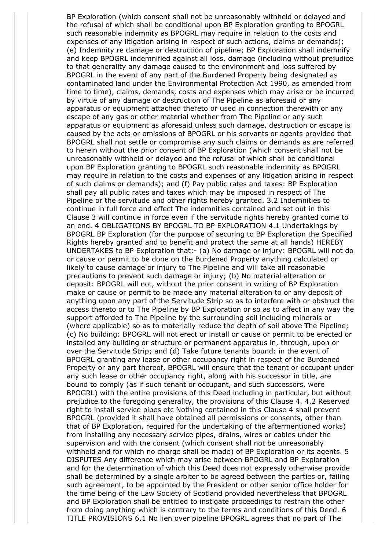BP Exploration (which consent shall not be unreasonably withheld or delayed and the refusal of which shall be conditional upon BP Exploration granting to BPOGRL such reasonable indemnity as BPOGRL may require in relation to the costs and expenses of any litigation arising in respect of such actions, claims or demands); (e) Indemnity re damage or destruction of pipeline; BP Exploration shall indemnify and keep BPOGRL indemnified against all loss, damage (including without prejudice to that generality any damage caused to the environment and loss suffered by BPOGRL in the event of any part of the Burdened Property being designated as contaminated land under the Environmental Protection Act 1990, as amended from time to time), claims, demands, costs and expenses which may arise or be incurred by virtue of any damage or destruction of The Pipeline as aforesaid or any apparatus or equipment attached thereto or used in connection therewith or any escape of any gas or other material whether from The Pipeline or any such apparatus or equipment as aforesaid unless such damage, destruction or escape is caused by the acts or omissions of BPOGRL or his servants or agents provided that BPOGRL shall not settle or compromise any such claims or demands as are referred to herein without the prior consent of BP Exploration (which consent shall not be unreasonably withheld or delayed and the refusal of which shall be conditional upon BP Exploration granting to BPOGRL such reasonable indemnity as BPOGRL may require in relation to the costs and expenses of any litigation arising in respect of such claims or demands); and (f) Pay public rates and taxes: BP Exploration shall pay all public rates and taxes which may be imposed in respect of The Pipeline or the servitude and other rights hereby granted. 3.2 Indemnities to continue in full force and effect The indemnities contained and set out in this Clause 3 will continue in force even if the servitude rights hereby granted come to an end. 4 OBLIGATIONS BY BPOGRL TO BP EXPLORATION 4.1 Undertakings by BPOGRL BP Exploration (for the purpose of securing to BP Exploration the Specified Rights hereby granted and to benefit and protect the same at all hands) HEREBY UNDERTAKES to BP Exploration that:- (a) No damage or injury: BPOGRL will not do or cause or permit to be done on the Burdened Property anything calculated or likely to cause damage or injury to The Pipeline and will take all reasonable precautions to prevent such damage or injury; (b) No material alteration or deposit: BPOGRL will not, without the prior consent in writing of BP Exploration make or cause or permit to be made any material alteration to or any deposit of anything upon any part of the Servitude Strip so as to interfere with or obstruct the access thereto or to The Pipeline by BP Exploration or so as to affect in any way the support afforded to The Pipeline by the surrounding soil including minerals or (where applicable) so as to materially reduce the depth of soil above The Pipeline; (c) No building: BPOGRL will not erect or install or cause or permit to be erected or installed any building or structure or permanent apparatus in, through, upon or over the Servitude Strip; and (d) Take future tenants bound: in the event of BPOGRL granting any lease or other occupancy right in respect of the Burdened Property or any part thereof, BPOGRL will ensure that the tenant or occupant under any such lease or other occupancy right, along with his successor in title, are bound to comply (as if such tenant or occupant, and such successors, were BPOGRL) with the entire provisions of this Deed including in particular, but without prejudice to the foregoing generality, the provisions of this Clause 4. 4.2 Reserved right to install service pipes etc Nothing contained in this Clause 4 shall prevent BPOGRL (provided it shall have obtained all permissions or consents, other than that of BP Exploration, required for the undertaking of the aftermentioned works) from installing any necessary service pipes, drains, wires or cables under the supervision and with the consent (which consent shall not be unreasonably withheld and for which no charge shall be made) of BP Exploration or its agents. 5 DISPUTES Any difference which may arise between BPOGRL and BP Exploration and for the determination of which this Deed does not expressly otherwise provide shall be determined by a single arbiter to be agreed between the parties or, failing such agreement, to be appointed by the President or other senior office holder for the time being of the Law Society of Scotland provided nevertheless that BPOGRL and BP Exploration shall be entitled to instigate proceedings to restrain the other from doing anything which is contrary to the terms and conditions of this Deed. 6 TITLE PROVISIONS 6.1 No lien over pipeline BPOGRL agrees that no part of The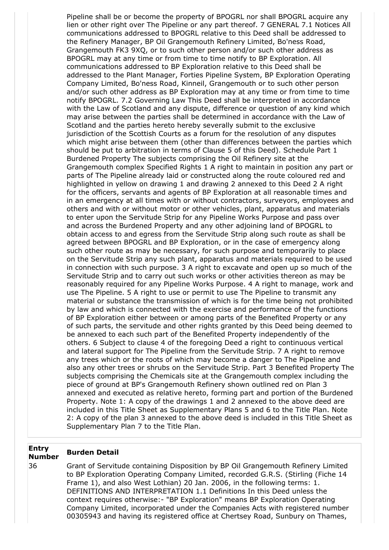Pipeline shall be or become the property of BPOGRL nor shall BPOGRL acquire any lien or other right over The Pipeline or any part thereof. 7 GENERAL 7.1 Notices All communications addressed to BPOGRL relative to this Deed shall be addressed to the Refinery Manager, BP Oil Grangemouth Refinery Limited, Bo'ness Road, Grangemouth FK3 9XQ, or to such other person and/or such other address as BPOGRL may at any time or from time to time notify to BP Exploration. All communications addressed to BP Exploration relative to this Deed shall be addressed to the Plant Manager, Forties Pipeline System, BP Exploration Operating Company Limited, Bo'ness Road, Kinneil, Grangemouth or to such other person and/or such other address as BP Exploration may at any time or from time to time notify BPOGRL. 7.2 Governing Law This Deed shall be interpreted in accordance with the Law of Scotland and any dispute, difference or question of any kind which may arise between the parties shall be determined in accordance with the Law of Scotland and the parties hereto hereby severally submit to the exclusive jurisdiction of the Scottish Courts as a forum for the resolution of any disputes which might arise between them (other than differences between the parties which should be put to arbitration in terms of Clause 5 of this Deed). Schedule Part 1 Burdened Property The subjects comprising the Oil Refinery site at the Grangemouth complex Specified Rights 1 A right to maintain in position any part or parts of The Pipeline already laid or constructed along the route coloured red and highlighted in yellow on drawing 1 and drawing 2 annexed to this Deed 2 A right for the officers, servants and agents of BP Exploration at all reasonable times and in an emergency at all times with or without contractors, surveyors, employees and others and with or without motor or other vehicles, plant, apparatus and materials to enter upon the Servitude Strip for any Pipeline Works Purpose and pass over and across the Burdened Property and any other adjoining land of BPOGRL to obtain access to and egress from the Servitude Strip along such route as shall be agreed between BPOGRL and BP Exploration, or in the case of emergency along such other route as may be necessary, for such purpose and temporarily to place on the Servitude Strip any such plant, apparatus and materials required to be used in connection with such purpose. 3 A right to excavate and open up so much of the Servitude Strip and to carry out such works or other activities thereon as may be reasonably required for any Pipeline Works Purpose. 4 A right to manage, work and use The Pipeline. 5 A right to use or permit to use The Pipeline to transmit any material or substance the transmission of which is for the time being not prohibited by law and which is connected with the exercise and performance of the functions of BP Exploration either between or among parts of the Benefited Property or any of such parts, the servitude and other rights granted by this Deed being deemed to be annexed to each such part of the Benefited Property independently of the others. 6 Subject to clause 4 of the foregoing Deed a right to continuous vertical and lateral support for The Pipeline from the Servitude Strip. 7 A right to remove any trees which or the roots of which may become a danger to The Pipeline and also any other trees or shrubs on the Servitude Strip. Part 3 Benefited Property The subjects comprising the Chemicals site at the Grangemouth complex including the piece of ground at BP's Grangemouth Refinery shown outlined red on Plan 3 annexed and executed as relative hereto, forming part and portion of the Burdened Property. Note 1: A copy of the drawings 1 and 2 annexed to the above deed are included in this Title Sheet as Supplementary Plans 5 and 6 to the Title Plan. Note 2: A copy of the plan 3 annexed to the above deed is included in this Title Sheet as Supplementary Plan 7 to the Title Plan.

### **Entry Number Burden Detail**

36 Grant of Servitude containing Disposition by BP Oil Grangemouth Refinery Limited to BP Exploration Operating Company Limited, recorded G.R.S. (Stirling (Fiche 14 Frame 1), and also West Lothian) 20 Jan. 2006, in the following terms: 1. DEFINITIONS AND INTERPRETATION 1.1 Definitions In this Deed unless the context requires otherwise:- "BP Exploration" means BP Exploration Operating Company Limited, incorporated under the Companies Acts with registered number 00305943 and having its registered office at Chertsey Road, Sunbury on Thames,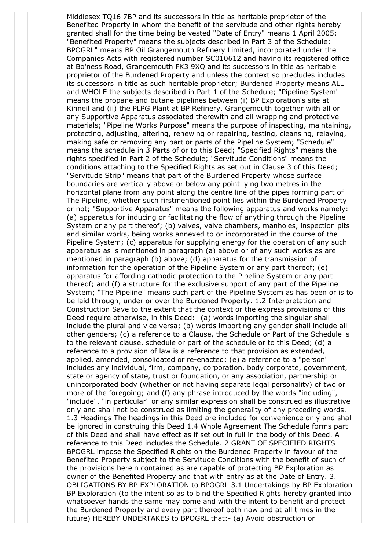Middlesex TQ16 7BP and its successors in title as heritable proprietor of the Benefited Property in whom the benefit of the servitude and other rights hereby granted shall for the time being be vested "Date of Entry" means 1 April 2005; "Benefited Property" means the subjects described in Part 3 of the Schedule; BPOGRL" means BP Oil Grangemouth Refinery Limited, incorporated under the Companies Acts with registered number SC010612 and having its registered office at Bo'ness Road, Grangemouth FK3 9XQ and its successors in title as heritable proprietor of the Burdened Property and unless the context so precludes includes its successors in title as such heritable proprietor; Burdened Property means ALL and WHOLE the subjects described in Part 1 of the Schedule; "Pipeline System" means the propane and butane pipelines between (i) BP Exploration's site at Kinneil and (ii) the PLPG Plant at BP Refinery, Grangemouth together with all or any Supportive Apparatus associated therewith and all wrapping and protective materials; "Pipeline Works Purpose" means the purpose of inspecting, maintaining, protecting, adjusting, altering, renewing or repairing, testing, cleansing, relaying, making safe or removing any part or parts of the Pipeline System; "Schedule" means the schedule in 3 Parts of or to this Deed; "Specified Rights" means the rights specified in Part 2 of the Schedule; "Servitude Conditions" means the conditions attaching to the Specified Rights as set out in Clause 3 of this Deed; "Servitude Strip" means that part of the Burdened Property whose surface boundaries are vertically above or below any point lying two metres in the horizontal plane from any point along the centre line of the pipes forming part of The Pipeline, whether such firstmentioned point lies within the Burdened Property or not; "Supportive Apparatus" means the following apparatus and works namely:- (a) apparatus for inducing or facilitating the flow of anything through the Pipeline System or any part thereof; (b) valves, valve chambers, manholes, inspection pits and similar works, being works annexed to or incorporated in the course of the Pipeline System; (c) apparatus for supplying energy for the operation of any such apparatus as is mentioned in paragraph (a) above or of any such works as are mentioned in paragraph (b) above; (d) apparatus for the transmission of information for the operation of the Pipeline System or any part thereof; (e) apparatus for affording cathodic protection to the Pipeline System or any part thereof; and (f) a structure for the exclusive support of any part of the Pipeline System; "The Pipeline" means such part of the Pipeline System as has been or is to be laid through, under or over the Burdened Property. 1.2 Interpretation and Construction Save to the extent that the context or the express provisions of this Deed require otherwise, in this Deed:- (a) words importing the singular shall include the plural and vice versa; (b) words importing any gender shall include all other genders; (c) a reference to a Clause, the Schedule or Part of the Schedule is to the relevant clause, schedule or part of the schedule or to this Deed; (d) a reference to a provision of law is a reference to that provision as extended, applied, amended, consolidated or re-enacted; (e) a reference to a "person" includes any individual, firm, company, corporation, body corporate, government, state or agency of state, trust or foundation, or any association, partnership or unincorporated body (whether or not having separate legal personality) of two or more of the foregoing; and (f) any phrase introduced by the words "including", "include", "in particular" or any similar expression shall be construed as illustrative only and shall not be construed as limiting the generality of any preceding words. 1.3 Headings The headings in this Deed are included for convenience only and shall be ignored in construing this Deed 1.4 Whole Agreement The Schedule forms part of this Deed and shall have effect as if set out in full in the body of this Deed. A reference to this Deed includes the Schedule. 2 GRANT OF SPECIFIED RIGHTS BPOGRL impose the Specified Rights on the Burdened Property in favour of the Benefited Property subject to the Servitude Conditions with the benefit of such of the provisions herein contained as are capable of protecting BP Exploration as owner of the Benefited Property and that with entry as at the Date of Entry. 3. OBLIGATIONS BY BP EXPLORATION to BPOGRL 3.1 Undertakings by BP Exploration BP Exploration (to the intent so as to bind the Specified Rights hereby granted into whatsoever hands the same may come and with the intent to benefit and protect the Burdened Property and every part thereof both now and at all times in the future) HEREBY UNDERTAKES to BPOGRL that:- (a) Avoid obstruction or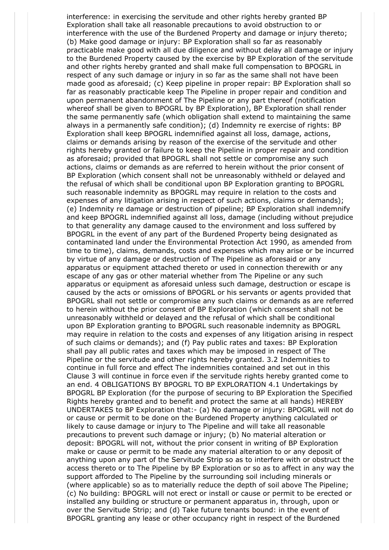interference: in exercising the servitude and other rights hereby granted BP Exploration shall take all reasonable precautions to avoid obstruction to or interference with the use of the Burdened Property and damage or injury thereto; (b) Make good damage or injury: BP Exploration shall so far as reasonably practicable make good with all due diligence and without delay all damage or injury to the Burdened Property caused by the exercise by BP Exploration of the servitude and other rights hereby granted and shall make full compensation to BPOGRL in respect of any such damage or injury in so far as the same shall not have been made good as aforesaid; (c) Keep pipeline in proper repair: BP Exploration shall so far as reasonably practicable keep The Pipeline in proper repair and condition and upon permanent abandonment of The Pipeline or any part thereof (notification whereof shall be given to BPOGRL by BP Exploration), BP Exploration shall render the same permanently safe (which obligation shall extend to maintaining the same always in a permanently safe condition); (d) Indemnity re exercise of rights: BP Exploration shall keep BPOGRL indemnified against all loss, damage, actions, claims or demands arising by reason of the exercise of the servitude and other rights hereby granted or failure to keep the Pipeline in proper repair and condition as aforesaid; provided that BPOGRL shall not settle or compromise any such actions, claims or demands as are referred to herein without the prior consent of BP Exploration (which consent shall not be unreasonably withheld or delayed and the refusal of which shall be conditional upon BP Exploration granting to BPOGRL such reasonable indemnity as BPOGRL may require in relation to the costs and expenses of any litigation arising in respect of such actions, claims or demands); (e) Indemnity re damage or destruction of pipeline; BP Exploration shall indemnify and keep BPOGRL indemnified against all loss, damage (including without prejudice to that generality any damage caused to the environment and loss suffered by BPOGRL in the event of any part of the Burdened Property being designated as contaminated land under the Environmental Protection Act 1990, as amended from time to time), claims, demands, costs and expenses which may arise or be incurred by virtue of any damage or destruction of The Pipeline as aforesaid or any apparatus or equipment attached thereto or used in connection therewith or any escape of any gas or other material whether from The Pipeline or any such apparatus or equipment as aforesaid unless such damage, destruction or escape is caused by the acts or omissions of BPOGRL or his servants or agents provided that BPOGRL shall not settle or compromise any such claims or demands as are referred to herein without the prior consent of BP Exploration (which consent shall not be unreasonably withheld or delayed and the refusal of which shall be conditional upon BP Exploration granting to BPOGRL such reasonable indemnity as BPOGRL may require in relation to the costs and expenses of any litigation arising in respect of such claims or demands); and (f) Pay public rates and taxes: BP Exploration shall pay all public rates and taxes which may be imposed in respect of The Pipeline or the servitude and other rights hereby granted. 3.2 Indemnities to continue in full force and effect The indemnities contained and set out in this Clause 3 will continue in force even if the servitude rights hereby granted come to an end. 4 OBLIGATIONS BY BPOGRL TO BP EXPLORATION 4.1 Undertakings by BPOGRL BP Exploration (for the purpose of securing to BP Exploration the Specified Rights hereby granted and to benefit and protect the same at all hands) HEREBY UNDERTAKES to BP Exploration that:- (a) No damage or injury: BPOGRL will not do or cause or permit to be done on the Burdened Property anything calculated or likely to cause damage or injury to The Pipeline and will take all reasonable precautions to prevent such damage or injury; (b) No material alteration or deposit: BPOGRL will not, without the prior consent in writing of BP Exploration make or cause or permit to be made any material alteration to or any deposit of anything upon any part of the Servitude Strip so as to interfere with or obstruct the access thereto or to The Pipeline by BP Exploration or so as to affect in any way the support afforded to The Pipeline by the surrounding soil including minerals or (where applicable) so as to materially reduce the depth of soil above The Pipeline; (c) No building: BPOGRL will not erect or install or cause or permit to be erected or installed any building or structure or permanent apparatus in, through, upon or over the Servitude Strip; and (d) Take future tenants bound: in the event of BPOGRL granting any lease or other occupancy right in respect of the Burdened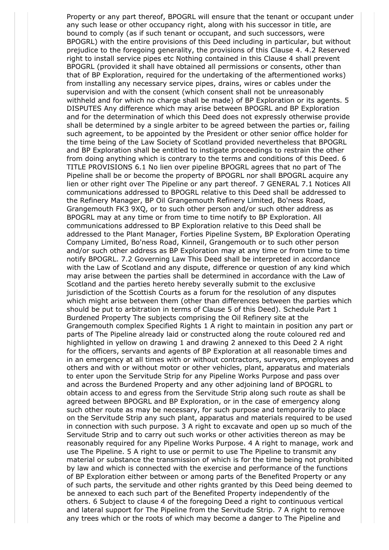Property or any part thereof, BPOGRL will ensure that the tenant or occupant under any such lease or other occupancy right, along with his successor in title, are bound to comply (as if such tenant or occupant, and such successors, were BPOGRL) with the entire provisions of this Deed including in particular, but without prejudice to the foregoing generality, the provisions of this Clause 4. 4.2 Reserved right to install service pipes etc Nothing contained in this Clause 4 shall prevent BPOGRL (provided it shall have obtained all permissions or consents, other than that of BP Exploration, required for the undertaking of the aftermentioned works) from installing any necessary service pipes, drains, wires or cables under the supervision and with the consent (which consent shall not be unreasonably withheld and for which no charge shall be made) of BP Exploration or its agents. 5 DISPUTES Any difference which may arise between BPOGRL and BP Exploration and for the determination of which this Deed does not expressly otherwise provide shall be determined by a single arbiter to be agreed between the parties or, failing such agreement, to be appointed by the President or other senior office holder for the time being of the Law Society of Scotland provided nevertheless that BPOGRL and BP Exploration shall be entitled to instigate proceedings to restrain the other from doing anything which is contrary to the terms and conditions of this Deed. 6 TITLE PROVISIONS 6.1 No lien over pipeline BPOGRL agrees that no part of The Pipeline shall be or become the property of BPOGRL nor shall BPOGRL acquire any lien or other right over The Pipeline or any part thereof. 7 GENERAL 7.1 Notices All communications addressed to BPOGRL relative to this Deed shall be addressed to the Refinery Manager, BP Oil Grangemouth Refinery Limited, Bo'ness Road, Grangemouth FK3 9XQ, or to such other person and/or such other address as BPOGRL may at any time or from time to time notify to BP Exploration. All communications addressed to BP Exploration relative to this Deed shall be addressed to the Plant Manager, Forties Pipeline System, BP Exploration Operating Company Limited, Bo'ness Road, Kinneil, Grangemouth or to such other person and/or such other address as BP Exploration may at any time or from time to time notify BPOGRL. 7.2 Governing Law This Deed shall be interpreted in accordance with the Law of Scotland and any dispute, difference or question of any kind which may arise between the parties shall be determined in accordance with the Law of Scotland and the parties hereto hereby severally submit to the exclusive jurisdiction of the Scottish Courts as a forum for the resolution of any disputes which might arise between them (other than differences between the parties which should be put to arbitration in terms of Clause 5 of this Deed). Schedule Part 1 Burdened Property The subjects comprising the Oil Refinery site at the Grangemouth complex Specified Rights 1 A right to maintain in position any part or parts of The Pipeline already laid or constructed along the route coloured red and highlighted in yellow on drawing 1 and drawing 2 annexed to this Deed 2 A right for the officers, servants and agents of BP Exploration at all reasonable times and in an emergency at all times with or without contractors, surveyors, employees and others and with or without motor or other vehicles, plant, apparatus and materials to enter upon the Servitude Strip for any Pipeline Works Purpose and pass over and across the Burdened Property and any other adjoining land of BPOGRL to obtain access to and egress from the Servitude Strip along such route as shall be agreed between BPOGRL and BP Exploration, or in the case of emergency along such other route as may be necessary, for such purpose and temporarily to place on the Servitude Strip any such plant, apparatus and materials required to be used in connection with such purpose. 3 A right to excavate and open up so much of the Servitude Strip and to carry out such works or other activities thereon as may be reasonably required for any Pipeline Works Purpose. 4 A right to manage, work and use The Pipeline. 5 A right to use or permit to use The Pipeline to transmit any material or substance the transmission of which is for the time being not prohibited by law and which is connected with the exercise and performance of the functions of BP Exploration either between or among parts of the Benefited Property or any of such parts, the servitude and other rights granted by this Deed being deemed to be annexed to each such part of the Benefited Property independently of the others. 6 Subject to clause 4 of the foregoing Deed a right to continuous vertical and lateral support for The Pipeline from the Servitude Strip. 7 A right to remove any trees which or the roots of which may become a danger to The Pipeline and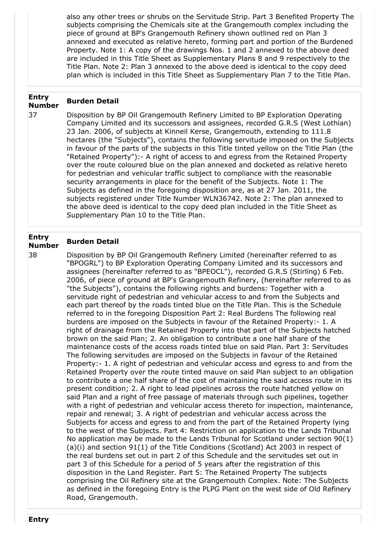also any other trees or shrubs on the Servitude Strip. Part 3 Benefited Property The subjects comprising the Chemicals site at the Grangemouth complex including the piece of ground at BP's Grangemouth Refinery shown outlined red on Plan 3 annexed and executed as relative hereto, forming part and portion of the Burdened Property. Note 1: A copy of the drawings Nos. 1 and 2 annexed to the above deed are included in this Title Sheet as Supplementary Plans 8 and 9 respectively to the Title Plan. Note 2: Plan 3 annexed to the above deed is identical to the copy deed plan which is included in this Title Sheet as Supplementary Plan 7 to the Title Plan.

# **Entry Number Burden Detail**

37 Disposition by BP Oil Grangemouth Refinery Limited to BP Exploration Operating Company Limited and its successors and assignees, recorded G.R.S (West Lothian) 23 Jan. 2006, of subjects at Kinneil Kerse, Grangemouth, extending to 111.8 hectares (the "Subjects"), contains the following servitude imposed on the Subjects in favour of the parts of the subjects in this Title tinted yellow on the Title Plan (the "Retained Property"):- A right of access to and egress from the Retained Property over the route coloured blue on the plan annexed and docketed as relative hereto for pedestrian and vehicular traffic subject to compliance with the reasonable security arrangements in place for the benefit of the Subjects. Note 1: The Subjects as defined in the foregoing disposition are, as at 27 Jan. 2011, the subjects registered under Title Number WLN36742. Note 2: The plan annexed to the above deed is identical to the copy deed plan included in the Title Sheet as Supplementary Plan 10 to the Title Plan.

### **Entry Number Burden Detail**

38 Disposition by BP Oil Grangemouth Refinery Limited (hereinafter referred to as "BPOGRL") to BP Exploration Operating Company Limited and its successors and assignees (hereinafter referred to as "BPEOCL"), recorded G.R.S (Stirling) 6 Feb. 2006, of piece of ground at BP's Grangemouth Refinery, (hereinafter referred to as "the Subjects"), contains the following rights and burdens: Together with a servitude right of pedestrian and vehicular access to and from the Subjects and each part thereof by the roads tinted blue on the Title Plan. This is the Schedule referred to in the foregoing Disposition Part 2: Real Burdens The following real burdens are imposed on the Subjects in favour of the Retained Property:- 1. A right of drainage from the Retained Property into that part of the Subjects hatched brown on the said Plan; 2. An obligation to contribute a one half share of the maintenance costs of the access roads tinted blue on said Plan. Part 3: Servitudes The following servitudes are imposed on the Subjects in favour of the Retained Property:- 1. A right of pedestrian and vehicular access and egress to and from the Retained Property over the route tinted mauve on said Plan subject to an obligation to contribute a one half share of the cost of maintaining the said access route in its present condition; 2. A right to lead pipelines across the route hatched yellow on said Plan and a right of free passage of materials through such pipelines, together with a right of pedestrian and vehicular access thereto for inspection, maintenance, repair and renewal; 3. A right of pedestrian and vehicular access across the Subjects for access and egress to and from the part of the Retained Property lying to the west of the Subjects. Part 4: Restriction on application to the Lands Tribunal No application may be made to the Lands Tribunal for Scotland under section 90(1) (a)(i) and section 91(1) of the Title Conditions (Scotland) Act 2003 in respect of the real burdens set out in part 2 of this Schedule and the servitudes set out in part 3 of this Schedule for a period of 5 years after the registration of this disposition in the Land Register. Part 5: The Retained Property The subjects comprising the Oil Refinery site at the Grangemouth Complex. Note: The Subjects as defined in the foregoing Entry is the PLPG Plant on the west side of Old Refinery Road, Grangemouth.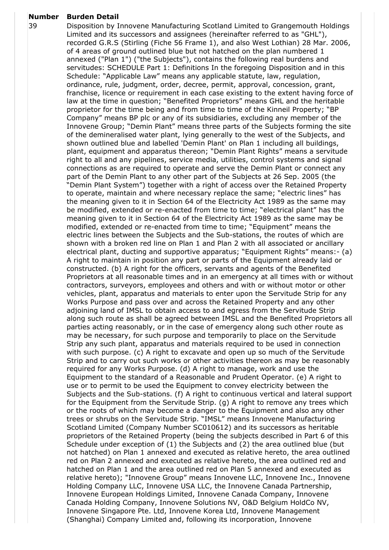# **Number Burden Detail**

39 Disposition by Innovene Manufacturing Scotland Limited to Grangemouth Holdings Limited and its successors and assignees (hereinafter referred to as "GHL"), recorded G.R.S (Stirling (Fiche 56 Frame 1), and also West Lothian) 28 Mar. 2006, of 4 areas of ground outlined blue but not hatched on the plan numbered 1 annexed ("Plan 1") ("the Subjects"), contains the following real burdens and servitudes: SCHEDULE Part 1: Definitions In the foregoing Disposition and in this Schedule: "Applicable Law" means any applicable statute, law, regulation, ordinance, rule, judgment, order, decree, permit, approval, concession, grant, franchise, licence or requirement in each case existing to the extent having force of law at the time in question; "Benefited Proprietors" means GHL and the heritable proprietor for the time being and from time to time of the Kinneil Property; "BP Company" means BP plc or any of its subsidiaries, excluding any member of the Innovene Group; "Demin Plant" means three parts of the Subjects forming the site of the demineralised water plant, lying generally to the west of the Subjects, and shown outlined blue and labelled 'Demin Plant' on Plan 1 including all buildings, plant, equipment and apparatus thereon; "Demin Plant Rights" means a servitude right to all and any pipelines, service media, utilities, control systems and signal connections as are required to operate and serve the Demin Plant or connect any part of the Demin Plant to any other part of the Subjects at 26 Sep. 2005 (the "Demin Plant System") together with a right of access over the Retained Property to operate, maintain and where necessary replace the same; "electric lines" has the meaning given to it in Section 64 of the Electricity Act 1989 as the same may be modified, extended or re-enacted from time to time; "electrical plant" has the meaning given to it in Section 64 of the Electricity Act 1989 as the same may be modified, extended or re-enacted from time to time; "Equipment" means the electric lines between the Subjects and the Sub-stations, the routes of which are shown with a broken red line on Plan 1 and Plan 2 with all associated or ancillary electrical plant, ducting and supportive apparatus; "Equipment Rights" means:- (a) A right to maintain in position any part or parts of the Equipment already laid or constructed. (b) A right for the officers, servants and agents of the Benefited Proprietors at all reasonable times and in an emergency at all times with or without contractors, surveyors, employees and others and with or without motor or other vehicles, plant, apparatus and materials to enter upon the Servitude Strip for any Works Purpose and pass over and across the Retained Property and any other adjoining land of IMSL to obtain access to and egress from the Servitude Strip along such route as shall be agreed between IMSL and the Benefited Proprietors all parties acting reasonably, or in the case of emergency along such other route as may be necessary, for such purpose and temporarily to place on the Servitude Strip any such plant, apparatus and materials required to be used in connection with such purpose. (c) A right to excavate and open up so much of the Servitude Strip and to carry out such works or other activities thereon as may be reasonably required for any Works Purpose. (d) A right to manage, work and use the Equipment to the standard of a Reasonable and Prudent Operator. (e) A right to use or to permit to be used the Equipment to convey electricity between the Subjects and the Sub-stations. (f) A right to continuous vertical and lateral support for the Equipment from the Servitude Strip. (g) A right to remove any trees which or the roots of which may become a danger to the Equipment and also any other trees or shrubs on the Servitude Strip. "IMSL" means Innovene Manufacturing Scotland Limited (Company Number SC010612) and its successors as heritable proprietors of the Retained Property (being the subjects described in Part 6 of this Schedule under exception of (1) the Subjects and (2) the area outlined blue (but not hatched) on Plan 1 annexed and executed as relative hereto, the area outlined red on Plan 2 annexed and executed as relative hereto, the area outlined red and hatched on Plan 1 and the area outlined red on Plan 5 annexed and executed as relative hereto); "Innovene Group" means Innovene LLC, Innovene Inc., Innovene Holding Company LLC, Innovene USA LLC, the Innovene Canada Partnership, Innovene European Holdings Limited, Innovene Canada Company, Innovene Canada Holding Company, Innovene Solutions NV, O&D Belgium HoldCo NV, Innovene Singapore Pte. Ltd, Innovene Korea Ltd, Innovene Management (Shanghai) Company Limited and, following its incorporation, Innovene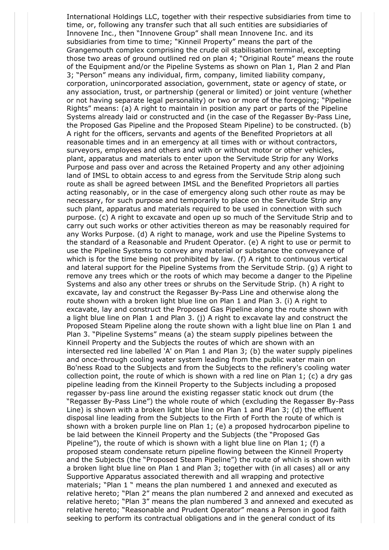International Holdings LLC, together with their respective subsidiaries from time to time, or, following any transfer such that all such entities are subsidiaries of Innovene Inc., then "Innovene Group" shall mean Innovene Inc. and its subsidiaries from time to time; "Kinneil Property" means the part of the Grangemouth complex comprising the crude oil stabilisation terminal, excepting those two areas of ground outlined red on plan 4; "Original Route" means the route of the Equipment and/or the Pipeline Systems as shown on Plan 1, Plan 2 and Plan 3; "Person" means any individual, firm, company, limited liability company, corporation, unincorporated association, government, state or agency of state, or any association, trust, or partnership (general or limited) or joint venture (whether or not having separate legal personality) or two or more of the foregoing; "Pipeline Rights" means: (a) A right to maintain in position any part or parts of the Pipeline Systems already laid or constructed and (in the case of the Regasser By-Pass Line, the Proposed Gas Pipeline and the Proposed Steam Pipeline) to be constructed. (b) A right for the officers, servants and agents of the Benefited Proprietors at all reasonable times and in an emergency at all times with or without contractors, surveyors, employees and others and with or without motor or other vehicles, plant, apparatus and materials to enter upon the Servitude Strip for any Works Purpose and pass over and across the Retained Property and any other adjoining land of IMSL to obtain access to and egress from the Servitude Strip along such route as shall be agreed between IMSL and the Benefited Proprietors all parties acting reasonably, or in the case of emergency along such other route as may be necessary, for such purpose and temporarily to place on the Servitude Strip any such plant, apparatus and materials required to be used in connection with such purpose. (c) A right to excavate and open up so much of the Servitude Strip and to carry out such works or other activities thereon as may be reasonably required for any Works Purpose. (d) A right to manage, work and use the Pipeline Systems to the standard of a Reasonable and Prudent Operator. (e) A right to use or permit to use the Pipeline Systems to convey any material or substance the conveyance of which is for the time being not prohibited by law. (f) A right to continuous vertical and lateral support for the Pipeline Systems from the Servitude Strip. (g) A right to remove any trees which or the roots of which may become a danger to the Pipeline Systems and also any other trees or shrubs on the Servitude Strip. (h) A right to excavate, lay and construct the Regasser By-Pass Line and otherwise along the route shown with a broken light blue line on Plan 1 and Plan 3. (i) A right to excavate, lay and construct the Proposed Gas Pipeline along the route shown with a light blue line on Plan 1 and Plan 3. (j) A right to excavate lay and construct the Proposed Steam Pipeline along the route shown with a light blue line on Plan 1 and Plan 3. "Pipeline Systems" means (a) the steam supply pipelines between the Kinneil Property and the Subjects the routes of which are shown with an intersected red line labelled 'A' on Plan 1 and Plan 3; (b) the water supply pipelines and once-through cooling water system leading from the public water main on Bo'ness Road to the Subjects and from the Subjects to the refinery's cooling water collection point, the route of which is shown with a red line on Plan 1; (c) a dry gas pipeline leading from the Kinneil Property to the Subjects including a proposed regasser by-pass line around the existing regasser static knock out drum (the "Regasser By-Pass Line") the whole route of which (excluding the Regasser By-Pass Line) is shown with a broken light blue line on Plan 1 and Plan 3; (d) the effluent disposal line leading from the Subjects to the Firth of Forth the route of which is shown with a broken purple line on Plan 1; (e) a proposed hydrocarbon pipeline to be laid between the Kinneil Property and the Subjects (the "Proposed Gas Pipeline"), the route of which is shown with a light blue line on Plan 1; (f) a proposed steam condensate return pipeline flowing between the Kinneil Property and the Subjects (the "Proposed Steam Pipeline") the route of which is shown with a broken light blue line on Plan 1 and Plan 3; together with (in all cases) all or any Supportive Apparatus associated therewith and all wrapping and protective materials; "Plan 1 " means the plan numbered 1 and annexed and executed as relative hereto; "Plan 2" means the plan numbered 2 and annexed and executed as relative hereto; "Plan 3" means the plan numbered 3 and annexed and executed as relative hereto; "Reasonable and Prudent Operator" means a Person in good faith seeking to perform its contractual obligations and in the general conduct of its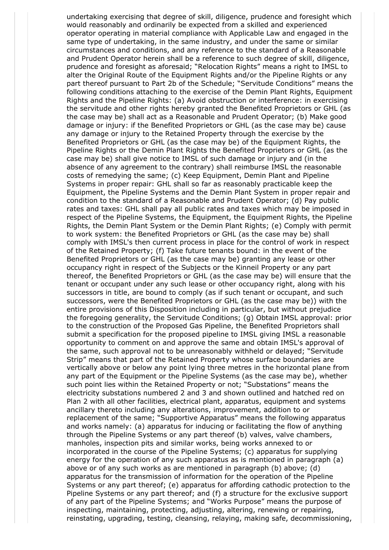undertaking exercising that degree of skill, diligence, prudence and foresight which would reasonably and ordinarily be expected from a skilled and experienced operator operating in material compliance with Applicable Law and engaged in the same type of undertaking, in the same industry, and under the same or similar circumstances and conditions, and any reference to the standard of a Reasonable and Prudent Operator herein shall be a reference to such degree of skill, diligence, prudence and foresight as aforesaid; "Relocation Rights" means a right to IMSL to alter the Original Route of the Equipment Rights and/or the Pipeline Rights or any part thereof pursuant to Part 2b of the Schedule; "Servitude Conditions" means the following conditions attaching to the exercise of the Demin Plant Rights, Equipment Rights and the Pipeline Rights: (a) Avoid obstruction or interference: in exercising the servitude and other rights hereby granted the Benefited Proprietors or GHL (as the case may be) shall act as a Reasonable and Prudent Operator; (b) Make good damage or injury: if the Benefited Proprietors or GHL (as the case may be) cause any damage or injury to the Retained Property through the exercise by the Benefited Proprietors or GHL (as the case may be) of the Equipment Rights, the Pipeline Rights or the Demin Plant Rights the Benefited Proprietors or GHL (as the case may be) shall give notice to IMSL of such damage or injury and (in the absence of any agreement to the contrary) shall reimburse IMSL the reasonable costs of remedying the same; (c) Keep Equipment, Demin Plant and Pipeline Systems in proper repair: GHL shall so far as reasonably practicable keep the Equipment, the Pipeline Systems and the Demin Plant System in proper repair and condition to the standard of a Reasonable and Prudent Operator; (d) Pay public rates and taxes: GHL shall pay all public rates and taxes which may be imposed in respect of the Pipeline Systems, the Equipment, the Equipment Rights, the Pipeline Rights, the Demin Plant System or the Demin Plant Rights; (e) Comply with permit to work system: the Benefited Proprietors or GHL (as the case may be) shall comply with IMSL's then current process in place for the control of work in respect of the Retained Property; (f) Take future tenants bound: in the event of the Benefited Proprietors or GHL (as the case may be) granting any lease or other occupancy right in respect of the Subjects or the Kinneil Property or any part thereof, the Benefited Proprietors or GHL (as the case may be) will ensure that the tenant or occupant under any such lease or other occupancy right, along with his successors in title, are bound to comply (as if such tenant or occupant, and such successors, were the Benefited Proprietors or GHL (as the case may be)) with the entire provisions of this Disposition including in particular, but without prejudice the foregoing generality, the Servitude Conditions; (g) Obtain IMSL approval: prior to the construction of the Proposed Gas Pipeline, the Benefited Proprietors shall submit a specification for the proposed pipeline to IMSL giving IMSL a reasonable opportunity to comment on and approve the same and obtain IMSL's approval of the same, such approval not to be unreasonably withheld or delayed; "Servitude Strip" means that part of the Retained Property whose surface boundaries are vertically above or below any point lying three metres in the horizontal plane from any part of the Equipment or the Pipeline Systems (as the case may be), whether such point lies within the Retained Property or not; "Substations" means the electricity substations numbered 2 and 3 and shown outlined and hatched red on Plan 2 with all other facilities, electrical plant, apparatus, equipment and systems ancillary thereto including any alterations, improvement, addition to or replacement of the same; "Supportive Apparatus" means the following apparatus and works namely: (a) apparatus for inducing or facilitating the flow of anything through the Pipeline Systems or any part thereof (b) valves, valve chambers, manholes, inspection pits and similar works, being works annexed to or incorporated in the course of the Pipeline Systems; (c) apparatus for supplying energy for the operation of any such apparatus as is mentioned in paragraph (a) above or of any such works as are mentioned in paragraph (b) above; (d) apparatus for the transmission of information for the operation of the Pipeline Systems or any part thereof; (e) apparatus for affording cathodic protection to the Pipeline Systems or any part thereof; and (f) a structure for the exclusive support of any part of the Pipeline Systems; and "Works Purpose" means the purpose of inspecting, maintaining, protecting, adjusting, altering, renewing or repairing, reinstating, upgrading, testing, cleansing, relaying, making safe, decommissioning,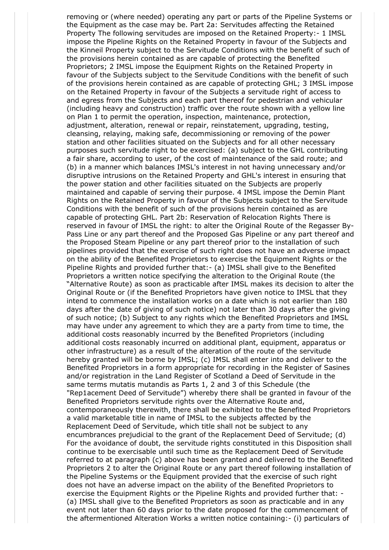removing or (where needed) operating any part or parts of the Pipeline Systems or the Equipment as the case may be. Part 2a: Servitudes affecting the Retained Property The following servitudes are imposed on the Retained Property:- 1 IMSL impose the Pipeline Rights on the Retained Property in favour of the Subjects and the Kinneil Property subject to the Servitude Conditions with the benefit of such of the provisions herein contained as are capable of protecting the Benefited Proprietors; 2 IMSL impose the Equipment Rights on the Retained Property in favour of the Subjects subject to the Servitude Conditions with the benefit of such of the provisions herein contained as are capable of protecting GHL; 3 IMSL impose on the Retained Property in favour of the Subjects a servitude right of access to and egress from the Subjects and each part thereof for pedestrian and vehicular (including heavy and construction) traffic over the route shown with a yellow line on Plan 1 to permit the operation, inspection, maintenance, protection, adjustment, alteration, renewal or repair, reinstatement, upgrading, testing, cleansing, relaying, making safe, decommissioning or removing of the power station and other facilities situated on the Subjects and for all other necessary purposes such servitude right to be exercised: (a) subject to the GHL contributing a fair share, according to user, of the cost of maintenance of the said route; and (b) in a manner which balances IMSL's interest in not having unnecessary and/or disruptive intrusions on the Retained Property and GHL's interest in ensuring that the power station and other facilities situated on the Subjects are properly maintained and capable of serving their purpose. 4 IMSL impose the Demin Plant Rights on the Retained Property in favour of the Subjects subject to the Servitude Conditions with the benefit of such of the provisions herein contained as are capable of protecting GHL. Part 2b: Reservation of Relocation Rights There is reserved in favour of IMSL the right: to alter the Original Route of the Regasser By-Pass Line or any part thereof and the Proposed Gas Pipeline or any part thereof and the Proposed Steam Pipeline or any part thereof prior to the installation of such pipelines provided that the exercise of such right does not have an adverse impact on the ability of the Benefited Proprietors to exercise the Equipment Rights or the Pipeline Rights and provided further that:- (a) IMSL shall give to the Benefited Proprietors a written notice specifying the alteration to the Original Route (the "Alternative Route) as soon as practicable after IMSL makes its decision to alter the Original Route or (if the Benefited Proprietors have given notice to IMSL that they intend to commence the installation works on a date which is not earlier than 180 days after the date of giving of such notice) not later than 30 days after the giving of such notice; (b) Subject to any rights which the Benefited Proprietors and IMSL may have under any agreement to which they are a party from time to time, the additional costs reasonably incurred by the Benefited Proprietors (including additional costs reasonably incurred on additional plant, equipment, apparatus or other infrastructure) as a result of the alteration of the route of the servitude hereby granted will be borne by IMSL; (c) IMSL shall enter into and deliver to the Benefited Proprietors in a form appropriate for recording in the Register of Sasines and/or registration in the Land Register of Scotland a Deed of Servitude in the same terms mutatis mutandis as Parts 1, 2 and 3 of this Schedule (the "Rep1acement Deed of Servitude") whereby there shall be granted in favour of the Benefited Proprietors servitude rights over the Alternative Route and, contemporaneously therewith, there shall be exhibited to the Benefited Proprietors a valid marketable title in name of IMSL to the subjects affected by the Replacement Deed of Servitude, which title shall not be subject to any encumbrances prejudicial to the grant of the Replacement Deed of Servitude; (d) For the avoidance of doubt, the servitude rights constituted in this Disposition shall continue to be exercisable until such time as the Replacement Deed of Servitude referred to at paragraph (c) above has been granted and delivered to the Benefited Proprietors 2 to alter the Original Route or any part thereof following installation of the Pipeline Systems or the Equipment provided that the exercise of such right does not have an adverse impact on the ability of the Benefited Proprietors to exercise the Equipment Rights or the Pipeline Rights and provided further that: - (a) IMSL shall give to the Benefited Proprietors as soon as practicable and in any event not later than 60 days prior to the date proposed for the commencement of the aftermentioned Alteration Works a written notice containing:- (i) particulars of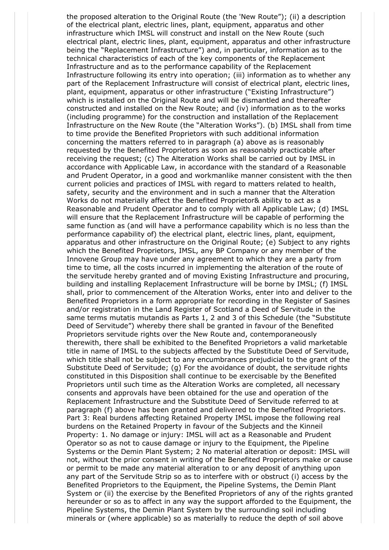the proposed alteration to the Original Route (the 'New Route"); (ii) a description of the electrical plant, electric lines, plant, equipment, apparatus and other infrastructure which IMSL will construct and install on the New Route (such electrical plant, electric lines, plant, equipment, apparatus and other infrastructure being the "Replacement Infrastructure") and, in particular, information as to the technical characteristics of each of the key components of the Replacement Infrastructure and as to the performance capability of the Replacement Infrastructure following its entry into operation; (iii) information as to whether any part of the Replacement Infrastructure will consist of electrical plant, electric lines, plant, equipment, apparatus or other infrastructure ("Existing Infrastructure") which is installed on the Original Route and will be dismantled and thereafter constructed and installed on the New Route; and (iv) information as to the works (including programme) for the construction and installation of the Replacement Infrastructure on the New Route (the "Alteration Works"). (b) IMSL shall from time to time provide the Benefited Proprietors with such additional information concerning the matters referred to in paragraph (a) above as is reasonably requested by the Benefited Proprietors as soon as reasonably practicable after receiving the request; (c) The Alteration Works shall be carried out by IMSL in accordance with Applicable Law, in accordance with the standard of a Reasonable and Prudent Operator, in a good and workmanlike manner consistent with the then current policies and practices of IMSL with regard to matters related to health, safety, security and the environment and in such a manner that the Alteration Works do not materially affect the Benefited Proprietor& ability to act as a Reasonable and Prudent Operator and to comply with all Applicable Law; (d) IMSL will ensure that the Replacement Infrastructure will be capable of performing the same function as (and will have a performance capability which is no less than the performance capability of) the electrical plant, electric lines, plant, equipment, apparatus and other infrastructure on the Original Route; (e) Subject to any rights which the Benefited Proprietors, IMSL, any BP Company or any member of the Innovene Group may have under any agreement to which they are a party from time to time, all the costs incurred in implementing the alteration of the route of the servitude hereby granted and of moving Existing Infrastructure and procuring, building and installing Replacement Infrastructure will be borne by IMSL; (f) IMSL shall, prior to commencement of the Alteration Works, enter into and deliver to the Benefited Proprietors in a form appropriate for recording in the Register of Sasines and/or registration in the Land Register of Scotland a Deed of Servitude in the same terms mutatis mutandis as Parts 1, 2 and 3 of this Schedule (the "Substitute Deed of Servitude") whereby there shall be granted in favour of the Benefited Proprietors servitude rights over the New Route and, contemporaneously therewith, there shall be exhibited to the Benefited Proprietors a valid marketable title in name of IMSL to the subjects affected by the Substitute Deed of Servitude, which title shall not be subject to any encumbrances prejudicial to the grant of the Substitute Deed of Servitude; (g) For the avoidance of doubt, the servitude rights constituted in this Disposition shall continue to be exercisable by the Benefited Proprietors until such time as the Alteration Works are completed, all necessary consents and approvals have been obtained for the use and operation of the Replacement Infrastructure and the Substitute Deed of Servitude referred to at paragraph (f) above has been granted and delivered to the Benefited Proprietors. Part 3: Real burdens affecting Retained Property IMSL impose the following real burdens on the Retained Property in favour of the Subjects and the Kinneil Property: 1. No damage or injury: IMSL will act as a Reasonable and Prudent Operator so as not to cause damage or injury to the Equipment, the Pipeline Systems or the Demin Plant System; 2 No material alteration or deposit: IMSL will not, without the prior consent in writing of the Benefited Proprietors make or cause or permit to be made any material alteration to or any deposit of anything upon any part of the Servitude Strip so as to interfere with or obstruct (i) access by the Benefited Proprietors to the Equipment, the Pipeline Systems, the Demin Plant System or (ii) the exercise by the Benefited Proprietors of any of the rights granted hereunder or so as to affect in any way the support afforded to the Equipment, the Pipeline Systems, the Demin Plant System by the surrounding soil including minerals or (where applicable) so as materially to reduce the depth of soil above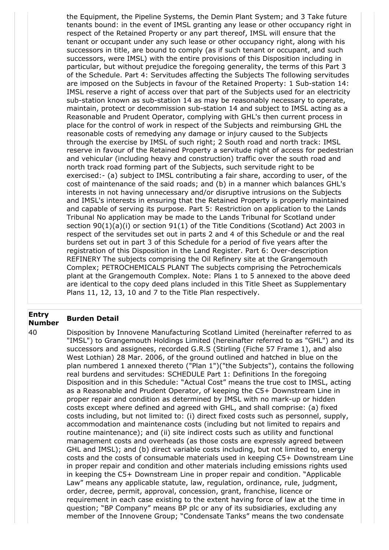the Equipment, the Pipeline Systems, the Demin Plant System; and 3 Take future tenants bound: in the event of IMSL granting any lease or other occupancy right in respect of the Retained Property or any part thereof, IMSL will ensure that the tenant or occupant under any such lease or other occupancy right, along with his successors in title, are bound to comply (as if such tenant or occupant, and such successors, were IMSL) with the entire provisions of this Disposition including in particular, but without prejudice the foregoing generality, the terms of this Part 3 of the Schedule. Part 4: Servitudes affecting the Subjects The following servitudes are imposed on the Subjects in favour of the Retained Property: 1 Sub-station 14: IMSL reserve a right of access over that part of the Subjects used for an electricity sub-station known as sub-station 14 as may be reasonably necessary to operate, maintain, protect or decommission sub-station 14 and subject to IMSL acting as a Reasonable and Prudent Operator, complying with GHL's then current process in place for the control of work in respect of the Subjects and reimbursing GHL the reasonable costs of remedying any damage or injury caused to the Subjects through the exercise by IMSL of such right; 2 South road and north track: IMSL reserve in favour of the Retained Property a servitude right of access for pedestrian and vehicular (including heavy and construction) traffic over the south road and north track road forming part of the Subjects, such servitude right to be exercised:- (a) subject to IMSL contributing a fair share, according to user, of the cost of maintenance of the said roads; and (b) in a manner which balances GHL's interests in not having unnecessary and/or disruptive intrusions on the Subjects and IMSL's interests in ensuring that the Retained Property is properly maintained and capable of serving its purpose. Part 5: Restriction on application to the Lands Tribunal No application may be made to the Lands Tribunal for Scotland under section 90(1)(a)(i) or section 91(1) of the Title Conditions (Scotland) Act 2003 in respect of the servitudes set out in parts 2 and 4 of this Schedule or and the real burdens set out in part 3 of this Schedule for a period of five years after the registration of this Disposition in the Land Register. Part 6: Over-description REFINERY The subjects comprising the Oil Refinery site at the Grangemouth Complex; PETROCHEMICALS PLANT The subjects comprising the Petrochemicals plant at the Grangemouth Complex. Note: Plans 1 to 5 annexed to the above deed are identical to the copy deed plans included in this Title Sheet as Supplementary Plans 11, 12, 13, 10 and 7 to the Title Plan respectively.

## **Entry Number Burden Detail**

40 Disposition by Innovene Manufacturing Scotland Limited (hereinafter referred to as "IMSL") to Grangemouth Holdings Limited (hereinafter referred to as "GHL") and its successors and assignees, recorded G.R.S (Stirling (Fiche 57 Frame 1), and also West Lothian) 28 Mar. 2006, of the ground outlined and hatched in blue on the plan numbered 1 annexed thereto ("Plan 1")("the Subjects"), contains the following real burdens and servitudes: SCHEDULE Part 1: Definitions In the foregoing Disposition and in this Schedule: "Actual Cost" means the true cost to IMSL, acting as a Reasonable and Prudent Operator, of keeping the C5+ Downstream Line in proper repair and condition as determined by IMSL with no mark-up or hidden costs except where defined and agreed with GHL, and shall comprise: (a) fixed costs including, but not limited to: (i) direct fixed costs such as personnel, supply, accommodation and maintenance costs (including but not limited to repairs and routine maintenance); and (ii) site indirect costs such as utility and functional management costs and overheads (as those costs are expressly agreed between GHL and IMSL); and (b) direct variable costs including, but not limited to, energy costs and the costs of consumable materials used in keeping C5+ Downstream Line in proper repair and condition and other materials including emissions rights used in keeping the C5+ Downstream Line in proper repair and condition. "Applicable Law" means any applicable statute, law, regulation, ordinance, rule, judgment, order, decree, permit, approval, concession, grant, franchise, licence or requirement in each case existing to the extent having force of law at the time in question; "BP Company" means BP plc or any of its subsidiaries, excluding any member of the Innovene Group; "Condensate Tanks" means the two condensate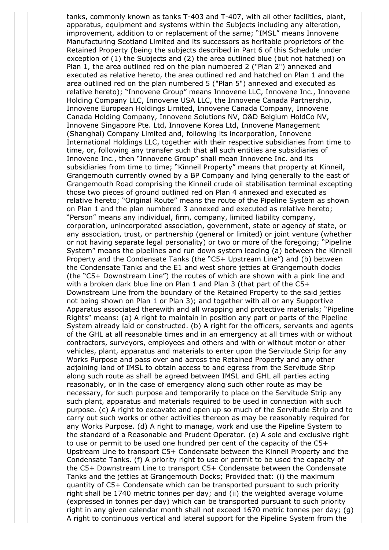tanks, commonly known as tanks T-403 and T-407, with all other facilities, plant, apparatus, equipment and systems within the Subjects including any alteration, improvement, addition to or replacement of the same; "IMSL" means Innovene Manufacturing Scotland Limited and its successors as heritable proprietors of the Retained Property (being the subjects described in Part 6 of this Schedule under exception of (1) the Subjects and (2) the area outlined blue (but not hatched) on Plan 1, the area outlined red on the plan numbered 2 ("Plan 2") annexed and executed as relative hereto, the area outlined red and hatched on Plan 1 and the area outlined red on the plan numbered 5 ("Plan 5") annexed and executed as relative hereto); "Innovene Group" means Innovene LLC, Innovene Inc., Innovene Holding Company LLC, Innovene USA LLC, the Innovene Canada Partnership, Innovene European Holdings Limited, Innovene Canada Company, Innovene Canada Holding Company, Innovene Solutions NV, O&D Belgium HoldCo NV, Innovene Singapore Pte. Ltd, Innovene Korea Ltd, Innovene Management (Shanghai) Company Limited and, following its incorporation, Innovene International Holdings LLC, together with their respective subsidiaries from time to time, or, following any transfer such that all such entities are subsidiaries of Innovene Inc., then "Innovene Group" shall mean Innovene Inc. and its subsidiaries from time to time; "Kinneil Property" means that property at Kinneil, Grangemouth currently owned by a BP Company and lying generally to the east of Grangemouth Road comprising the Kinneil crude oil stabilisation terminal excepting those two pieces of ground outlined red on Plan 4 annexed and executed as relative hereto; "Original Route" means the route of the Pipeline System as shown on Plan 1 and the plan numbered 3 annexed and executed as relative hereto; "Person" means any individual, firm, company, limited liability company, corporation, unincorporated association, government, state or agency of state, or any association, trust, or partnership (general or limited) or joint venture (whether or not having separate legal personality) or two or more of the foregoing; "Pipeline System" means the pipelines and run down system leading (a) between the Kinneil Property and the Condensate Tanks (the "C5+ Upstream Line") and (b) between the Condensate Tanks and the E1 and west shore jetties at Grangemouth docks (the "C5+ Downstream Line") the routes of which are shown with a pink line and with a broken dark blue line on Plan 1 and Plan 3 (that part of the C5+ Downstream Line from the boundary of the Retained Property to the said jetties not being shown on Plan 1 or Plan 3); and together with all or any Supportive Apparatus associated therewith and all wrapping and protective materials; "Pipeline Rights" means: (a) A right to maintain in position any part or parts of the Pipeline System already laid or constructed. (b) A right for the officers, servants and agents of the GHL at all reasonable times and in an emergency at all times with or without contractors, surveyors, employees and others and with or without motor or other vehicles, plant, apparatus and materials to enter upon the Servitude Strip for any Works Purpose and pass over and across the Retained Property and any other adjoining land of IMSL to obtain access to and egress from the Servitude Strip along such route as shall be agreed between IMSL and GHL all parties acting reasonably, or in the case of emergency along such other route as may be necessary, for such purpose and temporarily to place on the Servitude Strip any such plant, apparatus and materials required to be used in connection with such purpose. (c) A right to excavate and open up so much of the Servitude Strip and to carry out such works or other activities thereon as may be reasonably required for any Works Purpose. (d) A right to manage, work and use the Pipeline System to the standard of a Reasonable and Prudent Operator. (e) A sole and exclusive right to use or permit to be used one hundred per cent of the capacity of the C5+ Upstream Line to transport C5+ Condensate between the Kinneil Property and the Condensate Tanks. (f) A priority right to use or permit to be used the capacity of the C5+ Downstream Line to transport C5+ Condensate between the Condensate Tanks and the jetties at Grangemouth Docks; Provided that: (i) the maximum quantity of C5+ Condensate which can be transported pursuant to such priority right shall be 1740 metric tonnes per day; and (ii) the weighted average volume (expressed in tonnes per day) which can be transported pursuant to such priority right in any given calendar month shall not exceed 1670 metric tonnes per day; (g) A right to continuous vertical and lateral support for the Pipeline System from the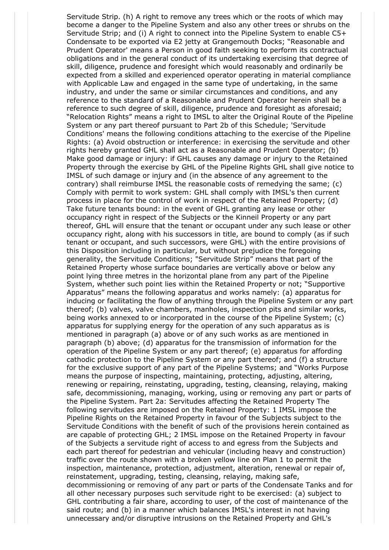Servitude Strip. (h) A right to remove any trees which or the roots of which may become a danger to the Pipeline System and also any other trees or shrubs on the Servitude Strip; and (i) A right to connect into the Pipeline System to enable C5+ Condensate to be exported via E2 jetty at Grangemouth Docks; "Reasonable and Prudent Operator' means a Person in good faith seeking to perform its contractual obligations and in the general conduct of its undertaking exercising that degree of skill, diligence, prudence and foresight which would reasonably and ordinarily be expected from a skilled and experienced operator operating in material compliance with Applicable Law and engaged in the same type of undertaking, in the same industry, and under the same or similar circumstances and conditions, and any reference to the standard of a Reasonable and Prudent Operator herein shall be a reference to such degree of skill, diligence, prudence and foresight as aforesaid; "Relocation Rights" means a right to IMSL to alter the Original Route of the Pipeline System or any part thereof pursuant to Part 2b of this Schedule; 'Servitude Conditions' means the following conditions attaching to the exercise of the Pipeline Rights: (a) Avoid obstruction or interference: in exercising the servitude and other rights hereby granted GHL shall act as a Reasonable and Prudent Operator; (b) Make good damage or injury: if GHL causes any damage or injury to the Retained Property through the exercise by GHL of the Pipeline Rights GHL shall give notice to IMSL of such damage or injury and (in the absence of any agreement to the contrary) shall reimburse IMSL the reasonable costs of remedying the same; (c) Comply with permit to work system: GHL shall comply with IMSL's then current process in place for the control of work in respect of the Retained Property; (d) Take future tenants bound: in the event of GHL granting any lease or other occupancy right in respect of the Subjects or the Kinneil Property or any part thereof, GHL will ensure that the tenant or occupant under any such lease or other occupancy right, along with his successors in title, are bound to comply (as if such tenant or occupant, and such successors, were GHL) with the entire provisions of this Disposition including in particular, but without prejudice the foregoing generality, the Servitude Conditions; "Servitude Strip" means that part of the Retained Property whose surface boundaries are vertically above or below any point lying three metres in the horizontal plane from any part of the Pipeline System, whether such point lies within the Retained Property or not; "Supportive Apparatus" means the following apparatus and works namely: (a) apparatus for inducing or facilitating the flow of anything through the Pipeline System or any part thereof; (b) valves, valve chambers, manholes, inspection pits and similar works, being works annexed to or incorporated in the course of the Pipeline System; (c) apparatus for supplying energy for the operation of any such apparatus as is mentioned in paragraph (a) above or of any such works as are mentioned in paragraph (b) above; (d) apparatus for the transmission of information for the operation of the Pipeline System or any part thereof; (e) apparatus for affording cathodic protection to the Pipeline System or any part thereof; and (f) a structure for the exclusive support of any part of the Pipeline Systems; and "Works Purpose means the purpose of inspecting, maintaining, protecting, adjusting, altering, renewing or repairing, reinstating, upgrading, testing, cleansing, relaying, making safe, decommissioning, managing, working, using or removing any part or parts of the Pipeline System. Part 2a: Servitudes affecting the Retained Property The following servitudes are imposed on the Retained Property: 1 IMSL impose the Pipeline Rights on the Retained Property in favour of the Subjects subject to the Servitude Conditions with the benefit of such of the provisions herein contained as are capable of protecting GHL; 2 IMSL impose on the Retained Property in favour of the Subjects a servitude right of access to and egress from the Subjects and each part thereof for pedestrian and vehicular (including heavy and construction) traffic over the route shown with a broken yellow line on Plan 1 to permit the inspection, maintenance, protection, adjustment, alteration, renewal or repair of, reinstatement, upgrading, testing, cleansing, relaying, making safe, decommissioning or removing of any part or parts of the Condensate Tanks and for all other necessary purposes such servitude right to be exercised: (a) subject to GHL contributing a fair share, according to user, of the cost of maintenance of the said route; and (b) in a manner which balances IMSL's interest in not having unnecessary and/or disruptive intrusions on the Retained Property and GHL's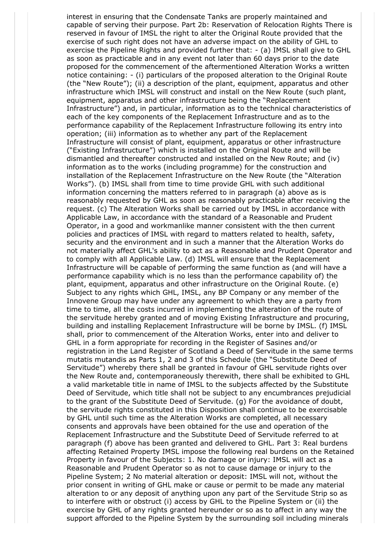interest in ensuring that the Condensate Tanks are properly maintained and capable of serving their purpose. Part 2b: Reservation of Relocation Rights There is reserved in favour of IMSL the right to alter the Original Route provided that the exercise of such right does not have an adverse impact on the ability of GHL to exercise the Pipeline Rights and provided further that: - (a) IMSL shall give to GHL as soon as practicable and in any event not later than 60 days prior to the date proposed for the commencement of the aftermentioned Alteration Works a written notice containing: - (i) particulars of the proposed alteration to the Original Route (the "New Route"); (ii) a description of the plant, equipment, apparatus and other infrastructure which IMSL will construct and install on the New Route (such plant, equipment, apparatus and other infrastructure being the "Replacement Infrastructure") and, in particular, information as to the technical characteristics of each of the key components of the Replacement Infrastructure and as to the performance capability of the Replacement Infrastructure following its entry into operation; (iii) information as to whether any part of the Replacement Infrastructure will consist of plant, equipment, apparatus or other infrastructure ("Existing Infrastructure") which is installed on the Original Route and will be dismantled and thereafter constructed and installed on the New Route; and (iv) information as to the works (including programme) for the construction and installation of the Replacement Infrastructure on the New Route (the "Alteration Works"). (b) IMSL shall from time to time provide GHL with such additional information concerning the matters referred to in paragraph (a) above as is reasonably requested by GHL as soon as reasonably practicable after receiving the request. (c) The Alteration Works shall be carried out by IMSL in accordance with Applicable Law, in accordance with the standard of a Reasonable and Prudent Operator, in a good and workmanlike manner consistent with the then current policies and practices of IMSL with regard to matters related to health, safety, security and the environment and in such a manner that the Alteration Works do not materially affect GHL's ability to act as a Reasonable and Prudent Operator and to comply with all Applicable Law. (d) IMSL will ensure that the Replacement Infrastructure will be capable of performing the same function as (and will have a performance capability which is no less than the performance capability of) the plant, equipment, apparatus and other infrastructure on the Original Route. (e) Subject to any rights which GHL, IMSL, any BP Company or any member of the Innovene Group may have under any agreement to which they are a party from time to time, all the costs incurred in implementing the alteration of the route of the servitude hereby granted and of moving Existing Infrastructure and procuring, building and installing Replacement Infrastructure will be borne by IMSL. (f) IMSL shall, prior to commencement of the Alteration Works, enter into and deliver to GHL in a form appropriate for recording in the Register of Sasines and/or registration in the Land Register of Scotland a Deed of Servitude in the same terms mutatis mutandis as Parts 1, 2 and 3 of this Schedule (the "Substitute Deed of Servitude") whereby there shall be granted in favour of GHL servitude rights over the New Route and, contemporaneously therewith, there shall be exhibited to GHL a valid marketable title in name of IMSL to the subjects affected by the Substitute Deed of Servitude, which title shall not be subject to any encumbrances prejudicial to the grant of the Substitute Deed of Servitude. (g) For the avoidance of doubt, the servitude rights constituted in this Disposition shall continue to be exercisable by GHL until such time as the Alteration Works are completed, all necessary consents and approvals have been obtained for the use and operation of the Replacement Infrastructure and the Substitute Deed of Servitude referred to at paragraph (f) above has been granted and delivered to GHL. Part 3: Real burdens affecting Retained Property IMSL impose the following real burdens on the Retained Property in favour of the Subjects: 1. No damage or injury: IMSL will act as a Reasonable and Prudent Operator so as not to cause damage or injury to the Pipeline System; 2 No material alteration or deposit: IMSL will not, without the prior consent in writing of GHL make or cause or permit to be made any material alteration to or any deposit of anything upon any part of the Servitude Strip so as to interfere with or obstruct (i) access by GHL to the Pipeline System or (ii) the exercise by GHL of any rights granted hereunder or so as to affect in any way the support afforded to the Pipeline System by the surrounding soil including minerals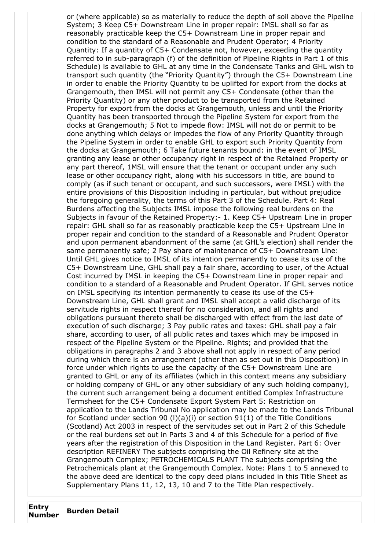or (where applicable) so as materially to reduce the depth of soil above the Pipeline System; 3 Keep C5+ Downstream Line in proper repair: IMSL shall so far as reasonably practicable keep the C5+ Downstream Line in proper repair and condition to the standard of a Reasonable and Prudent Operator; 4 Priority Quantity: If a quantity of C5+ Condensate not, however, exceeding the quantity referred to in sub-paragraph (f) of the definition of Pipeline Rights in Part 1 of this Schedule) is available to GHL at any time in the Condensate Tanks and GHL wish to transport such quantity (the "Priority Quantity") through the C5+ Downstream Line in order to enable the Priority Quantity to be uplifted for export from the docks at Grangemouth, then IMSL will not permit any C5+ Condensate (other than the Priority Quantity) or any other product to be transported from the Retained Property for export from the docks at Grangemouth, unless and until the Priority Quantity has been transported through the Pipeline System for export from the docks at Grangemouth; 5 Not to impede flow: IMSL will not do or permit to be done anything which delays or impedes the flow of any Priority Quantity through the Pipeline System in order to enable GHL to export such Priority Quantity from the docks at Grangemouth; 6 Take future tenants bound: in the event of IMSL granting any lease or other occupancy right in respect of the Retained Property or any part thereof, 1MSL will ensure that the tenant or occupant under any such lease or other occupancy right, along with his successors in title, are bound to comply (as if such tenant or occupant, and such successors, were IMSL) with the entire provisions of this Disposition including in particular, but without prejudice the foregoing generality, the terms of this Part 3 of the Schedule. Part 4: Real Burdens affecting the Subjects IMSL impose the following real burdens on the Subjects in favour of the Retained Property:- 1. Keep C5+ Upstream Line in proper repair: GHL shall so far as reasonably practicable keep the C5+ Upstream Line in proper repair and condition to the standard of a Reasonable and Prudent Operator and upon permanent abandonment of the same (at GHL's election) shall render the same permanently safe; 2 Pay share of maintenance of C5+ Downstream Line: Until GHL gives notice to IMSL of its intention permanently to cease its use of the C5+ Downstream Line, GHL shall pay a fair share, according to user, of the Actual Cost incurred by IMSL in keeping the C5+ Downstream Line in proper repair and condition to a standard of a Reasonable and Prudent Operator. If GHL serves notice on IMSL specifying its intention permanently to cease its use of the C5+ Downstream Line, GHL shall grant and IMSL shall accept a valid discharge of its servitude rights in respect thereof for no consideration, and all rights and obligations pursuant thereto shall be discharged with effect from the last date of execution of such discharge; 3 Pay public rates and taxes: GHL shall pay a fair share, according to user, of all public rates and taxes which may be imposed in respect of the Pipeline System or the Pipeline. Rights; and provided that the obligations in paragraphs 2 and 3 above shall not apply in respect of any period during which there is an arrangement (other than as set out in this Disposition) in force under which rights to use the capacity of the C5+ Downstream Line are granted to GHL or any of its affiliates (which in this context means any subsidiary or holding company of GHL or any other subsidiary of any such holding company), the current such arrangement being a document entitled Complex Infrastructure Termsheet for the C5+ Condensate Export System Part 5: Restriction on application to the Lands Tribunal No application may be made to the Lands Tribunal for Scotland under section 90 (I)(a)(i) or section 91(1) of the Title Conditions (Scotland) Act 2003 in respect of the servitudes set out in Part 2 of this Schedule or the real burdens set out in Parts 3 and 4 of this Schedule for a period of five years after the registration of this Disposition in the Land Register. Part 6: Over description REFINERY The subjects comprising the Oil Refinery site at the Grangemouth Complex; PETROCHEMICALS PLANT The subjects comprising the Petrochemicals plant at the Grangemouth Complex. Note: Plans 1 to 5 annexed to the above deed are identical to the copy deed plans included in this Title Sheet as Supplementary Plans 11, 12, 13, 10 and 7 to the Title Plan respectively.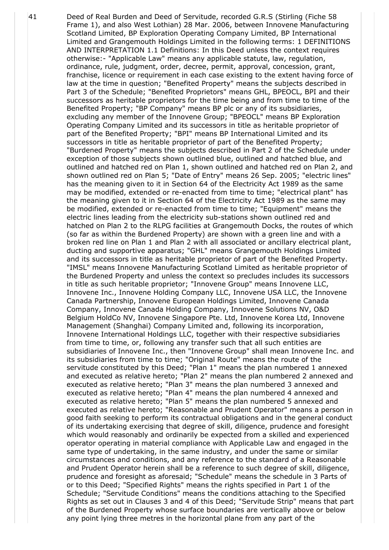41 Deed of Real Burden and Deed of Servitude, recorded G.R.S (Stirling (Fiche 58 Frame 1), and also West Lothian) 28 Mar. 2006, between Innovene Manufacturing Scotland Limited, BP Exploration Operating Company Limited, BP International Limited and Grangemouth Holdings Limited in the following terms: 1 DEFINITIONS AND INTERPRETATION 1.1 Definitions: In this Deed unless the context requires otherwise:- "Applicable Law" means any applicable statute, law, regulation, ordinance, rule, judgment, order, decree, permit, approval, concession, grant, franchise, licence or requirement in each case existing to the extent having force of law at the time in question; "Benefited Property" means the subjects described in Part 3 of the Schedule; "Benefited Proprietors" means GHL, BPEOCL, BPI and their successors as heritable proprietors for the time being and from time to time of the Benefited Property; "BP Company" means BP plc or any of its subsidiaries, excluding any member of the Innovene Group; "BPEOCL" means BP Exploration Operating Company Limited and its successors in title as heritable proprietor of part of the Benefited Property; "BPI" means BP International Limited and its successors in title as heritable proprietor of part of the Benefited Property; "Burdened Property" means the subjects described in Part 2 of the Schedule under exception of those subjects shown outlined blue, outlined and hatched blue, and outlined and hatched red on Plan 1, shown outlined and hatched red on Plan 2, and shown outlined red on Plan 5; "Date of Entry" means 26 Sep. 2005; "electric lines" has the meaning given to it in Section 64 of the Electricity Act 1989 as the same may be modified, extended or re-enacted from time to time; "electrical plant" has the meaning given to it in Section 64 of the Electricity Act 1989 as the same may be modified, extended or re-enacted from time to time; "Equipment" means the electric lines leading from the electricity sub-stations shown outlined red and hatched on Plan 2 to the RLPG facilities at Grangemouth Docks, the routes of which (so far as within the Burdened Property) are shown with a green line and with a broken red line on Plan 1 and Plan 2 with all associated or ancillary electrical plant, ducting and supportive apparatus; "GHL" means Grangemouth Holdings Limited and its successors in title as heritable proprietor of part of the Benefited Property. "IMSL" means Innovene Manufacturing Scotland Limited as heritable proprietor of the Burdened Property and unless the context so precludes includes its successors in title as such heritable proprietor; "Innovene Group" means Innovene LLC, Innovene Inc., Innovene Holding Company LLC, Innovene USA LLC, the Innovene Canada Partnership, Innovene European Holdings Limited, Innovene Canada Company, Innovene Canada Holding Company, Innovene Solutions NV, O&D Belgium HoldCo NV, Innovene Singapore Pte. Ltd, Innovene Korea Ltd, Innovene Management (Shanghai) Company Limited and, following its incorporation, Innovene International Holdings LLC, together with their respective subsidiaries from time to time, or, following any transfer such that all such entities are subsidiaries of Innovene Inc., then "Innovene Group" shall mean Innovene Inc. and its subsidiaries from time to time; "Original Route" means the route of the servitude constituted by this Deed; "Plan 1" means the plan numbered 1 annexed and executed as relative hereto; "Plan 2" means the plan numbered 2 annexed and executed as relative hereto; "Plan 3" means the plan numbered 3 annexed and executed as relative hereto; "Plan 4" means the plan numbered 4 annexed and executed as relative hereto; "Plan 5" means the plan numbered 5 annexed and executed as relative hereto; "Reasonable and Prudent Operator" means a person in good faith seeking to perform its contractual obligations and in the general conduct of its undertaking exercising that degree of skill, diligence, prudence and foresight which would reasonably and ordinarily be expected from a skilled and experienced operator operating in material compliance with Applicable Law and engaged in the same type of undertaking, in the same industry, and under the same or similar circumstances and conditions, and any reference to the standard of a Reasonable and Prudent Operator herein shall be a reference to such degree of skill, diligence, prudence and foresight as aforesaid; "Schedule" means the schedule in 3 Parts of or to this Deed; "Specified Rights" means the rights specified in Part 1 of the Schedule; "Servitude Conditions" means the conditions attaching to the Specified Rights as set out in Clauses 3 and 4 of this Deed; "Servitude Strip" means that part of the Burdened Property whose surface boundaries are vertically above or below any point lying three metres in the horizontal plane from any part of the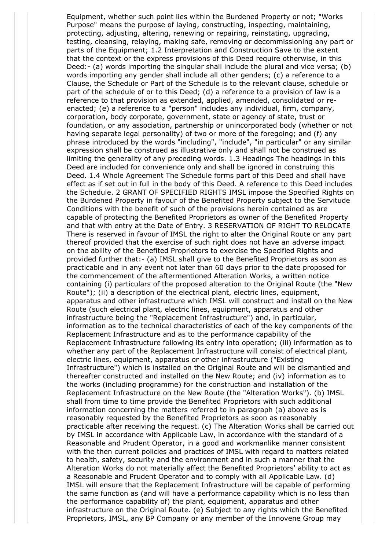Equipment, whether such point lies within the Burdened Property or not; "Works Purpose" means the purpose of laying, constructing, inspecting, maintaining, protecting, adjusting, altering, renewing or repairing, reinstating, upgrading, testing, cleansing, relaying, making safe, removing or decommissioning any part or parts of the Equipment; 1.2 Interpretation and Construction Save to the extent that the context or the express provisions of this Deed require otherwise, in this Deed:- (a) words importing the singular shall include the plural and vice versa; (b) words importing any gender shall include all other genders; (c) a reference to a Clause, the Schedule or Part of the Schedule is to the relevant clause, schedule or part of the schedule of or to this Deed; (d) a reference to a provision of law is a reference to that provision as extended, applied, amended, consolidated or reenacted; (e) a reference to a "person" includes any individual, firm, company, corporation, body corporate, government, state or agency of state, trust or foundation, or any association, partnership or unincorporated body (whether or not having separate legal personality) of two or more of the foregoing; and (f) any phrase introduced by the words "including", "include", "in particular" or any similar expression shall be construed as illustrative only and shall not be construed as limiting the generality of any preceding words. 1.3 Headings The headings in this Deed are included for convenience only and shall be ignored in construing this Deed. 1.4 Whole Agreement The Schedule forms part of this Deed and shall have effect as if set out in full in the body of this Deed. A reference to this Deed includes the Schedule. 2 GRANT OF SPECIFIED RIGHTS IMSL impose the Specified Rights on the Burdened Property in favour of the Benefited Property subject to the Servitude Conditions with the benefit of such of the provisions herein contained as are capable of protecting the Benefited Proprietors as owner of the Benefited Property and that with entry at the Date of Entry. 3 RESERVATION OF RIGHT TO RELOCATE There is reserved in favour of IMSL the right to alter the Original Route or any part thereof provided that the exercise of such right does not have an adverse impact on the ability of the Benefited Proprietors to exercise the Specified Rights and provided further that:- (a) IMSL shall give to the Benefited Proprietors as soon as practicable and in any event not later than 60 days prior to the date proposed for the commencement of the aftermentioned Alteration Works, a written notice containing (i) particulars of the proposed alteration to the Original Route (the "New Route"); (ii) a description of the electrical plant, electric lines, equipment, apparatus and other infrastructure which IMSL will construct and install on the New Route (such electrical plant, electric lines, equipment, apparatus and other infrastructure being the "Replacement Infrastructure") and, in particular, information as to the technical characteristics of each of the key components of the Replacement Infrastructure and as to the performance capability of the Replacement Infrastructure following its entry into operation; (iii) information as to whether any part of the Replacement Infrastructure will consist of electrical plant, electric lines, equipment, apparatus or other infrastructure ("Existing Infrastructure") which is installed on the Original Route and will be dismantled and thereafter constructed and installed on the New Route; and (iv) information as to the works (including programme) for the construction and installation of the Replacement Infrastructure on the New Route (the "Alteration Works"). (b) IMSL shall from time to time provide the Benefited Proprietors with such additional information concerning the matters referred to in paragraph (a) above as is reasonably requested by the Benefited Proprietors as soon as reasonably practicable after receiving the request. (c) The Alteration Works shall be carried out by IMSL in accordance with Applicable Law, in accordance with the standard of a Reasonable and Prudent Operator, in a good and workmanlike manner consistent with the then current policies and practices of IMSL with regard to matters related to health, safety, security and the environment and in such a manner that the Alteration Works do not materially affect the Benefited Proprietors' ability to act as a Reasonable and Prudent Operator and to comply with all Applicable Law. (d) IMSL will ensure that the Replacement Infrastructure will be capable of performing the same function as (and will have a performance capability which is no less than the performance capability of) the plant, equipment, apparatus and other infrastructure on the Original Route. (e) Subject to any rights which the Benefited Proprietors, IMSL, any BP Company or any member of the Innovene Group may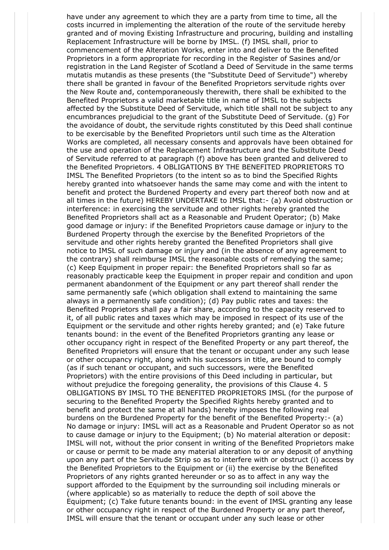have under any agreement to which they are a party from time to time, all the costs incurred in implementing the alteration of the route of the servitude hereby granted and of moving Existing Infrastructure and procuring, building and installing Replacement Infrastructure will be borne by IMSL. (f) IMSL shall, prior to commencement of the Alteration Works, enter into and deliver to the Benefited Proprietors in a form appropriate for recording in the Register of Sasines and/or registration in the Land Register of Scotland a Deed of Servitude in the same terms mutatis mutandis as these presents (the "Substitute Deed of Servitude") whereby there shall be granted in favour of the Benefited Proprietors servitude rights over the New Route and, contemporaneously therewith, there shall be exhibited to the Benefited Proprietors a valid marketable title in name of IMSL to the subjects affected by the Substitute Deed of Servitude, which title shall not be subject to any encumbrances prejudicial to the grant of the Substitute Deed of Servitude. (g) For the avoidance of doubt, the servitude rights constituted by this Deed shall continue to be exercisable by the Benefited Proprietors until such time as the Alteration Works are completed, all necessary consents and approvals have been obtained for the use and operation of the Replacement Infrastructure and the Substitute Deed of Servitude referred to at paragraph (f) above has been granted and delivered to the Benefited Proprietors. 4 OBLIGATIONS BY THE BENEFITED PROPRIETORS TO IMSL The Benefited Proprietors (to the intent so as to bind the Specified Rights hereby granted into whatsoever hands the same may come and with the intent to benefit and protect the Burdened Property and every part thereof both now and at all times in the future) HEREBY UNDERTAKE to IMSL that:- (a) Avoid obstruction or interference: in exercising the servitude and other rights hereby granted the Benefited Proprietors shall act as a Reasonable and Prudent Operator; (b) Make good damage or injury: if the Benefited Proprietors cause damage or injury to the Burdened Property through the exercise by the Benefited Proprietors of the servitude and other rights hereby granted the Benefited Proprietors shall give notice to IMSL of such damage or injury and (in the absence of any agreement to the contrary) shall reimburse IMSL the reasonable costs of remedying the same; (c) Keep Equipment in proper repair: the Benefited Proprietors shall so far as reasonably practicable keep the Equipment in proper repair and condition and upon permanent abandonment of the Equipment or any part thereof shall render the same permanently safe (which obligation shall extend to maintaining the same always in a permanently safe condition); (d) Pay public rates and taxes: the Benefited Proprietors shall pay a fair share, according to the capacity reserved to it, of all public rates and taxes which may be imposed in respect of its use of the Equipment or the servitude and other rights hereby granted; and (e) Take future tenants bound: in the event of the Benefited Proprietors granting any lease or other occupancy right in respect of the Benefited Property or any part thereof, the Benefited Proprietors will ensure that the tenant or occupant under any such lease or other occupancy right, along with his successors in title, are bound to comply (as if such tenant or occupant, and such successors, were the Benefited Proprietors) with the entire provisions of this Deed including in particular, but without prejudice the foregoing generality, the provisions of this Clause 4. 5 OBLIGATIONS BY IMSL TO THE BENEFITED PROPRIETORS IMSL (for the purpose of securing to the Benefited Property the Specified Rights hereby granted and to benefit and protect the same at all hands) hereby imposes the following real burdens on the Burdened Property for the benefit of the Benefited Property:- (a) No damage or injury: IMSL will act as a Reasonable and Prudent Operator so as not to cause damage or injury to the Equipment; (b) No material alteration or deposit: IMSL will not, without the prior consent in writing of the Benefited Proprietors make or cause or permit to be made any material alteration to or any deposit of anything upon any part of the Servitude Strip so as to interfere with or obstruct (i) access by the Benefited Proprietors to the Equipment or (ii) the exercise by the Benefited Proprietors of any rights granted hereunder or so as to affect in any way the support afforded to the Equipment by the surrounding soil including minerals or (where applicable) so as materially to reduce the depth of soil above the Equipment; (c) Take future tenants bound: in the event of IMSL granting any lease or other occupancy right in respect of the Burdened Property or any part thereof, IMSL will ensure that the tenant or occupant under any such lease or other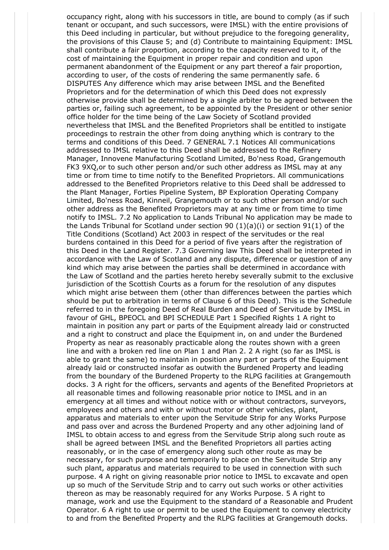occupancy right, along with his successors in title, are bound to comply (as if such tenant or occupant, and such successors, were IMSL) with the entire provisions of this Deed including in particular, but without prejudice to the foregoing generality, the provisions of this Clause 5; and (d) Contribute to maintaining Equipment: IMSL shall contribute a fair proportion, according to the capacity reserved to it, of the cost of maintaining the Equipment in proper repair and condition and upon permanent abandonment of the Equipment or any part thereof a fair proportion, according to user, of the costs of rendering the same permanently safe. 6 DISPUTES Any difference which may arise between IMSL and the Benefited Proprietors and for the determination of which this Deed does not expressly otherwise provide shall be determined by a single arbiter to be agreed between the parties or, failing such agreement, to be appointed by the President or other senior office holder for the time being of the Law Society of Scotland provided nevertheless that IMSL and the Benefited Proprietors shall be entitled to instigate proceedings to restrain the other from doing anything which is contrary to the terms and conditions of this Deed. 7 GENERAL 7.1 Notices All communications addressed to IMSL relative to this Deed shall be addressed to the Refinery Manager, Innovene Manufacturing Scotland Limited, Bo'ness Road, Grangemouth FK3 9XQ,or to such other person and/or such other address as IMSL may at any time or from time to time notify to the Benefited Proprietors. All communications addressed to the Benefited Proprietors relative to this Deed shall be addressed to the Plant Manager, Forties Pipeline System, BP Exploration Operating Company Limited, Bo'ness Road, Kinneil, Grangemouth or to such other person and/or such other address as the Benefited Proprietors may at any time or from time to time notify to IMSL. 7.2 No application to Lands Tribunal No application may be made to the Lands Tribunal for Scotland under section 90 (1)(a)(i) or section 91(1) of the Title Conditions (Scotland) Act 2003 in respect of the servitudes or the real burdens contained in this Deed for a period of five years after the registration of this Deed in the Land Register. 7.3 Governing law This Deed shall be interpreted in accordance with the Law of Scotland and any dispute, difference or question of any kind which may arise between the parties shall be determined in accordance with the Law of Scotland and the parties hereto hereby severally submit to the exclusive jurisdiction of the Scottish Courts as a forum for the resolution of any disputes which might arise between them (other than differences between the parties which should be put to arbitration in terms of Clause 6 of this Deed). This is the Schedule referred to in the foregoing Deed of Real Burden and Deed of Servitude by IMSL in favour of GHL, BPEOCL and BPI SCHEDULE Part 1 Specified Rights 1 A right to maintain in position any part or parts of the Equipment already laid or constructed and a right to construct and place the Equipment in, on and under the Burdened Property as near as reasonably practicable along the routes shown with a green line and with a broken red line on Plan 1 and Plan 2. 2 A right (so far as IMSL is able to grant the same) to maintain in position any part or parts of the Equipment already laid or constructed insofar as outwith the Burdened Property and leading from the boundary of the Burdened Property to the RLPG facilities at Grangemouth docks. 3 A right for the officers, servants and agents of the Benefited Proprietors at all reasonable times and following reasonable prior notice to IMSL and in an emergency at all times and without notice with or without contractors, surveyors, employees and others and with or without motor or other vehicles, plant, apparatus and materials to enter upon the Servitude Strip for any Works Purpose and pass over and across the Burdened Property and any other adjoining land of IMSL to obtain access to and egress from the Servitude Strip along such route as shall be agreed between IMSL and the Benefited Proprietors all parties acting reasonably, or in the case of emergency along such other route as may be necessary, for such purpose and temporarily to place on the Servitude Strip any such plant, apparatus and materials required to be used in connection with such purpose. 4 A right on giving reasonable prior notice to IMSL to excavate and open up so much of the Servitude Strip and to carry out such works or other activities thereon as may be reasonably required for any Works Purpose. 5 A right to manage, work and use the Equipment to the standard of a Reasonable and Prudent Operator. 6 A right to use or permit to be used the Equipment to convey electricity to and from the Benefited Property and the RLPG facilities at Grangemouth docks.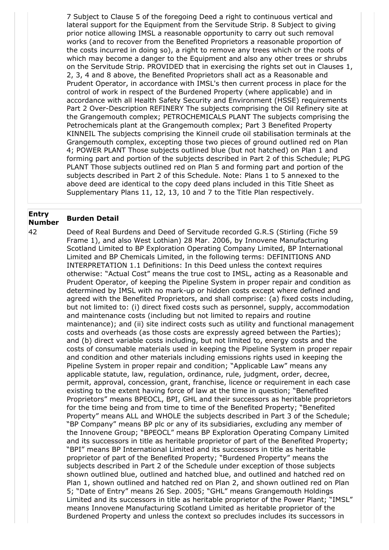7 Subject to Clause 5 of the foregoing Deed a right to continuous vertical and lateral support for the Equipment from the Servitude Strip. 8 Subject to giving prior notice allowing IMSL a reasonable opportunity to carry out such removal works (and to recover from the Benefited Proprietors a reasonable proportion of the costs incurred in doing so), a right to remove any trees which or the roots of which may become a danger to the Equipment and also any other trees or shrubs on the Servitude Strip. PROVIDED that in exercising the rights set out in Clauses 1, 2, 3, 4 and 8 above, the Benefited Proprietors shall act as a Reasonable and Prudent Operator, in accordance with IMSL's then current process in place for the control of work in respect of the Burdened Property (where applicable) and in accordance with all Health Safety Security and Environment (HSSE) requirements Part 2 Over-Description REFINERY The subjects comprising the Oil Refinery site at the Grangemouth complex; PETROCHEMICALS PLANT The subjects comprising the Petrochemicals plant at the Grangemouth complex; Part 3 Benefited Property KINNEIL The subjects comprising the Kinneil crude oil stabilisation terminals at the Grangemouth complex, excepting those two pieces of ground outlined red on Plan 4; POWER PLANT Those subjects outlined blue (but not hatched) on Plan 1 and forming part and portion of the subjects described in Part 2 of this Schedule; PLPG PLANT Those subjects outlined red on Plan 5 and forming part and portion of the subjects described in Part 2 of this Schedule. Note: Plans 1 to 5 annexed to the above deed are identical to the copy deed plans included in this Title Sheet as Supplementary Plans 11, 12, 13, 10 and 7 to the Title Plan respectively.

## **Entry Number Burden Detail**

42 Deed of Real Burdens and Deed of Servitude recorded G.R.S (Stirling (Fiche 59 Frame 1), and also West Lothian) 28 Mar. 2006, by Innovene Manufacturing Scotland Limited to BP Exploration Operating Company Limited, BP International Limited and BP Chemicals Limited, in the following terms: DEFINITIONS AND INTERPRETATION 1.1 Definitions: In this Deed unless the context requires otherwise: "Actual Cost" means the true cost to IMSL, acting as a Reasonable and Prudent Operator, of keeping the Pipeline System in proper repair and condition as determined by IMSL with no mark-up or hidden costs except where defined and agreed with the Benefited Proprietors, and shall comprise: (a) fixed costs including, but not limited to: (i) direct fixed costs such as personnel, supply, accommodation and maintenance costs (including but not limited to repairs and routine maintenance); and (ii) site indirect costs such as utility and functional management costs and overheads (as those costs are expressly agreed between the Parties); and (b) direct variable costs including, but not limited to, energy costs and the costs of consumable materials used in keeping the Pipeline System in proper repair and condition and other materials including emissions rights used in keeping the Pipeline System in proper repair and condition; "Applicable Law" means any applicable statute, law, regulation, ordinance, rule, judgment, order, decree, permit, approval, concession, grant, franchise, licence or requirement in each case existing to the extent having force of law at the time in question; "Benefited Proprietors" means BPEOCL, BPI, GHL and their successors as heritable proprietors for the time being and from time to time of the Benefited Property; "Benefited Property" means ALL and WHOLE the subjects described in Part 3 of the Schedule; "BP Company" means BP plc or any of its subsidiaries, excluding any member of the Innovene Group; "BPEOCL" means BP Exploration Operating Company Limited and its successors in title as heritable proprietor of part of the Benefited Property; "BPI" means BP International Limited and its successors in title as heritable proprietor of part of the Benefited Property; "Burdened Property" means the subjects described in Part 2 of the Schedule under exception of those subjects shown outlined blue, outlined and hatched blue, and outlined and hatched red on Plan 1, shown outlined and hatched red on Plan 2, and shown outlined red on Plan 5; "Date of Entry" means 26 Sep. 2005; "GHL" means Grangemouth Holdings Limited and its successors in title as heritable proprietor of the Power Plant; "IMSL" means Innovene Manufacturing Scotland Limited as heritable proprietor of the Burdened Property and unless the context so precludes includes its successors in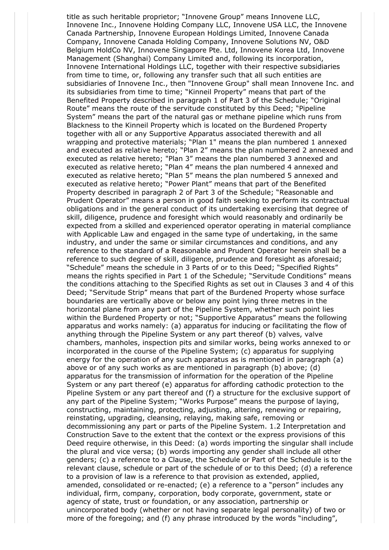title as such heritable proprietor; "Innovene Group" means Innovene LLC, Innovene Inc., Innovene Holding Company LLC, Innovene USA LLC, the Innovene Canada Partnership, Innovene European Holdings Limited, Innovene Canada Company, Innovene Canada Holding Company, Innovene Solutions NV, O&D Belgium HoldCo NV, Innovene Singapore Pte. Ltd, Innovene Korea Ltd, Innovene Management (Shanghai) Company Limited and, following its incorporation, Innovene International Holdings LLC, together with their respective subsidiaries from time to time, or, following any transfer such that all such entities are subsidiaries of Innovene Inc., then "Innovene Group" shall mean Innovene Inc. and its subsidiaries from time to time; "Kinneil Property" means that part of the Benefited Property described in paragraph 1 of Part 3 of the Schedule; "Original Route" means the route of the servitude constituted by this Deed; "Pipeline System" means the part of the natural gas or methane pipeline which runs from Blackness to the Kinneil Property which is located on the Burdened Property together with all or any Supportive Apparatus associated therewith and all wrapping and protective materials; "Plan 1" means the plan numbered 1 annexed and executed as relative hereto; "Plan 2" means the plan numbered 2 annexed and executed as relative hereto; "Plan 3" means the plan numbered 3 annexed and executed as relative hereto; "Plan 4" means the plan numbered 4 annexed and executed as relative hereto; "Plan 5" means the plan numbered 5 annexed and executed as relative hereto; "Power Plant" means that part of the Benefited Property described in paragraph 2 of Part 3 of the Schedule; "Reasonable and Prudent Operator" means a person in good faith seeking to perform its contractual obligations and in the general conduct of its undertaking exercising that degree of skill, diligence, prudence and foresight which would reasonably and ordinarily be expected from a skilled and experienced operator operating in material compliance with Applicable Law and engaged in the same type of undertaking, in the same industry, and under the same or similar circumstances and conditions, and any reference to the standard of a Reasonable and Prudent Operator herein shall be a reference to such degree of skill, diligence, prudence and foresight as aforesaid; "Schedule" means the schedule in 3 Parts of or to this Deed; "Specified Rights" means the rights specified in Part 1 of the Schedule; "Servitude Conditions" means the conditions attaching to the Specified Rights as set out in Clauses 3 and 4 of this Deed; "Servitude Strip" means that part of the Burdened Property whose surface boundaries are vertically above or below any point lying three metres in the horizontal plane from any part of the Pipeline System, whether such point lies within the Burdened Property or not; "Supportive Apparatus" means the following apparatus and works namely: (a) apparatus for inducing or facilitating the flow of anything through the Pipeline System or any part thereof (b) valves, valve chambers, manholes, inspection pits and similar works, being works annexed to or incorporated in the course of the Pipeline System; (c) apparatus for supplying energy for the operation of any such apparatus as is mentioned in paragraph (a) above or of any such works as are mentioned in paragraph (b) above; (d) apparatus for the transmission of information for the operation of the Pipeline System or any part thereof (e) apparatus for affording cathodic protection to the Pipeline System or any part thereof and (f) a structure for the exclusive support of any part of the Pipeline System; "Works Purpose" means the purpose of laying, constructing, maintaining, protecting, adjusting, altering, renewing or repairing, reinstating, upgrading, cleansing, relaying, making safe, removing or decommissioning any part or parts of the Pipeline System. 1.2 Interpretation and Construction Save to the extent that the context or the express provisions of this Deed require otherwise, in this Deed: (a) words importing the singular shall include the plural and vice versa; (b) words importing any gender shall include all other genders; (c) a reference to a Clause, the Schedule or Part of the Schedule is to the relevant clause, schedule or part of the schedule of or to this Deed; (d) a reference to a provision of law is a reference to that provision as extended, applied, amended, consolidated or re-enacted; (e) a reference to a "person" includes any individual, firm, company, corporation, body corporate, government, state or agency of state, trust or foundation, or any association, partnership or unincorporated body (whether or not having separate legal personality) of two or more of the foregoing; and (f) any phrase introduced by the words "including",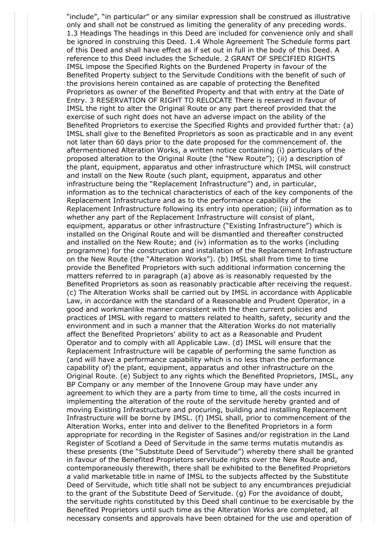"include", "in particular" or any similar expression shall be construed as illustrative only and shall not be construed as limiting the generality of any preceding words. 1.3 Headings The headings in this Deed are included for convenience only and shall be ignored in construing this Deed. 1.4 Whole Agreement The Schedule forms part of this Deed and shall have effect as if set out in full in the body of this Deed. A reference to this Deed includes the Schedule. 2 GRANT OF SPECIFIED RIGHTS IMSL impose the Specified Rights on the Burdened Property in favour of the Benefited Property subject to the Servitude Conditions with the benefit of such of the provisions herein contained as are capable of protecting the Benefited Proprietors as owner of the Benefited Property and that with entry at the Date of Entry. 3 RESERVATION OF RIGHT TO RELOCATE There is reserved in favour of IMSL the right to alter the Original Route or any part thereof provided that the exercise of such right does not have an adverse impact on the ability of the Benefited Proprietors to exercise the Specified Rights and provided further that: (a) IMSL shall give to the Benefited Proprietors as soon as practicable and in any event not later than 60 days prior to the date proposed for the commencement of. the aftermentioned Alteration Works, a written notice containing (i) particulars of the proposed alteration to the Original Route (the "New Route"); (ii) a description of the plant, equipment, apparatus and other infrastructure which IMSL will construct and install on the New Route (such plant, equipment, apparatus and other infrastructure being the "Replacement Infrastructure") and, in particular, information as to the technical characteristics of each of the key components of the Replacement Infrastructure and as to the performance capability of the Replacement Infrastructure following its entry into operation; (iii) information as to whether any part of the Replacement Infrastructure will consist of plant, equipment, apparatus or other infrastructure ("Existing Infrastructure") which is installed on the Original Route and will be dismantled and thereafter constructed and installed on the New Route; and (iv) information as to the works (including programme) for the construction and installation of the Replacement Infrastructure on the New Route (the "Alteration Works"). (b) IMSL shall from time to time provide the Benefited Proprietors with such additional information concerning the matters referred to in paragraph (a) above as is reasonably requested by the Benefited Proprietors as soon as reasonably practicable after receiving the request. (c) The Alteration Works shall be carried out by IMSL in accordance with Applicable Law, in accordance with the standard of a Reasonable and Prudent Operator, in a good and workmanlike manner consistent with the then current policies and practices of IMSL with regard to matters related to health, safety, security and the environment and in such a manner that the Alteration Works do not materially affect the Benefited Proprietors' ability to act as a Reasonable and Prudent Operator and to comply with all Applicable Law. (d) IMSL will ensure that the Replacement Infrastructure will be capable of performing the same function as (and will have a performance capability which is no less than the performance capability of) the plant, equipment, apparatus and other infrastructure on the Original Route. (e) Subject to any rights which the Benefited Proprietors, IMSL, any BP Company or any member of the Innovene Group may have under any agreement to which they are a party from time to time, all the costs incurred in implementing the alteration of the route of the servitude hereby granted and of moving Existing Infrastructure and procuring, building and installing Replacement Infrastructure will be borne by IMSL. (f) IMSL shall, prior to commencement of the Alteration Works, enter into and deliver to the Benefited Proprietors in a form appropriate for recording in the Register of Sasines and/or registration in the Land Register of Scotland a Deed of Servitude in the same terms mutatis mutandis as these presents (the "Substitute Deed of Servitude") whereby there shall be granted in favour of the Benefited Proprietors servitude rights over the New Route and, contemporaneously therewith, there shall be exhibited to the Benefited Proprietors a valid marketable title in name of IMSL to the subjects affected by the Substitute Deed of Servitude, which title shall not be subject to any encumbrances prejudicial to the grant of the Substitute Deed of Servitude. (g) For the avoidance of doubt, the servitude rights constituted by this Deed shall continue to be exercisable by the Benefited Proprietors until such time as the Alteration Works are completed, all necessary consents and approvals have been obtained for the use and operation of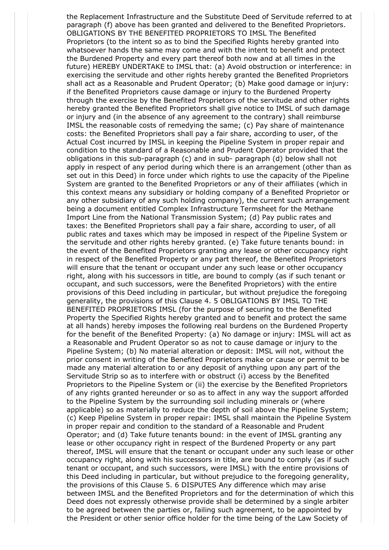the Replacement Infrastructure and the Substitute Deed of Servitude referred to at paragraph (f) above has been granted and delivered to the Benefited Proprietors. OBLIGATIONS BY THE BENEFITED PROPRIETORS TO IMSL The Benefited Proprietors (to the intent so as to bind the Specified Rights hereby granted into whatsoever hands the same may come and with the intent to benefit and protect the Burdened Property and every part thereof both now and at all times in the future) HEREBY UNDERTAKE to IMSL that: (a) Avoid obstruction or interference: in exercising the servitude and other rights hereby granted the Benefited Proprietors shall act as a Reasonable and Prudent Operator; (b) Make good damage or injury: if the Benefited Proprietors cause damage or injury to the Burdened Property through the exercise by the Benefited Proprietors of the servitude and other rights hereby granted the Benefited Proprietors shall give notice to IMSL of such damage or injury and (in the absence of any agreement to the contrary) shall reimburse IMSL the reasonable costs of remedying the same; (c) Pay share of maintenance costs: the Benefited Proprietors shall pay a fair share, according to user, of the Actual Cost incurred by IMSL in keeping the Pipeline System in proper repair and condition to the standard of a Reasonable and Prudent Operator provided that the obligations in this sub-paragraph (c) and in sub- paragraph (d) below shall not apply in respect of any period during which there is an arrangement (other than as set out in this Deed) in force under which rights to use the capacity of the Pipeline System are granted to the Benefited Proprietors or any of their affiliates (which in this context means any subsidiary or holding company of a Benefited Proprietor or any other subsidiary of any such holding company), the current such arrangement being a document entitled Complex Infrastructure Termsheet for the Methane Import Line from the National Transmission System; (d) Pay public rates and taxes: the Benefited Proprietors shall pay a fair share, according to user, of all public rates and taxes which may be imposed in respect of the Pipeline System or the servitude and other rights hereby granted. (e) Take future tenants bound: in the event of the Benefited Proprietors granting any lease or other occupancy right in respect of the Benefited Property or any part thereof, the Benefited Proprietors will ensure that the tenant or occupant under any such lease or other occupancy right, along with his successors in title, are bound to comply (as if such tenant or occupant, and such successors, were the Benefited Proprietors) with the entire provisions of this Deed including in particular, but without prejudice the foregoing generality, the provisions of this Clause 4. 5 OBLIGATIONS BY IMSL TO THE BENEFITED PROPRIETORS IMSL (for the purpose of securing to the Benefited Property the Specified Rights hereby granted and to benefit and protect the same at all hands) hereby imposes the following real burdens on the Burdened Property for the benefit of the Benefited Property: (a) No damage or injury: IMSL will act as a Reasonable and Prudent Operator so as not to cause damage or injury to the Pipeline System; (b) No material alteration or deposit: IMSL will not, without the prior consent in writing of the Benefited Proprietors make or cause or permit to be made any material alteration to or any deposit of anything upon any part of the Servitude Strip so as to interfere with or obstruct (i) access by the Benefited Proprietors to the Pipeline System or (ii) the exercise by the Benefited Proprietors of any rights granted hereunder or so as to affect in any way the support afforded to the Pipeline System by the surrounding soil including minerals or (where applicable) so as materially to reduce the depth of soil above the Pipeline System; (c) Keep Pipeline System in proper repair: IMSL shall maintain the Pipeline System in proper repair and condition to the standard of a Reasonable and Prudent Operator; and (d) Take future tenants bound: in the event of IMSL granting any lease or other occupancy right in respect of the Burdened Property or any part thereof, IMSL will ensure that the tenant or occupant under any such lease or other occupancy right, along with his successors in title, are bound to comply (as if such tenant or occupant, and such successors, were IMSL) with the entire provisions of this Deed including in particular, but without prejudice to the foregoing generality, the provisions of this Clause 5. 6 DISPUTES Any difference which may arise between IMSL and the Benefited Proprietors and for the determination of which this Deed does not expressly otherwise provide shall be determined by a single arbiter to be agreed between the parties or, failing such agreement, to be appointed by the President or other senior office holder for the time being of the Law Society of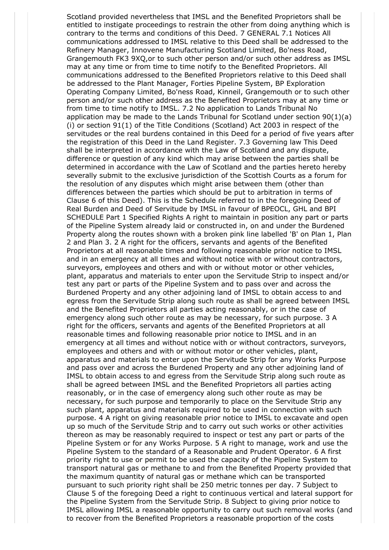Scotland provided nevertheless that IMSL and the Benefited Proprietors shall be entitled to instigate proceedings to restrain the other from doing anything which is contrary to the terms and conditions of this Deed. 7 GENERAL 7.1 Notices All communications addressed to IMSL relative to this Deed shall be addressed to the Refinery Manager, Innovene Manufacturing Scotland Limited, Bo'ness Road, Grangemouth FK3 9XQ,or to such other person and/or such other address as IMSL may at any time or from time to time notify to the Benefited Proprietors. All communications addressed to the Benefited Proprietors relative to this Deed shall be addressed to the Plant Manager, Forties Pipeline System, BP Exploration Operating Company Limited, Bo'ness Road, Kinneil, Grangemouth or to such other person and/or such other address as the Benefited Proprietors may at any time or from time to time notify to IMSL. 7.2 No application to Lands Tribunal No application may be made to the Lands Tribunal for Scotland under section  $90(1)(a)$ (i) or section 91(1) of the Title Conditions (Scotland) Act 2003 in respect of the servitudes or the real burdens contained in this Deed for a period of five years after the registration of this Deed in the Land Register. 7.3 Governing law This Deed shall be interpreted in accordance with the Law of Scotland and any dispute, difference or question of any kind which may arise between the parties shall be determined in accordance with the Law of Scotland and the parties hereto hereby severally submit to the exclusive jurisdiction of the Scottish Courts as a forum for the resolution of any disputes which might arise between them (other than differences between the parties which should be put to arbitration in terms of Clause 6 of this Deed). This is the Schedule referred to in the foregoing Deed of Real Burden and Deed of Servitude by IMSL in favour of BPEOCL, GHL and BPI SCHEDULE Part 1 Specified Rights A right to maintain in position any part or parts of the Pipeline System already laid or constructed in, on and under the Burdened Property along the routes shown with a broken pink line labelled 'B' on Plan 1, Plan 2 and Plan 3. 2 A right for the officers, servants and agents of the Benefited Proprietors at all reasonable times and following reasonable prior notice to IMSL and in an emergency at all times and without notice with or without contractors, surveyors, employees and others and with or without motor or other vehicles, plant, apparatus and materials to enter upon the Servitude Strip to inspect and/or test any part or parts of the Pipeline System and to pass over and across the Burdened Property and any other adjoining land of IMSL to obtain access to and egress from the Servitude Strip along such route as shall be agreed between IMSL and the Benefited Proprietors all parties acting reasonably, or in the case of emergency along such other route as may be necessary, for such purpose. 3 A right for the officers, servants and agents of the Benefited Proprietors at all reasonable times and following reasonable prior notice to IMSL and in an emergency at all times and without notice with or without contractors, surveyors, employees and others and with or without motor or other vehicles, plant, apparatus and materials to enter upon the Servitude Strip for any Works Purpose and pass over and across the Burdened Property and any other adjoining land of IMSL to obtain access to and egress from the Servitude Strip along such route as shall be agreed between IMSL and the Benefited Proprietors all parties acting reasonably, or in the case of emergency along such other route as may be necessary, for such purpose and temporarily to place on the Servitude Strip any such plant, apparatus and materials required to be used in connection with such purpose. 4 A right on giving reasonable prior notice to IMSL to excavate and open up so much of the Servitude Strip and to carry out such works or other activities thereon as may be reasonably required to inspect or test any part or parts of the Pipeline System or for any Works Purpose. 5 A right to manage, work and use the Pipeline System to the standard of a Reasonable and Prudent Operator. 6 A first priority right to use or permit to be used the capacity of the Pipeline System to transport natural gas or methane to and from the Benefited Property provided that the maximum quantity of natural gas or methane which can be transported pursuant to such priority right shall be 250 metric tonnes per day. 7 Subject to Clause 5 of the foregoing Deed a right to continuous vertical and lateral support for the Pipeline System from the Servitude Strip. 8 Subject to giving prior notice to IMSL allowing IMSL a reasonable opportunity to carry out such removal works (and to recover from the Benefited Proprietors a reasonable proportion of the costs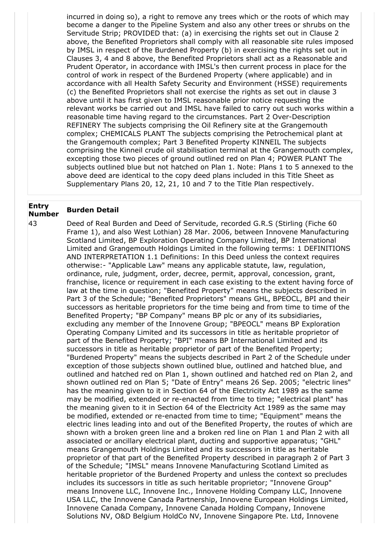incurred in doing so), a right to remove any trees which or the roots of which may become a danger to the Pipeline System and also any other trees or shrubs on the Servitude Strip; PROVIDED that: (a) in exercising the rights set out in Clause 2 above, the Benefited Proprietors shall comply with all reasonable site rules imposed by IMSL in respect of the Burdened Property (b) in exercising the rights set out in Clauses 3, 4 and 8 above, the Benefited Proprietors shall act as a Reasonable and Prudent Operator, in accordance with IMSL's then current process in place for the control of work in respect of the Burdened Property (where applicable) and in accordance with all Health Safety Security and Environment (HSSE) requirements (c) the Benefited Proprietors shall not exercise the rights as set out in clause 3 above until it has first given to IMSL reasonable prior notice requesting the relevant works be carried out and IMSL have failed to carry out such works within a reasonable time having regard to the circumstances. Part 2 Over-Description REFINERY The subjects comprising the Oil Refinery site at the Grangemouth complex; CHEMICALS PLANT The subjects comprising the Petrochemical plant at the Grangemouth complex; Part 3 Benefited Property KINNEIL The subjects comprising the Kinneil crude oil stabilisation terminal at the Grangemouth complex, excepting those two pieces of ground outlined red on Plan 4; POWER PLANT The subjects outlined blue but not hatched on Plan 1. Note: Plans 1 to 5 annexed to the above deed are identical to the copy deed plans included in this Title Sheet as Supplementary Plans 20, 12, 21, 10 and 7 to the Title Plan respectively.

# **Entry Number Burden Detail**

43 Deed of Real Burden and Deed of Servitude, recorded G.R.S (Stirling (Fiche 60 Frame 1), and also West Lothian) 28 Mar. 2006, between Innovene Manufacturing Scotland Limited, BP Exploration Operating Company Limited, BP International Limited and Grangemouth Holdings Limited in the following terms: 1 DEFINITIONS AND INTERPRETATION 1.1 Definitions: In this Deed unless the context requires otherwise:- "Applicable Law" means any applicable statute, law, regulation, ordinance, rule, judgment, order, decree, permit, approval, concession, grant, franchise, licence or requirement in each case existing to the extent having force of law at the time in question; "Benefited Property" means the subjects described in Part 3 of the Schedule; "Benefited Proprietors" means GHL, BPEOCL, BPI and their successors as heritable proprietors for the time being and from time to time of the Benefited Property; "BP Company" means BP plc or any of its subsidiaries, excluding any member of the Innovene Group; "BPEOCL" means BP Exploration Operating Company Limited and its successors in title as heritable proprietor of part of the Benefited Property; "BPI" means BP International Limited and its successors in title as heritable proprietor of part of the Benefited Property; "Burdened Property" means the subjects described in Part 2 of the Schedule under exception of those subjects shown outlined blue, outlined and hatched blue, and outlined and hatched red on Plan 1, shown outlined and hatched red on Plan 2, and shown outlined red on Plan 5; "Date of Entry" means 26 Sep. 2005; "electric lines" has the meaning given to it in Section 64 of the Electricity Act 1989 as the same may be modified, extended or re-enacted from time to time; "electrical plant" has the meaning given to it in Section 64 of the Electricity Act 1989 as the same may be modified, extended or re-enacted from time to time; "Equipment" means the electric lines leading into and out of the Benefited Property, the routes of which are shown with a broken green line and a broken red line on Plan 1 and Plan 2 with all associated or ancillary electrical plant, ducting and supportive apparatus; "GHL" means Grangemouth Holdings Limited and its successors in title as heritable proprietor of that part of the Benefited Property described in paragraph 2 of Part 3 of the Schedule; "IMSL" means Innovene Manufacturing Scotland Limited as heritable proprietor of the Burdened Property and unless the context so precludes includes its successors in title as such heritable proprietor; "Innovene Group" means Innovene LLC, Innovene Inc., Innovene Holding Company LLC, Innovene USA LLC, the Innovene Canada Partnership, Innovene European Holdings Limited, Innovene Canada Company, Innovene Canada Holding Company, Innovene Solutions NV, O&D Belgium HoldCo NV, Innovene Singapore Pte. Ltd, Innovene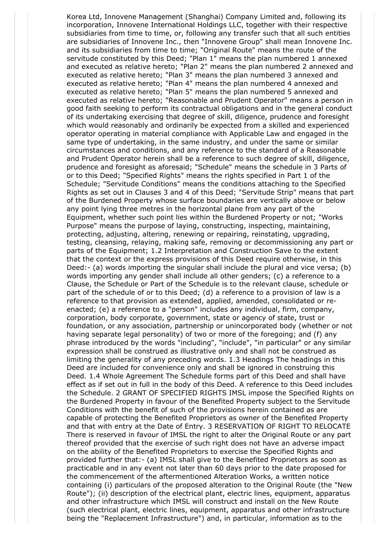Korea Ltd, Innovene Management (Shanghai) Company Limited and, following its incorporation, Innovene International Holdings LLC, together with their respective subsidiaries from time to time, or, following any transfer such that all such entities are subsidiaries of Innovene Inc., then "Innovene Group" shall mean Innovene Inc. and its subsidiaries from time to time; "Original Route" means the route of the servitude constituted by this Deed; "Plan 1" means the plan numbered 1 annexed and executed as relative hereto; "Plan 2" means the plan numbered 2 annexed and executed as relative hereto; "Plan 3" means the plan numbered 3 annexed and executed as relative hereto; "Plan 4" means the plan numbered 4 annexed and executed as relative hereto; "Plan 5" means the plan numbered 5 annexed and executed as relative hereto; "Reasonable and Prudent Operator" means a person in good faith seeking to perform its contractual obligations and in the general conduct of its undertaking exercising that degree of skill, diligence, prudence and foresight which would reasonably and ordinarily be expected from a skilled and experienced operator operating in material compliance with Applicable Law and engaged in the same type of undertaking, in the same industry, and under the same or similar circumstances and conditions, and any reference to the standard of a Reasonable and Prudent Operator herein shall be a reference to such degree of skill, diligence, prudence and foresight as aforesaid; "Schedule" means the schedule in 3 Parts of or to this Deed; "Specified Rights" means the rights specified in Part 1 of the Schedule; "Servitude Conditions" means the conditions attaching to the Specified Rights as set out in Clauses 3 and 4 of this Deed; "Servitude Strip" means that part of the Burdened Property whose surface boundaries are vertically above or below any point lying three metres in the horizontal plane from any part of the Equipment, whether such point lies within the Burdened Property or not; "Works Purpose" means the purpose of laying, constructing, inspecting, maintaining, protecting, adjusting, altering, renewing or repairing, reinstating, upgrading, testing, cleansing, relaying, making safe, removing or decommissioning any part or parts of the Equipment; 1.2 Interpretation and Construction Save to the extent that the context or the express provisions of this Deed require otherwise, in this Deed:- (a) words importing the singular shall include the plural and vice versa; (b) words importing any gender shall include all other genders; (c) a reference to a Clause, the Schedule or Part of the Schedule is to the relevant clause, schedule or part of the schedule of or to this Deed; (d) a reference to a provision of law is a reference to that provision as extended, applied, amended, consolidated or reenacted; (e) a reference to a "person" includes any individual, firm, company, corporation, body corporate, government, state or agency of state, trust or foundation, or any association, partnership or unincorporated body (whether or not having separate legal personality) of two or more of the foregoing; and (f) any phrase introduced by the words "including", "include", "in particular" or any similar expression shall be construed as illustrative only and shall not be construed as limiting the generality of any preceding words. 1.3 Headings The headings in this Deed are included for convenience only and shall be ignored in construing this Deed. 1.4 Whole Agreement The Schedule forms part of this Deed and shall have effect as if set out in full in the body of this Deed. A reference to this Deed includes the Schedule. 2 GRANT OF SPECIFIED RIGHTS IMSL impose the Specified Rights on the Burdened Property in favour of the Benefited Property subject to the Servitude Conditions with the benefit of such of the provisions herein contained as are capable of protecting the Benefited Proprietors as owner of the Benefited Property and that with entry at the Date of Entry. 3 RESERVATION OF RIGHT TO RELOCATE There is reserved in favour of IMSL the right to alter the Original Route or any part thereof provided that the exercise of such right does not have an adverse impact on the ability of the Benefited Proprietors to exercise the Specified Rights and provided further that:- (a) IMSL shall give to the Benefited Proprietors as soon as practicable and in any event not later than 60 days prior to the date proposed for the commencement of the aftermentioned Alteration Works, a written notice containing (i) particulars of the proposed alteration to the Original Route (the "New Route"); (ii) description of the electrical plant, electric lines, equipment, apparatus and other infrastructure which IMSL will construct and install on the New Route (such electrical plant, electric lines, equipment, apparatus and other infrastructure being the "Replacement Infrastructure") and, in particular, information as to the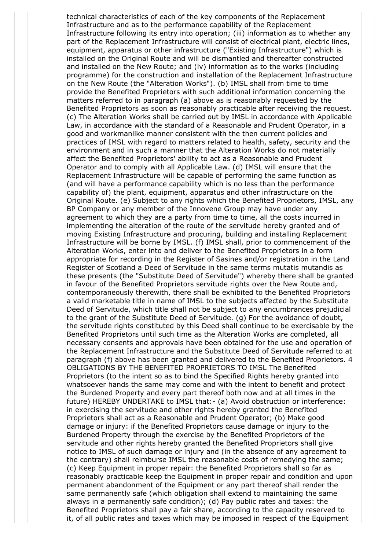technical characteristics of each of the key components of the Replacement Infrastructure and as to the performance capability of the Replacement Infrastructure following its entry into operation; (iii) information as to whether any part of the Replacement Infrastructure will consist of electrical plant, electric lines, equipment, apparatus or other infrastructure ("Existing Infrastructure") which is installed on the Original Route and will be dismantled and thereafter constructed and installed on the New Route; and (iv) information as to the works (including programme) for the construction and installation of the Replacement Infrastructure on the New Route (the "Alteration Works"). (b) IMSL shall from time to time provide the Benefited Proprietors with such additional information concerning the matters referred to in paragraph (a) above as is reasonably requested by the Benefited Proprietors as soon as reasonably practicable after receiving the request. (c) The Alteration Works shall be carried out by IMSL in accordance with Applicable Law, in accordance with the standard of a Reasonable and Prudent Operator, in a good and workmanlike manner consistent with the then current policies and practices of IMSL with regard to matters related to health, safety, security and the environment and in such a manner that the Alteration Works do not materially affect the Benefited Proprietors' ability to act as a Reasonable and Prudent Operator and to comply with all Applicable Law. (d) IMSL will ensure that the Replacement Infrastructure will be capable of performing the same function as (and will have a performance capability which is no less than the performance capability of) the plant, equipment, apparatus and other infrastructure on the Original Route. (e) Subject to any rights which the Benefited Proprietors, IMSL, any BP Company or any member of the Innovene Group may have under any agreement to which they are a party from time to time, all the costs incurred in implementing the alteration of the route of the servitude hereby granted and of moving Existing Infrastructure and procuring, building and installing Replacement Infrastructure will be borne by IMSL. (f) IMSL shall, prior to commencement of the Alteration Works, enter into and deliver to the Benefited Proprietors in a form appropriate for recording in the Register of Sasines and/or registration in the Land Register of Scotland a Deed of Servitude in the same terms mutatis mutandis as these presents (the "Substitute Deed of Servitude") whereby there shall be granted in favour of the Benefited Proprietors servitude rights over the New Route and, contemporaneously therewith, there shall be exhibited to the Benefited Proprietors a valid marketable title in name of IMSL to the subjects affected by the Substitute Deed of Servitude, which title shall not be subject to any encumbrances prejudicial to the grant of the Substitute Deed of Servitude. (g) For the avoidance of doubt, the servitude rights constituted by this Deed shall continue to be exercisable by the Benefited Proprietors until such time as the Alteration Works are completed, all necessary consents and approvals have been obtained for the use and operation of the Replacement Infrastructure and the Substitute Deed of Servitude referred to at paragraph (f) above has been granted and delivered to the Benefited Proprietors. 4 OBLIGATIONS BY THE BENEFITED PROPRIETORS TO IMSL The Benefited Proprietors (to the intent so as to bind the Specified Rights hereby granted into whatsoever hands the same may come and with the intent to benefit and protect the Burdened Property and every part thereof both now and at all times in the future) HEREBY UNDERTAKE to IMSL that:- (a) Avoid obstruction or interference: in exercising the servitude and other rights hereby granted the Benefited Proprietors shall act as a Reasonable and Prudent Operator; (b) Make good damage or injury: if the Benefited Proprietors cause damage or injury to the Burdened Property through the exercise by the Benefited Proprietors of the servitude and other rights hereby granted the Benefited Proprietors shall give notice to IMSL of such damage or injury and (in the absence of any agreement to the contrary) shall reimburse IMSL the reasonable costs of remedying the same; (c) Keep Equipment in proper repair: the Benefited Proprietors shall so far as reasonably practicable keep the Equipment in proper repair and condition and upon permanent abandonment of the Equipment or any part thereof shall render the same permanently safe (which obligation shall extend to maintaining the same always in a permanently safe condition); (d) Pay public rates and taxes: the Benefited Proprietors shall pay a fair share, according to the capacity reserved to it, of all public rates and taxes which may be imposed in respect of the Equipment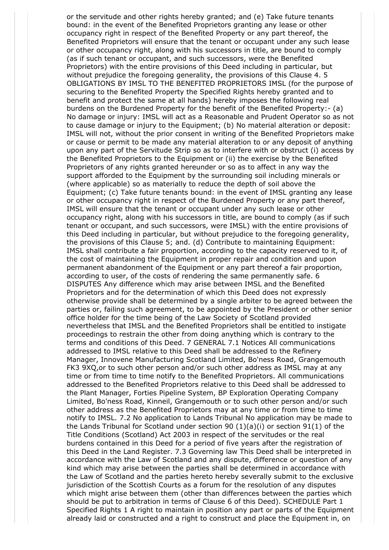or the servitude and other rights hereby granted; and (e) Take future tenants bound: in the event of the Benefited Proprietors granting any lease or other occupancy right in respect of the Benefited Property or any part thereof, the Benefited Proprietors will ensure that the tenant or occupant under any such lease or other occupancy right, along with his successors in title, are bound to comply (as if such tenant or occupant, and such successors, were the Benefited Proprietors) with the entire provisions of this Deed including in particular, but without prejudice the foregoing generality, the provisions of this Clause 4. 5 OBLIGATIONS BY IMSL TO THE BENEFITED PROPRIETORS IMSL (for the purpose of securing to the Benefited Property the Specified Rights hereby granted and to benefit and protect the same at all hands) hereby imposes the following real burdens on the Burdened Property for the benefit of the Benefited Property:- (a) No damage or injury: IMSL will act as a Reasonable and Prudent Operator so as not to cause damage or injury to the Equipment; (b) No material alteration or deposit: IMSL will not, without the prior consent in writing of the Benefited Proprietors make or cause or permit to be made any material alteration to or any deposit of anything upon any part of the Servitude Strip so as to interfere with or obstruct (i) access by the Benefited Proprietors to the Equipment or (ii) the exercise by the Benefited Proprietors of any rights granted hereunder or so as to affect in any way the support afforded to the Equipment by the surrounding soil including minerals or (where applicable) so as materially to reduce the depth of soil above the Equipment; (c) Take future tenants bound: in the event of IMSL granting any lease or other occupancy right in respect of the Burdened Property or any part thereof, IMSL will ensure that the tenant or occupant under any such lease or other occupancy right, along with his successors in title, are bound to comply (as if such tenant or occupant, and such successors, were IMSL) with the entire provisions of this Deed including in particular, but without prejudice to the foregoing generality, the provisions of this Clause 5; and. (d) Contribute to maintaining Equipment: IMSL shall contribute a fair proportion, according to the capacity reserved to it, of the cost of maintaining the Equipment in proper repair and condition and upon permanent abandonment of the Equipment or any part thereof a fair proportion, according to user, of the costs of rendering the same permanently safe. 6 DISPUTES Any difference which may arise between IMSL and the Benefited Proprietors and for the determination of which this Deed does not expressly otherwise provide shall be determined by a single arbiter to be agreed between the parties or, failing such agreement, to be appointed by the President or other senior office holder for the time being of the Law Society of Scotland provided nevertheless that IMSL and the Benefited Proprietors shall be entitled to instigate proceedings to restrain the other from doing anything which is contrary to the terms and conditions of this Deed. 7 GENERAL 7.1 Notices All communications addressed to IMSL relative to this Deed shall be addressed to the Refinery Manager, Innovene Manufacturing Scotland Limited, Bo'ness Road, Grangemouth FK3 9XQ,or to such other person and/or such other address as IMSL may at any time or from time to time notify to the Benefited Proprietors. All communications addressed to the Benefited Proprietors relative to this Deed shall be addressed to the Plant Manager, Forties Pipeline System, BP Exploration Operating Company Limited, Bo'ness Road, Kinneil, Grangemouth or to such other person and/or such other address as the Benefited Proprietors may at any time or from time to time notify to IMSL. 7.2 No application to Lands Tribunal No application may be made to the Lands Tribunal for Scotland under section 90  $(1)(a)(i)$  or section 91 $(1)$  of the Title Conditions (Scotland) Act 2003 in respect of the servitudes or the real burdens contained in this Deed for a period of five years after the registration of this Deed in the Land Register. 7.3 Governing law This Deed shall be interpreted in accordance with the Law of Scotland and any dispute, difference or question of any kind which may arise between the parties shall be determined in accordance with the Law of Scotland and the parties hereto hereby severally submit to the exclusive jurisdiction of the Scottish Courts as a forum for the resolution of any disputes which might arise between them (other than differences between the parties which should be put to arbitration in terms of Clause 6 of this Deed). SCHEDULE Part 1 Specified Rights 1 A right to maintain in position any part or parts of the Equipment already laid or constructed and a right to construct and place the Equipment in, on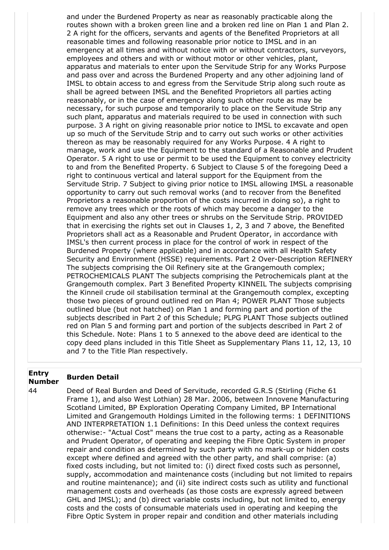and under the Burdened Property as near as reasonably practicable along the routes shown with a broken green line and a broken red line on Plan 1 and Plan 2. 2 A right for the officers, servants and agents of the Benefited Proprietors at all reasonable times and following reasonable prior notice to IMSL and in an emergency at all times and without notice with or without contractors, surveyors, employees and others and with or without motor or other vehicles, plant, apparatus and materials to enter upon the Servitude Strip for any Works Purpose and pass over and across the Burdened Property and any other adjoining land of IMSL to obtain access to and egress from the Servitude Strip along such route as shall be agreed between IMSL and the Benefited Proprietors all parties acting reasonably, or in the case of emergency along such other route as may be necessary, for such purpose and temporarily to place on the Servitude Strip any such plant, apparatus and materials required to be used in connection with such purpose. 3 A right on giving reasonable prior notice to IMSL to excavate and open up so much of the Servitude Strip and to carry out such works or other activities thereon as may be reasonably required for any Works Purpose. 4 A right to manage, work and use the Equipment to the standard of a Reasonable and Prudent Operator. 5 A right to use or permit to be used the Equipment to convey electricity to and from the Benefited Property. 6 Subject to Clause 5 of the foregoing Deed a right to continuous vertical and lateral support for the Equipment from the Servitude Strip. 7 Subject to giving prior notice to IMSL allowing IMSL a reasonable opportunity to carry out such removal works (and to recover from the Benefited Proprietors a reasonable proportion of the costs incurred in doing so), a right to remove any trees which or the roots of which may become a danger to the Equipment and also any other trees or shrubs on the Servitude Strip. PROVIDED that in exercising the rights set out in Clauses 1, 2, 3 and 7 above, the Benefited Proprietors shall act as a Reasonable and Prudent Operator, in accordance with IMSL's then current process in place for the control of work in respect of the Burdened Property (where applicable) and in accordance with all Health Safety Security and Environment (HSSE) requirements. Part 2 Over-Description REFINERY The subjects comprising the Oil Refinery site at the Grangemouth complex; PETROCHEMICALS PLANT The subjects comprising the Petrochemicals plant at the Grangemouth complex. Part 3 Benefited Property KINNEIL The subjects comprising the Kinneil crude oil stabilisation terminal at the Grangemouth complex, excepting those two pieces of ground outlined red on Plan 4; POWER PLANT Those subjects outlined blue (but not hatched) on Plan 1 and forming part and portion of the subjects described in Part 2 of this Schedule; PLPG PLANT Those subjects outlined red on Plan 5 and forming part and portion of the subjects described in Part 2 of this Schedule. Note: Plans 1 to 5 annexed to the above deed are identical to the copy deed plans included in this Title Sheet as Supplementary Plans 11, 12, 13, 10 and 7 to the Title Plan respectively.

## **Entry Number Burden Detail**

44 Deed of Real Burden and Deed of Servitude, recorded G.R.S (Stirling (Fiche 61 Frame 1), and also West Lothian) 28 Mar. 2006, between Innovene Manufacturing Scotland Limited, BP Exploration Operating Company Limited, BP International Limited and Grangemouth Holdings Limited in the following terms: 1 DEFINITIONS AND INTERPRETATION 1.1 Definitions: In this Deed unless the context requires otherwise:- "Actual Cost" means the true cost to a party, acting as a Reasonable and Prudent Operator, of operating and keeping the Fibre Optic System in proper repair and condition as determined by such party with no mark-up or hidden costs except where defined and agreed with the other party, and shall comprise: (a) fixed costs including, but not limited to: (i) direct fixed costs such as personnel, supply, accommodation and maintenance costs (including but not limited to repairs and routine maintenance); and (ii) site indirect costs such as utility and functional management costs and overheads (as those costs are expressly agreed between GHL and IMSL); and (b) direct variable costs including, but not limited to, energy costs and the costs of consumable materials used in operating and keeping the Fibre Optic System in proper repair and condition and other materials including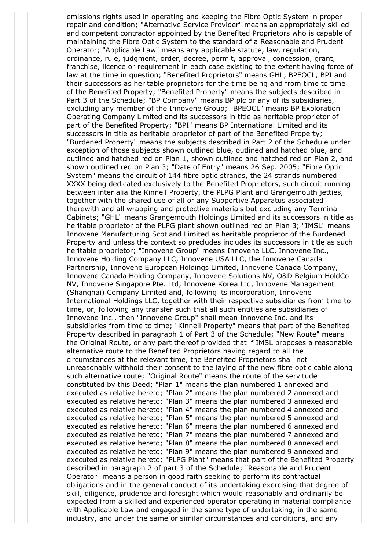emissions rights used in operating and keeping the Fibre Optic System in proper repair and condition; "Alternative Service Provider" means an appropriately skilled and competent contractor appointed by the Benefited Proprietors who is capable of maintaining the Fibre Optic System to the standard of a Reasonable and Prudent Operator; "Applicable Law" means any applicable statute, law, regulation, ordinance, rule, judgment, order, decree, permit, approval, concession, grant, franchise, licence or requirement in each case existing to the extent having force of law at the time in question; "Benefited Proprietors" means GHL, BPEOCL, BPI and their successors as heritable proprietors for the time being and from time to time of the Benefited Property; "Benefited Property" means the subjects described in Part 3 of the Schedule; "BP Company" means BP plc or any of its subsidiaries, excluding any member of the Innovene Group; "BPEOCL" means BP Exploration Operating Company Limited and its successors in title as heritable proprietor of part of the Benefited Property; "BPI" means BP International Limited and its successors in title as heritable proprietor of part of the Benefited Property; "Burdened Property" means the subjects described in Part 2 of the Schedule under exception of those subjects shown outlined blue, outlined and hatched blue, and outlined and hatched red on Plan 1, shown outlined and hatched red on Plan 2, and shown outlined red on Plan 3; "Date of Entry" means 26 Sep. 2005; "Fibre Optic System" means the circuit of 144 fibre optic strands, the 24 strands numbered XXXX being dedicated exclusively to the Benefited Proprietors, such circuit running between inter alia the Kinneil Property, the PLPG Plant and Grangemouth jetties, together with the shared use of all or any Supportive Apparatus associated therewith and all wrapping and protective materials but excluding any Terminal Cabinets; "GHL" means Grangemouth Holdings Limited and its successors in title as heritable proprietor of the PLPG plant shown outlined red on Plan 3; "IMSL" means Innovene Manufacturing Scotland Limited as heritable proprietor of the Burdened Property and unless the context so precludes includes its successors in title as such heritable proprietor; "Innovene Group" means Innovene LLC, Innovene Inc., Innovene Holding Company LLC, Innovene USA LLC, the Innovene Canada Partnership, Innovene European Holdings Limited, Innovene Canada Company, Innovene Canada Holding Company, Innovene Solutions NV, O&D Belgium HoldCo NV, Innovene Singapore Pte. Ltd, Innovene Korea Ltd, Innovene Management (Shanghai) Company Limited and, following its incorporation, Innovene International Holdings LLC, together with their respective subsidiaries from time to time, or, following any transfer such that all such entities are subsidiaries of Innovene Inc., then "Innovene Group" shall mean Innovene Inc. and its subsidiaries from time to time; "Kinneil Property" means that part of the Benefited Property described in paragraph 1 of Part 3 of the Schedule; "New Route" means the Original Route, or any part thereof provided that if IMSL proposes a reasonable alternative route to the Benefited Proprietors having regard to all the circumstances at the relevant time, the Benefited Proprietors shall not unreasonably withhold their consent to the laying of the new fibre optic cable along such alternative route; "Original Route" means the route of the servitude constituted by this Deed; "Plan 1" means the plan numbered 1 annexed and executed as relative hereto; "Plan 2" means the plan numbered 2 annexed and executed as relative hereto; "Plan 3" means the plan numbered 3 annexed and executed as relative hereto; "Plan 4" means the plan numbered 4 annexed and executed as relative hereto; "Plan 5" means the plan numbered 5 annexed and executed as relative hereto; "Plan 6" means the plan numbered 6 annexed and executed as relative hereto; "Plan 7" means the plan numbered 7 annexed and executed as relative hereto; "Plan 8" means the plan numbered 8 annexed and executed as relative hereto; "Plan 9" means the plan numbered 9 annexed and executed as relative hereto; "PLPG Plant" means that part of the Benefited Property described in paragraph 2 of part 3 of the Schedule; "Reasonable and Prudent Operator" means a person in good faith seeking to perform its contractual obligations and in the general conduct of its undertaking exercising that degree of skill, diligence, prudence and foresight which would reasonably and ordinarily be expected from a skilled and experienced operator operating in material compliance with Applicable Law and engaged in the same type of undertaking, in the same industry, and under the same or similar circumstances and conditions, and any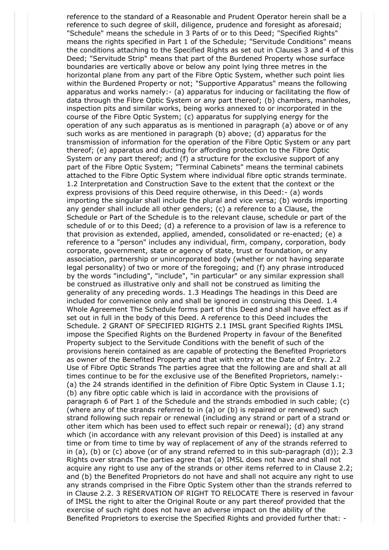reference to the standard of a Reasonable and Prudent Operator herein shall be a reference to such degree of skill, diligence, prudence and foresight as aforesaid; "Schedule" means the schedule in 3 Parts of or to this Deed; "Specified Rights" means the rights specified in Part 1 of the Schedule; "Servitude Conditions" means the conditions attaching to the Specified Rights as set out in Clauses 3 and 4 of this Deed; "Servitude Strip" means that part of the Burdened Property whose surface boundaries are vertically above or below any point lying three metres in the horizontal plane from any part of the Fibre Optic System, whether such point lies within the Burdened Property or not; "Supportive Apparatus" means the following apparatus and works namely:- (a) apparatus for inducing or facilitating the flow of data through the Fibre Optic System or any part thereof; (b) chambers, manholes, inspection pits and similar works, being works annexed to or incorporated in the course of the Fibre Optic System; (c) apparatus for supplying energy for the operation of any such apparatus as is mentioned in paragraph (a) above or of any such works as are mentioned in paragraph (b) above; (d) apparatus for the transmission of information for the operation of the Fibre Optic System or any part thereof; (e) apparatus and ducting for affording protection to the Fibre Optic System or any part thereof; and (f) a structure for the exclusive support of any part of the Fibre Optic System; "Terminal Cabinets" means the terminal cabinets attached to the Fibre Optic System where individual fibre optic strands terminate. 1.2 Interpretation and Construction Save to the extent that the context or the express provisions of this Deed require otherwise, in this Deed:- (a) words importing the singular shall include the plural and vice versa; (b) words importing any gender shall include all other genders; (c) a reference to a Clause, the Schedule or Part of the Schedule is to the relevant clause, schedule or part of the schedule of or to this Deed; (d) a reference to a provision of law is a reference to that provision as extended, applied, amended, consolidated or re-enacted; (e) a reference to a "person" includes any individual, firm, company, corporation, body corporate, government, state or agency of state, trust or foundation, or any association, partnership or unincorporated body (whether or not having separate legal personality) of two or more of the foregoing; and (f) any phrase introduced by the words "including", "include", "in particular" or any similar expression shall be construed as illustrative only and shall not be construed as limiting the generality of any preceding words. 1.3 Headings The headings in this Deed are included for convenience only and shall be ignored in construing this Deed. 1.4 Whole Agreement The Schedule forms part of this Deed and shall have effect as if set out in full in the body of this Deed. A reference to this Deed includes the Schedule. 2 GRANT OF SPECIFIED RIGHTS 2.1 IMSL grant Specified Rights IMSL impose the Specified Rights on the Burdened Property in favour of the Benefited Property subject to the Servitude Conditions with the benefit of such of the provisions herein contained as are capable of protecting the Benefited Proprietors as owner of the Benefited Property and that with entry at the Date of Entry. 2.2 Use of Fibre Optic Strands The parties agree that the following are and shall at all times continue to be for the exclusive use of the Benefited Proprietors, namely:- (a) the 24 strands identified in the definition of Fibre Optic System in Clause 1.1; (b) any fibre optic cable which is laid in accordance with the provisions of paragraph 6 of Part 1 of the Schedule and the strands embodied in such cable; (c) (where any of the strands referred to in (a) or (b) is repaired or renewed) such strand following such repair or renewal (including any strand or part of a strand or other item which has been used to effect such repair or renewal); (d) any strand which (in accordance with any relevant provision of this Deed) is installed at any time or from time to time by way of replacement of any of the strands referred to in (a), (b) or (c) above (or of any strand referred to in this sub-paragraph (d)); 2.3 Rights over strands The parties agree that (a) IMSL does not have and shall not acquire any right to use any of the strands or other items referred to in Clause 2.2; and (b) the Benefited Proprietors do not have and shall not acquire any right to use any strands comprised in the Fibre Optic System other than the strands referred to in Clause 2.2. 3 RESERVATION OF RIGHT TO RELOCATE There is reserved in favour of IMSL the right to alter the Original Route or any part thereof provided that the exercise of such right does not have an adverse impact on the ability of the Benefited Proprietors to exercise the Specified Rights and provided further that: -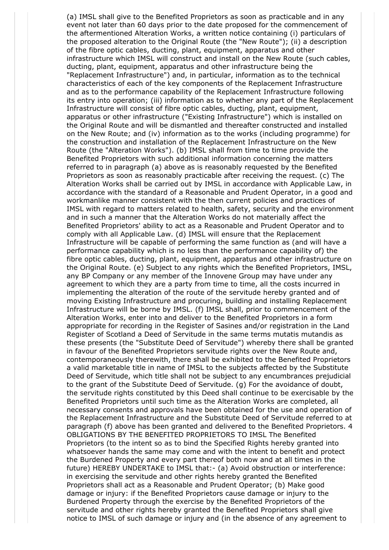(a) IMSL shall give to the Benefited Proprietors as soon as practicable and in any event not later than 60 days prior to the date proposed for the commencement of the aftermentioned Alteration Works, a written notice containing (i) particulars of the proposed alteration to the Original Route (the "New Route"); (ii) a description of the fibre optic cables, ducting, plant, equipment, apparatus and other infrastructure which IMSL will construct and install on the New Route (such cables, ducting, plant, equipment, apparatus and other infrastructure being the "Replacement Infrastructure") and, in particular, information as to the technical characteristics of each of the key components of the Replacement Infrastructure and as to the performance capability of the Replacement Infrastructure following its entry into operation; (iii) information as to whether any part of the Replacement Infrastructure will consist of fibre optic cables, ducting, plant, equipment, apparatus or other infrastructure ("Existing Infrastructure") which is installed on the Original Route and will be dismantled and thereafter constructed and installed on the New Route; and (iv) information as to the works (including programme) for the construction and installation of the Replacement Infrastructure on the New Route (the "Alteration Works"). (b) IMSL shall from time to time provide the Benefited Proprietors with such additional information concerning the matters referred to in paragraph (a) above as is reasonably requested by the Benefited Proprietors as soon as reasonably practicable after receiving the request. (c) The Alteration Works shall be carried out by IMSL in accordance with Applicable Law, in accordance with the standard of a Reasonable and Prudent Operator, in a good and workmanlike manner consistent with the then current policies and practices of IMSL with regard to matters related to health, safety, security and the environment and in such a manner that the Alteration Works do not materially affect the Benefited Proprietors' ability to act as a Reasonable and Prudent Operator and to comply with all Applicable Law. (d) IMSL will ensure that the Replacement Infrastructure will be capable of performing the same function as (and will have a performance capability which is no less than the performance capability of) the fibre optic cables, ducting, plant, equipment, apparatus and other infrastructure on the Original Route. (e) Subject to any rights which the Benefited Proprietors, IMSL, any BP Company or any member of the Innovene Group may have under any agreement to which they are a party from time to time, all the costs incurred in implementing the alteration of the route of the servitude hereby granted and of moving Existing Infrastructure and procuring, building and installing Replacement Infrastructure will be borne by IMSL. (f) IMSL shall, prior to commencement of the Alteration Works, enter into and deliver to the Benefited Proprietors in a form appropriate for recording in the Register of Sasines and/or registration in the Land Register of Scotland a Deed of Servitude in the same terms mutatis mutandis as these presents (the "Substitute Deed of Servitude") whereby there shall be granted in favour of the Benefited Proprietors servitude rights over the New Route and, contemporaneously therewith, there shall be exhibited to the Benefited Proprietors a valid marketable title in name of IMSL to the subjects affected by the Substitute Deed of Servitude, which title shall not be subject to any encumbrances prejudicial to the grant of the Substitute Deed of Servitude. (g) For the avoidance of doubt, the servitude rights constituted by this Deed shall continue to be exercisable by the Benefited Proprietors until such time as the Alteration Works are completed, all necessary consents and approvals have been obtained for the use and operation of the Replacement Infrastructure and the Substitute Deed of Servitude referred to at paragraph (f) above has been granted and delivered to the Benefited Proprietors. 4 OBLIGATIONS BY THE BENEFITED PROPRIETORS TO IMSL The Benefited Proprietors (to the intent so as to bind the Specified Rights hereby granted into whatsoever hands the same may come and with the intent to benefit and protect the Burdened Property and every part thereof both now and at all times in the future) HEREBY UNDERTAKE to IMSL that:- (a) Avoid obstruction or interference: in exercising the servitude and other rights hereby granted the Benefited Proprietors shall act as a Reasonable and Prudent Operator; (b) Make good damage or injury: if the Benefited Proprietors cause damage or injury to the Burdened Property through the exercise by the Benefited Proprietors of the servitude and other rights hereby granted the Benefited Proprietors shall give notice to IMSL of such damage or injury and (in the absence of any agreement to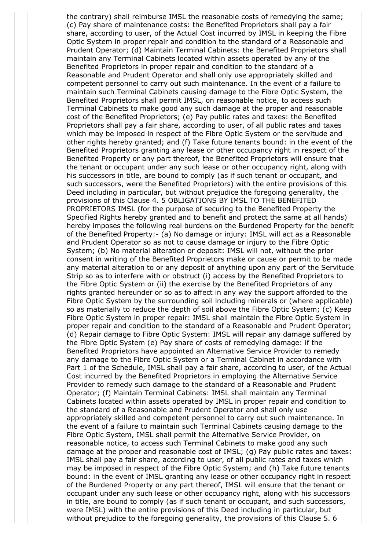the contrary) shall reimburse IMSL the reasonable costs of remedying the same; (c) Pay share of maintenance costs: the Benefited Proprietors shall pay a fair share, according to user, of the Actual Cost incurred by IMSL in keeping the Fibre Optic System in proper repair and condition to the standard of a Reasonable and Prudent Operator; (d) Maintain Terminal Cabinets: the Benefited Proprietors shall maintain any Terminal Cabinets located within assets operated by any of the Benefited Proprietors in proper repair and condition to the standard of a Reasonable and Prudent Operator and shall only use appropriately skilled and competent personnel to carry out such maintenance. In the event of a failure to maintain such Terminal Cabinets causing damage to the Fibre Optic System, the Benefited Proprietors shall permit IMSL, on reasonable notice, to access such Terminal Cabinets to make good any such damage at the proper and reasonable cost of the Benefited Proprietors; (e) Pay public rates and taxes: the Benefited Proprietors shall pay a fair share, according to user, of all public rates and taxes which may be imposed in respect of the Fibre Optic System or the servitude and other rights hereby granted; and (f) Take future tenants bound: in the event of the Benefited Proprietors granting any lease or other occupancy right in respect of the Benefited Property or any part thereof, the Benefited Proprietors will ensure that the tenant or occupant under any such lease or other occupancy right, along with his successors in title, are bound to comply (as if such tenant or occupant, and such successors, were the Benefited Proprietors) with the entire provisions of this Deed including in particular, but without prejudice the foregoing generality, the provisions of this Clause 4. 5 OBLIGATIONS BY IMSL TO THE BENEFITED PROPRIETORS IMSL (for the purpose of securing to the Benefited Property the Specified Rights hereby granted and to benefit and protect the same at all hands) hereby imposes the following real burdens on the Burdened Property for the benefit of the Benefited Property:- (a) No damage or injury: IMSL will act as a Reasonable and Prudent Operator so as not to cause damage or injury to the Fibre Optic System; (b) No material alteration or deposit: IMSL will not, without the prior consent in writing of the Benefited Proprietors make or cause or permit to be made any material alteration to or any deposit of anything upon any part of the Servitude Strip so as to interfere with or obstruct (i) access by the Benefited Proprietors to the Fibre Optic System or (ii) the exercise by the Benefited Proprietors of any rights granted hereunder or so as to affect in any way the support afforded to the Fibre Optic System by the surrounding soil including minerals or (where applicable) so as materially to reduce the depth of soil above the Fibre Optic System; (c) Keep Fibre Optic System in proper repair: IMSL shall maintain the Fibre Optic System in proper repair and condition to the standard of a Reasonable and Prudent Operator; (d) Repair damage to Fibre Optic System: IMSL will repair any damage suffered by the Fibre Optic System (e) Pay share of costs of remedying damage: if the Benefited Proprietors have appointed an Alternative Service Provider to remedy any damage to the Fibre Optic System or a Terminal Cabinet in accordance with Part 1 of the Schedule, IMSL shall pay a fair share, according to user, of the Actual Cost incurred by the Benefited Proprietors in employing the Alternative Service Provider to remedy such damage to the standard of a Reasonable and Prudent Operator; (f) Maintain Terminal Cabinets: IMSL shall maintain any Terminal Cabinets located within assets operated by IMSL in proper repair and condition to the standard of a Reasonable and Prudent Operator and shall only use appropriately skilled and competent personnel to carry out such maintenance. In the event of a failure to maintain such Terminal Cabinets causing damage to the Fibre Optic System, IMSL shall permit the Alternative Service Provider, on reasonable notice, to access such Terminal Cabinets to make good any such damage at the proper and reasonable cost of IMSL; (g) Pay public rates and taxes: IMSL shall pay a fair share, according to user, of all public rates and taxes which may be imposed in respect of the Fibre Optic System; and (h) Take future tenants bound: in the event of IMSL granting any lease or other occupancy right in respect of the Burdened Property or any part thereof, IMSL will ensure that the tenant or occupant under any such lease or other occupancy right, along with his successors in title, are bound to comply (as if such tenant or occupant, and such successors, were IMSL) with the entire provisions of this Deed including in particular, but without prejudice to the foregoing generality, the provisions of this Clause 5. 6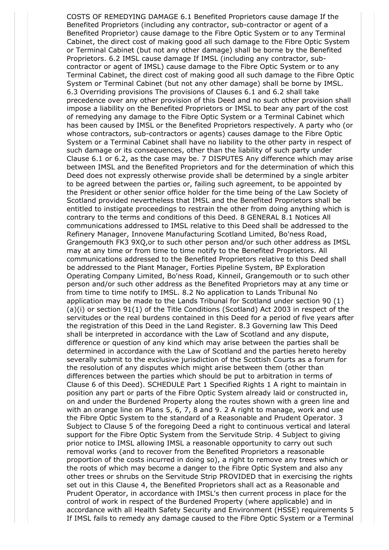COSTS OF REMEDYING DAMAGE 6.1 Benefited Proprietors cause damage If the Benefited Proprietors (including any contractor, sub-contractor or agent of a Benefited Proprietor) cause damage to the Fibre Optic System or to any Terminal Cabinet, the direct cost of making good all such damage to the Fibre Optic System or Terminal Cabinet (but not any other damage) shall be borne by the Benefited Proprietors. 6.2 IMSL cause damage If IMSL (including any contractor, subcontractor or agent of IMSL) cause damage to the Fibre Optic System or to any Terminal Cabinet, the direct cost of making good all such damage to the Fibre Optic System or Terminal Cabinet (but not any other damage) shall be borne by IMSL. 6.3 Overriding provisions The provisions of Clauses 6.1 and 6.2 shall take precedence over any other provision of this Deed and no such other provision shall impose a liability on the Benefited Proprietors or IMSL to bear any part of the cost of remedying any damage to the Fibre Optic System or a Terminal Cabinet which has been caused by IMSL or the Benefited Proprietors respectively. A party who (or whose contractors, sub-contractors or agents) causes damage to the Fibre Optic System or a Terminal Cabinet shall have no liability to the other party in respect of such damage or its consequences, other than the liability of such party under Clause 6.1 or 6.2, as the case may be. 7 DISPUTES Any difference which may arise between IMSL and the Benefited Proprietors and for the determination of which this Deed does not expressly otherwise provide shall be determined by a single arbiter to be agreed between the parties or, failing such agreement, to be appointed by the President or other senior office holder for the time being of the Law Society of Scotland provided nevertheless that IMSL and the Benefited Proprietors shall be entitled to instigate proceedings to restrain the other from doing anything which is contrary to the terms and conditions of this Deed. 8 GENERAL 8.1 Notices All communications addressed to IMSL relative to this Deed shall be addressed to the Refinery Manager, Innovene Manufacturing Scotland Limited, Bo'ness Road, Grangemouth FK3 9XQ,or to such other person and/or such other address as IMSL may at any time or from time to time notify to the Benefited Proprietors. All communications addressed to the Benefited Proprietors relative to this Deed shall be addressed to the Plant Manager, Forties Pipeline System, BP Exploration Operating Company Limited, Bo'ness Road, Kinneil, Grangemouth or to such other person and/or such other address as the Benefited Proprietors may at any time or from time to time notify to IMSL. 8.2 No application to Lands Tribunal No application may be made to the Lands Tribunal for Scotland under section 90 (1) (a)(i) or section 91(1) of the Title Conditions (Scotland) Act 2003 in respect of the servitudes or the real burdens contained in this Deed for a period of five years after the registration of this Deed in the Land Register. 8.3 Governing law This Deed shall be interpreted in accordance with the Law of Scotland and any dispute, difference or question of any kind which may arise between the parties shall be determined in accordance with the Law of Scotland and the parties hereto hereby severally submit to the exclusive jurisdiction of the Scottish Courts as a forum for the resolution of any disputes which might arise between them (other than differences between the parties which should be put to arbitration in terms of Clause 6 of this Deed). SCHEDULE Part 1 Specified Rights 1 A right to maintain in position any part or parts of the Fibre Optic System already laid or constructed in, on and under the Burdened Property along the routes shown with a green line and with an orange line on Plans 5, 6, 7, 8 and 9. 2 A right to manage, work and use the Fibre Optic System to the standard of a Reasonable and Prudent Operator. 3 Subject to Clause 5 of the foregoing Deed a right to continuous vertical and lateral support for the Fibre Optic System from the Servitude Strip. 4 Subject to giving prior notice to IMSL allowing IMSL a reasonable opportunity to carry out such removal works (and to recover from the Benefited Proprietors a reasonable proportion of the costs incurred in doing so), a right to remove any trees which or the roots of which may become a danger to the Fibre Optic System and also any other trees or shrubs on the Servitude Strip PROVIDED that in exercising the rights set out in this Clause 4, the Benefited Proprietors shall act as a Reasonable and Prudent Operator, in accordance with IMSL's then current process in place for the control of work in respect of the Burdened Property (where applicable) and in accordance with all Health Safety Security and Environment (HSSE) requirements 5 If IMSL fails to remedy any damage caused to the Fibre Optic System or a Terminal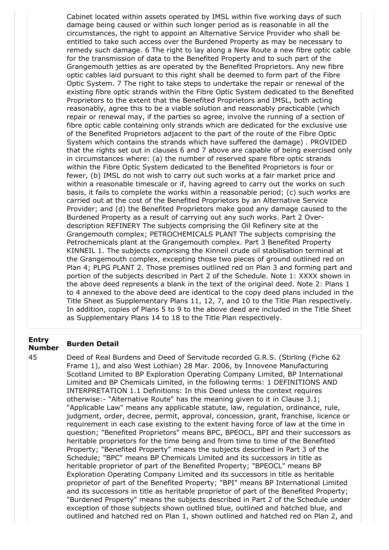Cabinet located within assets operated by IMSL within five working days of such damage being caused or within such longer period as is reasonable in all the circumstances, the right to appoint an Alternative Service Provider who shall be entitled to take such access over the Burdened Property as may be necessary to remedy such damage. 6 The right to lay along a New Route a new fibre optic cable for the transmission of data to the Benefited Property and to such part of the Grangemouth jetties as are operated by the Benefited Proprietors. Any new fibre optic cables laid pursuant to this right shall be deemed to form part of the Fibre Optic System. 7 The right to take steps to undertake the repair or renewal of the existing fibre optic strands within the Fibre Optic System dedicated to the Benefited Proprietors to the extent that the Benefited Proprietors and IMSL, both acting reasonably, agree this to be a viable solution and reasonably practicable (which repair or renewal may, if the parties so agree, involve the running of a section of fibre optic cable containing only strands which are dedicated for the exclusive use of the Benefited Proprietors adjacent to the part of the route of the Fibre Optic System which contains the strands which have suffered the damage) . PROVIDED that the rights set out in clauses 6 and 7 above are capable of being exercised only in circumstances where: (a) the number of reserved spare fibre optic strands within the Fibre Optic System dedicated to the Benefited Proprietors is four or fewer, (b) IMSL do not wish to carry out such works at a fair market price and within a reasonable timescale or if, having agreed to carry out the works on such basis, it fails to complete the works within a reasonable period; (c) such works are carried out at the cost of the Benefited Proprietors by an Alternative Service Provider; and (d) the Benefited Proprietors make good any damage caused to the Burdened Property as a result of carrying out any such works. Part 2 Overdescription REFINERY The subjects comprising the Oil Refinery site at the Grangemouth complex; PETROCHEMICALS PLANT The subjects comprising the Petrochemicals plant at the Grangemouth complex. Part 3 Benefited Property KINNEIL 1. The subjects comprising the Kinneil crude oil stabilisation terminal at the Grangemouth complex, excepting those two pieces of ground outlined red on Plan 4; PLPG PLANT 2. Those premises outlined red on Plan 3 and forming part and portion of the subjects described in Part 2 of the Schedule. Note 1: XXXX shown in the above deed represents a blank in the text of the original deed. Note 2: Plans 1 to 4 annexed to the above deed are identical to the copy deed plans included in the Title Sheet as Supplementary Plans 11, 12, 7, and 10 to the Title Plan respectively. In addition, copies of Plans 5 to 9 to the above deed are included in the Title Sheet as Supplementary Plans 14 to 18 to the Title Plan respectively.

## **Entry Number Burden Detail**

45 Deed of Real Burdens and Deed of Servitude recorded G.R.S. (Stirling (Fiche 62 Frame 1), and also West Lothian) 28 Mar. 2006, by Innovene Manufacturing Scotland Limited to BP Exploration Operating Company Limited, BP International Limited and BP Chemicals Limited, in the following terms: 1 DEFINITIONS AND INTERPRETATION 1.1 Definitions: In this Deed unless the context requires otherwise:- "Alternative Route" has the meaning given to it in Clause 3.1; "Applicable Law" means any applicable statute, law, regulation, ordinance, rule, judgment, order, decree, permit, approval, concession, grant, franchise, licence or requirement in each case existing to the extent having force of law at the time in question; "Benefited Proprietors" means BPC, BPEOCL, BPI and their successors as heritable proprietors for the time being and from time to time of the Benefited Property; "Benefited Property" means the subjects described in Part 3 of the Schedule; "BPC" means BP Chemicals Limited and its successors in title as heritable proprietor of part of the Benefited Property; "BPEOCL" means BP Exploration Operating Company Limited and its successors in title as heritable proprietor of part of the Benefited Property; "BPI" means BP International Limited and its successors in title as heritable proprietor of part of the Benefited Property; "Burdened Property" means the subjects described in Part 2 of the Schedule under exception of those subjects shown outlined blue, outlined and hatched blue, and outlined and hatched red on Plan 1, shown outlined and hatched red on Plan 2, and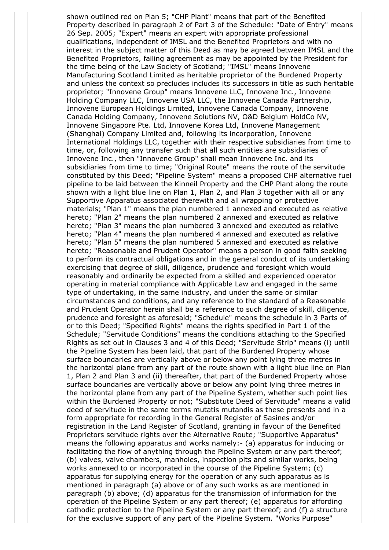shown outlined red on Plan 5; "CHP Plant" means that part of the Benefited Property described in paragraph 2 of Part 3 of the Schedule: "Date of Entry" means 26 Sep. 2005; "Expert" means an expert with appropriate professional qualifications, independent of IMSL and the Benefited Proprietors and with no interest in the subject matter of this Deed as may be agreed between IMSL and the Benefited Proprietors, failing agreement as may be appointed by the President for the time being of the Law Society of Scotland; "IMSL" means Innovene Manufacturing Scotland Limited as heritable proprietor of the Burdened Property and unless the context so precludes includes its successors in title as such heritable proprietor; "Innovene Group" means Innovene LLC, Innovene Inc., Innovene Holding Company LLC, Innovene USA LLC, the Innovene Canada Partnership, Innovene European Holdings Limited, Innovene Canada Company, Innovene Canada Holding Company, Innovene Solutions NV, O&D Belgium HoldCo NV, Innovene Singapore Pte. Ltd, Innovene Korea Ltd, Innovene Management (Shanghai) Company Limited and, following its incorporation, Innovene International Holdings LLC, together with their respective subsidiaries from time to time, or, following any transfer such that all such entities are subsidiaries of Innovene Inc., then "Innovene Group" shall mean Innovene Inc. and its subsidiaries from time to time; "Original Route" means the route of the servitude constituted by this Deed; "Pipeline System" means a proposed CHP alternative fuel pipeline to be laid between the Kinneil Property and the CHP Plant along the route shown with a light blue line on Plan 1, Plan 2, and Plan 3 together with all or any Supportive Apparatus associated therewith and all wrapping or protective materials; "Plan 1" means the plan numbered 1 annexed and executed as relative hereto; "Plan 2" means the plan numbered 2 annexed and executed as relative hereto; "Plan 3" means the plan numbered 3 annexed and executed as relative hereto; "Plan 4" means the plan numbered 4 annexed and executed as relative hereto; "Plan 5" means the plan numbered 5 annexed and executed as relative hereto; "Reasonable and Prudent Operator" means a person in good faith seeking to perform its contractual obligations and in the general conduct of its undertaking exercising that degree of skill, diligence, prudence and foresight which would reasonably and ordinarily be expected from a skilled and experienced operator operating in material compliance with Applicable Law and engaged in the same type of undertaking, in the same industry, and under the same or similar circumstances and conditions, and any reference to the standard of a Reasonable and Prudent Operator herein shall be a reference to such degree of skill, diligence, prudence and foresight as aforesaid; "Schedule" means the schedule in 3 Parts of or to this Deed; "Specified Rights" means the rights specified in Part 1 of the Schedule; "Servitude Conditions" means the conditions attaching to the Specified Rights as set out in Clauses 3 and 4 of this Deed; "Servitude Strip" means (i) until the Pipeline System has been laid, that part of the Burdened Property whose surface boundaries are vertically above or below any point lying three metres in the horizontal plane from any part of the route shown with a light blue line on Plan 1, Plan 2 and Plan 3 and (ii) thereafter, that part of the Burdened Property whose surface boundaries are vertically above or below any point lying three metres in the horizontal plane from any part of the Pipeline System, whether such point lies within the Burdened Property or not; "Substitute Deed of Servitude" means a valid deed of servitude in the same terms mutatis mutandis as these presents and in a form appropriate for recording in the General Register of Sasines and/or registration in the Land Register of Scotland, granting in favour of the Benefited Proprietors servitude rights over the Alternative Route; "Supportive Apparatus" means the following apparatus and works namely:- (a) apparatus for inducing or facilitating the flow of anything through the Pipeline System or any part thereof; (b) valves, valve chambers, manholes, inspection pits and similar works, being works annexed to or incorporated in the course of the Pipeline System; (c) apparatus for supplying energy for the operation of any such apparatus as is mentioned in paragraph (a) above or of any such works as are mentioned in paragraph (b) above; (d) apparatus for the transmission of information for the operation of the Pipeline System or any part thereof; (e) apparatus for affording cathodic protection to the Pipeline System or any part thereof; and (f) a structure for the exclusive support of any part of the Pipeline System. "Works Purpose"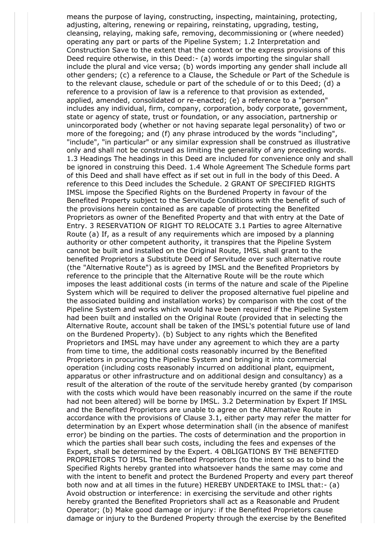means the purpose of laying, constructing, inspecting, maintaining, protecting, adjusting, altering, renewing or repairing, reinstating, upgrading, testing, cleansing, relaying, making safe, removing, decommissioning or (where needed) operating any part or parts of the Pipeline System; 1.2 Interpretation and Construction Save to the extent that the context or the express provisions of this Deed require otherwise, in this Deed:- (a) words importing the singular shall include the plural and vice versa; (b) words importing any gender shall include all other genders; (c) a reference to a Clause, the Schedule or Part of the Schedule is to the relevant clause, schedule or part of the schedule of or to this Deed; (d) a reference to a provision of law is a reference to that provision as extended, applied, amended, consolidated or re-enacted; (e) a reference to a "person" includes any individual, firm, company, corporation, body corporate, government, state or agency of state, trust or foundation, or any association, partnership or unincorporated body (whether or not having separate legal personality) of two or more of the foregoing; and (f) any phrase introduced by the words "including", "include", "in particular" or any similar expression shall be construed as illustrative only and shall not be construed as limiting the generality of any preceding words. 1.3 Headings The headings in this Deed are included for convenience only and shall be ignored in construing this Deed. 1.4 Whole Agreement The Schedule forms part of this Deed and shall have effect as if set out in full in the body of this Deed. A reference to this Deed includes the Schedule. 2 GRANT OF SPECIFIED RIGHTS IMSL impose the Specified Rights on the Burdened Property in favour of the Benefited Property subject to the Servitude Conditions with the benefit of such of the provisions herein contained as are capable of protecting the Benefited Proprietors as owner of the Benefited Property and that with entry at the Date of Entry. 3 RESERVATION OF RIGHT TO RELOCATE 3.1 Parties to agree Alternative Route (a) If, as a result of any requirements which are imposed by a planning authority or other competent authority, it transpires that the Pipeline System cannot be built and installed on the Original Route, IMSL shall grant to the benefited Proprietors a Substitute Deed of Servitude over such alternative route (the "Alternative Route") as is agreed by IMSL and the Benefited Proprietors by reference to the principle that the Alternative Route will be the route which imposes the least additional costs (in terms of the nature and scale of the Pipeline System which will be required to deliver the proposed alternative fuel pipeline and the associated building and installation works) by comparison with the cost of the Pipeline System and works which would have been required if the Pipeline System had been built and installed on the Original Route (provided that in selecting the Alternative Route, account shall be taken of the IMSL's potential future use of land on the Burdened Property). (b) Subject to any rights which the Benefited Proprietors and IMSL may have under any agreement to which they are a party from time to time, the additional costs reasonably incurred by the Benefited Proprietors in procuring the Pipeline System and bringing it into commercial operation (including costs reasonably incurred on additional plant, equipment, apparatus or other infrastructure and on additional design and consultancy) as a result of the alteration of the route of the servitude hereby granted (by comparison with the costs which would have been reasonably incurred on the same if the route had not been altered) will be borne by IMSL. 3.2 Determination by Expert If IMSL and the Benefited Proprietors are unable to agree on the Alternative Route in accordance with the provisions of Clause 3.1, either party may refer the matter for determination by an Expert whose determination shall (in the absence of manifest error) be binding on the parties. The costs of determination and the proportion in which the parties shall bear such costs, including the fees and expenses of the Expert, shall be determined by the Expert. 4 OBLIGATIONS BY THE BENEFITED PROPRIETORS TO IMSL The Benefited Proprietors (to the intent so as to bind the Specified Rights hereby granted into whatsoever hands the same may come and with the intent to benefit and protect the Burdened Property and every part thereof both now and at all times in the future) HEREBY UNDERTAKE to IMSL that:- (a) Avoid obstruction or interference: in exercising the servitude and other rights hereby granted the Benefited Proprietors shall act as a Reasonable and Prudent Operator; (b) Make good damage or injury: if the Benefited Proprietors cause damage or injury to the Burdened Property through the exercise by the Benefited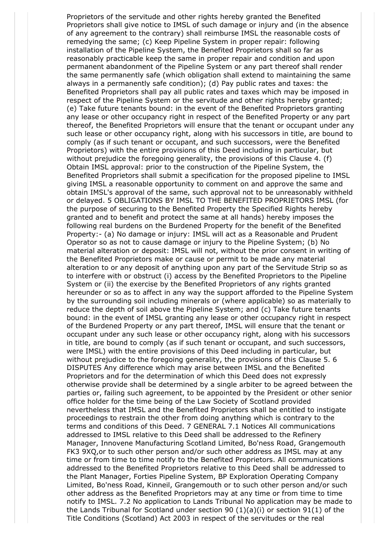Proprietors of the servitude and other rights hereby granted the Benefited Proprietors shall give notice to IMSL of such damage or injury and (in the absence of any agreement to the contrary) shall reimburse IMSL the reasonable costs of remedying the same; (c) Keep Pipeline System in proper repair: following installation of the Pipeline System, the Benefited Proprietors shall so far as reasonably practicable keep the same in proper repair and condition and upon permanent abandonment of the Pipeline System or any part thereof shall render the same permanently safe (which obligation shall extend to maintaining the same always in a permanently safe condition); (d) Pay public rates and taxes: the Benefited Proprietors shall pay all public rates and taxes which may be imposed in respect of the Pipeline System or the servitude and other rights hereby granted; (e) Take future tenants bound: in the event of the Benefited Proprietors granting any lease or other occupancy right in respect of the Benefited Property or any part thereof, the Benefited Proprietors will ensure that the tenant or occupant under any such lease or other occupancy right, along with his successors in title, are bound to comply (as if such tenant or occupant, and such successors, were the Benefited Proprietors) with the entire provisions of this Deed including in particular, but without prejudice the foregoing generality, the provisions of this Clause 4. (f) Obtain IMSL approval: prior to the construction of the Pipeline System, the Benefited Proprietors shall submit a specification for the proposed pipeline to IMSL giving IMSL a reasonable opportunity to comment on and approve the same and obtain IMSL's approval of the same, such approval not to be unreasonably withheld or delayed. 5 OBLIGATIONS BY IMSL TO THE BENEFITED PROPRIETORS IMSL (for the purpose of securing to the Benefited Property the Specified Rights hereby granted and to benefit and protect the same at all hands) hereby imposes the following real burdens on the Burdened Property for the benefit of the Benefited Property:- (a) No damage or injury: IMSL will act as a Reasonable and Prudent Operator so as not to cause damage or injury to the Pipeline System; (b) No material alteration or deposit: IMSL will not, without the prior consent in writing of the Benefited Proprietors make or cause or permit to be made any material alteration to or any deposit of anything upon any part of the Servitude Strip so as to interfere with or obstruct (i) access by the Benefited Proprietors to the Pipeline System or (ii) the exercise by the Benefited Proprietors of any rights granted hereunder or so as to affect in any way the support afforded to the Pipeline System by the surrounding soil including minerals or (where applicable) so as materially to reduce the depth of soil above the Pipeline System; and (c) Take future tenants bound: in the event of IMSL granting any lease or other occupancy right in respect of the Burdened Property or any part thereof, IMSL will ensure that the tenant or occupant under any such lease or other occupancy right, along with his successors in title, are bound to comply (as if such tenant or occupant, and such successors, were IMSL) with the entire provisions of this Deed including in particular, but without prejudice to the foregoing generality, the provisions of this Clause 5. 6 DISPUTES Any difference which may arise between IMSL and the Benefited Proprietors and for the determination of which this Deed does not expressly otherwise provide shall be determined by a single arbiter to be agreed between the parties or, failing such agreement, to be appointed by the President or other senior office holder for the time being of the Law Society of Scotland provided nevertheless that IMSL and the Benefited Proprietors shall be entitled to instigate proceedings to restrain the other from doing anything which is contrary to the terms and conditions of this Deed. 7 GENERAL 7.1 Notices All communications addressed to IMSL relative to this Deed shall be addressed to the Refinery Manager, Innovene Manufacturing Scotland Limited, Bo'ness Road, Grangemouth FK3 9XQ,or to such other person and/or such other address as IMSL may at any time or from time to time notify to the Benefited Proprietors. All communications addressed to the Benefited Proprietors relative to this Deed shall be addressed to the Plant Manager, Forties Pipeline System, BP Exploration Operating Company Limited, Bo'ness Road, Kinneil, Grangemouth or to such other person and/or such other address as the Benefited Proprietors may at any time or from time to time notify to IMSL. 7.2 No application to Lands Tribunal No application may be made to the Lands Tribunal for Scotland under section 90 (1)(a)(i) or section 91(1) of the Title Conditions (Scotland) Act 2003 in respect of the servitudes or the real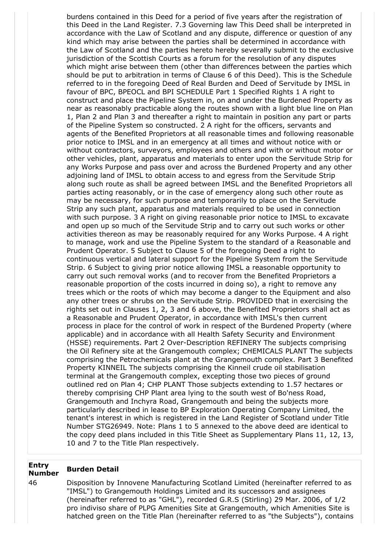burdens contained in this Deed for a period of five years after the registration of this Deed in the Land Register. 7.3 Governing law This Deed shall be interpreted in accordance with the Law of Scotland and any dispute, difference or question of any kind which may arise between the parties shall be determined in accordance with the Law of Scotland and the parties hereto hereby severally submit to the exclusive jurisdiction of the Scottish Courts as a forum for the resolution of any disputes which might arise between them (other than differences between the parties which should be put to arbitration in terms of Clause 6 of this Deed). This is the Schedule referred to in the foregoing Deed of Real Burden and Deed of Servitude by IMSL in favour of BPC, BPEOCL and BPI SCHEDULE Part 1 Specified Rights 1 A right to construct and place the Pipeline System in, on and under the Burdened Property as near as reasonably practicable along the routes shown with a light blue line on Plan 1, Plan 2 and Plan 3 and thereafter a right to maintain in position any part or parts of the Pipeline System so constructed. 2 A right for the officers, servants and agents of the Benefited Proprietors at all reasonable times and following reasonable prior notice to IMSL and in an emergency at all times and without notice with or without contractors, surveyors, employees and others and with or without motor or other vehicles, plant, apparatus and materials to enter upon the Servitude Strip for any Works Purpose and pass over and across the Burdened Property and any other adjoining land of IMSL to obtain access to and egress from the Servitude Strip along such route as shall be agreed between IMSL and the Benefited Proprietors all parties acting reasonably, or in the case of emergency along such other route as may be necessary, for such purpose and temporarily to place on the Servitude Strip any such plant, apparatus and materials required to be used in connection with such purpose. 3 A right on giving reasonable prior notice to IMSL to excavate and open up so much of the Servitude Strip and to carry out such works or other activities thereon as may be reasonably required for any Works Purpose. 4 A right to manage, work and use the Pipeline System to the standard of a Reasonable and Prudent Operator. 5 Subject to Clause 5 of the foregoing Deed a right to continuous vertical and lateral support for the Pipeline System from the Servitude Strip. 6 Subject to giving prior notice allowing IMSL a reasonable opportunity to carry out such removal works (and to recover from the Benefited Proprietors a reasonable proportion of the costs incurred in doing so), a right to remove any trees which or the roots of which may become a danger to the Equipment and also any other trees or shrubs on the Servitude Strip. PROVIDED that in exercising the rights set out in Clauses 1, 2, 3 and 6 above, the Benefited Proprietors shall act as a Reasonable and Prudent Operator, in accordance with IMSL's then current process in place for the control of work in respect of the Burdened Property (where applicable) and in accordance with all Health Safety Security and Environment (HSSE) requirements. Part 2 Over-Description REFINERY The subjects comprising the Oil Refinery site at the Grangemouth complex; CHEMICALS PLANT The subjects comprising the Petrochemicals plant at the Grangemouth complex. Part 3 Benefited Property KINNEIL The subjects comprising the Kinneil crude oil stabilisation terminal at the Grangemouth complex, excepting those two pieces of ground outlined red on Plan 4; CHP PLANT Those subjects extending to 1.57 hectares or thereby comprising CHP Plant area lying to the south west of Bo'ness Road, Grangemouth and Inchyra Road, Grangemouth and being the subjects more particularly described in lease to BP Exploration Operating Company Limited, the tenant's interest in which is registered in the Land Register of Scotland under Title Number STG26949. Note: Plans 1 to 5 annexed to the above deed are identical to the copy deed plans included in this Title Sheet as Supplementary Plans 11, 12, 13, 10 and 7 to the Title Plan respectively.

## **Entry Number Burden Detail**

46 Disposition by Innovene Manufacturing Scotland Limited (hereinafter referred to as "IMSL") to Grangemouth Holdings Limited and its successors and assignees (hereinafter referred to as "GHL"), recorded G.R.S (Stirling) 29 Mar. 2006, of 1/2 pro indiviso share of PLPG Amenities Site at Grangemouth, which Amenities Site is hatched green on the Title Plan (hereinafter referred to as "the Subjects"), contains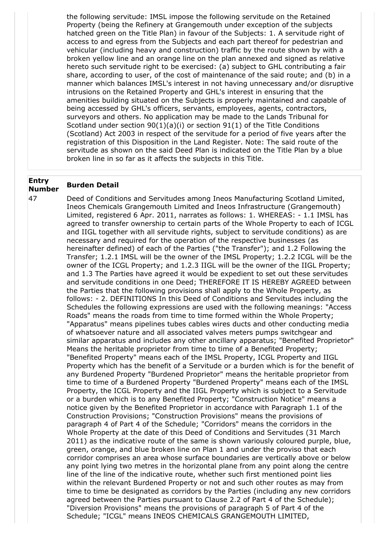the following servitude: IMSL impose the following servitude on the Retained Property (being the Refinery at Grangemouth under exception of the subjects hatched green on the Title Plan) in favour of the Subjects: 1. A servitude right of access to and egress from the Subjects and each part thereof for pedestrian and vehicular (including heavy and construction) traffic by the route shown by with a broken yellow line and an orange line on the plan annexed and signed as relative hereto such servitude right to be exercised: (a) subject to GHL contributing a fair share, according to user, of the cost of maintenance of the said route; and (b) in a manner which balances IMSL's interest in not having unnecessary and/or disruptive intrusions on the Retained Property and GHL's interest in ensuring that the amenities building situated on the Subjects is properly maintained and capable of being accessed by GHL's officers, servants, employees, agents, contractors, surveyors and others. No application may be made to the Lands Tribunal for Scotland under section  $90(1)(a)(i)$  or section  $91(1)$  of the Title Conditions (Scotland) Act 2003 in respect of the servitude for a period of five years after the registration of this Disposition in the Land Register. Note: The said route of the servitude as shown on the said Deed Plan is indicated on the Title Plan by a blue broken line in so far as it affects the subjects in this Title.

## **Entry Number Burden Detail**

47 Deed of Conditions and Servitudes among Ineos Manufacturing Scotland Limited, Ineos Chemicals Grangemouth Limited and Ineos Infrastructure (Grangemouth) Limited, registered 6 Apr. 2011, narrates as follows: 1. WHEREAS: - 1.1 IMSL has agreed to transfer ownership to certain parts of the Whole Property to each of ICGL and IIGL together with all servitude rights, subject to servitude conditions) as are necessary and required for the operation of the respective businesses (as hereinafter defined) of each of the Parties ("the Transfer"); and 1.2 Following the Transfer; 1.2.1 IMSL will be the owner of the IMSL Property; 1.2.2 ICGL will be the owner of the ICGL Property; and 1.2.3 IIGL will be the owner of the IIGL Property; and 1.3 The Parties have agreed it would be expedient to set out these servitudes and servitude conditions in one Deed; THEREFORE IT IS HEREBY AGREED between the Parties that the following provisions shall apply to the Whole Property, as follows: - 2. DEFINITIONS In this Deed of Conditions and Servitudes including the Schedules the following expressions are used with the following meanings: "Access Roads" means the roads from time to time formed within the Whole Property; "Apparatus" means pipelines tubes cables wires ducts and other conducting media of whatsoever nature and all associated valves meters pumps switchgear and similar apparatus and includes any other ancillary apparatus; "Benefited Proprietor" Means the heritable proprietor from time to time of a Benefited Property; "Benefited Property" means each of the IMSL Property, ICGL Property and IIGL Property which has the benefit of a Servitude or a burden which is for the benefit of any Burdened Property "Burdened Proprietor" means the heritable proprietor from time to time of a Burdened Property "Burdened Property" means each of the IMSL Property, the ICGL Property and the IIGL Property which is subject to a Servitude or a burden which is to any Benefited Property; "Construction Notice" means a notice given by the Benefited Proprietor in accordance with Paragraph 1.1 of the Construction Provisions; "Construction Provisions" means the provisions of paragraph 4 of Part 4 of the Schedule; "Corridors" means the corridors in the Whole Property at the date of this Deed of Conditions and Servitudes (31 March 2011) as the indicative route of the same is shown variously coloured purple, blue, green, orange, and blue broken line on Plan 1 and under the proviso that each corridor comprises an area whose surface boundaries are vertically above or below any point lying two metres in the horizontal plane from any point along the centre line of the line of the indicative route, whether such first mentioned point lies within the relevant Burdened Property or not and such other routes as may from time to time be designated as corridors by the Parties (including any new corridors agreed between the Parties pursuant to Clause 2.2 of Part 4 of the Schedule); "Diversion Provisions" means the provisions of paragraph 5 of Part 4 of the Schedule; "ICGL" means INEOS CHEMICALS GRANGEMOUTH LIMITED,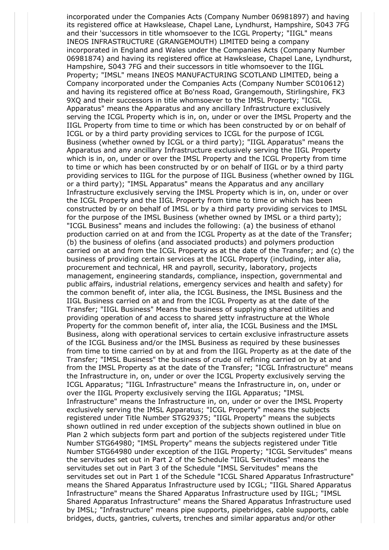incorporated under the Companies Acts (Company Number 06981897) and having its registered office at Hawkslease, Chapel Lane, Lyndhurst, Hampshire, S043 7FG and their 'successors in title whomsoever to the ICGL Property; "IIGL" means INEOS INFRASTRUCTURE (GRANGEMOUTH) LIMITED being a company incorporated in England and Wales under the Companies Acts (Company Number 06981874) and having its registered office at Hawkslease, Chapel Lane, Lyndhurst, Hampshire, S043 7FG and their successors in title whomsoever to the IIGL Property; "IMSL" means INEOS MANUFACTURING SCOTLAND LIMITED, being a Company incorporated under the Companies Acts (Company Number SC010612) and having its registered office at Bo'ness Road, Grangemouth, Stirlingshire, FK3 9XQ and their successors in title whomsoever to the IMSL Property; "ICGL Apparatus" means the Apparatus and any ancillary Infrastructure exclusively serving the ICGL Property which is in, on, under or over the IMSL Property and the IIGL Property from time to time or which has been constructed by or on behalf of ICGL or by a third party providing services to ICGL for the purpose of ICGL Business (whether owned by ICGL or a third party); "IIGL Apparatus" means the Apparatus and any ancillary Infrastructure exclusively serving the IIGL Property which is in, on, under or over the IMSL Property and the ICGL Property from time to time or which has been constructed by or on behalf of IIGL or by a third party providing services to IIGL for the purpose of IIGL Business (whether owned by IIGL or a third party); "IMSL Apparatus" means the Apparatus and any ancillary Infrastructure exclusively serving the IMSL Property which is in, on, under or over the ICGL Property and the IIGL Property from time to time or which has been constructed by or on behalf of IMSL or by a third party providing services to IMSL for the purpose of the IMSL Business (whether owned by IMSL or a third party); "ICGL Business" means and includes the following: (a) the business of ethanol production carried on at and from the ICGL Property as at the date of the Transfer; (b) the business of olefins (and associated products) and polymers production carried on at and from the ICGL Property as at the date of the Transfer; and (c) the business of providing certain services at the ICGL Property (including, inter alia, procurement and technical, HR and payroll, security, laboratory, projects management, engineering standards, compliance, inspection, governmental and public affairs, industrial relations, emergency services and health and safety) for the common benefit of, inter alia, the ICGL Business, the IMSL Business and the IIGL Business carried on at and from the ICGL Property as at the date of the Transfer; "IIGL Business" Means the business of supplying shared utilities and providing operation of and access to shared jetty infrastructure at the Whole Property for the common benefit of, inter alia, the ICGL Business and the IMSL Business, along with operational services to certain exclusive infrastructure assets of the ICGL Business and/or the IMSL Business as required by these businesses from time to time carried on by at and from the IIGL Property as at the date of the Transfer; "IMSL Business" the business of crude oil refining carried on by at and from the IMSL Property as at the date of the Transfer; "ICGL Infrastructure" means the Infrastructure in, on, under or over the ICGL Property exclusively serving the ICGL Apparatus; "IIGL Infrastructure" means the Infrastructure in, on, under or over the IIGL Property exclusively serving the IIGL Apparatus; "IMSL Infrastructure" means the Infrastructure in, on, under or over the IMSL Property exclusively serving the IMSL Apparatus; "ICGL Property" means the subjects registered under Title Number STG29375; "IIGL Property" means the subjects shown outlined in red under exception of the subjects shown outlined in blue on Plan 2 which subjects form part and portion of the subjects registered under Title Number STG64980; "IMSL Property" means the subjects registered under Title Number STG64980 under exception of the IIGL Property; "ICGL Servitudes" means the servitudes set out in Part 2 of the Schedule "IIGL Servitudes" means the servitudes set out in Part 3 of the Schedule "IMSL Servitudes" means the servitudes set out in Part 1 of the Schedule "ICGL Shared Apparatus Infrastructure" means the Shared Apparatus Infrastructure used by ICGL; "IIGL Shared Apparatus Infrastructure" means the Shared Apparatus Infrastructure used by IIGL; "IMSL Shared Apparatus Infrastructure" means the Shared Apparatus Infrastructure used by IMSL; "Infrastructure" means pipe supports, pipebridges, cable supports, cable bridges, ducts, gantries, culverts, trenches and similar apparatus and/or other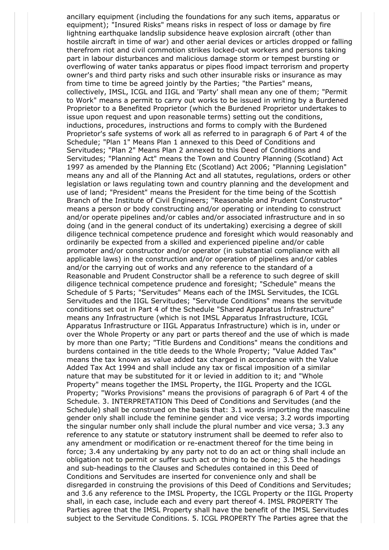ancillary equipment (including the foundations for any such items, apparatus or equipment); "Insured Risks" means risks in respect of loss or damage by fire lightning earthquake landslip subsidence heave explosion aircraft (other than hostile aircraft in time of war) and other aerial devices or articles dropped or falling therefrom riot and civil commotion strikes locked-out workers and persons taking part in labour disturbances and malicious damage storm or tempest bursting or overflowing of water tanks apparatus or pipes flood impact terrorism and property owner's and third party risks and such other insurable risks or insurance as may from time to time be agreed jointly by the Parties; "the Parties" means, collectively, IMSL, ICGL and IIGL and 'Party' shall mean any one of them; "Permit to Work" means a permit to carry out works to be issued in writing by a Burdened Proprietor to a Benefited Proprietor (which the Burdened Proprietor undertakes to issue upon request and upon reasonable terms) setting out the conditions, inductions, procedures, instructions and forms to comply with the Burdened Proprietor's safe systems of work all as referred to in paragraph 6 of Part 4 of the Schedule; "Plan 1" Means Plan 1 annexed to this Deed of Conditions and Servitudes; "Plan 2" Means Plan 2 annexed to this Deed of Conditions and Servitudes; "Planning Act" means the Town and Country Planning (Scotland) Act 1997 as amended by the Planning Etc (Scotland) Act 2006; "Planning Legislation" means any and all of the Planning Act and all statutes, regulations, orders or other legislation or laws regulating town and country planning and the development and use of land; "President" means the President for the time being of the Scottish Branch of the Institute of Civil Engineers; "Reasonable and Prudent Constructor" means a person or body constructing and/or operating or intending to construct and/or operate pipelines and/or cables and/or associated infrastructure and in so doing (and in the general conduct of its undertaking) exercising a degree of skill diligence technical competence prudence and foresight which would reasonably and ordinarily be expected from a skilled and experienced pipeline and/or cable promoter and/or constructor and/or operator (in substantial compliance with all applicable laws) in the construction and/or operation of pipelines and/or cables and/or the carrying out of works and any reference to the standard of a Reasonable and Prudent Constructor shall be a reference to such degree of skill diligence technical competence prudence and foresight; "Schedule" means the Schedule of 5 Parts; "Servitudes" Means each of the IMSL Servitudes, the ICGL Servitudes and the IIGL Servitudes; "Servitude Conditions" means the servitude conditions set out in Part 4 of the Schedule "Shared Apparatus Infrastructure" means any Infrastructure (which is not IMSL Apparatus Infrastructure, ICGL Apparatus Infrastructure or IIGL Apparatus Infrastructure) which is in, under or over the Whole Property or any part or parts thereof and the use of which is made by more than one Party; "Title Burdens and Conditions" means the conditions and burdens contained in the title deeds to the Whole Property; "Value Added Tax" means the tax known as value added tax charged in accordance with the Value Added Tax Act 1994 and shall include any tax or fiscal imposition of a similar nature that may be substituted for it or levied in addition to it; and "Whole Property" means together the IMSL Property, the IIGL Property and the ICGL Property; "Works Provisions" means the provisions of paragraph 6 of Part 4 of the Schedule. 3. INTERPRETATION This Deed of Conditions and Servitudes (and the Schedule) shall be construed on the basis that: 3.1 words importing the masculine gender only shall include the feminine gender and vice versa; 3.2 words importing the singular number only shall include the plural number and vice versa; 3.3 any reference to any statute or statutory instrument shall be deemed to refer also to any amendment or modification or re-enactment thereof for the time being in force; 3.4 any undertaking by any party not to do an act or thing shall include an obligation not to permit or suffer such act or thing to be done; 3.5 the headings and sub-headings to the Clauses and Schedules contained in this Deed of Conditions and Servitudes are inserted for convenience only and shall be disregarded in construing the provisions of this Deed of Conditions and Servitudes; and 3.6 any reference to the IMSL Property, the ICGL Property or the IIGL Property shall, in each case, include each and every part thereof 4. IMSL PROPERTY The Parties agree that the IMSL Property shall have the benefit of the IMSL Servitudes subject to the Servitude Conditions. 5. ICGL PROPERTY The Parties agree that the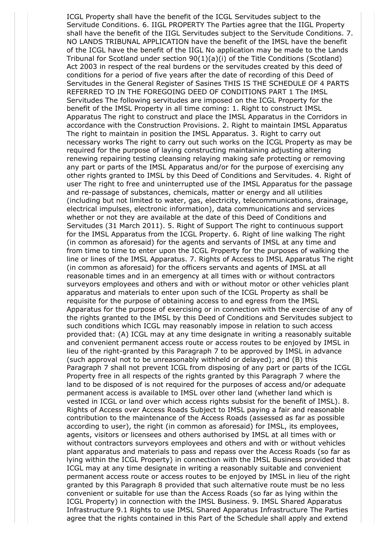ICGL Property shall have the benefit of the ICGL Servitudes subject to the Servitude Conditions. 6. IIGL PROPERTY The Parties agree that the IIGL Property shall have the benefit of the IIGL Servitudes subject to the Servitude Conditions. 7. NO LANDS TRIBUNAL APPLICATION have the benefit of the IMSL have the benefit of the ICGL have the benefit of the IIGL No application may be made to the Lands Tribunal for Scotland under section 90(1)(a)(i) of the Title Conditions (Scotland) Act 2003 in respect of the real burdens or the servitudes created by this deed of conditions for a period of five years after the date of recording of this Deed of Servitudes in the General Register of Sasines THIS IS THE SCHEDULE OF 4 PARTS REFERRED TO IN THE FOREGOING DEED OF CONDITIONS PART 1 The IMSL Servitudes The following servitudes are imposed on the ICGL Property for the benefit of the IMSL Property in all time coming: 1. Right to construct IMSL Apparatus The right to construct and place the IMSL Apparatus in the Corridors in accordance with the Construction Provisions. 2. Right to maintain IMSL Apparatus The right to maintain in position the IMSL Apparatus. 3. Right to carry out necessary works The right to carry out such works on the ICGL Property as may be required for the purpose of laying constructing maintaining adjusting altering renewing repairing testing cleansing relaying making safe protecting or removing any part or parts of the IMSL Apparatus and/or for the purpose of exercising any other rights granted to IMSL by this Deed of Conditions and Servitudes. 4. Right of user The right to free and uninterrupted use of the IMSL Apparatus for the passage and re-passage of substances, chemicals, matter or energy and all utilities (including but not limited to water, gas, electricity, telecommunications, drainage, electrical impulses, electronic information), data communications and services whether or not they are available at the date of this Deed of Conditions and Servitudes (31 March 2011). 5. Right of Support The right to continuous support for the IMSL Apparatus from the ICGL Property. 6. Right of line walking The right (in common as aforesaid) for the agents and servants of IMSL at any time and from time to time to enter upon the ICGL Property for the purposes of walking the line or lines of the IMSL Apparatus. 7. Rights of Access to IMSL Apparatus The right (in common as aforesaid) for the officers servants and agents of IMSL at all reasonable times and in an emergency at all times with or without contractors surveyors employees and others and with or without motor or other vehicles plant apparatus and materials to enter upon such of the ICGL Property as shall be requisite for the purpose of obtaining access to and egress from the IMSL Apparatus for the purpose of exercising or in connection with the exercise of any of the rights granted to the IMSL by this Deed of Conditions and Servitudes subject to such conditions which ICGL may reasonably impose in relation to such access provided that: (A) ICGL may at any time designate in writing a reasonably suitable and convenient permanent access route or access routes to be enjoyed by IMSL in lieu of the right-granted by this Paragraph 7 to be approved by IMSL in advance (such approval not to be unreasonably withheld or delayed); and (B) this Paragraph 7 shall not prevent ICGL from disposing of any part or parts of the ICGL Property free in all respects of the rights granted by this Paragraph 7 where the land to be disposed of is not required for the purposes of access and/or adequate permanent access is available to IMSL over other land (whether land which is vested in ICGL or land over which access rights subsist for the benefit of IMSL). 8. Rights of Access over Access Roads Subject to IMSL paying a fair and reasonable contribution to the maintenance of the Access Roads (assessed as far as possible according to user), the right (in common as aforesaid) for IMSL, its employees, agents, visitors or licensees and others authorised by IMSL at all times with or without contractors surveyors employees and others and with or without vehicles plant apparatus and materials to pass and repass over the Access Roads (so far as lying within the ICGL Property) in connection with the IMSL Business provided that ICGL may at any time designate in writing a reasonably suitable and convenient permanent access route or access routes to be enjoyed by IMSL in lieu of the right granted by this Paragraph 8 provided that such alternative route must be no less convenient or suitable for use than the Access Roads (so far as lying within the ICGL Property) in connection with the IMSL Business. 9. IMSL Shared Apparatus Infrastructure 9.1 Rights to use IMSL Shared Apparatus Infrastructure The Parties agree that the rights contained in this Part of the Schedule shall apply and extend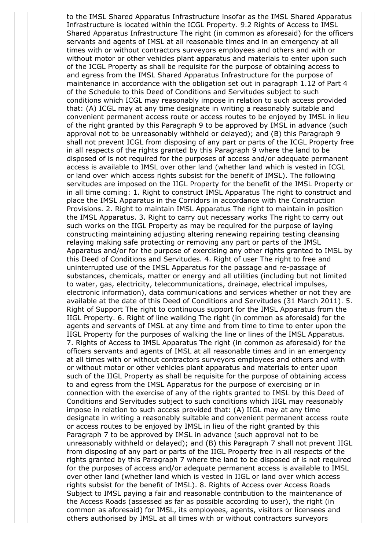to the IMSL Shared Apparatus Infrastructure insofar as the IMSL Shared Apparatus Infrastructure is located within the ICGL Property. 9.2 Rights of Access to IMSL Shared Apparatus Infrastructure The right (in common as aforesaid) for the officers servants and agents of IMSL at all reasonable times and in an emergency at all times with or without contractors surveyors employees and others and with or without motor or other vehicles plant apparatus and materials to enter upon such of the ICGL Property as shall be requisite for the purpose of obtaining access to and egress from the IMSL Shared Apparatus Infrastructure for the purpose of maintenance in accordance with the obligation set out in paragraph 1.12 of Part 4 of the Schedule to this Deed of Conditions and Servitudes subject to such conditions which ICGL may reasonably impose in relation to such access provided that: (A) ICGL may at any time designate in writing a reasonably suitable and convenient permanent access route or access routes to be enjoyed by IMSL in lieu of the right granted by this Paragraph 9 to be approved by IMSL in advance (such approval not to be unreasonably withheld or delayed); and (B) this Paragraph 9 shall not prevent ICGL from disposing of any part or parts of the ICGL Property free in all respects of the rights granted by this Paragraph 9 where the land to be disposed of is not required for the purposes of access and/or adequate permanent access is available to IMSL over other land (whether land which is vested in ICGL or land over which access rights subsist for the benefit of IMSL). The following servitudes are imposed on the IIGL Property for the benefit of the IMSL Property or in all time coming: 1. Right to construct IMSL Apparatus The right to construct and place the IMSL Apparatus in the Corridors in accordance with the Construction Provisions. 2. Right to maintain IMSL Apparatus The right to maintain in position the IMSL Apparatus. 3. Right to carry out necessary works The right to carry out such works on the IIGL Property as may be required for the purpose of laying constructing maintaining adjusting altering renewing repairing testing cleansing relaying making safe protecting or removing any part or parts of the IMSL Apparatus and/or for the purpose of exercising any other rights granted to IMSL by this Deed of Conditions and Servitudes. 4. Right of user The right to free and uninterrupted use of the IMSL Apparatus for the passage and re-passage of substances, chemicals, matter or energy and all utilities (including but not limited to water, gas, electricity, telecommunications, drainage, electrical impulses, electronic information), data communications and services whether or not they are available at the date of this Deed of Conditions and Servitudes (31 March 2011). 5. Right of Support The right to continuous support for the IMSL Apparatus from the IIGL Property. 6. Right of line walking The right (in common as aforesaid) for the agents and servants of IMSL at any time and from time to time to enter upon the IIGL Property for the purposes of walking the line or lines of the IMSL Apparatus. 7. Rights of Access to IMSL Apparatus The right (in common as aforesaid) for the officers servants and agents of IMSL at all reasonable times and in an emergency at all times with or without contractors surveyors employees and others and with or without motor or other vehicles plant apparatus and materials to enter upon such of the IIGL Property as shall be requisite for the purpose of obtaining access to and egress from the IMSL Apparatus for the purpose of exercising or in connection with the exercise of any of the rights granted to IMSL by this Deed of Conditions and Servitudes subject to such conditions which IIGL may reasonably impose in relation to such access provided that: (A) IIGL may at any time designate in writing a reasonably suitable and convenient permanent access route or access routes to be enjoyed by IMSL in lieu of the right granted by this Paragraph 7 to be approved by IMSL in advance (such approval not to be unreasonably withheld or delayed); and (B) this Paragraph 7 shall not prevent IIGL from disposing of any part or parts of the IIGL Property free in all respects of the rights granted by this Paragraph 7 where the land to be disposed of is not required for the purposes of access and/or adequate permanent access is available to IMSL over other land (whether land which is vested in IIGL or land over which access rights subsist for the benefit of IMSL). 8. Rights of Access over Access Roads Subject to IMSL paying a fair and reasonable contribution to the maintenance of the Access Roads (assessed as far as possible according to user), the right (in common as aforesaid) for IMSL, its employees, agents, visitors or licensees and others authorised by IMSL at all times with or without contractors surveyors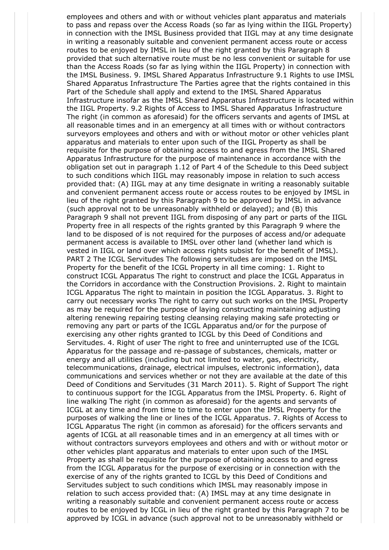employees and others and with or without vehicles plant apparatus and materials to pass and repass over the Access Roads (so far as lying within the IIGL Property) in connection with the IMSL Business provided that IIGL may at any time designate in writing a reasonably suitable and convenient permanent access route or access routes to be enjoyed by IMSL in lieu of the right granted by this Paragraph 8 provided that such alternative route must be no less convenient or suitable for use than the Access Roads (so far as lying within the IIGL Property) in connection with the IMSL Business. 9. IMSL Shared Apparatus Infrastructure 9.1 Rights to use IMSL Shared Apparatus Infrastructure The Parties agree that the rights contained in this Part of the Schedule shall apply and extend to the IMSL Shared Apparatus Infrastructure insofar as the IMSL Shared Apparatus Infrastructure is located within the IIGL Property. 9.2 Rights of Access to IMSL Shared Apparatus Infrastructure The right (in common as aforesaid) for the officers servants and agents of IMSL at all reasonable times and in an emergency at all times with or without contractors surveyors employees and others and with or without motor or other vehicles plant apparatus and materials to enter upon such of the IIGL Property as shall be requisite for the purpose of obtaining access to and egress from the IMSL Shared Apparatus Infrastructure for the purpose of maintenance in accordance with the obligation set out in paragraph 1.12 of Part 4 of the Schedule to this Deed subject to such conditions which IIGL may reasonably impose in relation to such access provided that: (A) IIGL may at any time designate in writing a reasonably suitable and convenient permanent access route or access routes to be enjoyed by IMSL in lieu of the right granted by this Paragraph 9 to be approved by IMSL in advance (such approval not to be unreasonably withheld or delayed); and (B) this Paragraph 9 shall not prevent IIGL from disposing of any part or parts of the IIGL Property free in all respects of the rights granted by this Paragraph 9 where the land to be disposed of is not required for the purposes of access and/or adequate permanent access is available to IMSL over other land (whether land which is vested in IIGL or land over which access rights subsist for the benefit of IMSL). PART 2 The ICGL Servitudes The following servitudes are imposed on the IMSL Property for the benefit of the ICGL Property in all time coming: 1. Right to construct ICGL Apparatus The right to construct and place the ICGL Apparatus in the Corridors in accordance with the Construction Provisions. 2. Right to maintain ICGL Apparatus The right to maintain in position the ICGL Apparatus. 3. Right to carry out necessary works The right to carry out such works on the IMSL Property as may be required for the purpose of laying constructing maintaining adjusting altering renewing repairing testing cleansing relaying making safe protecting or removing any part or parts of the ICGL Apparatus and/or for the purpose of exercising any other rights granted to ICGL by this Deed of Conditions and Servitudes. 4. Right of user The right to free and uninterrupted use of the ICGL Apparatus for the passage and re-passage of substances, chemicals, matter or energy and all utilities (including but not limited to water, gas, electricity, telecommunications, drainage, electrical impulses, electronic information), data communications and services whether or not they are available at the date of this Deed of Conditions and Servitudes (31 March 2011). 5. Right of Support The right to continuous support for the ICGL Apparatus from the IMSL Property. 6. Right of line walking The right (in common as aforesaid) for the agents and servants of ICGL at any time and from time to time to enter upon the IMSL Property for the purposes of walking the line or lines of the ICGL Apparatus. 7. Rights of Access to ICGL Apparatus The right (in common as aforesaid) for the officers servants and agents of ICGL at all reasonable times and in an emergency at all times with or without contractors surveyors employees and others and with or without motor or other vehicles plant apparatus and materials to enter upon such of the IMSL Property as shall be requisite for the purpose of obtaining access to and egress from the ICGL Apparatus for the purpose of exercising or in connection with the exercise of any of the rights granted to ICGL by this Deed of Conditions and Servitudes subject to such conditions which IMSL may reasonably impose in relation to such access provided that: (A) IMSL may at any time designate in writing a reasonably suitable and convenient permanent access route or access routes to be enjoyed by ICGL in lieu of the right granted by this Paragraph 7 to be approved by ICGL in advance (such approval not to be unreasonably withheld or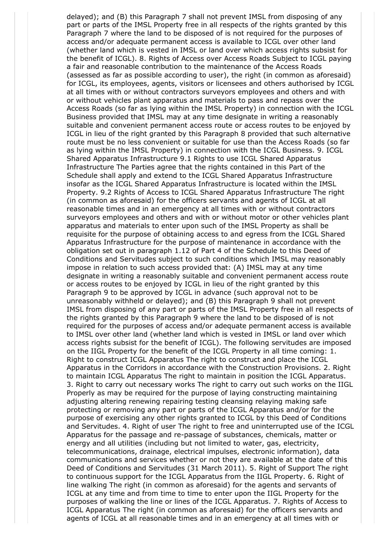delayed); and (B) this Paragraph 7 shall not prevent IMSL from disposing of any part or parts of the IMSL Property free in all respects of the rights granted by this Paragraph 7 where the land to be disposed of is not required for the purposes of access and/or adequate permanent access is available to ICGL over other land (whether land which is vested in IMSL or land over which access rights subsist for the benefit of ICGL). 8. Rights of Access over Access Roads Subject to ICGL paying a fair and reasonable contribution to the maintenance of the Access Roads (assessed as far as possible according to user), the right (in common as aforesaid) for ICGL, its employees, agents, visitors or licensees and others authorised by ICGL at all times with or without contractors surveyors employees and others and with or without vehicles plant apparatus and materials to pass and repass over the Access Roads (so far as lying within the IMSL Property) in connection with the ICGL Business provided that IMSL may at any time designate in writing a reasonably suitable and convenient permanent access route or access routes to be enjoyed by ICGL in lieu of the right granted by this Paragraph 8 provided that such alternative route must be no less convenient or suitable for use than the Access Roads (so far as lying within the IMSL Property) in connection with the ICGL Business. 9. ICGL Shared Apparatus Infrastructure 9.1 Rights to use ICGL Shared Apparatus Infrastructure The Parties agree that the rights contained in this Part of the Schedule shall apply and extend to the ICGL Shared Apparatus Infrastructure insofar as the ICGL Shared Apparatus Infrastructure is located within the IMSL Property. 9.2 Rights of Access to ICGL Shared Apparatus Infrastructure The right (in common as aforesaid) for the officers servants and agents of ICGL at all reasonable times and in an emergency at all times with or without contractors surveyors employees and others and with or without motor or other vehicles plant apparatus and materials to enter upon such of the IMSL Property as shall be requisite for the purpose of obtaining access to and egress from the ICGL Shared Apparatus Infrastructure for the purpose of maintenance in accordance with the obligation set out in paragraph 1.12 of Part 4 of the Schedule to this Deed of Conditions and Servitudes subject to such conditions which IMSL may reasonably impose in relation to such access provided that: (A) IMSL may at any time designate in writing a reasonably suitable and convenient permanent access route or access routes to be enjoyed by ICGL in lieu of the right granted by this Paragraph 9 to be approved by ICGL in advance (such approval not to be unreasonably withheld or delayed); and (B) this Paragraph 9 shall not prevent IMSL from disposing of any part or parts of the IMSL Property free in all respects of the rights granted by this Paragraph 9 where the land to be disposed of is not required for the purposes of access and/or adequate permanent access is available to IMSL over other land (whether land which is vested in IMSL or land over which access rights subsist for the benefit of ICGL). The following servitudes are imposed on the IIGL Property for the benefit of the ICGL Property in all time coming: 1. Right to construct ICGL Apparatus The right to construct and place the ICGL Apparatus in the Corridors in accordance with the Construction Provisions. 2. Right to maintain ICGL Apparatus The right to maintain in position the ICGL Apparatus. 3. Right to carry out necessary works The right to carry out such works on the IIGL Properly as may be required for the purpose of laying constructing maintaining adjusting altering renewing repairing testing cleansing relaying making safe protecting or removing any part or parts of the ICGL Apparatus and/or for the purpose of exercising any other rights granted to ICGL by this Deed of Conditions and Servitudes. 4. Right of user The right to free and uninterrupted use of the ICGL Apparatus for the passage and re-passage of substances, chemicals, matter or energy and all utilities (including but not limited to water, gas, electricity, telecommunications, drainage, electrical impulses, electronic information), data communications and services whether or not they are available at the date of this Deed of Conditions and Servitudes (31 March 2011). 5. Right of Support The right to continuous support for the ICGL Apparatus from the IIGL Property. 6. Right of line walking The right (in common as aforesaid) for the agents and servants of ICGL at any time and from time to time to enter upon the IIGL Property for the purposes of walking the line or lines of the ICGL Apparatus. 7. Rights of Access to ICGL Apparatus The right (in common as aforesaid) for the officers servants and agents of ICGL at all reasonable times and in an emergency at all times with or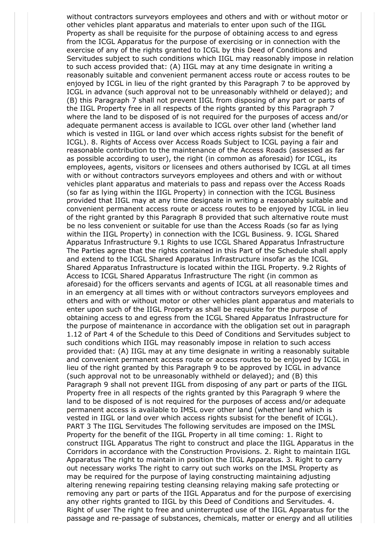without contractors surveyors employees and others and with or without motor or other vehicles plant apparatus and materials to enter upon such of the IIGL Property as shall be requisite for the purpose of obtaining access to and egress from the ICGL Apparatus for the purpose of exercising or in connection with the exercise of any of the rights granted to ICGL by this Deed of Conditions and Servitudes subject to such conditions which IIGL may reasonably impose in relation to such access provided that: (A) IIGL may at any time designate in writing a reasonably suitable and convenient permanent access route or access routes to be enjoyed by ICGL in lieu of the right granted by this Paragraph 7 to be approved by ICGL in advance (such approval not to be unreasonably withheld or delayed); and (B) this Paragraph 7 shall not prevent IIGL from disposing of any part or parts of the IIGL Property free in all respects of the rights granted by this Paragraph 7 where the land to be disposed of is not required for the purposes of access and/or adequate permanent access is available to ICGL over other land (whether land which is vested in IIGL or land over which access rights subsist for the benefit of ICGL). 8. Rights of Access over Access Roads Subject to ICGL paying a fair and reasonable contribution to the maintenance of the Access Roads (assessed as far as possible according to user), the right (in common as aforesaid) for ICGL, its employees, agents, visitors or licensees and others authorised by ICGL at all times with or without contractors surveyors employees and others and with or without vehicles plant apparatus and materials to pass and repass over the Access Roads (so far as lying within the IIGL Property) in connection with the ICGL Business provided that IIGL may at any time designate in writing a reasonably suitable and convenient permanent access route or access routes to be enjoyed by ICGL in lieu of the right granted by this Paragraph 8 provided that such alternative route must be no less convenient or suitable for use than the Access Roads (so far as lying within the IIGL Property) in connection with the ICGL Business. 9. ICGL Shared Apparatus Infrastructure 9.1 Rights to use ICGL Shared Apparatus Infrastructure The Parties agree that the rights contained in this Part of the Schedule shall apply and extend to the ICGL Shared Apparatus Infrastructure insofar as the ICGL Shared Apparatus Infrastructure is located within the IIGL Property. 9.2 Rights of Access to ICGL Shared Apparatus Infrastructure The right (in common as aforesaid) for the officers servants and agents of ICGL at all reasonable times and in an emergency at all times with or without contractors surveyors employees and others and with or without motor or other vehicles plant apparatus and materials to enter upon such of the IIGL Property as shall be requisite for the purpose of obtaining access to and egress from the ICGL Shared Apparatus Infrastructure for the purpose of maintenance in accordance with the obligation set out in paragraph 1.12 of Part 4 of the Schedule to this Deed of Conditions and Servitudes subject to such conditions which IIGL may reasonably impose in relation to such access provided that: (A) IIGL may at any time designate in writing a reasonably suitable and convenient permanent access route or access routes to be enjoyed by ICGL in lieu of the right granted by this Paragraph 9 to be approved by ICGL in advance (such approval not to be unreasonably withheld or delayed); and (B) this Paragraph 9 shall not prevent IIGL from disposing of any part or parts of the IIGL Property free in all respects of the rights granted by this Paragraph 9 where the land to be disposed of is not required for the purposes of access and/or adequate permanent access is available to IMSL over other land (whether land which is vested in IIGL or land over which access rights subsist for the benefit of ICGL). PART 3 The IIGL Servitudes The following servitudes are imposed on the IMSL Property for the benefit of the IIGL Property in all time coming: 1. Right to construct IIGL Apparatus The right to construct and place the IIGL Apparatus in the Corridors in accordance with the Construction Provisions. 2. Right to maintain IIGL Apparatus The right to maintain in position the IIGL Apparatus. 3. Right to carry out necessary works The right to carry out such works on the IMSL Property as may be required for the purpose of laying constructing maintaining adjusting altering renewing repairing testing cleansing relaying making safe protecting or removing any part or parts of the IIGL Apparatus and for the purpose of exercising any other rights granted to IIGL by this Deed of Conditions and Servitudes. 4. Right of user The right to free and uninterrupted use of the IIGL Apparatus for the passage and re-passage of substances, chemicals, matter or energy and all utilities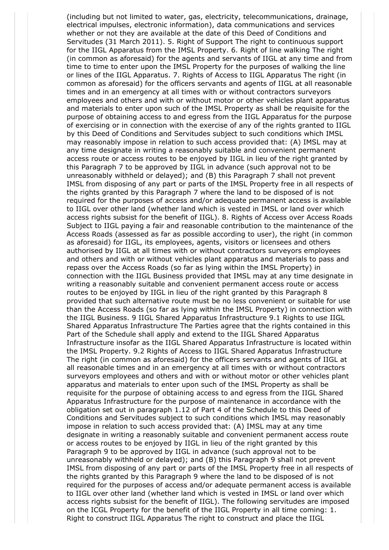(including but not limited to water, gas, electricity, telecommunications, drainage, electrical impulses, electronic information), data communications and services whether or not they are available at the date of this Deed of Conditions and Servitudes (31 March 2011). 5. Right of Support The right to continuous support for the IIGL Apparatus from the IMSL Property. 6. Right of line walking The right (in common as aforesaid) for the agents and servants of IIGL at any time and from time to time to enter upon the IMSL Property for the purposes of walking the line or lines of the IIGL Apparatus. 7. Rights of Access to IIGL Apparatus The right (in common as aforesaid) for the officers servants and agents of IIGL at all reasonable times and in an emergency at all times with or without contractors surveyors employees and others and with or without motor or other vehicles plant apparatus and materials to enter upon such of the IMSL Property as shall be requisite for the purpose of obtaining access to and egress from the IIGL Apparatus for the purpose of exercising or in connection with the exercise of any of the rights granted to IIGL by this Deed of Conditions and Servitudes subject to such conditions which IMSL may reasonably impose in relation to such access provided that: (A) IMSL may at any time designate in writing a reasonably suitable and convenient permanent access route or access routes to be enjoyed by IIGL in lieu of the right granted by this Paragraph 7 to be approved by IIGL in advance (such approval not to be unreasonably withheld or delayed); and (B) this Paragraph 7 shall not prevent IMSL from disposing of any part or parts of the IMSL Property free in all respects of the rights granted by this Paragraph 7 where the land to be disposed of is not required for the purposes of access and/or adequate permanent access is available to IIGL over other land (whether land which is vested in IMSL or land over which access rights subsist for the benefit of IIGL). 8. Rights of Access over Access Roads Subject to IIGL paying a fair and reasonable contribution to the maintenance of the Access Roads (assessed as far as possible according to user), the right (in common as aforesaid) for IIGL, its employees, agents, visitors or licensees and others authorised by IIGL at all times with or without contractors surveyors employees and others and with or without vehicles plant apparatus and materials to pass and repass over the Access Roads (so far as lying within the IMSL Property) in connection with the IIGL Business provided that IMSL may at any time designate in writing a reasonably suitable and convenient permanent access route or access routes to be enjoyed by IIGL in lieu of the right granted by this Paragraph 8 provided that such alternative route must be no less convenient or suitable for use than the Access Roads (so far as lying within the IMSL Property) in connection with the IIGL Business. 9 IIGL Shared Apparatus Infrastructure 9.1 Rights to use IIGL Shared Apparatus Infrastructure The Parties agree that the rights contained in this Part of the Schedule shall apply and extend to the IIGL Shared Apparatus Infrastructure insofar as the IIGL Shared Apparatus Infrastructure is located within the IMSL Property. 9.2 Rights of Access to IIGL Shared Apparatus Infrastructure The right (in common as aforesaid) for the officers servants and agents of IIGL at all reasonable times and in an emergency at all times with or without contractors surveyors employees and others and with or without motor or other vehicles plant apparatus and materials to enter upon such of the IMSL Property as shall be requisite for the purpose of obtaining access to and egress from the IIGL Shared Apparatus Infrastructure for the purpose of maintenance in accordance with the obligation set out in paragraph 1.12 of Part 4 of the Schedule to this Deed of Conditions and Servitudes subject to such conditions which IMSL may reasonably impose in relation to such access provided that: (A) IMSL may at any time designate in writing a reasonably suitable and convenient permanent access route or access routes to be enjoyed by IIGL in lieu of the right granted by this Paragraph 9 to be approved by IIGL in advance (such approval not to be unreasonably withheld or delayed); and (B) this Paragraph 9 shall not prevent IMSL from disposing of any part or parts of the IMSL Property free in all respects of the rights granted by this Paragraph 9 where the land to be disposed of is not required for the purposes of access and/or adequate permanent access is available to IIGL over other land (whether land which is vested in IMSL or land over which access rights subsist for the benefit of IIGL). The following servitudes are imposed on the ICGL Property for the benefit of the IIGL Property in all time coming: 1. Right to construct IIGL Apparatus The right to construct and place the IIGL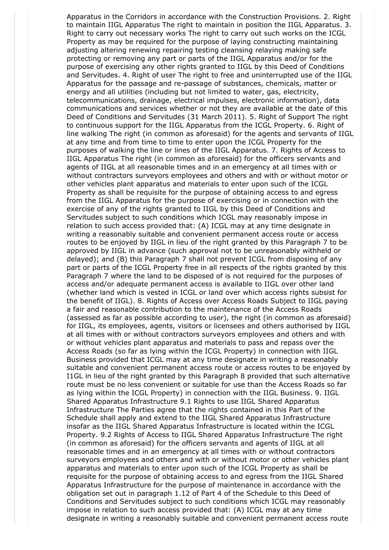Apparatus in the Corridors in accordance with the Construction Provisions. 2. Right to maintain IIGL Apparatus The right to maintain in position the IIGL Apparatus. 3. Right to carry out necessary works The right to carry out such works on the ICGL Property as may be required for the purpose of laying constructing maintaining adjusting altering renewing repairing testing cleansing relaying making safe protecting or removing any part or parts of the IIGL Apparatus and/or for the purpose of exercising any other rights granted to IIGL by this Deed of Conditions and Servitudes. 4. Right of user The right to free and uninterrupted use of the IIGL Apparatus for the passage and re-passage of substances, chemicals, matter or energy and all utilities (including but not limited to water, gas, electricity, telecommunications, drainage, electrical impulses, electronic information), data communications and services whether or not they are available at the date of this Deed of Conditions and Servitudes (31 March 2011). 5. Right of Support The right to continuous support for the IIGL Apparatus from the ICGL Property. 6. Right of line walking The right (in common as aforesaid) for the agents and servants of IIGL at any time and from time to time to enter upon the ICGL Property for the purposes of walking the line or lines of the IIGL Apparatus. 7. Rights of Access to IIGL Apparatus The right (in common as aforesaid) for the officers servants and agents of IIGL at all reasonable times and in an emergency at all times with or without contractors surveyors employees and others and with or without motor or other vehicles plant apparatus and materials to enter upon such of the ICGL Property as shall be requisite for the purpose of obtaining access to and egress from the IIGL Apparatus for the purpose of exercising or in connection with the exercise of any of the rights granted to IIGL by this Deed of Conditions and Servitudes subject to such conditions which ICGL may reasonably impose in relation to such access provided that: (A) ICGL may at any time designate in writing a reasonably suitable and convenient permanent access route or access routes to be enjoyed by IIGL in lieu of the right granted by this Paragraph 7 to be approved by IIGL in advance (such approval not to be unreasonably withheld or delayed); and (B) this Paragraph 7 shall not prevent ICGL from disposing of any part or parts of the ICGL Property free in all respects of the rights granted by this Paragraph 7 where the land to be disposed of is not required for the purposes of access and/or adequate permanent access is available to IIGL over other land (whether land which is vested in ICGL or land over which access rights subsist for the benefit of IIGL). 8. Rights of Access over Access Roads Subject to IIGL paying a fair and reasonable contribution to the maintenance of the Access Roads (assessed as far as possible according to user), the right (in common as aforesaid) for IIGL, its employees, agents, visitors or licensees and others authorised by IIGL at all times with or without contractors surveyors employees and others and with or without vehicles plant apparatus and materials to pass and repass over the Access Roads (so far as lying within the ICGL Property) in connection with IIGL Business provided that ICGL may at any time designate in writing a reasonably suitable and convenient permanent access route or access routes to be enjoyed by I1GL in lieu of the right granted by this Paragraph 8 provided that such alternative route must be no less convenient or suitable for use than the Access Roads so far as lying within the ICGL Property) in connection with the IIGL Business. 9. IIGL Shared Apparatus Infrastructure 9.1 Rights to use IIGL Shared Apparatus Infrastructure The Parties agree that the rights contained in this Part of the Schedule shall apply and extend to the IIGL Shared Apparatus Infrastructure insofar as the IIGL Shared Apparatus Infrastructure is located within the ICGL Property. 9.2 Rights of Access to IIGL Shared Apparatus Infrastructure The right (in common as aforesaid) for the officers servants and agents of IIGL at all reasonable times and in an emergency at all times with or without contractors surveyors employees and others and with or without motor or other vehicles plant apparatus and materials to enter upon such of the ICGL Property as shall be requisite for the purpose of obtaining access to and egress from the IIGL Shared Apparatus Infrastructure for the purpose of maintenance in accordance with the obligation set out in paragraph 1.12 of Part 4 of the Schedule to this Deed of Conditions and Servitudes subject to such conditions which ICGL may reasonably impose in relation to such access provided that: (A) ICGL may at any time designate in writing a reasonably suitable and convenient permanent access route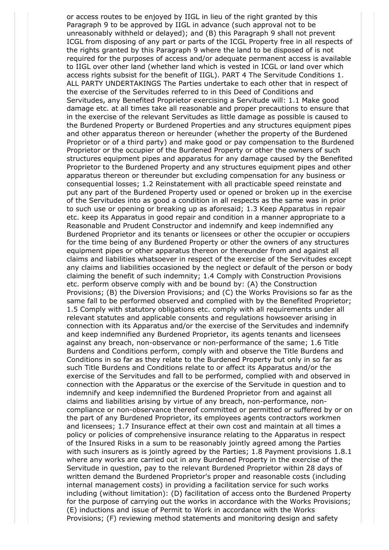or access routes to be enjoyed by IIGL in lieu of the right granted by this Paragraph 9 to be approved by IIGL in advance (such approval not to be unreasonably withheld or delayed); and (B) this Paragraph 9 shall not prevent ICGL from disposing of any part or parts of the ICGL Property free in all respects of the rights granted by this Paragraph 9 where the land to be disposed of is not required for the purposes of access and/or adequate permanent access is available to IIGL over other land (whether land which is vested in ICGL or land over which access rights subsist for the benefit of IIGL). PART 4 The Servitude Conditions 1. ALL PARTY UNDERTAKINGS The Parties undertake to each other that in respect of the exercise of the Servitudes referred to in this Deed of Conditions and Servitudes, any Benefited Proprietor exercising a Servitude will: 1.1 Make good damage etc. at all times take all reasonable and proper precautions to ensure that in the exercise of the relevant Servitudes as little damage as possible is caused to the Burdened Property or Burdened Properties and any structures equipment pipes and other apparatus thereon or hereunder (whether the property of the Burdened Proprietor or of a third party) and make good or pay compensation to the Burdened Proprietor or the occupier of the Burdened Property or other the owners of such structures equipment pipes and apparatus for any damage caused by the Benefited Proprietor to the Burdened Property and any structures equipment pipes and other apparatus thereon or thereunder but excluding compensation for any business or consequential losses; 1.2 Reinstatement with all practicable speed reinstate and put any part of the Burdened Property used or opened or broken up in the exercise of the Servitudes into as good a condition in all respects as the same was in prior to such use or opening or breaking up as aforesaid; 1.3 Keep Apparatus in repair etc. keep its Apparatus in good repair and condition in a manner appropriate to a Reasonable and Prudent Constructor and indemnify and keep indemnified any Burdened Proprietor and its tenants or licensees or other the occupier or occupiers for the time being of any Burdened Property or other the owners of any structures equipment pipes or other apparatus thereon or thereunder from and against all claims and liabilities whatsoever in respect of the exercise of the Servitudes except any claims and liabilities occasioned by the neglect or default of the person or body claiming the benefit of such indemnity; 1.4 Comply with Construction Provisions etc. perform observe comply with and be bound by: (A) the Construction Provisions; (B) the Diversion Provisions; and (C) the Works Provisions so far as the same fall to be performed observed and complied with by the Benefited Proprietor; 1.5 Comply with statutory obligations etc. comply with all requirements under all relevant statutes and applicable consents and regulations howsoever arising in connection with its Apparatus and/or the exercise of the Servitudes and indemnify and keep indemnified any Burdened Proprietor, its agents tenants and licensees against any breach, non-observance or non-performance of the same; 1.6 Title Burdens and Conditions perform, comply with and observe the Title Burdens and Conditions in so far as they relate to the Burdened Property but only in so far as such Title Burdens and Conditions relate to or affect its Apparatus and/or the exercise of the Servitudes and fall to be performed, complied with and observed in connection with the Apparatus or the exercise of the Servitude in question and to indemnify and keep indemnified the Burdened Proprietor from and against all claims and liabilities arising by virtue of any breach, non-performance, noncompliance or non-observance thereof committed or permitted or suffered by or on the part of any Burdened Proprietor, its employees agents contractors workmen and licensees; 1.7 Insurance effect at their own cost and maintain at all times a policy or policies of comprehensive insurance relating to the Apparatus in respect of the Insured Risks in a sum to be reasonably jointly agreed among the Parties with such insurers as is jointly agreed by the Parties; 1.8 Payment provisions 1.8.1 where any works are carried out in any Burdened Property in the exercise of the Servitude in question, pay to the relevant Burdened Proprietor within 28 days of written demand the Burdened Proprietor's proper and reasonable costs (including internal management costs) in providing a facilitation service for such works including (without limitation): (D) facilitation of access onto the Burdened Property for the purpose of carrying out the works in accordance with the Works Provisions; (E) inductions and issue of Permit to Work in accordance with the Works Provisions; (F) reviewing method statements and monitoring design and safety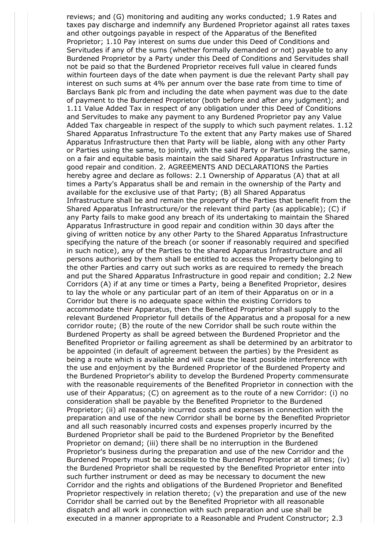reviews; and (G) monitoring and auditing any works conducted; 1.9 Rates and taxes pay discharge and indemnify any Burdened Proprietor against all rates taxes and other outgoings payable in respect of the Apparatus of the Benefited Proprietor; 1.10 Pay interest on sums due under this Deed of Conditions and Servitudes if any of the sums (whether formally demanded or not) payable to any Burdened Proprietor by a Party under this Deed of Conditions and Servitudes shall not be paid so that the Burdened Proprietor receives full value in cleared funds within fourteen days of the date when payment is due the relevant Party shall pay interest on such sums at 4% per annum over the base rate from time to time of Barclays Bank plc from and including the date when payment was due to the date of payment to the Burdened Proprietor (both before and after any judgment); and 1.11 Value Added Tax in respect of any obligation under this Deed of Conditions and Servitudes to make any payment to any Burdened Proprietor pay any Value Added Tax chargeable in respect of the supply to which such payment relates. 1.12 Shared Apparatus Infrastructure To the extent that any Party makes use of Shared Apparatus Infrastructure then that Party will be liable, along with any other Party or Parties using the same, to jointly, with the said Party or Parties using the same, on a fair and equitable basis maintain the said Shared Apparatus Infrastructure in good repair and condition. 2. AGREEMENTS AND DECLARATIONS the Parties hereby agree and declare as follows: 2.1 Ownership of Apparatus (A) that at all times a Party's Apparatus shall be and remain in the ownership of the Party and available for the exclusive use of that Party; (B) all Shared Apparatus Infrastructure shall be and remain the property of the Parties that benefit from the Shared Apparatus Infrastructure/or the relevant third party (as applicable); (C) if any Party fails to make good any breach of its undertaking to maintain the Shared Apparatus Infrastructure in good repair and condition within 30 days after the giving of written notice by any other Party to the Shared Apparatus Infrastructure specifying the nature of the breach (or sooner if reasonably required and specified in such notice), any of the Parties to the shared Apparatus Infrastructure and all persons authorised by them shall be entitled to access the Property belonging to the other Parties and carry out such works as are required to remedy the breach and put the Shared Apparatus Infrastructure in good repair and condition; 2.2 New Corridors (A) if at any time or times a Party, being a Benefited Proprietor, desires to lay the whole or any particular part of an item of their Apparatus on or in a Corridor but there is no adequate space within the existing Corridors to accommodate their Apparatus, then the Benefited Proprietor shall supply to the relevant Burdened Proprietor full details of the Apparatus and a proposal for a new corridor route; (B) the route of the new Corridor shall be such route within the Burdened Property as shall be agreed between the Burdened Proprietor and the Benefited Proprietor or failing agreement as shall be determined by an arbitrator to be appointed (in default of agreement between the parties) by the President as being a route which is available and will cause the least possible interference with the use and enjoyment by the Burdened Proprietor of the Burdened Property and the Burdened Proprietor's ability to develop the Burdened Property commensurate with the reasonable requirements of the Benefited Proprietor in connection with the use of their Apparatus; (C) on agreement as to the route of a new Corridor: (i) no consideration shall be payable by the Benefited Proprietor to the Burdened Proprietor; (ii) all reasonably incurred costs and expenses in connection with the preparation and use of the new Corridor shall be borne by the Benefited Proprietor and all such reasonably incurred costs and expenses properly incurred by the Burdened Proprietor shall be paid to the Burdened Proprietor by the Benefited Proprietor on demand; (iii) there shall be no interruption in the Burdened Proprietor's business during the preparation and use of the new Corridor and the Burdened Property must be accessible to the Burdened Proprietor at all times; (iv) the Burdened Proprietor shall be requested by the Benefited Proprietor enter into such further instrument or deed as may be necessary to document the new Corridor and the rights and obligations of the Burdened Proprietor and Benefited Proprietor respectively in relation thereto; (v) the preparation and use of the new Corridor shall be carried out by the Benefited Proprietor with all reasonable dispatch and all work in connection with such preparation and use shall be executed in a manner appropriate to a Reasonable and Prudent Constructor; 2.3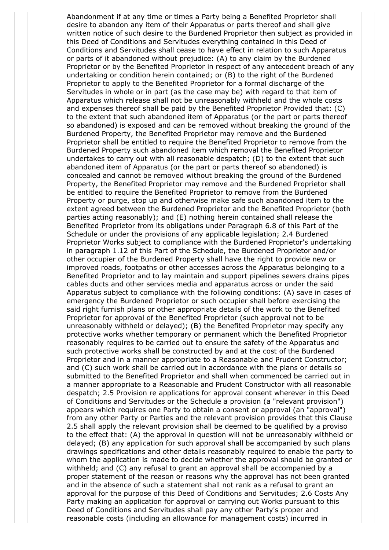Abandonment if at any time or times a Party being a Benefited Proprietor shall desire to abandon any item of their Apparatus or parts thereof and shall give written notice of such desire to the Burdened Proprietor then subject as provided in this Deed of Conditions and Servitudes everything contained in this Deed of Conditions and Servitudes shall cease to have effect in relation to such Apparatus or parts of it abandoned without prejudice: (A) to any claim by the Burdened Proprietor or by the Benefited Proprietor in respect of any antecedent breach of any undertaking or condition herein contained; or (B) to the right of the Burdened Proprietor to apply to the Benefited Proprietor for a formal discharge of the Servitudes in whole or in part (as the case may be) with regard to that item of Apparatus which release shall not be unreasonably withheld and the whole costs and expenses thereof shall be paid by the Benefited Proprietor Provided that: (C) to the extent that such abandoned item of Apparatus (or the part or parts thereof so abandoned) is exposed and can be removed without breaking the ground of the Burdened Property, the Benefited Proprietor may remove and the Burdened Proprietor shall be entitled to require the Benefited Proprietor to remove from the Burdened Property such abandoned item which removal the Benefited Proprietor undertakes to carry out with all reasonable despatch; (D) to the extent that such abandoned item of Apparatus (or the part or parts thereof so abandoned) is concealed and cannot be removed without breaking the ground of the Burdened Property, the Benefited Proprietor may remove and the Burdened Proprietor shall be entitled to require the Benefited Proprietor to remove from the Burdened Property or purge, stop up and otherwise make safe such abandoned item to the extent agreed between the Burdened Proprietor and the Benefited Proprietor (both parties acting reasonably); and (E) nothing herein contained shall release the Benefited Proprietor from its obligations under Paragraph 6.8 of this Part of the Schedule or under the provisions of any applicable legislation; 2.4 Burdened Proprietor Works subject to compliance with the Burdened Proprietor's undertaking in paragraph 1.12 of this Part of the Schedule, the Burdened Proprietor and/or other occupier of the Burdened Property shall have the right to provide new or improved roads, footpaths or other accesses across the Apparatus belonging to a Benefited Proprietor and to lay maintain and support pipelines sewers drains pipes cables ducts and other services media and apparatus across or under the said Apparatus subject to compliance with the following conditions: (A) save in cases of emergency the Burdened Proprietor or such occupier shall before exercising the said right furnish plans or other appropriate details of the work to the Benefited Proprietor for approval of the Benefited Proprietor (such approval not to be unreasonably withheld or delayed); (B) the Benefited Proprietor may specify any protective works whether temporary or permanent which the Benefited Proprietor reasonably requires to be carried out to ensure the safety of the Apparatus and such protective works shall be constructed by and at the cost of the Burdened Proprietor and in a manner appropriate to a Reasonable and Prudent Constructor; and (C) such work shall be carried out in accordance with the plans or details so submitted to the Benefited Proprietor and shall when commenced be carried out in a manner appropriate to a Reasonable and Prudent Constructor with all reasonable despatch; 2.5 Provision re applications for approval consent wherever in this Deed of Conditions and Servitudes or the Schedule a provision (a "relevant provision") appears which requires one Party to obtain a consent or approval (an "approval") from any other Party or Parties and the relevant provision provides that this Clause 2.5 shall apply the relevant provision shall be deemed to be qualified by a proviso to the effect that: (A) the approval in question will not be unreasonably withheld or delayed; (B) any application for such approval shall be accompanied by such plans drawings specifications and other details reasonably required to enable the party to whom the application is made to decide whether the approval should be granted or withheld; and (C) any refusal to grant an approval shall be accompanied by a proper statement of the reason or reasons why the approval has not been granted and in the absence of such a statement shall not rank as a refusal to grant an approval for the purpose of this Deed of Conditions and Servitudes; 2.6 Costs Any Party making an application for approval or carrying out Works pursuant to this Deed of Conditions and Servitudes shall pay any other Party's proper and reasonable costs (including an allowance for management costs) incurred in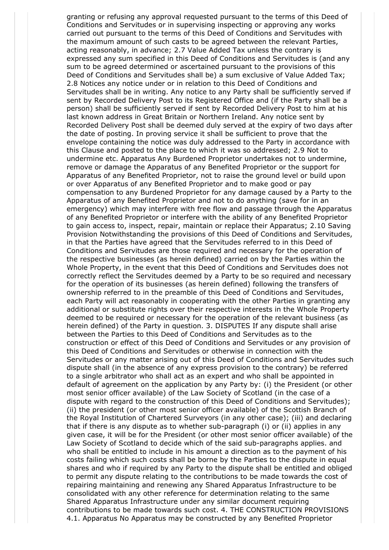granting or refusing any approval requested pursuant to the terms of this Deed of Conditions and Servitudes or in supervising inspecting or approving any works carried out pursuant to the terms of this Deed of Conditions and Servitudes with the maximum amount of such casts to be agreed between the relevant Parties, acting reasonably, in advance; 2.7 Value Added Tax unless the contrary is expressed any sum specified in this Deed of Conditions and Servitudes is (and any sum to be agreed determined or ascertained pursuant to the provisions of this Deed of Conditions and Servitudes shall be) a sum exclusive of Value Added Tax; 2.8 Notices any notice under or in relation to this Deed of Conditions and Servitudes shall be in writing. Any notice to any Party shall be sufficiently served if sent by Recorded Delivery Post to its Registered Office and (if the Party shall be a person) shall be sufficiently served if sent by Recorded Delivery Post to him at his last known address in Great Britain or Northern Ireland. Any notice sent by Recorded Delivery Post shall be deemed duly served at the expiry of two days after the date of posting. In proving service it shall be sufficient to prove that the envelope containing the notice was duly addressed to the Party in accordance with this Clause and posted to the place to which it was so addressed; 2.9 Not to undermine etc. Apparatus Any Burdened Proprietor undertakes not to undermine, remove or damage the Apparatus of any Benefited Proprietor or the support for Apparatus of any Benefited Proprietor, not to raise the ground level or build upon or over Apparatus of any Benefited Proprietor and to make good or pay compensation to any Burdened Proprietor for any damage caused by a Party to the Apparatus of any Benefited Proprietor and not to do anything (save for in an emergency) which may interfere with free flow and passage through the Apparatus of any Benefited Proprietor or interfere with the ability of any Benefited Proprietor to gain access to, inspect, repair, maintain or replace their Apparatus; 2.10 Saving Provision Notwithstanding the provisions of this Deed of Conditions and Servitudes, in that the Parties have agreed that the Servitudes referred to in this Deed of Conditions and Servitudes are those required and necessary for the operation of the respective businesses (as herein defined) carried on by the Parties within the Whole Property, in the event that this Deed of Conditions and Servitudes does not correctly reflect the Servitudes deemed by a Party to be so required and necessary for the operation of its businesses (as herein defined) following the transfers of ownership referred to in the preamble of this Deed of Conditions and Servitudes, each Party will act reasonably in cooperating with the other Parties in granting any additional or substitute rights over their respective interests in the Whole Property deemed to be required or necessary for the operation of the relevant business (as herein defined) of the Party in question. 3. DISPUTES If any dispute shall arise between the Parties to this Deed of Conditions and Servitudes as to the construction or effect of this Deed of Conditions and Servitudes or any provision of this Deed of Conditions and Servitudes or otherwise in connection with the Servitudes or any matter arising out of this Deed of Conditions and Servitudes such dispute shall (in the absence of any express provision to the contrary) be referred to a single arbitrator who shall act as an expert and who shall be appointed in default of agreement on the application by any Party by: (i) the President (or other most senior officer available) of the Law Society of Scotland (in the case of a dispute with regard to the construction of this Deed of Conditions and Servitudes); (ii) the president (or other most senior officer available) of the Scottish Branch of the Royal Institution of Chartered Surveyors (in any other case); (iii) and declaring that if there is any dispute as to whether sub-paragraph (i) or (ii) applies in any given case, it will be for the President (or other most senior officer available) of the Law Society of Scotland to decide which of the said sub-paragraphs applies. and who shall be entitled to include in his amount a direction as to the payment of his costs failing which such costs shall be borne by the Parties to the dispute in equal shares and who if required by any Party to the dispute shall be entitled and obliged to permit any dispute relating to the contributions to be made towards the cost of repairing maintaining and renewing any Shared Apparatus Infrastructure to be consolidated with any other reference for determination relating to the same Shared Apparatus Infrastructure under any similar document requiring contributions to be made towards such cost. 4. THE CONSTRUCTION PROVISIONS 4.1. Apparatus No Apparatus may be constructed by any Benefited Proprietor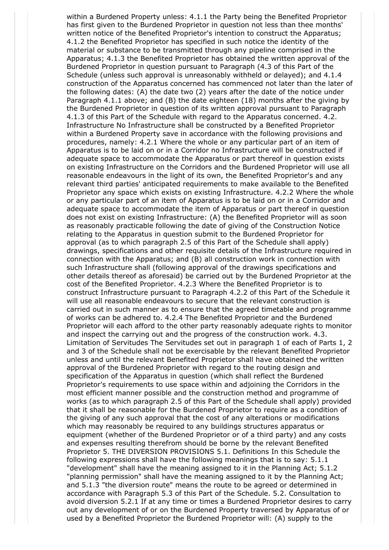within a Burdened Property unless: 4.1.1 the Party being the Benefited Proprietor has first given to the Burdened Proprietor in question not less than thee months' written notice of the Benefited Proprietor's intention to construct the Apparatus; 4.1.2 the Benefited Proprietor has specified in such notice the identity of the material or substance to be transmitted through any pipeline comprised in the Apparatus; 4.1.3 the Benefited Proprietor has obtained the written approval of the Burdened Proprietor in question pursuant to Paragraph (4.3 of this Part of the Schedule (unless such approval is unreasonably withheld or delayed); and 4.1.4 construction of the Apparatus concerned has commenced not later than the later of the following dates: (A) the date two (2) years after the date of the notice under Paragraph 4.1.1 above; and (B) the date eighteen (18) months after the giving by the Burdened Proprietor in question of its written approval pursuant to Paragraph 4.1.3 of this Part of the Schedule with regard to the Apparatus concerned. 4.2. Infrastructure No Infrastructure shall be constructed by a Benefited Proprietor within a Burdened Property save in accordance with the following provisions and procedures, namely: 4.2.1 Where the whole or any particular part of an item of Apparatus is to be laid on or in a Corridor no Infrastructure will be constructed if adequate space to accommodate the Apparatus or part thereof in question exists on existing Infrastructure on the Corridors and the Burdened Proprietor will use all reasonable endeavours in the light of its own, the Benefited Proprietor's and any relevant third parties' anticipated requirements to make available to the Benefited Proprietor any space which exists on existing Infrastructure. 4.2.2 Where the whole or any particular part of an item of Apparatus is to be laid on or in a Corridor and adequate space to accommodate the item of Apparatus or part thereof in question does not exist on existing Infrastructure: (A) the Benefited Proprietor will as soon as reasonably practicable following the date of giving of the Construction Notice relating to the Apparatus in question submit to the Burdened Proprietor for approval (as to which paragraph 2.5 of this Part of the Schedule shall apply) drawings, specifications and other requisite details of the Infrastructure required in connection with the Apparatus; and (B) all construction work in connection with such Infrastructure shall (following approval of the drawings specifications and other details thereof as aforesaid) be carried out by the Burdened Proprietor at the cost of the Benefited Proprietor. 4.2.3 Where the Benefited Proprietor is to construct Infrastructure pursuant to Paragraph 4.2.2 of this Part of the Schedule it will use all reasonable endeavours to secure that the relevant construction is carried out in such manner as to ensure that the agreed timetable and programme of works can be adhered to. 4.2.4 The Benefited Proprietor and the Burdened Proprietor will each afford to the other party reasonably adequate rights to monitor and inspect the carrying out and the progress of the construction work. 4.3. Limitation of Servitudes The Servitudes set out in paragraph 1 of each of Parts 1, 2 and 3 of the Schedule shall not be exercisable by the relevant Benefited Proprietor unless and until the relevant Benefited Proprietor shall have obtained the written approval of the Burdened Proprietor with regard to the routing design and specification of the Apparatus in question (which shall reflect the Burdened Proprietor's requirements to use space within and adjoining the Corridors in the most efficient manner possible and the construction method and programme of works (as to which paragraph 2.5 of this Part of the Schedule shall apply) provided that it shall be reasonable for the Burdened Proprietor to require as a condition of the giving of any such approval that the cost of any alterations or modifications which may reasonably be required to any buildings structures apparatus or equipment (whether of the Burdened Proprietor or of a third party) and any costs and expenses resulting therefrom should be borne by the relevant Benefited Proprietor 5. THE DIVERSION PROVISIONS 5.1. Definitions In this Schedule the following expressions shall have the following meanings that is to say: 5.1.1 "development" shall have the meaning assigned to it in the Planning Act; 5.1.2 "planning permission" shall have the meaning assigned to it by the Planning Act; and 5.1.3 "the diversion route" means the route to be agreed or determined in accordance with Paragraph 5.3 of this Part of the Schedule. 5.2. Consultation to avoid diversion 5.2.1 If at any time or times a Burdened Proprietor desires to carry out any development of or on the Burdened Property traversed by Apparatus of or used by a Benefited Proprietor the Burdened Proprietor will: (A) supply to the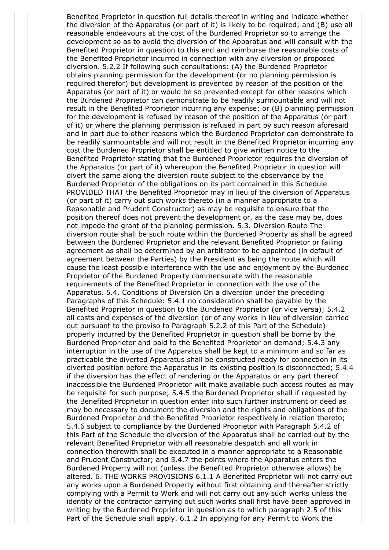Benefited Proprietor in question full details thereof in writing and indicate whether the diversion of the Apparatus (or part of it) is likely to be required; and (B) use all reasonable endeavours at the cost of the Burdened Proprietor so to arrange the development so as to avoid the diversion of the Apparatus and will consult with the Benefited Proprietor in question to this end and reimburse the reasonable costs of the Benefited Proprietor incurred in connection with any diversion or proposed diversion. 5.2.2 If following such consultations: (A) the Burdened Proprietor obtains planning permission for the development (or no planning permission is required therefor) but development is prevented by reason of the position of the Apparatus (or part of it) or would be so prevented except for other reasons which the Burdened Proprietor can demonstrate to be readily surmountable and will not result in the Benefited Proprietor incurring any expense; or (B) planning permission for the development is refused by reason of the position of the Apparatus (or part of it) or where the planning permission is refused in part by such reason aforesaid and in part due to other reasons which the Burdened Proprietor can demonstrate to be readily surmountable and will not result in the Benefited Proprietor incurring any cost the Burdened Proprietor shall be entitled to give written notice to the Benefited Proprietor stating that the Burdened Proprietor requires the diversion of the Apparatus (or part of it) whereupon the Benefited Proprietor in question will divert the same along the diversion route subject to the observance by the Burdened Proprietor of the obligations on its part contained in this Schedule PROVIDED THAT the Benefited Proprietor may in lieu of the diversion of Apparatus (or part of it) carry out such works thereto (in a manner appropriate to a Reasonable and Prudent Constructor) as may be requisite to ensure that the position thereof does not prevent the development or, as the case may be, does not impede the grant of the planning permission. 5.3. Diversion Route The diversion route shall be such route within the Burdened Property as shall be agreed between the Burdened Proprietor and the relevant Benefited Proprietor or failing agreement as shall be determined by an arbitrator to be appointed (in default of agreement between the Parties) by the President as being the route which will cause the least possible interference with the use and enjoyment by the Burdened Proprietor of the Burdened Property commensurate with the reasonable requirements of the Benefited Proprietor in connection with the use of the Apparatus. 5.4. Conditions of Diversion On a diversion under the preceding Paragraphs of this Schedule: 5.4.1 no consideration shall be payable by the Benefited Proprietor in question to the Burdened Proprietor (or vice versa); 5.4.2 all costs and expenses of the diversion (or of any works in lieu of diversion carried out pursuant to the proviso to Paragraph 5.2.2 of this Part of the Schedule) properly incurred by the Benefited Proprietor in question shall be borne by the Burdened Proprietor and paid to the Benefited Proprietor on demand; 5.4.3 any interruption in the use of the Apparatus shall be kept to a minimum and so far as practicable the diverted Apparatus shall be constructed ready for connection in its diverted position before the Apparatus in its existing position is disconnected; 5.4.4 if the diversion has the effect of rendering or the Apparatus or any part thereof inaccessible the Burdened Proprietor wilt make available such access routes as may be requisite for such purpose; 5.4.5 the Burdened Proprietor shall if requested by the Benefited Proprietor in question enter into such further instrument or deed as may be necessary to document the diversion and the rights and obligations of the Burdened Proprietor and the Benefited Proprietor respectively in relation thereto; 5.4.6 subject to compliance by the Burdened Proprietor with Paragraph 5.4.2 of this Part of the Schedule the diversion of the Apparatus shall be carried out by the relevant Benefited Proprietor with all reasonable despatch and all work in connection therewith shall be executed in a manner appropriate to a Reasonable and Prudent Constructor; and 5.4.7 the points where the Apparatus enters the Burdened Property will not (unless the Benefited Proprietor otherwise allows) be altered. 6. THE WORKS PROVISIONS 6.1.1 A Benefited Proprietor will not carry out any works upon a Burdened Property without first obtaining and thereafter strictly complying with a Permit to Work and will not carry out any such works unless the identity of the contractor carrying out such works shall first have been approved in writing by the Burdened Proprietor in question as to which paragraph 2.5 of this Part of the Schedule shall apply. 6.1.2 In applying for any Permit to Work the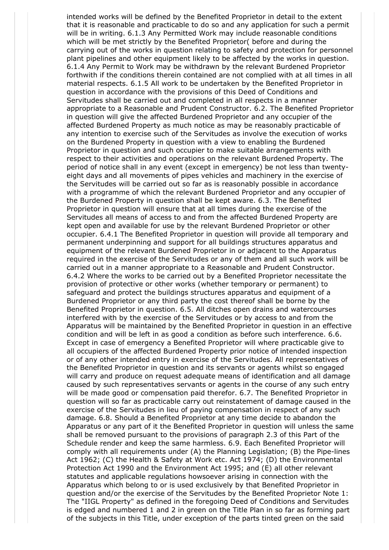intended works will be defined by the Benefited Proprietor in detail to the extent that it is reasonable and practicable to do so and any application for such a permit will be in writing. 6.1.3 Any Permitted Work may include reasonable conditions which will be met strictly by the Benefited Proprietor( before and during the carrying out of the works in question relating to safety and protection for personnel plant pipelines and other equipment likely to be affected by the works in question. 6.1.4 Any Permit to Work may be withdrawn by the relevant Burdened Proprietor forthwith if the conditions therein contained are not complied with at all times in all material respects. 6.1.5 All work to be undertaken by the Benefited Proprietor in question in accordance with the provisions of this Deed of Conditions and Servitudes shall be carried out and completed in all respects in a manner appropriate to a Reasonable and Prudent Constructor. 6.2. The Benefited Proprietor in question will give the affected Burdened Proprietor and any occupier of the affected Burdened Property as much notice as may be reasonably practicable of any intention to exercise such of the Servitudes as involve the execution of works on the Burdened Property in question with a view to enabling the Burdened Proprietor in question and such occupier to make suitable arrangements with respect to their activities and operations on the relevant Burdened Property. The period of notice shall in any event (except in emergency) be not less than twentyeight days and all movements of pipes vehicles and machinery in the exercise of the Servitudes will be carried out so far as is reasonably possible in accordance with a programme of which the relevant Burdened Proprietor and any occupier of the Burdened Property in question shall be kept aware. 6.3. The Benefited Proprietor in question will ensure that at all times during the exercise of the Servitudes all means of access to and from the affected Burdened Property are kept open and available for use by the relevant Burdened Proprietor or other occupier. 6.4.1 The Benefited Proprietor in question will provide all temporary and permanent underpinning and support for all buildings structures apparatus and equipment of the relevant Burdened Proprietor in or adjacent to the Apparatus required in the exercise of the Servitudes or any of them and all such work will be carried out in a manner appropriate to a Reasonable and Prudent Constructor. 6.4.2 Where the works to be carried out by a Benefited Proprietor necessitate the provision of protective or other works (whether temporary or permanent) to safeguard and protect the buildings structures apparatus and equipment of a Burdened Proprietor or any third party the cost thereof shall be borne by the Benefited Proprietor in question. 6.5. All ditches open drains and watercourses interfered with by the exercise of the Servitudes or by access to and from the Apparatus will be maintained by the Benefited Proprietor in question in an effective condition and will be left in as good a condition as before such interference. 6.6. Except in case of emergency a Benefited Proprietor will where practicable give to all occupiers of the affected Burdened Property prior notice of intended inspection or of any other intended entry in exercise of the Servitudes. All representatives of the Benefited Proprietor in question and its servants or agents whilst so engaged will carry and produce on request adequate means of identification and all damage caused by such representatives servants or agents in the course of any such entry will be made good or compensation paid therefor. 6.7. The Benefited Proprietor in question will so far as practicable carry out reinstatement of damage caused in the exercise of the Servitudes in lieu of paying compensation in respect of any such damage. 6.8. Should a Benefited Proprietor at any time decide to abandon the Apparatus or any part of it the Benefited Proprietor in question will unless the same shall be removed pursuant to the provisions of paragraph 2.3 of this Part of the Schedule render and keep the same harmless. 6.9. Each Benefited Proprietor will comply with all requirements under (A) the Planning Legislation; (B) the Pipe-lines Act 1962; (C) the Health & Safety at Work etc. Act 1974; (D) the Environmental Protection Act 1990 and the Environment Act 1995; and (E) all other relevant statutes and applicable regulations howsoever arising in connection with the Apparatus which belong to or is used exclusively by that Benefited Proprietor in question and/or the exercise of the Servitudes by the Benefited Proprietor Note 1: The "IIGL Property" as defined in the foregoing Deed of Conditions and Servitudes is edged and numbered 1 and 2 in green on the Title Plan in so far as forming part of the subjects in this Title, under exception of the parts tinted green on the said